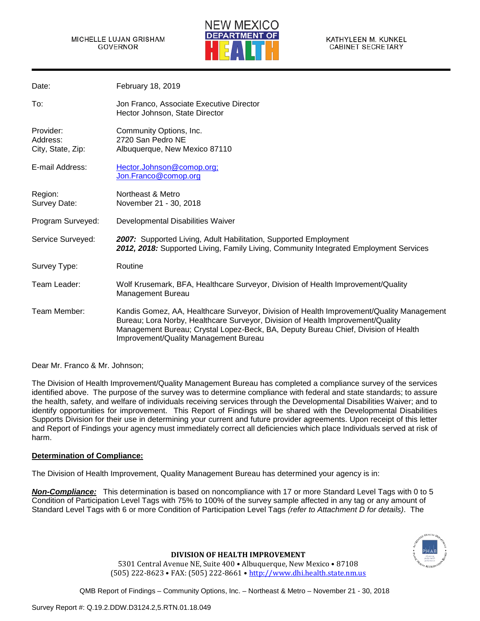

| Date:                                      | <b>February 18, 2019</b>                                                                                                                                                                                                                                                                                   |
|--------------------------------------------|------------------------------------------------------------------------------------------------------------------------------------------------------------------------------------------------------------------------------------------------------------------------------------------------------------|
| To:                                        | Jon Franco, Associate Executive Director<br>Hector Johnson, State Director                                                                                                                                                                                                                                 |
| Provider:<br>Address:<br>City, State, Zip: | Community Options, Inc.<br>2720 San Pedro NE<br>Albuquerque, New Mexico 87110                                                                                                                                                                                                                              |
| E-mail Address:                            | Hector.Johnson@comop.org;<br>Jon.Franco@comop.org                                                                                                                                                                                                                                                          |
| Region:<br>Survey Date:                    | Northeast & Metro<br>November 21 - 30, 2018                                                                                                                                                                                                                                                                |
| Program Surveyed:                          | Developmental Disabilities Waiver                                                                                                                                                                                                                                                                          |
| Service Surveyed:                          | 2007: Supported Living, Adult Habilitation, Supported Employment<br>2012, 2018: Supported Living, Family Living, Community Integrated Employment Services                                                                                                                                                  |
| Survey Type:                               | Routine                                                                                                                                                                                                                                                                                                    |
| Team Leader:                               | Wolf Krusemark, BFA, Healthcare Surveyor, Division of Health Improvement/Quality<br><b>Management Bureau</b>                                                                                                                                                                                               |
| Team Member:                               | Kandis Gomez, AA, Healthcare Surveyor, Division of Health Improvement/Quality Management<br>Bureau; Lora Norby, Healthcare Surveyor, Division of Health Improvement/Quality<br>Management Bureau; Crystal Lopez-Beck, BA, Deputy Bureau Chief, Division of Health<br>Improvement/Quality Management Bureau |

Dear Mr. Franco & Mr. Johnson;

The Division of Health Improvement/Quality Management Bureau has completed a compliance survey of the services identified above. The purpose of the survey was to determine compliance with federal and state standards; to assure the health, safety, and welfare of individuals receiving services through the Developmental Disabilities Waiver; and to identify opportunities for improvement. This Report of Findings will be shared with the Developmental Disabilities Supports Division for their use in determining your current and future provider agreements. Upon receipt of this letter and Report of Findings your agency must immediately correct all deficiencies which place Individuals served at risk of harm.

# **Determination of Compliance:**

The Division of Health Improvement, Quality Management Bureau has determined your agency is in:

*Non-Compliance:* This determination is based on noncompliance with 17 or more Standard Level Tags with 0 to 5 Condition of Participation Level Tags with 75% to 100% of the survey sample affected in any tag or any amount of Standard Level Tags with 6 or more Condition of Participation Level Tags *(refer to Attachment D for details)*. The



**DIVISION OF HEALTH IMPROVEMENT**

5301 Central Avenue NE, Suite 400 • Albuquerque, New Mexico • 87108 (505) 222-8623 • FAX: (505) 222-8661 • [http://www.dhi.health.state.nm.us](http://www.dhi.health.state.nm.us/)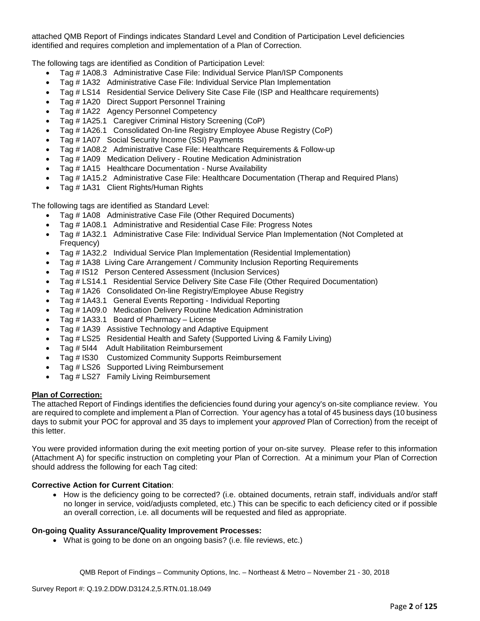attached QMB Report of Findings indicates Standard Level and Condition of Participation Level deficiencies identified and requires completion and implementation of a Plan of Correction.

The following tags are identified as Condition of Participation Level:

- Tag # 1A08.3 Administrative Case File: Individual Service Plan/ISP Components
- Tag # 1A32 Administrative Case File: Individual Service Plan Implementation
- Tag # LS14 Residential Service Delivery Site Case File (ISP and Healthcare requirements)
- Tag # 1A20 Direct Support Personnel Training
- Tag # 1A22 Agency Personnel Competency
- Tag # 1A25.1 Caregiver Criminal History Screening (CoP)
- Tag # 1A26.1 Consolidated On-line Registry Employee Abuse Registry (CoP)
- Tag # 1A07 Social Security Income (SSI) Payments
- Tag # 1A08.2 Administrative Case File: Healthcare Requirements & Follow-up
- Tag # 1A09 Medication Delivery Routine Medication Administration
- Tag # 1A15 Healthcare Documentation Nurse Availability
- Tag # 1A15.2 Administrative Case File: Healthcare Documentation (Therap and Required Plans)
- Tag # 1A31 Client Rights/Human Rights

The following tags are identified as Standard Level:

- Tag # 1A08 Administrative Case File (Other Required Documents)
- Tag # 1A08.1 Administrative and Residential Case File: Progress Notes
- Tag # 1A32.1 Administrative Case File: Individual Service Plan Implementation (Not Completed at Frequency)
- Tag # 1A32.2 Individual Service Plan Implementation (Residential Implementation)
- Tag # 1A38 Living Care Arrangement / Community Inclusion Reporting Requirements
- Tag # IS12 Person Centered Assessment (Inclusion Services)
- Tag # LS14.1 Residential Service Delivery Site Case File (Other Required Documentation)
- Tag # 1A26 Consolidated On-line Registry/Employee Abuse Registry
- Tag # 1A43.1 General Events Reporting Individual Reporting
- Tag # 1A09.0 Medication Delivery Routine Medication Administration
- Tag # 1A33.1 Board of Pharmacy License
- Tag # 1A39 Assistive Technology and Adaptive Equipment
- Tag # LS25 Residential Health and Safety (Supported Living & Family Living)
- Tag # 5I44 Adult Habilitation Reimbursement
- Tag # IS30 Customized Community Supports Reimbursement
- Tag # LS26 Supported Living Reimbursement
- Tag # LS27 Family Living Reimbursement

### **Plan of Correction:**

The attached Report of Findings identifies the deficiencies found during your agency's on-site compliance review. You are required to complete and implement a Plan of Correction. Your agency has a total of 45 business days (10 business days to submit your POC for approval and 35 days to implement your *approved* Plan of Correction) from the receipt of this letter.

You were provided information during the exit meeting portion of your on-site survey. Please refer to this information (Attachment A) for specific instruction on completing your Plan of Correction. At a minimum your Plan of Correction should address the following for each Tag cited:

# **Corrective Action for Current Citation**:

• How is the deficiency going to be corrected? (i.e. obtained documents, retrain staff, individuals and/or staff no longer in service, void/adjusts completed, etc.) This can be specific to each deficiency cited or if possible an overall correction, i.e. all documents will be requested and filed as appropriate.

### **On-going Quality Assurance/Quality Improvement Processes:**

• What is going to be done on an ongoing basis? (i.e. file reviews, etc.)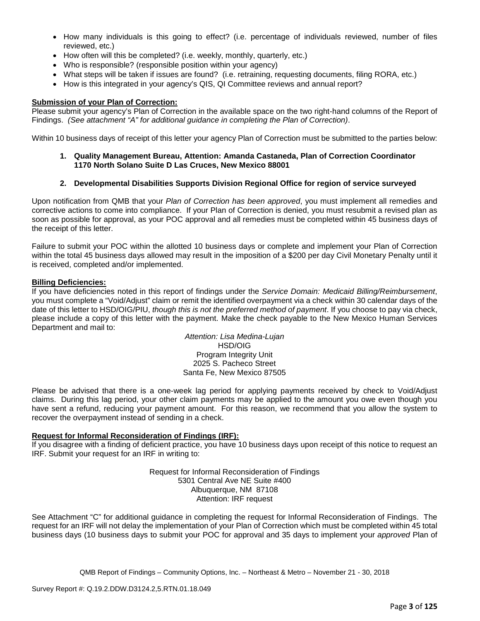- How many individuals is this going to effect? (i.e. percentage of individuals reviewed, number of files reviewed, etc.)
- How often will this be completed? (i.e. weekly, monthly, quarterly, etc.)
- Who is responsible? (responsible position within your agency)
- What steps will be taken if issues are found? (i.e. retraining, requesting documents, filing RORA, etc.)
- How is this integrated in your agency's QIS, QI Committee reviews and annual report?

#### **Submission of your Plan of Correction:**

Please submit your agency's Plan of Correction in the available space on the two right-hand columns of the Report of Findings. *(See attachment "A" for additional guidance in completing the Plan of Correction)*.

Within 10 business days of receipt of this letter your agency Plan of Correction must be submitted to the parties below:

- **1. Quality Management Bureau, Attention: Amanda Castaneda, Plan of Correction Coordinator 1170 North Solano Suite D Las Cruces, New Mexico 88001**
- **2. Developmental Disabilities Supports Division Regional Office for region of service surveyed**

Upon notification from QMB that your *Plan of Correction has been approved*, you must implement all remedies and corrective actions to come into compliance. If your Plan of Correction is denied, you must resubmit a revised plan as soon as possible for approval, as your POC approval and all remedies must be completed within 45 business days of the receipt of this letter.

Failure to submit your POC within the allotted 10 business days or complete and implement your Plan of Correction within the total 45 business days allowed may result in the imposition of a \$200 per day Civil Monetary Penalty until it is received, completed and/or implemented.

#### **Billing Deficiencies:**

If you have deficiencies noted in this report of findings under the *Service Domain: Medicaid Billing/Reimbursement*, you must complete a "Void/Adjust" claim or remit the identified overpayment via a check within 30 calendar days of the date of this letter to HSD/OIG/PIU, *though this is not the preferred method of payment*. If you choose to pay via check, please include a copy of this letter with the payment. Make the check payable to the New Mexico Human Services Department and mail to:

> *Attention: Lisa Medina-Lujan* HSD/OIG Program Integrity Unit 2025 S. Pacheco Street Santa Fe, New Mexico 87505

Please be advised that there is a one-week lag period for applying payments received by check to Void/Adjust claims. During this lag period, your other claim payments may be applied to the amount you owe even though you have sent a refund, reducing your payment amount. For this reason, we recommend that you allow the system to recover the overpayment instead of sending in a check.

### **Request for Informal Reconsideration of Findings (IRF):**

If you disagree with a finding of deficient practice, you have 10 business days upon receipt of this notice to request an IRF. Submit your request for an IRF in writing to:

> Request for Informal Reconsideration of Findings 5301 Central Ave NE Suite #400 Albuquerque, NM 87108 Attention: IRF request

See Attachment "C" for additional guidance in completing the request for Informal Reconsideration of Findings. The request for an IRF will not delay the implementation of your Plan of Correction which must be completed within 45 total business days (10 business days to submit your POC for approval and 35 days to implement your *approved* Plan of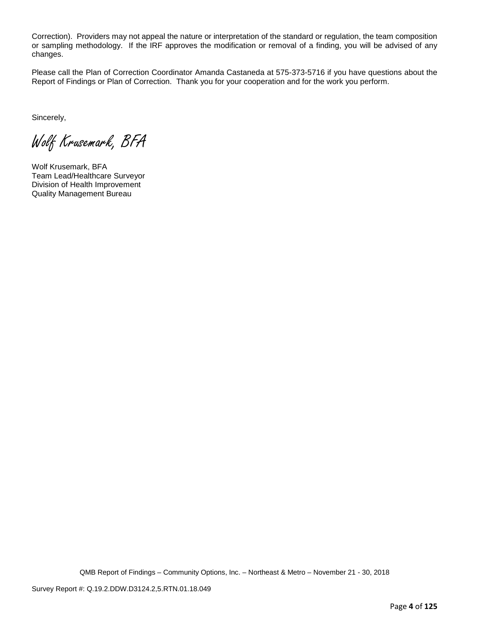Correction). Providers may not appeal the nature or interpretation of the standard or regulation, the team composition or sampling methodology. If the IRF approves the modification or removal of a finding, you will be advised of any changes.

Please call the Plan of Correction Coordinator Amanda Castaneda at 575-373-5716 if you have questions about the Report of Findings or Plan of Correction. Thank you for your cooperation and for the work you perform.

Sincerely,

Wolf Krusemark, BFA

Wolf Krusemark, BFA Team Lead/Healthcare Surveyor Division of Health Improvement Quality Management Bureau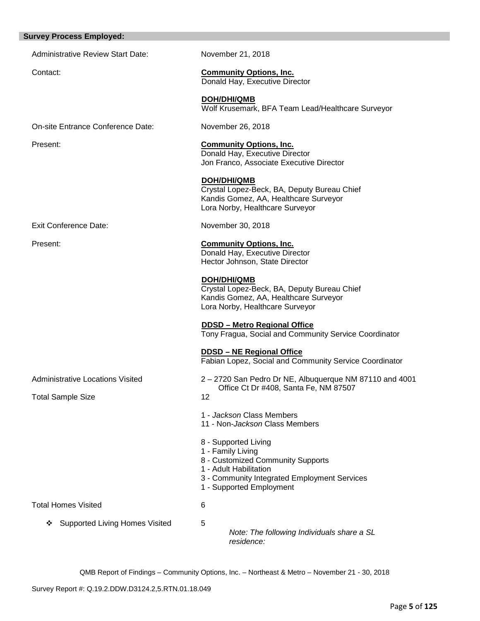| <b>Survey Process Employed:</b>            |                                                                                                                                                                                      |
|--------------------------------------------|--------------------------------------------------------------------------------------------------------------------------------------------------------------------------------------|
| <b>Administrative Review Start Date:</b>   | November 21, 2018                                                                                                                                                                    |
| Contact:                                   | <b>Community Options, Inc.</b><br>Donald Hay, Executive Director                                                                                                                     |
|                                            | DOH/DHI/QMB<br>Wolf Krusemark, BFA Team Lead/Healthcare Surveyor                                                                                                                     |
| On-site Entrance Conference Date:          | November 26, 2018                                                                                                                                                                    |
| Present:                                   | <b>Community Options, Inc.</b><br>Donald Hay, Executive Director<br>Jon Franco, Associate Executive Director                                                                         |
|                                            | DOH/DHI/QMB<br>Crystal Lopez-Beck, BA, Deputy Bureau Chief<br>Kandis Gomez, AA, Healthcare Surveyor<br>Lora Norby, Healthcare Surveyor                                               |
| <b>Exit Conference Date:</b>               | November 30, 2018                                                                                                                                                                    |
| Present:                                   | <b>Community Options, Inc.</b><br>Donald Hay, Executive Director<br>Hector Johnson, State Director                                                                                   |
|                                            | <b>DOH/DHI/QMB</b><br>Crystal Lopez-Beck, BA, Deputy Bureau Chief<br>Kandis Gomez, AA, Healthcare Surveyor<br>Lora Norby, Healthcare Surveyor                                        |
|                                            | <b>DDSD - Metro Regional Office</b><br>Tony Fragua, Social and Community Service Coordinator                                                                                         |
|                                            | <b>DDSD - NE Regional Office</b><br>Fabian Lopez, Social and Community Service Coordinator                                                                                           |
| <b>Administrative Locations Visited</b>    | 2-2720 San Pedro Dr NE, Albuquerque NM 87110 and 4001                                                                                                                                |
| <b>Total Sample Size</b>                   | Office Ct Dr #408, Santa Fe, NM 87507<br>12                                                                                                                                          |
|                                            | 1 - Jackson Class Members<br>11 - Non-Jackson Class Members                                                                                                                          |
|                                            | 8 - Supported Living<br>1 - Family Living<br>8 - Customized Community Supports<br>1 - Adult Habilitation<br>3 - Community Integrated Employment Services<br>1 - Supported Employment |
| <b>Total Homes Visited</b>                 | 6                                                                                                                                                                                    |
| <b>Supported Living Homes Visited</b><br>❖ | 5<br>Note: The following Individuals share a SL<br>residence:                                                                                                                        |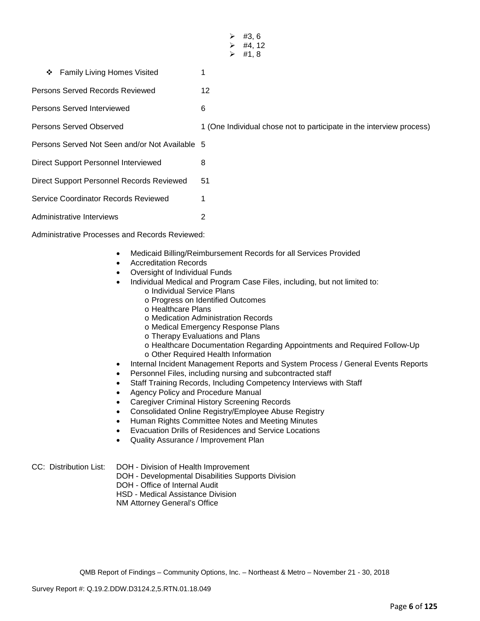|                                                                                                                       | #3, 6<br>➤<br>#4, 12<br>➤<br>#1, 8<br>⋗                                                                                                                                            |
|-----------------------------------------------------------------------------------------------------------------------|------------------------------------------------------------------------------------------------------------------------------------------------------------------------------------|
| Family Living Homes Visited<br>❖                                                                                      | 1                                                                                                                                                                                  |
| <b>Persons Served Records Reviewed</b>                                                                                | 12                                                                                                                                                                                 |
| Persons Served Interviewed                                                                                            | 6                                                                                                                                                                                  |
| <b>Persons Served Observed</b>                                                                                        | 1 (One Individual chose not to participate in the interview process)                                                                                                               |
| Persons Served Not Seen and/or Not Available 5                                                                        |                                                                                                                                                                                    |
| Direct Support Personnel Interviewed                                                                                  | 8                                                                                                                                                                                  |
| Direct Support Personnel Records Reviewed                                                                             | 51                                                                                                                                                                                 |
| Service Coordinator Records Reviewed                                                                                  | 1                                                                                                                                                                                  |
| Administrative Interviews                                                                                             | 2                                                                                                                                                                                  |
| <b>Administrative Processes and Records Reviewed:</b>                                                                 |                                                                                                                                                                                    |
| <b>Accreditation Records</b><br>$\bullet$<br>Oversight of Individual Funds<br>$\bullet$<br>o Individual Service Plans | Medicaid Billing/Reimbursement Records for all Services Provided<br>Individual Medical and Program Case Files, including, but not limited to:<br>o Progress on Identified Outcomes |

- o Healthcare Plans
- o Medication Administration Records
- o Medical Emergency Response Plans
- o Therapy Evaluations and Plans
- o Healthcare Documentation Regarding Appointments and Required Follow-Up
- o Other Required Health Information
- Internal Incident Management Reports and System Process / General Events Reports
- Personnel Files, including nursing and subcontracted staff
- Staff Training Records, Including Competency Interviews with Staff
- Agency Policy and Procedure Manual
- Caregiver Criminal History Screening Records
- Consolidated Online Registry/Employee Abuse Registry
- Human Rights Committee Notes and Meeting Minutes
- Evacuation Drills of Residences and Service Locations
- Quality Assurance / Improvement Plan

- DOH Developmental Disabilities Supports Division
- DOH Office of Internal Audit

HSD - Medical Assistance Division

NM Attorney General's Office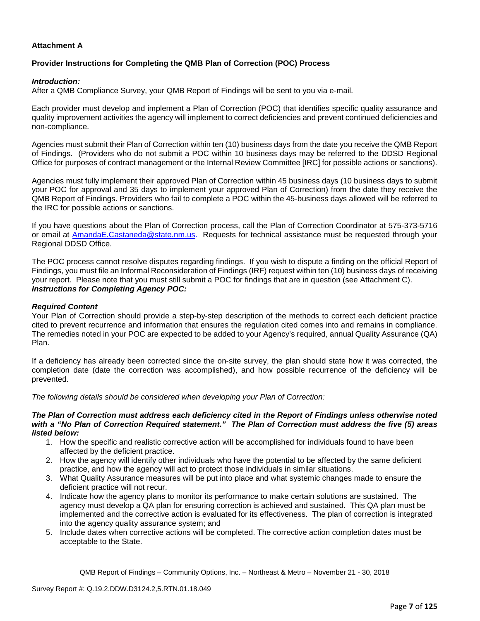## **Attachment A**

## **Provider Instructions for Completing the QMB Plan of Correction (POC) Process**

#### *Introduction:*

After a QMB Compliance Survey, your QMB Report of Findings will be sent to you via e-mail.

Each provider must develop and implement a Plan of Correction (POC) that identifies specific quality assurance and quality improvement activities the agency will implement to correct deficiencies and prevent continued deficiencies and non-compliance.

Agencies must submit their Plan of Correction within ten (10) business days from the date you receive the QMB Report of Findings. (Providers who do not submit a POC within 10 business days may be referred to the DDSD Regional Office for purposes of contract management or the Internal Review Committee [IRC] for possible actions or sanctions).

Agencies must fully implement their approved Plan of Correction within 45 business days (10 business days to submit your POC for approval and 35 days to implement your approved Plan of Correction) from the date they receive the QMB Report of Findings. Providers who fail to complete a POC within the 45-business days allowed will be referred to the IRC for possible actions or sanctions.

If you have questions about the Plan of Correction process, call the Plan of Correction Coordinator at 575-373-5716 or email at AmandaE.Castaneda@state.nm.us. Requests for technical assistance must be requested through your Regional DDSD Office.

The POC process cannot resolve disputes regarding findings. If you wish to dispute a finding on the official Report of Findings, you must file an Informal Reconsideration of Findings (IRF) request within ten (10) business days of receiving your report. Please note that you must still submit a POC for findings that are in question (see Attachment C). *Instructions for Completing Agency POC:*

### *Required Content*

Your Plan of Correction should provide a step-by-step description of the methods to correct each deficient practice cited to prevent recurrence and information that ensures the regulation cited comes into and remains in compliance. The remedies noted in your POC are expected to be added to your Agency's required, annual Quality Assurance (QA) Plan.

If a deficiency has already been corrected since the on-site survey, the plan should state how it was corrected, the completion date (date the correction was accomplished), and how possible recurrence of the deficiency will be prevented.

*The following details should be considered when developing your Plan of Correction:*

#### *The Plan of Correction must address each deficiency cited in the Report of Findings unless otherwise noted with a "No Plan of Correction Required statement." The Plan of Correction must address the five (5) areas listed below:*

- 1. How the specific and realistic corrective action will be accomplished for individuals found to have been affected by the deficient practice.
- 2. How the agency will identify other individuals who have the potential to be affected by the same deficient practice, and how the agency will act to protect those individuals in similar situations.
- 3. What Quality Assurance measures will be put into place and what systemic changes made to ensure the deficient practice will not recur.
- 4. Indicate how the agency plans to monitor its performance to make certain solutions are sustained. The agency must develop a QA plan for ensuring correction is achieved and sustained. This QA plan must be implemented and the corrective action is evaluated for its effectiveness. The plan of correction is integrated into the agency quality assurance system; and
- 5. Include dates when corrective actions will be completed. The corrective action completion dates must be acceptable to the State.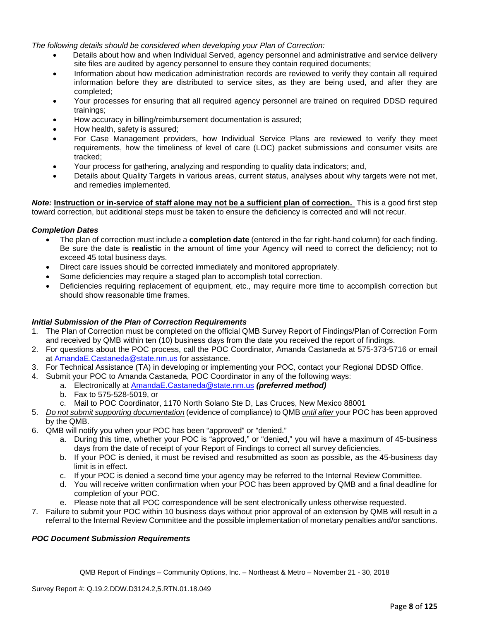*The following details should be considered when developing your Plan of Correction:*

- Details about how and when Individual Served, agency personnel and administrative and service delivery site files are audited by agency personnel to ensure they contain required documents;
- Information about how medication administration records are reviewed to verify they contain all required information before they are distributed to service sites, as they are being used, and after they are completed;
- Your processes for ensuring that all required agency personnel are trained on required DDSD required trainings;
- How accuracy in billing/reimbursement documentation is assured;
- How health, safety is assured;
- For Case Management providers, how Individual Service Plans are reviewed to verify they meet requirements, how the timeliness of level of care (LOC) packet submissions and consumer visits are tracked;
- Your process for gathering, analyzing and responding to quality data indicators; and,
- Details about Quality Targets in various areas, current status, analyses about why targets were not met, and remedies implemented.

*Note:* **Instruction or in-service of staff alone may not be a sufficient plan of correction.** This is a good first step toward correction, but additional steps must be taken to ensure the deficiency is corrected and will not recur.

### *Completion Dates*

- The plan of correction must include a **completion date** (entered in the far right-hand column) for each finding. Be sure the date is **realistic** in the amount of time your Agency will need to correct the deficiency; not to exceed 45 total business days.
- Direct care issues should be corrected immediately and monitored appropriately.
- Some deficiencies may require a staged plan to accomplish total correction.
- Deficiencies requiring replacement of equipment, etc., may require more time to accomplish correction but should show reasonable time frames.

### *Initial Submission of the Plan of Correction Requirements*

- 1. The Plan of Correction must be completed on the official QMB Survey Report of Findings/Plan of Correction Form and received by QMB within ten (10) business days from the date you received the report of findings.
- 2. For questions about the POC process, call the POC Coordinator, Amanda Castaneda at 575-373-5716 or email at AmandaE.Castaneda@state.nm.us for assistance.
- 3. For Technical Assistance (TA) in developing or implementing your POC, contact your Regional DDSD Office.
- 4. Submit your POC to Amanda Castaneda, POC Coordinator in any of the following ways:
	- a. Electronically at AmandaE.Castaneda@state.nm.us *(preferred method)*
	- b. Fax to 575-528-5019, or
	- c. Mail to POC Coordinator, 1170 North Solano Ste D, Las Cruces, New Mexico 88001
- 5. *Do not submit supporting documentation* (evidence of compliance) to QMB *until after* your POC has been approved by the QMB.
- 6. QMB will notify you when your POC has been "approved" or "denied."
	- a. During this time, whether your POC is "approved," or "denied," you will have a maximum of 45-business days from the date of receipt of your Report of Findings to correct all survey deficiencies.
	- b. If your POC is denied, it must be revised and resubmitted as soon as possible, as the 45-business day limit is in effect.
	- c. If your POC is denied a second time your agency may be referred to the Internal Review Committee.
	- d. You will receive written confirmation when your POC has been approved by QMB and a final deadline for completion of your POC.
	- e. Please note that all POC correspondence will be sent electronically unless otherwise requested.
- 7. Failure to submit your POC within 10 business days without prior approval of an extension by QMB will result in a referral to the Internal Review Committee and the possible implementation of monetary penalties and/or sanctions.

# *POC Document Submission Requirements*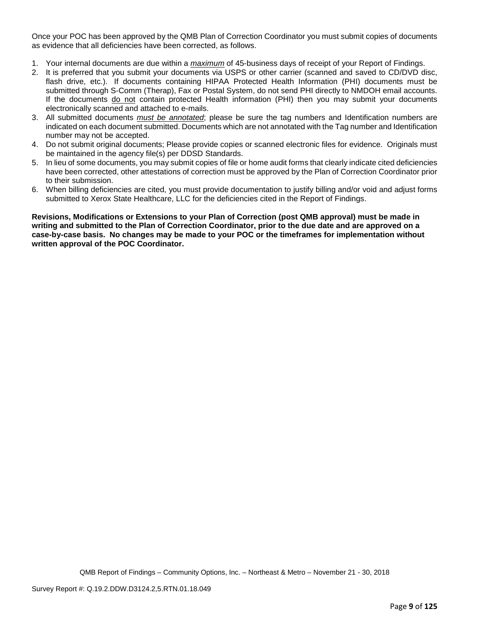Once your POC has been approved by the QMB Plan of Correction Coordinator you must submit copies of documents as evidence that all deficiencies have been corrected, as follows.

- 1. Your internal documents are due within a *maximum* of 45-business days of receipt of your Report of Findings.
- 2. It is preferred that you submit your documents via USPS or other carrier (scanned and saved to CD/DVD disc, flash drive, etc.). If documents containing HIPAA Protected Health Information (PHI) documents must be submitted through S-Comm (Therap), Fax or Postal System, do not send PHI directly to NMDOH email accounts. If the documents do not contain protected Health information (PHI) then you may submit your documents electronically scanned and attached to e-mails.
- 3. All submitted documents *must be annotated*; please be sure the tag numbers and Identification numbers are indicated on each document submitted. Documents which are not annotated with the Tag number and Identification number may not be accepted.
- 4. Do not submit original documents; Please provide copies or scanned electronic files for evidence. Originals must be maintained in the agency file(s) per DDSD Standards.
- 5. In lieu of some documents, you may submit copies of file or home audit forms that clearly indicate cited deficiencies have been corrected, other attestations of correction must be approved by the Plan of Correction Coordinator prior to their submission.
- 6. When billing deficiencies are cited, you must provide documentation to justify billing and/or void and adjust forms submitted to Xerox State Healthcare, LLC for the deficiencies cited in the Report of Findings.

**Revisions, Modifications or Extensions to your Plan of Correction (post QMB approval) must be made in writing and submitted to the Plan of Correction Coordinator, prior to the due date and are approved on a case-by-case basis. No changes may be made to your POC or the timeframes for implementation without written approval of the POC Coordinator.**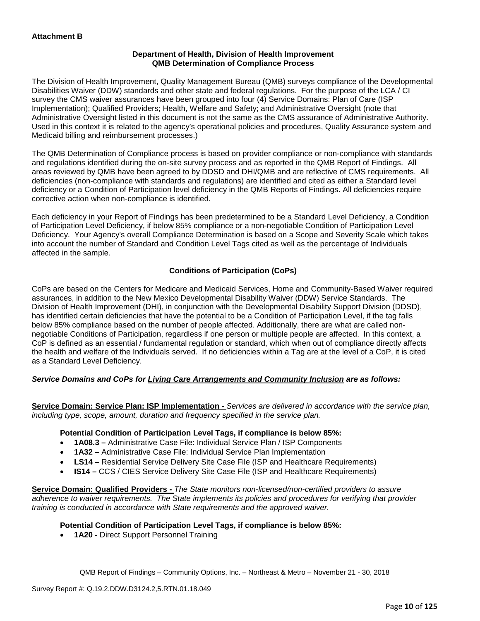### **Department of Health, Division of Health Improvement QMB Determination of Compliance Process**

The Division of Health Improvement, Quality Management Bureau (QMB) surveys compliance of the Developmental Disabilities Waiver (DDW) standards and other state and federal regulations. For the purpose of the LCA / CI survey the CMS waiver assurances have been grouped into four (4) Service Domains: Plan of Care (ISP Implementation); Qualified Providers; Health, Welfare and Safety; and Administrative Oversight (note that Administrative Oversight listed in this document is not the same as the CMS assurance of Administrative Authority. Used in this context it is related to the agency's operational policies and procedures, Quality Assurance system and Medicaid billing and reimbursement processes.)

The QMB Determination of Compliance process is based on provider compliance or non-compliance with standards and regulations identified during the on-site survey process and as reported in the QMB Report of Findings. All areas reviewed by QMB have been agreed to by DDSD and DHI/QMB and are reflective of CMS requirements. All deficiencies (non-compliance with standards and regulations) are identified and cited as either a Standard level deficiency or a Condition of Participation level deficiency in the QMB Reports of Findings. All deficiencies require corrective action when non-compliance is identified.

Each deficiency in your Report of Findings has been predetermined to be a Standard Level Deficiency, a Condition of Participation Level Deficiency, if below 85% compliance or a non-negotiable Condition of Participation Level Deficiency. Your Agency's overall Compliance Determination is based on a Scope and Severity Scale which takes into account the number of Standard and Condition Level Tags cited as well as the percentage of Individuals affected in the sample.

# **Conditions of Participation (CoPs)**

CoPs are based on the Centers for Medicare and Medicaid Services, Home and Community-Based Waiver required assurances, in addition to the New Mexico Developmental Disability Waiver (DDW) Service Standards. The Division of Health Improvement (DHI), in conjunction with the Developmental Disability Support Division (DDSD), has identified certain deficiencies that have the potential to be a Condition of Participation Level, if the tag falls below 85% compliance based on the number of people affected. Additionally, there are what are called nonnegotiable Conditions of Participation, regardless if one person or multiple people are affected. In this context, a CoP is defined as an essential / fundamental regulation or standard, which when out of compliance directly affects the health and welfare of the Individuals served. If no deficiencies within a Tag are at the level of a CoP, it is cited as a Standard Level Deficiency.

### *Service Domains and CoPs for Living Care Arrangements and Community Inclusion are as follows:*

**Service Domain: Service Plan: ISP Implementation -** *Services are delivered in accordance with the service plan, including type, scope, amount, duration and frequency specified in the service plan.*

### **Potential Condition of Participation Level Tags, if compliance is below 85%:**

- **1A08.3 –** Administrative Case File: Individual Service Plan / ISP Components
- **1A32 –** Administrative Case File: Individual Service Plan Implementation
- **LS14 –** Residential Service Delivery Site Case File (ISP and Healthcare Requirements)
- **IS14 –** CCS / CIES Service Delivery Site Case File (ISP and Healthcare Requirements)

**Service Domain: Qualified Providers -** *The State monitors non-licensed/non-certified providers to assure adherence to waiver requirements. The State implements its policies and procedures for verifying that provider training is conducted in accordance with State requirements and the approved waiver.*

### **Potential Condition of Participation Level Tags, if compliance is below 85%:**

• **1A20 -** Direct Support Personnel Training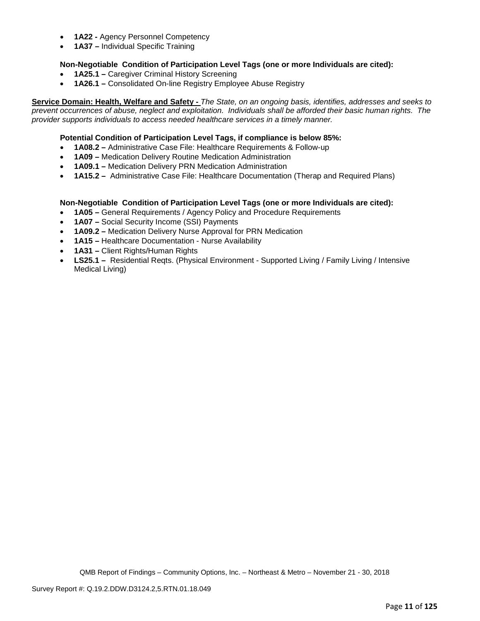- **1A22 -** Agency Personnel Competency
- **1A37 –** Individual Specific Training

## **Non-Negotiable Condition of Participation Level Tags (one or more Individuals are cited):**

- **1A25.1 –** Caregiver Criminal History Screening
- **1A26.1 –** Consolidated On-line Registry Employee Abuse Registry

**Service Domain: Health, Welfare and Safety -** *The State, on an ongoing basis, identifies, addresses and seeks to prevent occurrences of abuse, neglect and exploitation. Individuals shall be afforded their basic human rights. The provider supports individuals to access needed healthcare services in a timely manner.*

### **Potential Condition of Participation Level Tags, if compliance is below 85%:**

- **1A08.2 –** Administrative Case File: Healthcare Requirements & Follow-up
- **1A09 –** Medication Delivery Routine Medication Administration
- **1A09.1 –** Medication Delivery PRN Medication Administration
- **1A15.2 –** Administrative Case File: Healthcare Documentation (Therap and Required Plans)

### **Non-Negotiable Condition of Participation Level Tags (one or more Individuals are cited):**

- **1A05 –** General Requirements / Agency Policy and Procedure Requirements
- **1A07 –** Social Security Income (SSI) Payments
- **1A09.2 –** Medication Delivery Nurse Approval for PRN Medication
- **1A15 –** Healthcare Documentation Nurse Availability
- **1A31 –** Client Rights/Human Rights
- **LS25.1 –** Residential Reqts. (Physical Environment Supported Living / Family Living / Intensive Medical Living)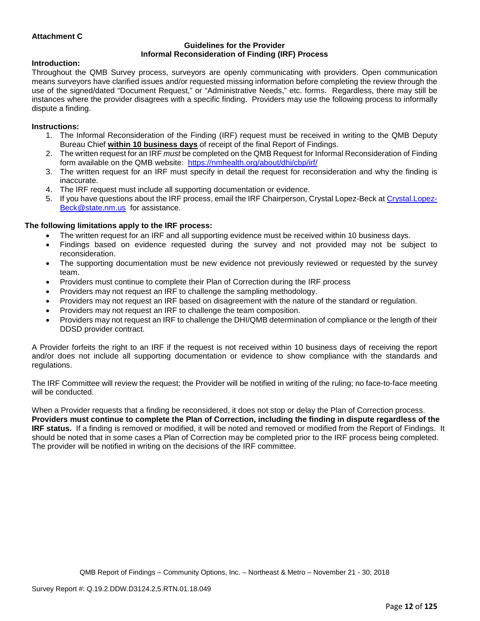## **Attachment C**

#### **Guidelines for the Provider Informal Reconsideration of Finding (IRF) Process**

### **Introduction:**

Throughout the QMB Survey process, surveyors are openly communicating with providers. Open communication means surveyors have clarified issues and/or requested missing information before completing the review through the use of the signed/dated "Document Request," or "Administrative Needs," etc. forms. Regardless, there may still be instances where the provider disagrees with a specific finding. Providers may use the following process to informally dispute a finding.

### **Instructions:**

- 1. The Informal Reconsideration of the Finding (IRF) request must be received in writing to the QMB Deputy Bureau Chief **within 10 business days** of receipt of the final Report of Findings.
- 2. The written request for an IRF *must* be completed on the QMB Request for Informal Reconsideration of Finding form available on the QMB website: <https://nmhealth.org/about/dhi/cbp/irf/>
- 3. The written request for an IRF must specify in detail the request for reconsideration and why the finding is inaccurate.
- 4. The IRF request must include all supporting documentation or evidence.
- 5. If you have questions about the IRF process, email the IRF Chairperson, Crystal Lopez-Beck a[t Crystal.Lopez-](mailto:Crystal.Lopez-Beck@state.nm.us)[Beck@state.nm.us](mailto:Crystal.Lopez-Beck@state.nm.us) for assistance.

# **The following limitations apply to the IRF process:**

- The written request for an IRF and all supporting evidence must be received within 10 business days.
- Findings based on evidence requested during the survey and not provided may not be subject to reconsideration.
- The supporting documentation must be new evidence not previously reviewed or requested by the survey team.
- Providers must continue to complete their Plan of Correction during the IRF process
- Providers may not request an IRF to challenge the sampling methodology.
- Providers may not request an IRF based on disagreement with the nature of the standard or regulation.
- Providers may not request an IRF to challenge the team composition.
- Providers may not request an IRF to challenge the DHI/QMB determination of compliance or the length of their DDSD provider contract.

A Provider forfeits the right to an IRF if the request is not received within 10 business days of receiving the report and/or does not include all supporting documentation or evidence to show compliance with the standards and regulations.

The IRF Committee will review the request; the Provider will be notified in writing of the ruling; no face-to-face meeting will be conducted.

When a Provider requests that a finding be reconsidered, it does not stop or delay the Plan of Correction process. **Providers must continue to complete the Plan of Correction, including the finding in dispute regardless of the IRF status.** If a finding is removed or modified, it will be noted and removed or modified from the Report of Findings. It should be noted that in some cases a Plan of Correction may be completed prior to the IRF process being completed. The provider will be notified in writing on the decisions of the IRF committee.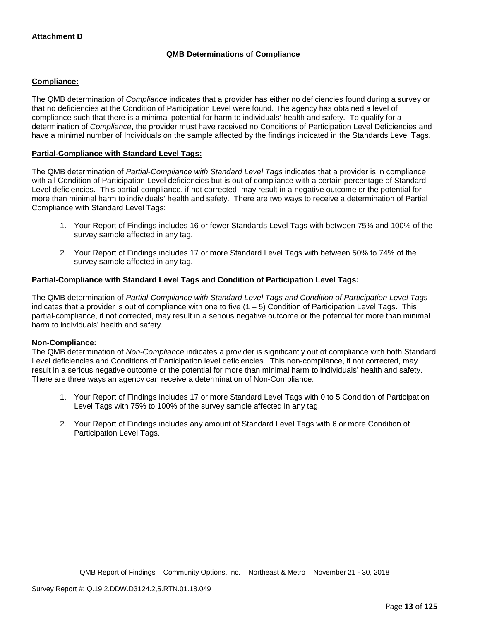# **QMB Determinations of Compliance**

## **Compliance:**

The QMB determination of *Compliance* indicates that a provider has either no deficiencies found during a survey or that no deficiencies at the Condition of Participation Level were found. The agency has obtained a level of compliance such that there is a minimal potential for harm to individuals' health and safety. To qualify for a determination of *Compliance*, the provider must have received no Conditions of Participation Level Deficiencies and have a minimal number of Individuals on the sample affected by the findings indicated in the Standards Level Tags.

## **Partial-Compliance with Standard Level Tags:**

The QMB determination of *Partial-Compliance with Standard Level Tags* indicates that a provider is in compliance with all Condition of Participation Level deficiencies but is out of compliance with a certain percentage of Standard Level deficiencies. This partial-compliance, if not corrected, may result in a negative outcome or the potential for more than minimal harm to individuals' health and safety. There are two ways to receive a determination of Partial Compliance with Standard Level Tags:

- 1. Your Report of Findings includes 16 or fewer Standards Level Tags with between 75% and 100% of the survey sample affected in any tag.
- 2. Your Report of Findings includes 17 or more Standard Level Tags with between 50% to 74% of the survey sample affected in any tag.

### **Partial-Compliance with Standard Level Tags and Condition of Participation Level Tags:**

The QMB determination of *Partial-Compliance with Standard Level Tags and Condition of Participation Level Tags*  indicates that a provider is out of compliance with one to five  $(1 - 5)$  Condition of Participation Level Tags. This partial-compliance, if not corrected, may result in a serious negative outcome or the potential for more than minimal harm to individuals' health and safety.

### **Non-Compliance:**

The QMB determination of *Non-Compliance* indicates a provider is significantly out of compliance with both Standard Level deficiencies and Conditions of Participation level deficiencies. This non-compliance, if not corrected, may result in a serious negative outcome or the potential for more than minimal harm to individuals' health and safety. There are three ways an agency can receive a determination of Non-Compliance:

- 1. Your Report of Findings includes 17 or more Standard Level Tags with 0 to 5 Condition of Participation Level Tags with 75% to 100% of the survey sample affected in any tag.
- 2. Your Report of Findings includes any amount of Standard Level Tags with 6 or more Condition of Participation Level Tags.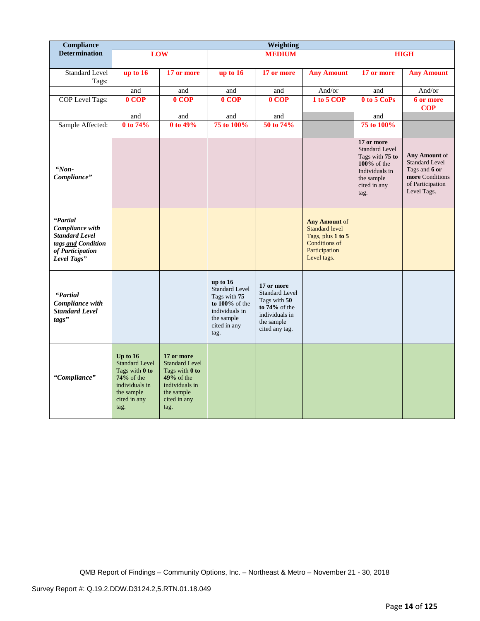| Compliance                                                                                                    |                                                                                                                                |                                                                                                                               |                                                                                                                               | Weighting                                                                                                                 |                                                                                                                            |                                                                                                                                  |                                                                                                               |
|---------------------------------------------------------------------------------------------------------------|--------------------------------------------------------------------------------------------------------------------------------|-------------------------------------------------------------------------------------------------------------------------------|-------------------------------------------------------------------------------------------------------------------------------|---------------------------------------------------------------------------------------------------------------------------|----------------------------------------------------------------------------------------------------------------------------|----------------------------------------------------------------------------------------------------------------------------------|---------------------------------------------------------------------------------------------------------------|
| <b>Determination</b>                                                                                          |                                                                                                                                | LOW                                                                                                                           |                                                                                                                               | <b>MEDIUM</b>                                                                                                             |                                                                                                                            |                                                                                                                                  | <b>HIGH</b>                                                                                                   |
| <b>Standard Level</b><br>Tags:                                                                                | up to 16                                                                                                                       | 17 or more                                                                                                                    | up to 16                                                                                                                      | 17 or more                                                                                                                | <b>Any Amount</b>                                                                                                          | 17 or more                                                                                                                       | <b>Any Amount</b>                                                                                             |
|                                                                                                               | and                                                                                                                            | and                                                                                                                           | and                                                                                                                           | and                                                                                                                       | And/or                                                                                                                     | and                                                                                                                              | And/or                                                                                                        |
| COP Level Tags:                                                                                               | $0$ COP                                                                                                                        | 0 COP                                                                                                                         | $0$ COP                                                                                                                       | 0 COP                                                                                                                     | 1 to 5 COP                                                                                                                 | 0 to 5 CoPs                                                                                                                      | 6 or more<br><b>COP</b>                                                                                       |
|                                                                                                               | and                                                                                                                            | and                                                                                                                           | and                                                                                                                           | and                                                                                                                       |                                                                                                                            | and                                                                                                                              |                                                                                                               |
| Sample Affected:                                                                                              | 0 to 74%                                                                                                                       | 0 to 49%                                                                                                                      | 75 to 100%                                                                                                                    | 50 to 74%                                                                                                                 |                                                                                                                            | 75 to 100%                                                                                                                       |                                                                                                               |
| $Won-$<br>Compliance"                                                                                         |                                                                                                                                |                                                                                                                               |                                                                                                                               |                                                                                                                           |                                                                                                                            | 17 or more<br><b>Standard Level</b><br>Tags with 75 to<br>$100\%$ of the<br>Individuals in<br>the sample<br>cited in any<br>tag. | Any Amount of<br><b>Standard Level</b><br>Tags and 6 or<br>more Conditions<br>of Participation<br>Level Tags. |
| "Partial<br>Compliance with<br><b>Standard Level</b><br>tags and Condition<br>of Participation<br>Level Tags" |                                                                                                                                |                                                                                                                               |                                                                                                                               |                                                                                                                           | <b>Any Amount of</b><br><b>Standard level</b><br>Tags, plus 1 to 5<br><b>Conditions of</b><br>Participation<br>Level tags. |                                                                                                                                  |                                                                                                               |
| "Partial<br>Compliance with<br><b>Standard Level</b><br>tags"                                                 |                                                                                                                                |                                                                                                                               | up to $16$<br><b>Standard Level</b><br>Tags with 75<br>to 100% of the<br>individuals in<br>the sample<br>cited in any<br>tag. | 17 or more<br><b>Standard Level</b><br>Tags with 50<br>to $74\%$ of the<br>individuals in<br>the sample<br>cited any tag. |                                                                                                                            |                                                                                                                                  |                                                                                                               |
| "Compliance"                                                                                                  | Up to $16$<br><b>Standard Level</b><br>Tags with 0 to<br>$74\%$ of the<br>individuals in<br>the sample<br>cited in any<br>tag. | 17 or more<br><b>Standard Level</b><br>Tags with 0 to<br>$49%$ of the<br>individuals in<br>the sample<br>cited in any<br>tag. |                                                                                                                               |                                                                                                                           |                                                                                                                            |                                                                                                                                  |                                                                                                               |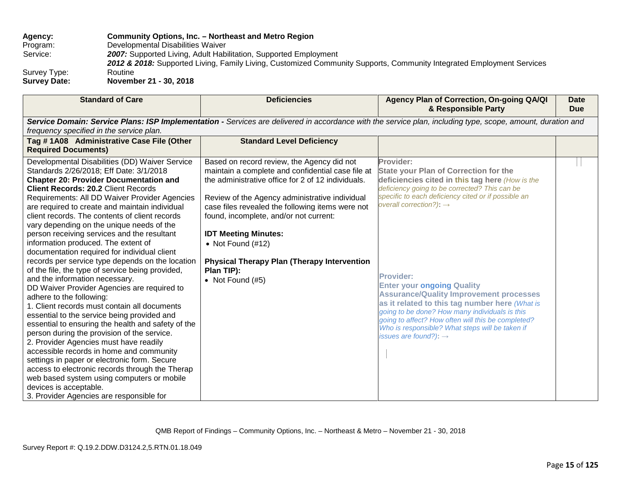# **Agency: Community Options, Inc. – Northeast and Metro Region** Program: Developmental Disabilities Waiver<br>Service: 2007: Supported Living. Adult Habi **2007:** Supported Living, Adult Habilitation, Supported Employment *2012 & 2018:* Supported Living, Family Living, Customized Community Supports, Community Integrated Employment Services Survey Type:<br>Survey Date: **Survey Date: November 21 - 30, 2018**

| <b>Standard of Care</b>                                                                                                                                                                                                                                                                                                                                                                                                                                                                                                                                                                                                                                                                                                                                                                                                                                                                                                                                                                                                                                                                                                                                                                                                    | <b>Deficiencies</b>                                                                                                                                                                                                                                                                                                                                                                                                                                    | Agency Plan of Correction, On-going QA/QI<br>& Responsible Party                                                                                                                                                                                                                                                                                                                                                                                                                                                                                                                                                         | Date<br><b>Due</b> |
|----------------------------------------------------------------------------------------------------------------------------------------------------------------------------------------------------------------------------------------------------------------------------------------------------------------------------------------------------------------------------------------------------------------------------------------------------------------------------------------------------------------------------------------------------------------------------------------------------------------------------------------------------------------------------------------------------------------------------------------------------------------------------------------------------------------------------------------------------------------------------------------------------------------------------------------------------------------------------------------------------------------------------------------------------------------------------------------------------------------------------------------------------------------------------------------------------------------------------|--------------------------------------------------------------------------------------------------------------------------------------------------------------------------------------------------------------------------------------------------------------------------------------------------------------------------------------------------------------------------------------------------------------------------------------------------------|--------------------------------------------------------------------------------------------------------------------------------------------------------------------------------------------------------------------------------------------------------------------------------------------------------------------------------------------------------------------------------------------------------------------------------------------------------------------------------------------------------------------------------------------------------------------------------------------------------------------------|--------------------|
| frequency specified in the service plan.                                                                                                                                                                                                                                                                                                                                                                                                                                                                                                                                                                                                                                                                                                                                                                                                                                                                                                                                                                                                                                                                                                                                                                                   |                                                                                                                                                                                                                                                                                                                                                                                                                                                        | Service Domain: Service Plans: ISP Implementation - Services are delivered in accordance with the service plan, including type, scope, amount, duration and                                                                                                                                                                                                                                                                                                                                                                                                                                                              |                    |
| Tag #1A08 Administrative Case File (Other<br><b>Required Documents)</b>                                                                                                                                                                                                                                                                                                                                                                                                                                                                                                                                                                                                                                                                                                                                                                                                                                                                                                                                                                                                                                                                                                                                                    | <b>Standard Level Deficiency</b>                                                                                                                                                                                                                                                                                                                                                                                                                       |                                                                                                                                                                                                                                                                                                                                                                                                                                                                                                                                                                                                                          |                    |
| Developmental Disabilities (DD) Waiver Service<br>Standards 2/26/2018; Eff Date: 3/1/2018<br><b>Chapter 20: Provider Documentation and</b><br><b>Client Records: 20.2 Client Records</b><br>Requirements: All DD Waiver Provider Agencies<br>are required to create and maintain individual<br>client records. The contents of client records<br>vary depending on the unique needs of the<br>person receiving services and the resultant<br>information produced. The extent of<br>documentation required for individual client<br>records per service type depends on the location<br>of the file, the type of service being provided,<br>and the information necessary.<br>DD Waiver Provider Agencies are required to<br>adhere to the following:<br>1. Client records must contain all documents<br>essential to the service being provided and<br>essential to ensuring the health and safety of the<br>person during the provision of the service.<br>2. Provider Agencies must have readily<br>accessible records in home and community<br>settings in paper or electronic form. Secure<br>access to electronic records through the Therap<br>web based system using computers or mobile<br>devices is acceptable. | Based on record review, the Agency did not<br>maintain a complete and confidential case file at<br>the administrative office for 2 of 12 individuals.<br>Review of the Agency administrative individual<br>case files revealed the following items were not<br>found, incomplete, and/or not current:<br><b>IDT Meeting Minutes:</b><br>• Not Found $(\#12)$<br><b>Physical Therapy Plan (Therapy Intervention</b><br>Plan TIP):<br>• Not Found $(#5)$ | Provider:<br><b>State your Plan of Correction for the</b><br>deficiencies cited in this tag here (How is the<br>deficiency going to be corrected? This can be<br>specific to each deficiency cited or if possible an<br>overall correction?): $\rightarrow$<br><b>Provider:</b><br><b>Enter your ongoing Quality</b><br><b>Assurance/Quality Improvement processes</b><br>as it related to this tag number here (What is<br>going to be done? How many individuals is this<br>going to affect? How often will this be completed?<br>Who is responsible? What steps will be taken if<br>issues are found?): $\rightarrow$ |                    |
| 3. Provider Agencies are responsible for                                                                                                                                                                                                                                                                                                                                                                                                                                                                                                                                                                                                                                                                                                                                                                                                                                                                                                                                                                                                                                                                                                                                                                                   |                                                                                                                                                                                                                                                                                                                                                                                                                                                        |                                                                                                                                                                                                                                                                                                                                                                                                                                                                                                                                                                                                                          |                    |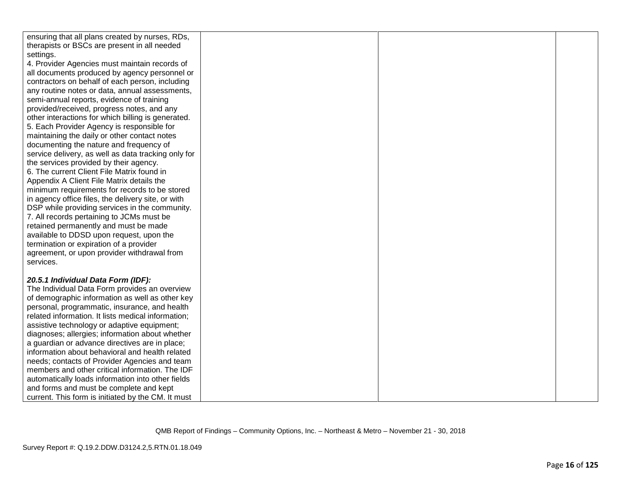| ensuring that all plans created by nurses, RDs,     |  |  |
|-----------------------------------------------------|--|--|
| therapists or BSCs are present in all needed        |  |  |
| settings.                                           |  |  |
| 4. Provider Agencies must maintain records of       |  |  |
| all documents produced by agency personnel or       |  |  |
| contractors on behalf of each person, including     |  |  |
| any routine notes or data, annual assessments,      |  |  |
| semi-annual reports, evidence of training           |  |  |
| provided/received, progress notes, and any          |  |  |
| other interactions for which billing is generated.  |  |  |
| 5. Each Provider Agency is responsible for          |  |  |
| maintaining the daily or other contact notes        |  |  |
| documenting the nature and frequency of             |  |  |
| service delivery, as well as data tracking only for |  |  |
| the services provided by their agency.              |  |  |
| 6. The current Client File Matrix found in          |  |  |
| Appendix A Client File Matrix details the           |  |  |
| minimum requirements for records to be stored       |  |  |
| in agency office files, the delivery site, or with  |  |  |
| DSP while providing services in the community.      |  |  |
| 7. All records pertaining to JCMs must be           |  |  |
| retained permanently and must be made               |  |  |
| available to DDSD upon request, upon the            |  |  |
| termination or expiration of a provider             |  |  |
| agreement, or upon provider withdrawal from         |  |  |
| services.                                           |  |  |
|                                                     |  |  |
| 20.5.1 Individual Data Form (IDF):                  |  |  |
| The Individual Data Form provides an overview       |  |  |
| of demographic information as well as other key     |  |  |
| personal, programmatic, insurance, and health       |  |  |
| related information. It lists medical information;  |  |  |
| assistive technology or adaptive equipment;         |  |  |
| diagnoses; allergies; information about whether     |  |  |
| a guardian or advance directives are in place;      |  |  |
| information about behavioral and health related     |  |  |
| needs; contacts of Provider Agencies and team       |  |  |
| members and other critical information. The IDF     |  |  |
| automatically loads information into other fields   |  |  |
| and forms and must be complete and kept             |  |  |
| current. This form is initiated by the CM. It must  |  |  |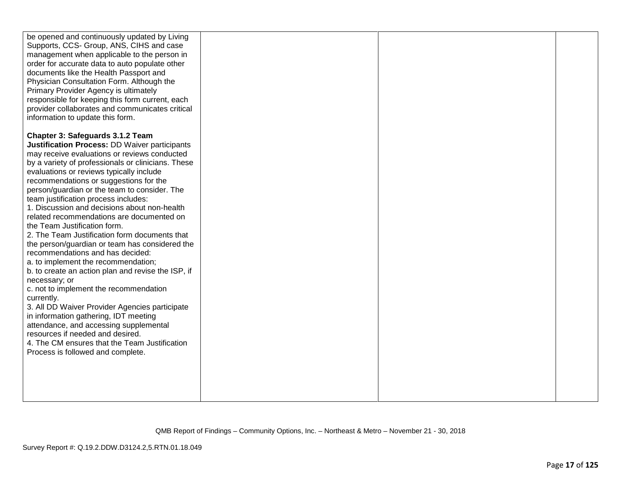| be opened and continuously updated by Living<br>Supports, CCS- Group, ANS, CIHS and case<br>management when applicable to the person in<br>order for accurate data to auto populate other<br>documents like the Health Passport and<br>Physician Consultation Form. Although the<br>Primary Provider Agency is ultimately<br>responsible for keeping this form current, each<br>provider collaborates and communicates critical<br>information to update this form.                                                                                                                                                                                                                                                                                                                                                                                                                                                                                                                                                                                                            |  |  |
|--------------------------------------------------------------------------------------------------------------------------------------------------------------------------------------------------------------------------------------------------------------------------------------------------------------------------------------------------------------------------------------------------------------------------------------------------------------------------------------------------------------------------------------------------------------------------------------------------------------------------------------------------------------------------------------------------------------------------------------------------------------------------------------------------------------------------------------------------------------------------------------------------------------------------------------------------------------------------------------------------------------------------------------------------------------------------------|--|--|
| Chapter 3: Safeguards 3.1.2 Team<br>Justification Process: DD Waiver participants<br>may receive evaluations or reviews conducted<br>by a variety of professionals or clinicians. These<br>evaluations or reviews typically include<br>recommendations or suggestions for the<br>person/guardian or the team to consider. The<br>team justification process includes:<br>1. Discussion and decisions about non-health<br>related recommendations are documented on<br>the Team Justification form.<br>2. The Team Justification form documents that<br>the person/guardian or team has considered the<br>recommendations and has decided:<br>a. to implement the recommendation;<br>b. to create an action plan and revise the ISP, if<br>necessary; or<br>c. not to implement the recommendation<br>currently.<br>3. All DD Waiver Provider Agencies participate<br>in information gathering, IDT meeting<br>attendance, and accessing supplemental<br>resources if needed and desired.<br>4. The CM ensures that the Team Justification<br>Process is followed and complete. |  |  |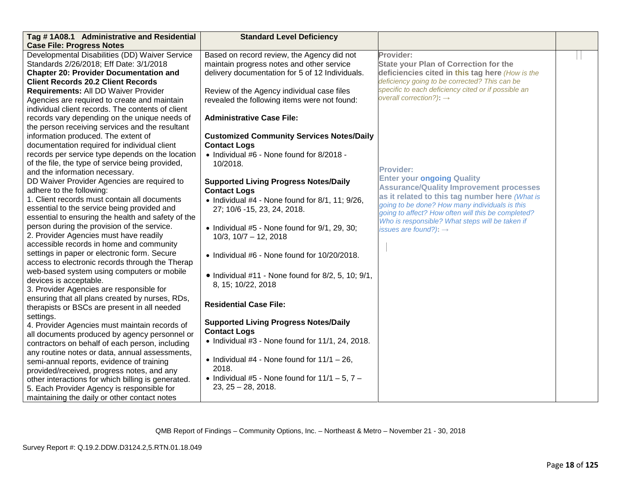| Tag #1A08.1 Administrative and Residential         | <b>Standard Level Deficiency</b>                           |                                                                                                      |  |
|----------------------------------------------------|------------------------------------------------------------|------------------------------------------------------------------------------------------------------|--|
| <b>Case File: Progress Notes</b>                   |                                                            |                                                                                                      |  |
| Developmental Disabilities (DD) Waiver Service     | Based on record review, the Agency did not                 | Provider:                                                                                            |  |
| Standards 2/26/2018; Eff Date: 3/1/2018            | maintain progress notes and other service                  | <b>State your Plan of Correction for the</b>                                                         |  |
| <b>Chapter 20: Provider Documentation and</b>      | delivery documentation for 5 of 12 Individuals.            | deficiencies cited in this tag here (How is the                                                      |  |
| <b>Client Records 20.2 Client Records</b>          |                                                            | deficiency going to be corrected? This can be                                                        |  |
| Requirements: All DD Waiver Provider               | Review of the Agency individual case files                 | specific to each deficiency cited or if possible an                                                  |  |
| Agencies are required to create and maintain       | revealed the following items were not found:               | overall correction?): $\rightarrow$                                                                  |  |
| individual client records. The contents of client  |                                                            |                                                                                                      |  |
| records vary depending on the unique needs of      | <b>Administrative Case File:</b>                           |                                                                                                      |  |
| the person receiving services and the resultant    |                                                            |                                                                                                      |  |
| information produced. The extent of                | <b>Customized Community Services Notes/Daily</b>           |                                                                                                      |  |
| documentation required for individual client       | <b>Contact Logs</b>                                        |                                                                                                      |  |
| records per service type depends on the location   | • Individual #6 - None found for 8/2018 -                  |                                                                                                      |  |
| of the file, the type of service being provided,   | 10/2018.                                                   |                                                                                                      |  |
| and the information necessary.                     |                                                            | <b>Provider:</b>                                                                                     |  |
| DD Waiver Provider Agencies are required to        | <b>Supported Living Progress Notes/Daily</b>               | <b>Enter your ongoing Quality</b>                                                                    |  |
| adhere to the following:                           | <b>Contact Logs</b>                                        | <b>Assurance/Quality Improvement processes</b>                                                       |  |
| 1. Client records must contain all documents       | • Individual #4 - None found for 8/1, 11; 9/26,            | as it related to this tag number here (What is                                                       |  |
| essential to the service being provided and        | 27; 10/6 -15, 23, 24, 2018.                                | going to be done? How many individuals is this<br>going to affect? How often will this be completed? |  |
| essential to ensuring the health and safety of the |                                                            | Who is responsible? What steps will be taken if                                                      |  |
| person during the provision of the service.        | • Individual #5 - None found for 9/1, 29, 30;              | issues are found?): $\rightarrow$                                                                    |  |
| 2. Provider Agencies must have readily             | $10/3$ , $10/7 - 12$ , 2018                                |                                                                                                      |  |
| accessible records in home and community           |                                                            |                                                                                                      |  |
| settings in paper or electronic form. Secure       | • Individual #6 - None found for 10/20/2018.               |                                                                                                      |  |
| access to electronic records through the Therap    |                                                            |                                                                                                      |  |
| web-based system using computers or mobile         | $\bullet$ Individual #11 - None found for 8/2, 5, 10; 9/1, |                                                                                                      |  |
| devices is acceptable.                             | 8, 15; 10/22, 2018                                         |                                                                                                      |  |
| 3. Provider Agencies are responsible for           |                                                            |                                                                                                      |  |
| ensuring that all plans created by nurses, RDs,    |                                                            |                                                                                                      |  |
| therapists or BSCs are present in all needed       | <b>Residential Case File:</b>                              |                                                                                                      |  |
| settings.                                          |                                                            |                                                                                                      |  |
| 4. Provider Agencies must maintain records of      | <b>Supported Living Progress Notes/Daily</b>               |                                                                                                      |  |
| all documents produced by agency personnel or      | <b>Contact Logs</b>                                        |                                                                                                      |  |
| contractors on behalf of each person, including    | $\bullet$ Individual #3 - None found for 11/1, 24, 2018.   |                                                                                                      |  |
| any routine notes or data, annual assessments,     |                                                            |                                                                                                      |  |
| semi-annual reports, evidence of training          | • Individual #4 - None found for $11/1 - 26$ ,             |                                                                                                      |  |
| provided/received, progress notes, and any         | 2018.                                                      |                                                                                                      |  |
| other interactions for which billing is generated. | • Individual #5 - None found for $11/1 - 5$ , $7 -$        |                                                                                                      |  |
| 5. Each Provider Agency is responsible for         | $23, 25 - 28, 2018.$                                       |                                                                                                      |  |
| maintaining the daily or other contact notes       |                                                            |                                                                                                      |  |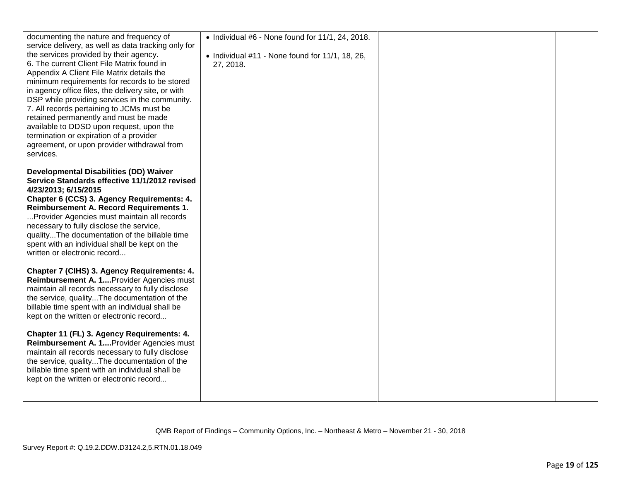| documenting the nature and frequency of                                               | $\bullet$ Individual #6 - None found for 11/1, 24, 2018.             |  |
|---------------------------------------------------------------------------------------|----------------------------------------------------------------------|--|
| service delivery, as well as data tracking only for                                   |                                                                      |  |
| the services provided by their agency.<br>6. The current Client File Matrix found in  | $\bullet$ Individual #11 - None found for 11/1, 18, 26,<br>27, 2018. |  |
| Appendix A Client File Matrix details the                                             |                                                                      |  |
| minimum requirements for records to be stored                                         |                                                                      |  |
| in agency office files, the delivery site, or with                                    |                                                                      |  |
| DSP while providing services in the community.                                        |                                                                      |  |
| 7. All records pertaining to JCMs must be                                             |                                                                      |  |
| retained permanently and must be made                                                 |                                                                      |  |
| available to DDSD upon request, upon the<br>termination or expiration of a provider   |                                                                      |  |
| agreement, or upon provider withdrawal from                                           |                                                                      |  |
| services.                                                                             |                                                                      |  |
|                                                                                       |                                                                      |  |
| <b>Developmental Disabilities (DD) Waiver</b>                                         |                                                                      |  |
| Service Standards effective 11/1/2012 revised                                         |                                                                      |  |
| 4/23/2013; 6/15/2015                                                                  |                                                                      |  |
| Chapter 6 (CCS) 3. Agency Requirements: 4.<br>Reimbursement A. Record Requirements 1. |                                                                      |  |
| Provider Agencies must maintain all records                                           |                                                                      |  |
| necessary to fully disclose the service,                                              |                                                                      |  |
| qualityThe documentation of the billable time                                         |                                                                      |  |
| spent with an individual shall be kept on the                                         |                                                                      |  |
| written or electronic record                                                          |                                                                      |  |
| Chapter 7 (CIHS) 3. Agency Requirements: 4.                                           |                                                                      |  |
| Reimbursement A. 1 Provider Agencies must                                             |                                                                      |  |
| maintain all records necessary to fully disclose                                      |                                                                      |  |
| the service, qualityThe documentation of the                                          |                                                                      |  |
| billable time spent with an individual shall be                                       |                                                                      |  |
| kept on the written or electronic record                                              |                                                                      |  |
| Chapter 11 (FL) 3. Agency Requirements: 4.                                            |                                                                      |  |
| Reimbursement A. 1 Provider Agencies must                                             |                                                                      |  |
| maintain all records necessary to fully disclose                                      |                                                                      |  |
| the service, qualityThe documentation of the                                          |                                                                      |  |
| billable time spent with an individual shall be                                       |                                                                      |  |
| kept on the written or electronic record                                              |                                                                      |  |
|                                                                                       |                                                                      |  |
|                                                                                       |                                                                      |  |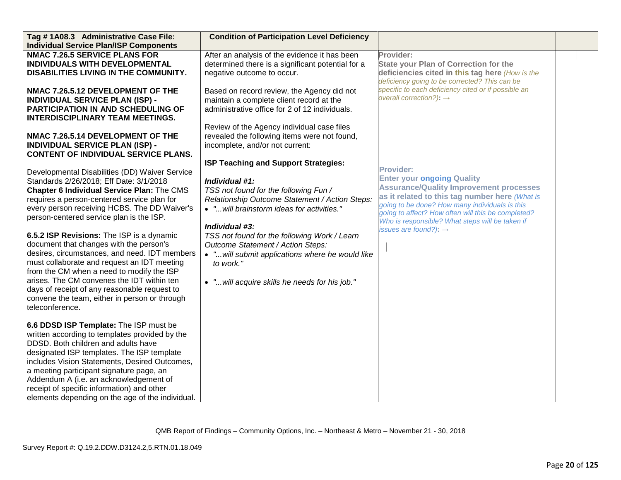| Tag #1A08.3 Administrative Case File:                                                                                                                                                                                                                                                                                                                                                                                                                                                                                                                                                                                                                                                     | <b>Condition of Participation Level Deficiency</b>                                                                                                                                                                                                                                                                                                                                                                        |                                                                                                                                                                                                                                                                                                                                                           |  |
|-------------------------------------------------------------------------------------------------------------------------------------------------------------------------------------------------------------------------------------------------------------------------------------------------------------------------------------------------------------------------------------------------------------------------------------------------------------------------------------------------------------------------------------------------------------------------------------------------------------------------------------------------------------------------------------------|---------------------------------------------------------------------------------------------------------------------------------------------------------------------------------------------------------------------------------------------------------------------------------------------------------------------------------------------------------------------------------------------------------------------------|-----------------------------------------------------------------------------------------------------------------------------------------------------------------------------------------------------------------------------------------------------------------------------------------------------------------------------------------------------------|--|
| <b>Individual Service Plan/ISP Components</b><br><b>NMAC 7.26.5 SERVICE PLANS FOR</b>                                                                                                                                                                                                                                                                                                                                                                                                                                                                                                                                                                                                     | After an analysis of the evidence it has been                                                                                                                                                                                                                                                                                                                                                                             | Provider:                                                                                                                                                                                                                                                                                                                                                 |  |
| INDIVIDUALS WITH DEVELOPMENTAL<br>DISABILITIES LIVING IN THE COMMUNITY.                                                                                                                                                                                                                                                                                                                                                                                                                                                                                                                                                                                                                   | determined there is a significant potential for a<br>negative outcome to occur.                                                                                                                                                                                                                                                                                                                                           | <b>State your Plan of Correction for the</b><br>deficiencies cited in this tag here (How is the                                                                                                                                                                                                                                                           |  |
|                                                                                                                                                                                                                                                                                                                                                                                                                                                                                                                                                                                                                                                                                           |                                                                                                                                                                                                                                                                                                                                                                                                                           | deficiency going to be corrected? This can be                                                                                                                                                                                                                                                                                                             |  |
| NMAC 7.26.5.12 DEVELOPMENT OF THE<br><b>INDIVIDUAL SERVICE PLAN (ISP) -</b><br><b>PARTICIPATION IN AND SCHEDULING OF</b><br><b>INTERDISCIPLINARY TEAM MEETINGS.</b>                                                                                                                                                                                                                                                                                                                                                                                                                                                                                                                       | Based on record review, the Agency did not<br>maintain a complete client record at the<br>administrative office for 2 of 12 individuals.                                                                                                                                                                                                                                                                                  | specific to each deficiency cited or if possible an<br>overall correction?): $\rightarrow$                                                                                                                                                                                                                                                                |  |
| NMAC 7.26.5.14 DEVELOPMENT OF THE<br><b>INDIVIDUAL SERVICE PLAN (ISP) -</b><br><b>CONTENT OF INDIVIDUAL SERVICE PLANS.</b>                                                                                                                                                                                                                                                                                                                                                                                                                                                                                                                                                                | Review of the Agency individual case files<br>revealed the following items were not found,<br>incomplete, and/or not current:                                                                                                                                                                                                                                                                                             |                                                                                                                                                                                                                                                                                                                                                           |  |
| Developmental Disabilities (DD) Waiver Service<br>Standards 2/26/2018; Eff Date: 3/1/2018<br>Chapter 6 Individual Service Plan: The CMS<br>requires a person-centered service plan for<br>every person receiving HCBS. The DD Waiver's<br>person-centered service plan is the ISP.<br>6.5.2 ISP Revisions: The ISP is a dynamic<br>document that changes with the person's<br>desires, circumstances, and need. IDT members<br>must collaborate and request an IDT meeting<br>from the CM when a need to modify the ISP<br>arises. The CM convenes the IDT within ten<br>days of receipt of any reasonable request to<br>convene the team, either in person or through<br>teleconference. | ISP Teaching and Support Strategies:<br>Individual #1:<br>TSS not found for the following Fun /<br>Relationship Outcome Statement / Action Steps:<br>• " will brainstorm ideas for activities."<br>Individual #3:<br>TSS not found for the following Work / Learn<br>Outcome Statement / Action Steps:<br>• " will submit applications where he would like<br>to work."<br>• " will acquire skills he needs for his job." | <b>Provider:</b><br><b>Enter your ongoing Quality</b><br><b>Assurance/Quality Improvement processes</b><br>as it related to this tag number here (What is<br>going to be done? How many individuals is this<br>going to affect? How often will this be completed?<br>Who is responsible? What steps will be taken if<br>issues are found?): $\rightarrow$ |  |
| 6.6 DDSD ISP Template: The ISP must be<br>written according to templates provided by the<br>DDSD. Both children and adults have<br>designated ISP templates. The ISP template<br>includes Vision Statements, Desired Outcomes,<br>a meeting participant signature page, an<br>Addendum A (i.e. an acknowledgement of<br>receipt of specific information) and other<br>elements depending on the age of the individual.                                                                                                                                                                                                                                                                    |                                                                                                                                                                                                                                                                                                                                                                                                                           |                                                                                                                                                                                                                                                                                                                                                           |  |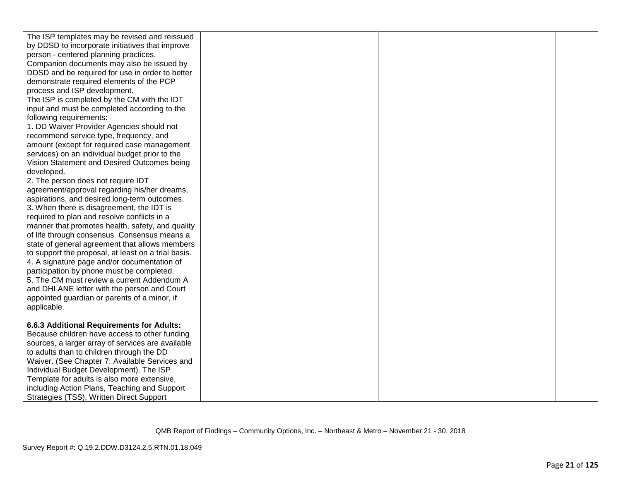| The ISP templates may be revised and reissued                                          |  |  |
|----------------------------------------------------------------------------------------|--|--|
| by DDSD to incorporate initiatives that improve                                        |  |  |
| person - centered planning practices.                                                  |  |  |
| Companion documents may also be issued by                                              |  |  |
| DDSD and be required for use in order to better                                        |  |  |
| demonstrate required elements of the PCP                                               |  |  |
| process and ISP development.                                                           |  |  |
| The ISP is completed by the CM with the IDT                                            |  |  |
| input and must be completed according to the                                           |  |  |
| following requirements:                                                                |  |  |
| 1. DD Waiver Provider Agencies should not                                              |  |  |
| recommend service type, frequency, and                                                 |  |  |
| amount (except for required case management                                            |  |  |
| services) on an individual budget prior to the                                         |  |  |
| Vision Statement and Desired Outcomes being                                            |  |  |
| developed.                                                                             |  |  |
| 2. The person does not require IDT                                                     |  |  |
| agreement/approval regarding his/her dreams,                                           |  |  |
| aspirations, and desired long-term outcomes.                                           |  |  |
| 3. When there is disagreement, the IDT is                                              |  |  |
| required to plan and resolve conflicts in a                                            |  |  |
| manner that promotes health, safety, and quality                                       |  |  |
| of life through consensus. Consensus means a                                           |  |  |
| state of general agreement that allows members                                         |  |  |
| to support the proposal, at least on a trial basis.                                    |  |  |
| 4. A signature page and/or documentation of                                            |  |  |
| participation by phone must be completed.                                              |  |  |
| 5. The CM must review a current Addendum A                                             |  |  |
| and DHI ANE letter with the person and Court                                           |  |  |
| appointed guardian or parents of a minor, if                                           |  |  |
| applicable.                                                                            |  |  |
|                                                                                        |  |  |
| 6.6.3 Additional Requirements for Adults:                                              |  |  |
| Because children have access to other funding                                          |  |  |
| sources, a larger array of services are available                                      |  |  |
| to adults than to children through the DD                                              |  |  |
| Waiver. (See Chapter 7: Available Services and                                         |  |  |
| Individual Budget Development). The ISP<br>Template for adults is also more extensive, |  |  |
|                                                                                        |  |  |
| including Action Plans, Teaching and Support                                           |  |  |
| Strategies (TSS), Written Direct Support                                               |  |  |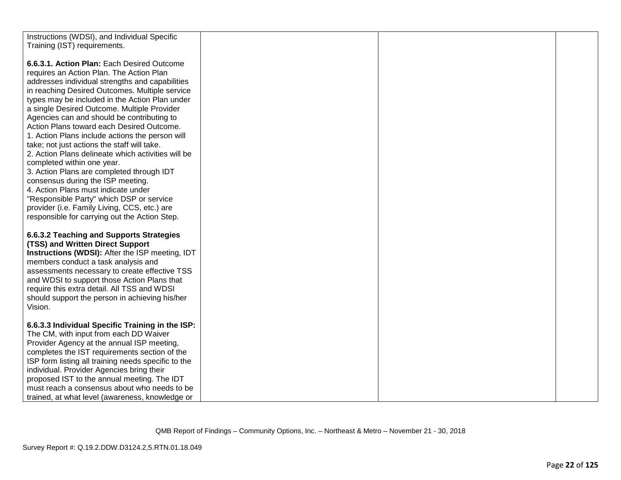| Instructions (WDSI), and Individual Specific           |  |  |
|--------------------------------------------------------|--|--|
|                                                        |  |  |
| Training (IST) requirements.                           |  |  |
|                                                        |  |  |
| 6.6.3.1. Action Plan: Each Desired Outcome             |  |  |
| requires an Action Plan. The Action Plan               |  |  |
| addresses individual strengths and capabilities        |  |  |
| in reaching Desired Outcomes. Multiple service         |  |  |
|                                                        |  |  |
| types may be included in the Action Plan under         |  |  |
| a single Desired Outcome. Multiple Provider            |  |  |
| Agencies can and should be contributing to             |  |  |
| Action Plans toward each Desired Outcome.              |  |  |
| 1. Action Plans include actions the person will        |  |  |
| take; not just actions the staff will take.            |  |  |
| 2. Action Plans delineate which activities will be     |  |  |
| completed within one year.                             |  |  |
| 3. Action Plans are completed through IDT              |  |  |
| consensus during the ISP meeting.                      |  |  |
|                                                        |  |  |
| 4. Action Plans must indicate under                    |  |  |
| "Responsible Party" which DSP or service               |  |  |
| provider (i.e. Family Living, CCS, etc.) are           |  |  |
| responsible for carrying out the Action Step.          |  |  |
|                                                        |  |  |
| 6.6.3.2 Teaching and Supports Strategies               |  |  |
| (TSS) and Written Direct Support                       |  |  |
| <b>Instructions (WDSI):</b> After the ISP meeting, IDT |  |  |
|                                                        |  |  |
| members conduct a task analysis and                    |  |  |
| assessments necessary to create effective TSS          |  |  |
| and WDSI to support those Action Plans that            |  |  |
| require this extra detail. All TSS and WDSI            |  |  |
| should support the person in achieving his/her         |  |  |
| Vision.                                                |  |  |
|                                                        |  |  |
| 6.6.3.3 Individual Specific Training in the ISP:       |  |  |
| The CM, with input from each DD Waiver                 |  |  |
|                                                        |  |  |
| Provider Agency at the annual ISP meeting,             |  |  |
| completes the IST requirements section of the          |  |  |
| ISP form listing all training needs specific to the    |  |  |
| individual. Provider Agencies bring their              |  |  |
| proposed IST to the annual meeting. The IDT            |  |  |
| must reach a consensus about who needs to be           |  |  |
| trained, at what level (awareness, knowledge or        |  |  |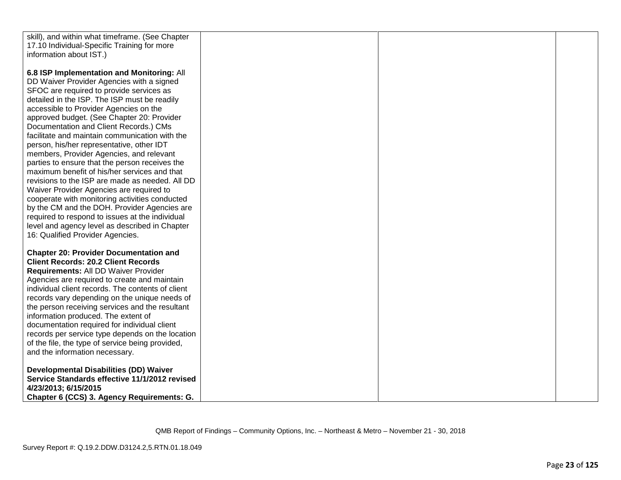| skill), and within what timeframe. (See Chapter                                    |  |  |
|------------------------------------------------------------------------------------|--|--|
| 17.10 Individual-Specific Training for more                                        |  |  |
| information about IST.)                                                            |  |  |
|                                                                                    |  |  |
| 6.8 ISP Implementation and Monitoring: All                                         |  |  |
| DD Waiver Provider Agencies with a signed                                          |  |  |
| SFOC are required to provide services as                                           |  |  |
| detailed in the ISP. The ISP must be readily                                       |  |  |
| accessible to Provider Agencies on the                                             |  |  |
| approved budget. (See Chapter 20: Provider                                         |  |  |
| Documentation and Client Records.) CMs                                             |  |  |
| facilitate and maintain communication with the                                     |  |  |
| person, his/her representative, other IDT                                          |  |  |
| members, Provider Agencies, and relevant                                           |  |  |
| parties to ensure that the person receives the                                     |  |  |
| maximum benefit of his/her services and that                                       |  |  |
| revisions to the ISP are made as needed. All DD                                    |  |  |
| Waiver Provider Agencies are required to                                           |  |  |
| cooperate with monitoring activities conducted                                     |  |  |
| by the CM and the DOH. Provider Agencies are                                       |  |  |
| required to respond to issues at the individual                                    |  |  |
| level and agency level as described in Chapter<br>16: Qualified Provider Agencies. |  |  |
|                                                                                    |  |  |
| <b>Chapter 20: Provider Documentation and</b>                                      |  |  |
| <b>Client Records: 20.2 Client Records</b>                                         |  |  |
| Requirements: All DD Waiver Provider                                               |  |  |
| Agencies are required to create and maintain                                       |  |  |
| individual client records. The contents of client                                  |  |  |
| records vary depending on the unique needs of                                      |  |  |
| the person receiving services and the resultant                                    |  |  |
| information produced. The extent of                                                |  |  |
| documentation required for individual client                                       |  |  |
| records per service type depends on the location                                   |  |  |
| of the file, the type of service being provided,                                   |  |  |
| and the information necessary.                                                     |  |  |
|                                                                                    |  |  |
| <b>Developmental Disabilities (DD) Waiver</b>                                      |  |  |
| Service Standards effective 11/1/2012 revised                                      |  |  |
| 4/23/2013; 6/15/2015                                                               |  |  |
| Chapter 6 (CCS) 3. Agency Requirements: G.                                         |  |  |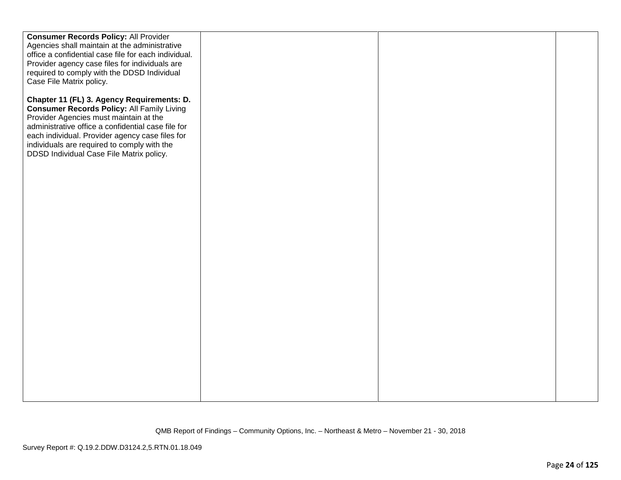| <b>Consumer Records Policy: All Provider</b>                                                                                                                                                                                                                                                                                                  |  |  |
|-----------------------------------------------------------------------------------------------------------------------------------------------------------------------------------------------------------------------------------------------------------------------------------------------------------------------------------------------|--|--|
| Agencies shall maintain at the administrative<br>office a confidential case file for each individual.                                                                                                                                                                                                                                         |  |  |
| Provider agency case files for individuals are                                                                                                                                                                                                                                                                                                |  |  |
| required to comply with the DDSD Individual                                                                                                                                                                                                                                                                                                   |  |  |
| Case File Matrix policy.                                                                                                                                                                                                                                                                                                                      |  |  |
| Chapter 11 (FL) 3. Agency Requirements: D.<br><b>Consumer Records Policy: All Family Living</b><br>Provider Agencies must maintain at the<br>administrative office a confidential case file for<br>each individual. Provider agency case files for<br>individuals are required to comply with the<br>DDSD Individual Case File Matrix policy. |  |  |
|                                                                                                                                                                                                                                                                                                                                               |  |  |
|                                                                                                                                                                                                                                                                                                                                               |  |  |
|                                                                                                                                                                                                                                                                                                                                               |  |  |
|                                                                                                                                                                                                                                                                                                                                               |  |  |
|                                                                                                                                                                                                                                                                                                                                               |  |  |
|                                                                                                                                                                                                                                                                                                                                               |  |  |
|                                                                                                                                                                                                                                                                                                                                               |  |  |
|                                                                                                                                                                                                                                                                                                                                               |  |  |
|                                                                                                                                                                                                                                                                                                                                               |  |  |
|                                                                                                                                                                                                                                                                                                                                               |  |  |
|                                                                                                                                                                                                                                                                                                                                               |  |  |
|                                                                                                                                                                                                                                                                                                                                               |  |  |
|                                                                                                                                                                                                                                                                                                                                               |  |  |
|                                                                                                                                                                                                                                                                                                                                               |  |  |
|                                                                                                                                                                                                                                                                                                                                               |  |  |
|                                                                                                                                                                                                                                                                                                                                               |  |  |
|                                                                                                                                                                                                                                                                                                                                               |  |  |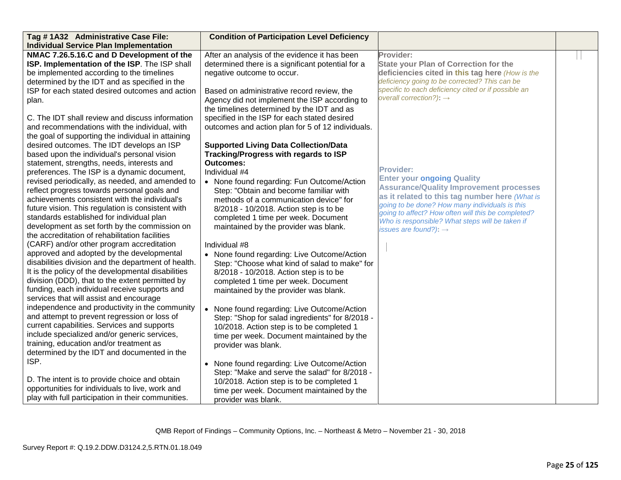| Tag #1A32 Administrative Case File:                 | <b>Condition of Participation Level Deficiency</b> |                                                                                                      |  |
|-----------------------------------------------------|----------------------------------------------------|------------------------------------------------------------------------------------------------------|--|
| <b>Individual Service Plan Implementation</b>       |                                                    |                                                                                                      |  |
| NMAC 7.26.5.16.C and D Development of the           | After an analysis of the evidence it has been      | Provider:                                                                                            |  |
| ISP. Implementation of the ISP. The ISP shall       | determined there is a significant potential for a  | <b>State your Plan of Correction for the</b>                                                         |  |
| be implemented according to the timelines           | negative outcome to occur.                         | deficiencies cited in this tag here (How is the                                                      |  |
| determined by the IDT and as specified in the       |                                                    | deficiency going to be corrected? This can be                                                        |  |
| ISP for each stated desired outcomes and action     | Based on administrative record review, the         | specific to each deficiency cited or if possible an                                                  |  |
| plan.                                               | Agency did not implement the ISP according to      | overall correction?): $\rightarrow$                                                                  |  |
|                                                     | the timelines determined by the IDT and as         |                                                                                                      |  |
| C. The IDT shall review and discuss information     | specified in the ISP for each stated desired       |                                                                                                      |  |
| and recommendations with the individual, with       | outcomes and action plan for 5 of 12 individuals.  |                                                                                                      |  |
| the goal of supporting the individual in attaining  |                                                    |                                                                                                      |  |
| desired outcomes. The IDT develops an ISP           | <b>Supported Living Data Collection/Data</b>       |                                                                                                      |  |
| based upon the individual's personal vision         | Tracking/Progress with regards to ISP              |                                                                                                      |  |
| statement, strengths, needs, interests and          | <b>Outcomes:</b>                                   |                                                                                                      |  |
| preferences. The ISP is a dynamic document,         | Individual #4                                      | <b>Provider:</b>                                                                                     |  |
| revised periodically, as needed, and amended to     | • None found regarding: Fun Outcome/Action         | <b>Enter your ongoing Quality</b>                                                                    |  |
| reflect progress towards personal goals and         | Step: "Obtain and become familiar with             | <b>Assurance/Quality Improvement processes</b>                                                       |  |
| achievements consistent with the individual's       | methods of a communication device" for             | as it related to this tag number here (What is                                                       |  |
| future vision. This regulation is consistent with   | 8/2018 - 10/2018. Action step is to be             | going to be done? How many individuals is this<br>going to affect? How often will this be completed? |  |
| standards established for individual plan           | completed 1 time per week. Document                | Who is responsible? What steps will be taken if                                                      |  |
| development as set forth by the commission on       | maintained by the provider was blank.              | issues are found?): $\rightarrow$                                                                    |  |
| the accreditation of rehabilitation facilities      |                                                    |                                                                                                      |  |
| (CARF) and/or other program accreditation           | Individual #8                                      |                                                                                                      |  |
| approved and adopted by the developmental           | • None found regarding: Live Outcome/Action        |                                                                                                      |  |
| disabilities division and the department of health. | Step: "Choose what kind of salad to make" for      |                                                                                                      |  |
| It is the policy of the developmental disabilities  | 8/2018 - 10/2018. Action step is to be             |                                                                                                      |  |
| division (DDD), that to the extent permitted by     | completed 1 time per week. Document                |                                                                                                      |  |
| funding, each individual receive supports and       | maintained by the provider was blank.              |                                                                                                      |  |
| services that will assist and encourage             |                                                    |                                                                                                      |  |
| independence and productivity in the community      | • None found regarding: Live Outcome/Action        |                                                                                                      |  |
| and attempt to prevent regression or loss of        | Step: "Shop for salad ingredients" for 8/2018 -    |                                                                                                      |  |
| current capabilities. Services and supports         | 10/2018. Action step is to be completed 1          |                                                                                                      |  |
| include specialized and/or generic services,        | time per week. Document maintained by the          |                                                                                                      |  |
| training, education and/or treatment as             | provider was blank.                                |                                                                                                      |  |
| determined by the IDT and documented in the         |                                                    |                                                                                                      |  |
| ISP.                                                | None found regarding: Live Outcome/Action          |                                                                                                      |  |
|                                                     | Step: "Make and serve the salad" for 8/2018 -      |                                                                                                      |  |
| D. The intent is to provide choice and obtain       | 10/2018. Action step is to be completed 1          |                                                                                                      |  |
| opportunities for individuals to live, work and     | time per week. Document maintained by the          |                                                                                                      |  |
| play with full participation in their communities.  | provider was blank.                                |                                                                                                      |  |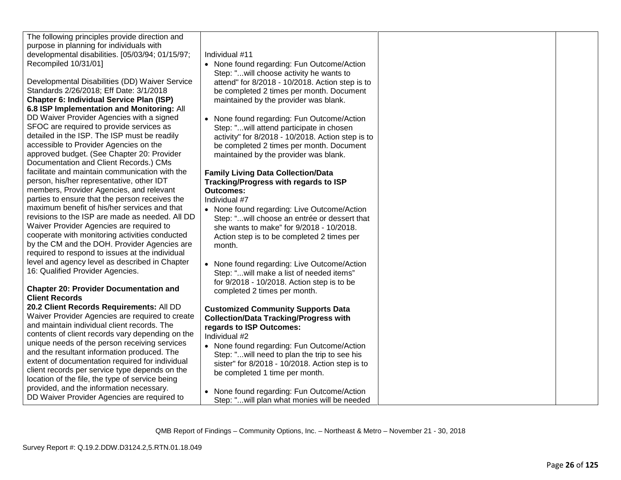| The following principles provide direction and   |
|--------------------------------------------------|
| purpose in planning for individuals with         |
| developmental disabilities. [05/03/94; 01/15/97; |
| Recompiled 10/31/01]                             |

Developmental Disabilities (DD) Waiver Service Standards 2/26/2018; Eff Date: 3/1/2018 **Chapter 6: Individual Service Plan (ISP) 6.8 ISP Implementation and Monitoring:** All DD Waiver Provider Agencies with a signed SFOC are required to provide services as detailed in the ISP. The ISP must be readily accessible to Provider Agencies on the approved budget. (See Chapter 20: Provider Documentation and Client Records.) CMs facilitate and maintain communication with the person, his/her representative, other IDT members, Provider Agencies, and relevant parties to ensure that the person receives the maximum benefit of his/her services and that revisions to the ISP are made as needed. All DD Waiver Provider Agencies are required to cooperate with monitoring activities conducted by the CM and the DOH. Provider Agencies are required to respond to issues at the individual level and agency level as described in Chapter 16: Qualified Provider Agencies.

## **Chapter 20: Provider Documentation and Client Records**

**20.2 Client Records Requirements:** All DD Waiver Provider Agencies are required to create and maintain individual client records. The contents of client records vary depending on the unique needs of the person receiving services and the resultant information produced. The extent of documentation required for individual client records per service type depends on the location of the file, the type of service being provided, and the information necessary. DD Waiver Provider Agencies are required to

Individual #11

- None found regarding: Fun Outcome/Action Step: "...will choose activity he wants to attend" for 8/2018 - 10/2018. Action step is to be completed 2 times per month. Document maintained by the provider was blank.
- None found regarding: Fun Outcome/Action Step: "...will attend participate in chosen activity" for 8/2018 - 10/2018. Action step is to be completed 2 times per month. Document maintained by the provider was blank.

# **Family Living Data Collection/Data Tracking/Progress with regards to ISP Outcomes:**

Individual #7

- None found regarding: Live Outcome/Action Step: "...will choose an entrée or dessert that she wants to make" for 9/2018 - 10/2018. Action step is to be completed 2 times per month.
- None found regarding: Live Outcome/Action Step: "...will make a list of needed items" for 9/2018 - 10/2018. Action step is to be completed 2 times per month.

# **Customized Community Supports Data Collection/Data Tracking/Progress with regards to ISP Outcomes:**

Individual #2

- None found regarding: Fun Outcome/Action Step: "...will need to plan the trip to see his sister" for 8/2018 - 10/2018. Action step is to be completed 1 time per month.
- None found regarding: Fun Outcome/Action Step: "...will plan what monies will be needed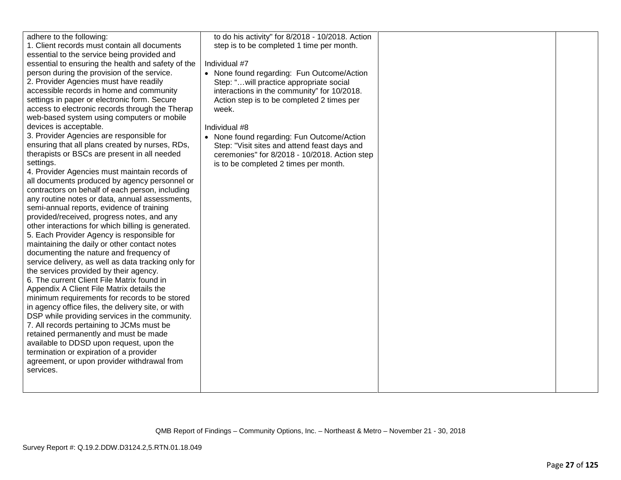| adhere to the following:<br>1. Client records must contain all documents<br>essential to the service being provided and<br>essential to ensuring the health and safety of the<br>person during the provision of the service.<br>2. Provider Agencies must have readily<br>accessible records in home and community<br>settings in paper or electronic form. Secure<br>access to electronic records through the Therap<br>web-based system using computers or mobile<br>devices is acceptable.<br>3. Provider Agencies are responsible for<br>ensuring that all plans created by nurses, RDs,<br>therapists or BSCs are present in all needed<br>settings.<br>4. Provider Agencies must maintain records of<br>all documents produced by agency personnel or<br>contractors on behalf of each person, including<br>any routine notes or data, annual assessments,<br>semi-annual reports, evidence of training<br>provided/received, progress notes, and any<br>other interactions for which billing is generated.<br>5. Each Provider Agency is responsible for<br>maintaining the daily or other contact notes<br>documenting the nature and frequency of<br>service delivery, as well as data tracking only for<br>the services provided by their agency.<br>6. The current Client File Matrix found in<br>Appendix A Client File Matrix details the<br>minimum requirements for records to be stored<br>in agency office files, the delivery site, or with<br>DSP while providing services in the community.<br>7. All records pertaining to JCMs must be<br>retained permanently and must be made<br>available to DDSD upon request, upon the<br>termination or expiration of a provider<br>agreement, or upon provider withdrawal from<br>services. | to do his activity" for 8/2018 - 10/2018. Action<br>step is to be completed 1 time per month.<br>Individual #7<br>• None found regarding: Fun Outcome/Action<br>Step: "will practice appropriate social<br>interactions in the community" for 10/2018.<br>Action step is to be completed 2 times per<br>week.<br>Individual #8<br>• None found regarding: Fun Outcome/Action<br>Step: "Visit sites and attend feast days and<br>ceremonies" for 8/2018 - 10/2018. Action step<br>is to be completed 2 times per month. |  |  |
|----------------------------------------------------------------------------------------------------------------------------------------------------------------------------------------------------------------------------------------------------------------------------------------------------------------------------------------------------------------------------------------------------------------------------------------------------------------------------------------------------------------------------------------------------------------------------------------------------------------------------------------------------------------------------------------------------------------------------------------------------------------------------------------------------------------------------------------------------------------------------------------------------------------------------------------------------------------------------------------------------------------------------------------------------------------------------------------------------------------------------------------------------------------------------------------------------------------------------------------------------------------------------------------------------------------------------------------------------------------------------------------------------------------------------------------------------------------------------------------------------------------------------------------------------------------------------------------------------------------------------------------------------------------------------------------------------------------------------------------------------------|------------------------------------------------------------------------------------------------------------------------------------------------------------------------------------------------------------------------------------------------------------------------------------------------------------------------------------------------------------------------------------------------------------------------------------------------------------------------------------------------------------------------|--|--|
|----------------------------------------------------------------------------------------------------------------------------------------------------------------------------------------------------------------------------------------------------------------------------------------------------------------------------------------------------------------------------------------------------------------------------------------------------------------------------------------------------------------------------------------------------------------------------------------------------------------------------------------------------------------------------------------------------------------------------------------------------------------------------------------------------------------------------------------------------------------------------------------------------------------------------------------------------------------------------------------------------------------------------------------------------------------------------------------------------------------------------------------------------------------------------------------------------------------------------------------------------------------------------------------------------------------------------------------------------------------------------------------------------------------------------------------------------------------------------------------------------------------------------------------------------------------------------------------------------------------------------------------------------------------------------------------------------------------------------------------------------------|------------------------------------------------------------------------------------------------------------------------------------------------------------------------------------------------------------------------------------------------------------------------------------------------------------------------------------------------------------------------------------------------------------------------------------------------------------------------------------------------------------------------|--|--|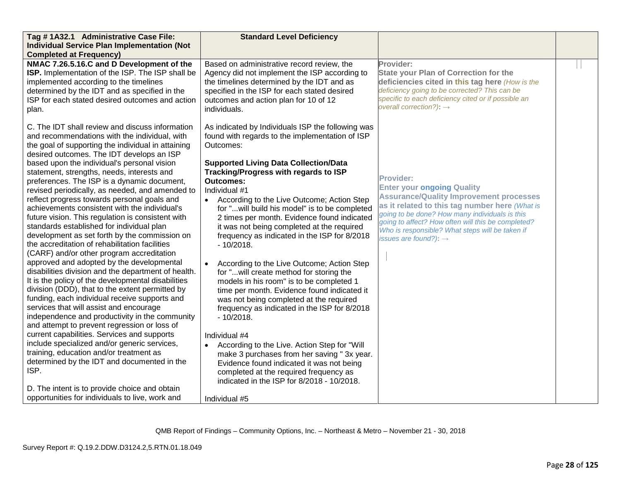| Tag #1A32.1 Administrative Case File:<br><b>Individual Service Plan Implementation (Not</b>                                                                                                                                                                                                                                                                                                                                                                                                                                                                                                                                                                                                                                                                                                                                                                                                                                                                                                                                                                                                                                                               | <b>Standard Level Deficiency</b>                                                                                                                                                                                                                                                                                                                                                                                                                                                                                                                                                                                                                                                                                                                                                                                                                                                                                                          |                                                                                                                                                                                                                                                                                                                                                           |  |
|-----------------------------------------------------------------------------------------------------------------------------------------------------------------------------------------------------------------------------------------------------------------------------------------------------------------------------------------------------------------------------------------------------------------------------------------------------------------------------------------------------------------------------------------------------------------------------------------------------------------------------------------------------------------------------------------------------------------------------------------------------------------------------------------------------------------------------------------------------------------------------------------------------------------------------------------------------------------------------------------------------------------------------------------------------------------------------------------------------------------------------------------------------------|-------------------------------------------------------------------------------------------------------------------------------------------------------------------------------------------------------------------------------------------------------------------------------------------------------------------------------------------------------------------------------------------------------------------------------------------------------------------------------------------------------------------------------------------------------------------------------------------------------------------------------------------------------------------------------------------------------------------------------------------------------------------------------------------------------------------------------------------------------------------------------------------------------------------------------------------|-----------------------------------------------------------------------------------------------------------------------------------------------------------------------------------------------------------------------------------------------------------------------------------------------------------------------------------------------------------|--|
| <b>Completed at Frequency)</b>                                                                                                                                                                                                                                                                                                                                                                                                                                                                                                                                                                                                                                                                                                                                                                                                                                                                                                                                                                                                                                                                                                                            |                                                                                                                                                                                                                                                                                                                                                                                                                                                                                                                                                                                                                                                                                                                                                                                                                                                                                                                                           |                                                                                                                                                                                                                                                                                                                                                           |  |
| NMAC 7.26.5.16.C and D Development of the<br>ISP. Implementation of the ISP. The ISP shall be<br>implemented according to the timelines<br>determined by the IDT and as specified in the<br>ISP for each stated desired outcomes and action<br>plan.                                                                                                                                                                                                                                                                                                                                                                                                                                                                                                                                                                                                                                                                                                                                                                                                                                                                                                      | Based on administrative record review, the<br>Agency did not implement the ISP according to<br>the timelines determined by the IDT and as<br>specified in the ISP for each stated desired<br>outcomes and action plan for 10 of 12<br>individuals.                                                                                                                                                                                                                                                                                                                                                                                                                                                                                                                                                                                                                                                                                        | Provider:<br><b>State your Plan of Correction for the</b><br>deficiencies cited in this tag here (How is the<br>deficiency going to be corrected? This can be<br>specific to each deficiency cited or if possible an<br>overall correction?): $\rightarrow$                                                                                               |  |
| C. The IDT shall review and discuss information<br>and recommendations with the individual, with<br>the goal of supporting the individual in attaining<br>desired outcomes. The IDT develops an ISP                                                                                                                                                                                                                                                                                                                                                                                                                                                                                                                                                                                                                                                                                                                                                                                                                                                                                                                                                       | As indicated by Individuals ISP the following was<br>found with regards to the implementation of ISP<br>Outcomes:                                                                                                                                                                                                                                                                                                                                                                                                                                                                                                                                                                                                                                                                                                                                                                                                                         |                                                                                                                                                                                                                                                                                                                                                           |  |
| based upon the individual's personal vision<br>statement, strengths, needs, interests and<br>preferences. The ISP is a dynamic document,<br>revised periodically, as needed, and amended to<br>reflect progress towards personal goals and<br>achievements consistent with the individual's<br>future vision. This regulation is consistent with<br>standards established for individual plan<br>development as set forth by the commission on<br>the accreditation of rehabilitation facilities<br>(CARF) and/or other program accreditation<br>approved and adopted by the developmental<br>disabilities division and the department of health.<br>It is the policy of the developmental disabilities<br>division (DDD), that to the extent permitted by<br>funding, each individual receive supports and<br>services that will assist and encourage<br>independence and productivity in the community<br>and attempt to prevent regression or loss of<br>current capabilities. Services and supports<br>include specialized and/or generic services,<br>training, education and/or treatment as<br>determined by the IDT and documented in the<br>ISP. | <b>Supported Living Data Collection/Data</b><br>Tracking/Progress with regards to ISP<br><b>Outcomes:</b><br>Individual #1<br>• According to the Live Outcome; Action Step<br>for "will build his model" is to be completed<br>2 times per month. Evidence found indicated<br>it was not being completed at the required<br>frequency as indicated in the ISP for 8/2018<br>$-10/2018.$<br>According to the Live Outcome; Action Step<br>for "will create method for storing the<br>models in his room" is to be completed 1<br>time per month. Evidence found indicated it<br>was not being completed at the required<br>frequency as indicated in the ISP for 8/2018<br>$-10/2018.$<br>Individual #4<br>According to the Live. Action Step for "Will<br>make 3 purchases from her saving "3x year.<br>Evidence found indicated it was not being<br>completed at the required frequency as<br>indicated in the ISP for 8/2018 - 10/2018. | <b>Provider:</b><br><b>Enter your ongoing Quality</b><br><b>Assurance/Quality Improvement processes</b><br>as it related to this tag number here (What is<br>going to be done? How many individuals is this<br>going to affect? How often will this be completed?<br>Who is responsible? What steps will be taken if<br>issues are found?): $\rightarrow$ |  |
| D. The intent is to provide choice and obtain<br>opportunities for individuals to live, work and                                                                                                                                                                                                                                                                                                                                                                                                                                                                                                                                                                                                                                                                                                                                                                                                                                                                                                                                                                                                                                                          | Individual #5                                                                                                                                                                                                                                                                                                                                                                                                                                                                                                                                                                                                                                                                                                                                                                                                                                                                                                                             |                                                                                                                                                                                                                                                                                                                                                           |  |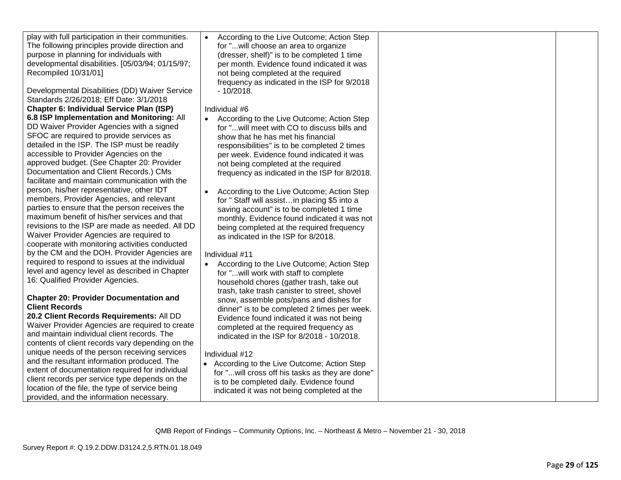| play with full participation in their communities.<br>The following principles provide direction and<br>purpose in planning for individuals with<br>developmental disabilities. [05/03/94; 01/15/97;<br>Recompiled 10/31/01]<br>Developmental Disabilities (DD) Waiver Service<br>Standards 2/26/2018; Eff Date: 3/1/2018 | According to the Live Outcome; Action Step<br>for " will choose an area to organize<br>(dresser, shelf)" is to be completed 1 time<br>per month. Evidence found indicated it was<br>not being completed at the required<br>frequency as indicated in the ISP for 9/2018<br>$-10/2018.$ |  |
|---------------------------------------------------------------------------------------------------------------------------------------------------------------------------------------------------------------------------------------------------------------------------------------------------------------------------|----------------------------------------------------------------------------------------------------------------------------------------------------------------------------------------------------------------------------------------------------------------------------------------|--|
| <b>Chapter 6: Individual Service Plan (ISP)</b>                                                                                                                                                                                                                                                                           | Individual #6                                                                                                                                                                                                                                                                          |  |
| 6.8 ISP Implementation and Monitoring: All                                                                                                                                                                                                                                                                                |                                                                                                                                                                                                                                                                                        |  |
| DD Waiver Provider Agencies with a signed                                                                                                                                                                                                                                                                                 | According to the Live Outcome; Action Step                                                                                                                                                                                                                                             |  |
|                                                                                                                                                                                                                                                                                                                           | for "will meet with CO to discuss bills and                                                                                                                                                                                                                                            |  |
| SFOC are required to provide services as                                                                                                                                                                                                                                                                                  | show that he has met his financial                                                                                                                                                                                                                                                     |  |
| detailed in the ISP. The ISP must be readily                                                                                                                                                                                                                                                                              | responsibilities" is to be completed 2 times                                                                                                                                                                                                                                           |  |
| accessible to Provider Agencies on the                                                                                                                                                                                                                                                                                    | per week. Evidence found indicated it was                                                                                                                                                                                                                                              |  |
| approved budget. (See Chapter 20: Provider                                                                                                                                                                                                                                                                                | not being completed at the required                                                                                                                                                                                                                                                    |  |
| Documentation and Client Records.) CMs                                                                                                                                                                                                                                                                                    | frequency as indicated in the ISP for 8/2018.                                                                                                                                                                                                                                          |  |
| facilitate and maintain communication with the                                                                                                                                                                                                                                                                            |                                                                                                                                                                                                                                                                                        |  |
| person, his/her representative, other IDT                                                                                                                                                                                                                                                                                 | According to the Live Outcome; Action Step                                                                                                                                                                                                                                             |  |
| members, Provider Agencies, and relevant                                                                                                                                                                                                                                                                                  | for "Staff will assistin placing \$5 into a                                                                                                                                                                                                                                            |  |
| parties to ensure that the person receives the                                                                                                                                                                                                                                                                            | saving account" is to be completed 1 time                                                                                                                                                                                                                                              |  |
| maximum benefit of his/her services and that                                                                                                                                                                                                                                                                              |                                                                                                                                                                                                                                                                                        |  |
| revisions to the ISP are made as needed. All DD                                                                                                                                                                                                                                                                           | monthly. Evidence found indicated it was not                                                                                                                                                                                                                                           |  |
|                                                                                                                                                                                                                                                                                                                           | being completed at the required frequency                                                                                                                                                                                                                                              |  |
| Waiver Provider Agencies are required to                                                                                                                                                                                                                                                                                  | as indicated in the ISP for 8/2018.                                                                                                                                                                                                                                                    |  |
| cooperate with monitoring activities conducted                                                                                                                                                                                                                                                                            |                                                                                                                                                                                                                                                                                        |  |
| by the CM and the DOH. Provider Agencies are                                                                                                                                                                                                                                                                              | Individual #11                                                                                                                                                                                                                                                                         |  |
| required to respond to issues at the individual                                                                                                                                                                                                                                                                           | According to the Live Outcome; Action Step                                                                                                                                                                                                                                             |  |
| level and agency level as described in Chapter                                                                                                                                                                                                                                                                            | for " will work with staff to complete                                                                                                                                                                                                                                                 |  |
| 16: Qualified Provider Agencies.                                                                                                                                                                                                                                                                                          | household chores (gather trash, take out                                                                                                                                                                                                                                               |  |
|                                                                                                                                                                                                                                                                                                                           | trash, take trash canister to street, shovel                                                                                                                                                                                                                                           |  |
| <b>Chapter 20: Provider Documentation and</b>                                                                                                                                                                                                                                                                             | snow, assemble pots/pans and dishes for                                                                                                                                                                                                                                                |  |
| <b>Client Records</b>                                                                                                                                                                                                                                                                                                     | dinner" is to be completed 2 times per week.                                                                                                                                                                                                                                           |  |
| 20.2 Client Records Requirements: All DD                                                                                                                                                                                                                                                                                  | Evidence found indicated it was not being                                                                                                                                                                                                                                              |  |
| Waiver Provider Agencies are required to create                                                                                                                                                                                                                                                                           |                                                                                                                                                                                                                                                                                        |  |
| and maintain individual client records. The                                                                                                                                                                                                                                                                               | completed at the required frequency as                                                                                                                                                                                                                                                 |  |
|                                                                                                                                                                                                                                                                                                                           | indicated in the ISP for 8/2018 - 10/2018.                                                                                                                                                                                                                                             |  |
| contents of client records vary depending on the                                                                                                                                                                                                                                                                          |                                                                                                                                                                                                                                                                                        |  |
| unique needs of the person receiving services                                                                                                                                                                                                                                                                             | Individual #12                                                                                                                                                                                                                                                                         |  |
| and the resultant information produced. The                                                                                                                                                                                                                                                                               | • According to the Live Outcome; Action Step                                                                                                                                                                                                                                           |  |
| extent of documentation required for individual                                                                                                                                                                                                                                                                           | for " will cross off his tasks as they are done"                                                                                                                                                                                                                                       |  |
| client records per service type depends on the                                                                                                                                                                                                                                                                            | is to be completed daily. Evidence found                                                                                                                                                                                                                                               |  |
| location of the file, the type of service being                                                                                                                                                                                                                                                                           | indicated it was not being completed at the                                                                                                                                                                                                                                            |  |
| provided, and the information necessary.                                                                                                                                                                                                                                                                                  |                                                                                                                                                                                                                                                                                        |  |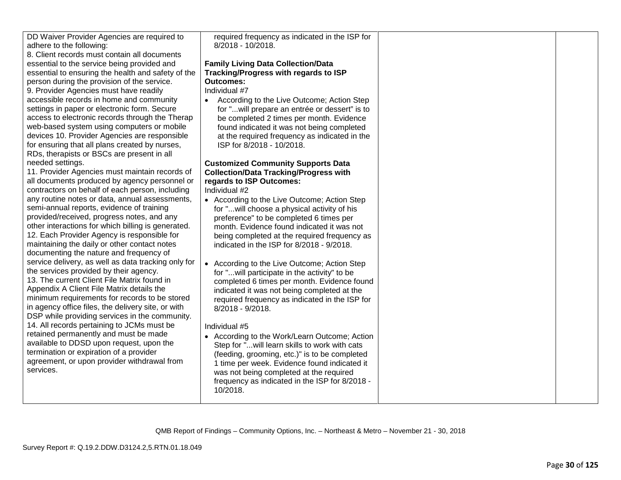| DD Waiver Provider Agencies are required to<br>adhere to the following:<br>8. Client records must contain all documents<br>essential to the service being provided and<br>essential to ensuring the health and safety of the<br>person during the provision of the service.<br>9. Provider Agencies must have readily<br>accessible records in home and community<br>settings in paper or electronic form. Secure<br>access to electronic records through the Therap<br>web-based system using computers or mobile<br>devices 10. Provider Agencies are responsible<br>for ensuring that all plans created by nurses,<br>RDs, therapists or BSCs are present in all<br>needed settings.<br>11. Provider Agencies must maintain records of<br>all documents produced by agency personnel or<br>contractors on behalf of each person, including<br>any routine notes or data, annual assessments,<br>semi-annual reports, evidence of training<br>provided/received, progress notes, and any<br>other interactions for which billing is generated.<br>12. Each Provider Agency is responsible for<br>maintaining the daily or other contact notes<br>documenting the nature and frequency of<br>service delivery, as well as data tracking only for<br>the services provided by their agency.<br>13. The current Client File Matrix found in<br>Appendix A Client File Matrix details the<br>minimum requirements for records to be stored<br>in agency office files, the delivery site, or with<br>DSP while providing services in the community.<br>14. All records pertaining to JCMs must be<br>retained permanently and must be made | required frequency as indicated in the ISP for<br>8/2018 - 10/2018.<br><b>Family Living Data Collection/Data</b><br>Tracking/Progress with regards to ISP<br><b>Outcomes:</b><br>Individual #7<br>According to the Live Outcome; Action Step<br>$\bullet$<br>for " will prepare an entrée or dessert" is to<br>be completed 2 times per month. Evidence<br>found indicated it was not being completed<br>at the required frequency as indicated in the<br>ISP for 8/2018 - 10/2018.<br><b>Customized Community Supports Data</b><br><b>Collection/Data Tracking/Progress with</b><br>regards to ISP Outcomes:<br>Individual #2<br>• According to the Live Outcome; Action Step<br>for "will choose a physical activity of his<br>preference" to be completed 6 times per<br>month. Evidence found indicated it was not<br>being completed at the required frequency as<br>indicated in the ISP for 8/2018 - 9/2018.<br>• According to the Live Outcome; Action Step<br>for "will participate in the activity" to be<br>completed 6 times per month. Evidence found<br>indicated it was not being completed at the<br>required frequency as indicated in the ISP for<br>8/2018 - 9/2018.<br>Individual #5 |  |
|-----------------------------------------------------------------------------------------------------------------------------------------------------------------------------------------------------------------------------------------------------------------------------------------------------------------------------------------------------------------------------------------------------------------------------------------------------------------------------------------------------------------------------------------------------------------------------------------------------------------------------------------------------------------------------------------------------------------------------------------------------------------------------------------------------------------------------------------------------------------------------------------------------------------------------------------------------------------------------------------------------------------------------------------------------------------------------------------------------------------------------------------------------------------------------------------------------------------------------------------------------------------------------------------------------------------------------------------------------------------------------------------------------------------------------------------------------------------------------------------------------------------------------------------------------------------------------------------------------------------------------------------|----------------------------------------------------------------------------------------------------------------------------------------------------------------------------------------------------------------------------------------------------------------------------------------------------------------------------------------------------------------------------------------------------------------------------------------------------------------------------------------------------------------------------------------------------------------------------------------------------------------------------------------------------------------------------------------------------------------------------------------------------------------------------------------------------------------------------------------------------------------------------------------------------------------------------------------------------------------------------------------------------------------------------------------------------------------------------------------------------------------------------------------------------------------------------------------------------------|--|
| available to DDSD upon request, upon the<br>termination or expiration of a provider<br>agreement, or upon provider withdrawal from<br>services.                                                                                                                                                                                                                                                                                                                                                                                                                                                                                                                                                                                                                                                                                                                                                                                                                                                                                                                                                                                                                                                                                                                                                                                                                                                                                                                                                                                                                                                                                         | • According to the Work/Learn Outcome; Action<br>Step for " will learn skills to work with cats<br>(feeding, grooming, etc.)" is to be completed<br>1 time per week. Evidence found indicated it<br>was not being completed at the required<br>frequency as indicated in the ISP for 8/2018 -<br>10/2018.                                                                                                                                                                                                                                                                                                                                                                                                                                                                                                                                                                                                                                                                                                                                                                                                                                                                                                |  |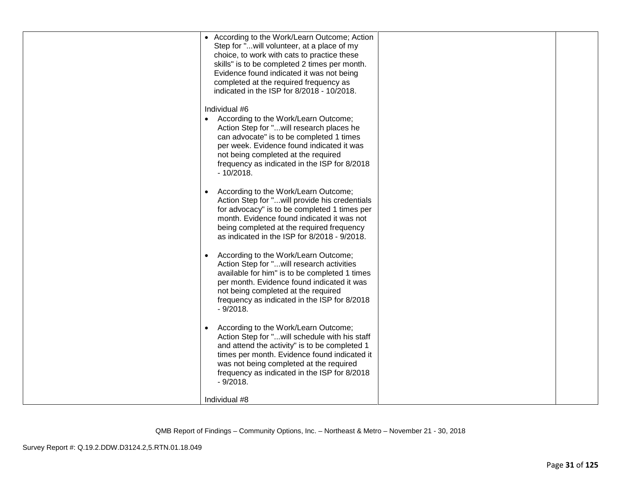| • According to the Work/Learn Outcome; Action<br>Step for "will volunteer, at a place of my<br>choice, to work with cats to practice these<br>skills" is to be completed 2 times per month.<br>Evidence found indicated it was not being<br>completed at the required frequency as<br>indicated in the ISP for 8/2018 - 10/2018. |  |
|----------------------------------------------------------------------------------------------------------------------------------------------------------------------------------------------------------------------------------------------------------------------------------------------------------------------------------|--|
| Individual #6<br>• According to the Work/Learn Outcome;<br>Action Step for "will research places he<br>can advocate" is to be completed 1 times<br>per week. Evidence found indicated it was<br>not being completed at the required<br>frequency as indicated in the ISP for 8/2018<br>$-10/2018.$                               |  |
| According to the Work/Learn Outcome;<br>Action Step for "will provide his credentials<br>for advocacy" is to be completed 1 times per<br>month. Evidence found indicated it was not<br>being completed at the required frequency<br>as indicated in the ISP for 8/2018 - 9/2018.                                                 |  |
| According to the Work/Learn Outcome;<br>Action Step for "will research activities<br>available for him" is to be completed 1 times<br>per month. Evidence found indicated it was<br>not being completed at the required<br>frequency as indicated in the ISP for 8/2018<br>$-9/2018.$                                            |  |
| According to the Work/Learn Outcome;<br>Action Step for "will schedule with his staff<br>and attend the activity" is to be completed 1<br>times per month. Evidence found indicated it<br>was not being completed at the required<br>frequency as indicated in the ISP for 8/2018<br>$-9/2018.$                                  |  |
| Individual #8                                                                                                                                                                                                                                                                                                                    |  |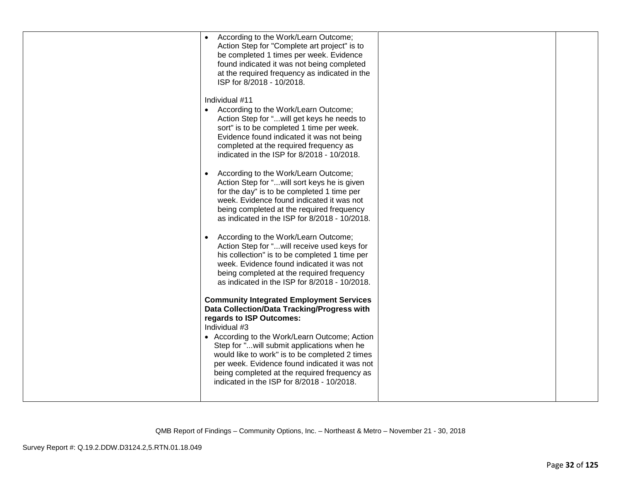| According to the Work/Learn Outcome;<br>$\bullet$<br>Action Step for "Complete art project" is to<br>be completed 1 times per week. Evidence<br>found indicated it was not being completed<br>at the required frequency as indicated in the<br>ISP for 8/2018 - 10/2018.                      |  |
|-----------------------------------------------------------------------------------------------------------------------------------------------------------------------------------------------------------------------------------------------------------------------------------------------|--|
| Individual #11<br>• According to the Work/Learn Outcome;<br>Action Step for " will get keys he needs to<br>sort" is to be completed 1 time per week.<br>Evidence found indicated it was not being<br>completed at the required frequency as<br>indicated in the ISP for 8/2018 - 10/2018.     |  |
| According to the Work/Learn Outcome;<br>Action Step for "will sort keys he is given<br>for the day" is to be completed 1 time per<br>week. Evidence found indicated it was not<br>being completed at the required frequency<br>as indicated in the ISP for 8/2018 - 10/2018.                  |  |
| According to the Work/Learn Outcome;<br>Action Step for " will receive used keys for<br>his collection" is to be completed 1 time per<br>week. Evidence found indicated it was not<br>being completed at the required frequency<br>as indicated in the ISP for 8/2018 - 10/2018.              |  |
| <b>Community Integrated Employment Services</b><br>Data Collection/Data Tracking/Progress with<br>regards to ISP Outcomes:<br>Individual #3                                                                                                                                                   |  |
| • According to the Work/Learn Outcome; Action<br>Step for " will submit applications when he<br>would like to work" is to be completed 2 times<br>per week. Evidence found indicated it was not<br>being completed at the required frequency as<br>indicated in the ISP for 8/2018 - 10/2018. |  |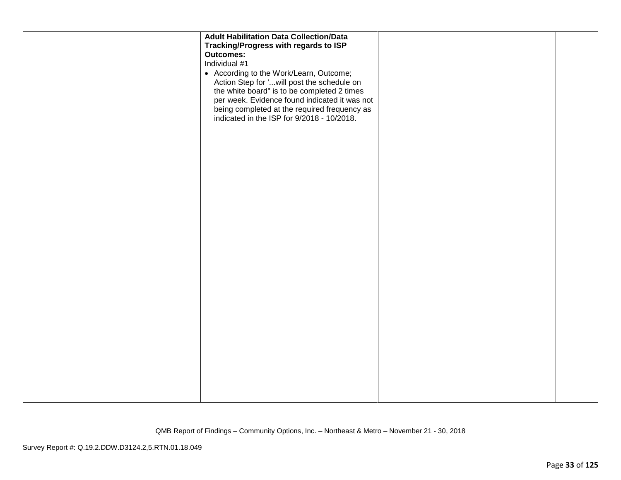| <b>Adult Habilitation Data Collection/Data</b><br>Tracking/Progress with regards to ISP<br><b>Outcomes:</b><br>Individual #1<br>• According to the Work/Learn, Outcome;<br>Action Step for 'will post the schedule on |  |
|-----------------------------------------------------------------------------------------------------------------------------------------------------------------------------------------------------------------------|--|
| the white board" is to be completed 2 times<br>per week. Evidence found indicated it was not<br>being completed at the required frequency as<br>indicated in the ISP for 9/2018 - 10/2018.                            |  |
|                                                                                                                                                                                                                       |  |
|                                                                                                                                                                                                                       |  |
|                                                                                                                                                                                                                       |  |
|                                                                                                                                                                                                                       |  |
|                                                                                                                                                                                                                       |  |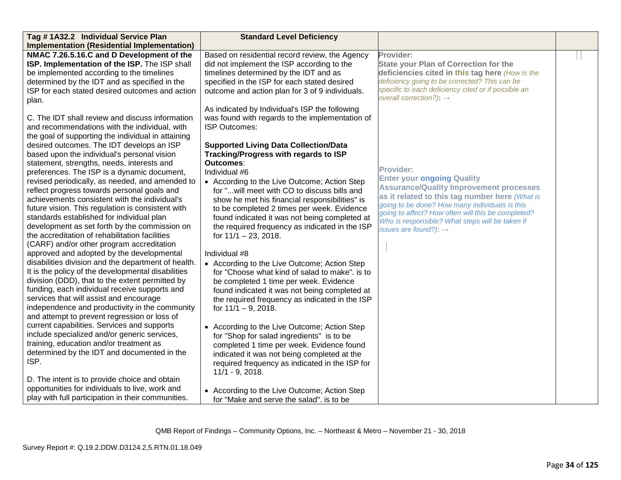| Tag #1A32.2 Individual Service Plan                 | <b>Standard Level Deficiency</b>                |                                                                                                      |  |
|-----------------------------------------------------|-------------------------------------------------|------------------------------------------------------------------------------------------------------|--|
| Implementation (Residential Implementation)         |                                                 |                                                                                                      |  |
| NMAC 7.26.5.16.C and D Development of the           | Based on residential record review, the Agency  | Provider:                                                                                            |  |
| ISP. Implementation of the ISP. The ISP shall       | did not implement the ISP according to the      | <b>State your Plan of Correction for the</b>                                                         |  |
| be implemented according to the timelines           | timelines determined by the IDT and as          | deficiencies cited in this tag here (How is the                                                      |  |
| determined by the IDT and as specified in the       | specified in the ISP for each stated desired    | deficiency going to be corrected? This can be                                                        |  |
| ISP for each stated desired outcomes and action     | outcome and action plan for 3 of 9 individuals. | specific to each deficiency cited or if possible an                                                  |  |
| plan.                                               |                                                 | overall correction?): $\rightarrow$                                                                  |  |
|                                                     | As indicated by Individual's ISP the following  |                                                                                                      |  |
| C. The IDT shall review and discuss information     | was found with regards to the implementation of |                                                                                                      |  |
| and recommendations with the individual, with       | <b>ISP Outcomes:</b>                            |                                                                                                      |  |
| the goal of supporting the individual in attaining  |                                                 |                                                                                                      |  |
| desired outcomes. The IDT develops an ISP           | <b>Supported Living Data Collection/Data</b>    |                                                                                                      |  |
| based upon the individual's personal vision         | Tracking/Progress with regards to ISP           |                                                                                                      |  |
| statement, strengths, needs, interests and          | <b>Outcomes:</b>                                |                                                                                                      |  |
| preferences. The ISP is a dynamic document,         | Individual #6                                   | <b>Provider:</b>                                                                                     |  |
| revised periodically, as needed, and amended to     | • According to the Live Outcome; Action Step    | <b>Enter your ongoing Quality</b>                                                                    |  |
| reflect progress towards personal goals and         | for "will meet with CO to discuss bills and     | <b>Assurance/Quality Improvement processes</b>                                                       |  |
| achievements consistent with the individual's       | show he met his financial responsibilities" is  | as it related to this tag number here (What is                                                       |  |
| future vision. This regulation is consistent with   | to be completed 2 times per week. Evidence      | going to be done? How many individuals is this<br>going to affect? How often will this be completed? |  |
| standards established for individual plan           | found indicated it was not being completed at   | Who is responsible? What steps will be taken if                                                      |  |
| development as set forth by the commission on       | the required frequency as indicated in the ISP  | issues are found?): $\rightarrow$                                                                    |  |
| the accreditation of rehabilitation facilities      | for $11/1 - 23$ , 2018.                         |                                                                                                      |  |
| (CARF) and/or other program accreditation           |                                                 |                                                                                                      |  |
| approved and adopted by the developmental           | Individual #8                                   |                                                                                                      |  |
| disabilities division and the department of health. | • According to the Live Outcome; Action Step    |                                                                                                      |  |
| It is the policy of the developmental disabilities  | for "Choose what kind of salad to make". is to  |                                                                                                      |  |
| division (DDD), that to the extent permitted by     | be completed 1 time per week. Evidence          |                                                                                                      |  |
| funding, each individual receive supports and       | found indicated it was not being completed at   |                                                                                                      |  |
| services that will assist and encourage             | the required frequency as indicated in the ISP  |                                                                                                      |  |
| independence and productivity in the community      | for $11/1 - 9$ , 2018.                          |                                                                                                      |  |
| and attempt to prevent regression or loss of        |                                                 |                                                                                                      |  |
| current capabilities. Services and supports         | • According to the Live Outcome; Action Step    |                                                                                                      |  |
| include specialized and/or generic services,        | for "Shop for salad ingredients" is to be       |                                                                                                      |  |
| training, education and/or treatment as             | completed 1 time per week. Evidence found       |                                                                                                      |  |
| determined by the IDT and documented in the         | indicated it was not being completed at the     |                                                                                                      |  |
| ISP.                                                | required frequency as indicated in the ISP for  |                                                                                                      |  |
|                                                     | $11/1 - 9, 2018.$                               |                                                                                                      |  |
| D. The intent is to provide choice and obtain       |                                                 |                                                                                                      |  |
| opportunities for individuals to live, work and     | • According to the Live Outcome; Action Step    |                                                                                                      |  |
| play with full participation in their communities.  | for "Make and serve the salad". is to be        |                                                                                                      |  |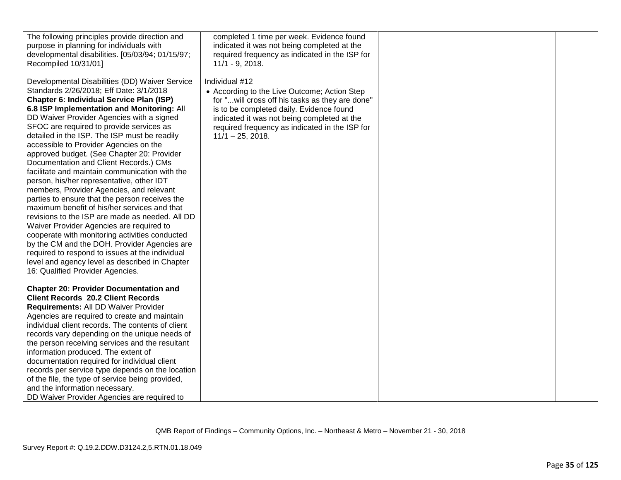| The following principles provide direction and<br>purpose in planning for individuals with<br>developmental disabilities. [05/03/94; 01/15/97;<br>Recompiled 10/31/01]                                                                                                                                                                                                                                                                                                                                                                                                                                                                                                                                                                                                                                                                                                                                                                                                                                                                                       | completed 1 time per week. Evidence found<br>indicated it was not being completed at the<br>required frequency as indicated in the ISP for<br>$11/1 - 9$ , 2018.                                                                                                                       |  |
|--------------------------------------------------------------------------------------------------------------------------------------------------------------------------------------------------------------------------------------------------------------------------------------------------------------------------------------------------------------------------------------------------------------------------------------------------------------------------------------------------------------------------------------------------------------------------------------------------------------------------------------------------------------------------------------------------------------------------------------------------------------------------------------------------------------------------------------------------------------------------------------------------------------------------------------------------------------------------------------------------------------------------------------------------------------|----------------------------------------------------------------------------------------------------------------------------------------------------------------------------------------------------------------------------------------------------------------------------------------|--|
| Developmental Disabilities (DD) Waiver Service<br>Standards 2/26/2018; Eff Date: 3/1/2018<br><b>Chapter 6: Individual Service Plan (ISP)</b><br>6.8 ISP Implementation and Monitoring: All<br>DD Waiver Provider Agencies with a signed<br>SFOC are required to provide services as<br>detailed in the ISP. The ISP must be readily<br>accessible to Provider Agencies on the<br>approved budget. (See Chapter 20: Provider<br>Documentation and Client Records.) CMs<br>facilitate and maintain communication with the<br>person, his/her representative, other IDT<br>members, Provider Agencies, and relevant<br>parties to ensure that the person receives the<br>maximum benefit of his/her services and that<br>revisions to the ISP are made as needed. All DD<br>Waiver Provider Agencies are required to<br>cooperate with monitoring activities conducted<br>by the CM and the DOH. Provider Agencies are<br>required to respond to issues at the individual<br>level and agency level as described in Chapter<br>16: Qualified Provider Agencies. | Individual #12<br>• According to the Live Outcome; Action Step<br>for " will cross off his tasks as they are done"<br>is to be completed daily. Evidence found<br>indicated it was not being completed at the<br>required frequency as indicated in the ISP for<br>$11/1 - 25$ , 2018. |  |
| <b>Chapter 20: Provider Documentation and</b><br><b>Client Records 20.2 Client Records</b><br>Requirements: All DD Waiver Provider<br>Agencies are required to create and maintain<br>individual client records. The contents of client<br>records vary depending on the unique needs of<br>the person receiving services and the resultant<br>information produced. The extent of<br>documentation required for individual client<br>records per service type depends on the location<br>of the file, the type of service being provided,<br>and the information necessary.<br>DD Waiver Provider Agencies are required to                                                                                                                                                                                                                                                                                                                                                                                                                                  |                                                                                                                                                                                                                                                                                        |  |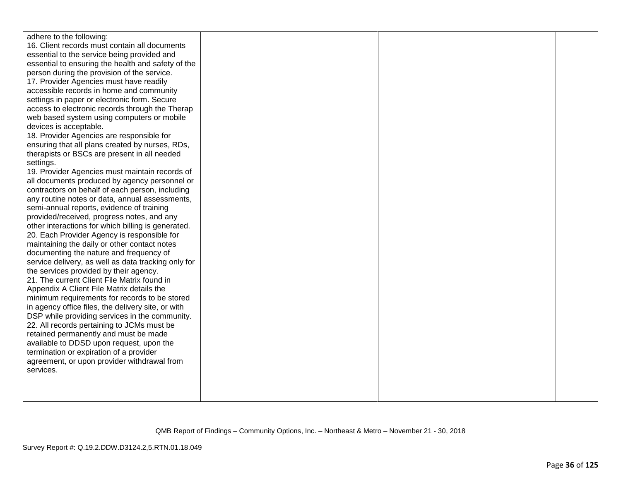| adhere to the following:                            |  |  |
|-----------------------------------------------------|--|--|
| 16. Client records must contain all documents       |  |  |
| essential to the service being provided and         |  |  |
| essential to ensuring the health and safety of the  |  |  |
| person during the provision of the service.         |  |  |
| 17. Provider Agencies must have readily             |  |  |
| accessible records in home and community            |  |  |
| settings in paper or electronic form. Secure        |  |  |
| access to electronic records through the Therap     |  |  |
| web based system using computers or mobile          |  |  |
| devices is acceptable.                              |  |  |
| 18. Provider Agencies are responsible for           |  |  |
| ensuring that all plans created by nurses, RDs,     |  |  |
| therapists or BSCs are present in all needed        |  |  |
| settings.                                           |  |  |
| 19. Provider Agencies must maintain records of      |  |  |
| all documents produced by agency personnel or       |  |  |
| contractors on behalf of each person, including     |  |  |
| any routine notes or data, annual assessments,      |  |  |
| semi-annual reports, evidence of training           |  |  |
| provided/received, progress notes, and any          |  |  |
| other interactions for which billing is generated.  |  |  |
| 20. Each Provider Agency is responsible for         |  |  |
| maintaining the daily or other contact notes        |  |  |
| documenting the nature and frequency of             |  |  |
| service delivery, as well as data tracking only for |  |  |
| the services provided by their agency.              |  |  |
| 21. The current Client File Matrix found in         |  |  |
| Appendix A Client File Matrix details the           |  |  |
| minimum requirements for records to be stored       |  |  |
| in agency office files, the delivery site, or with  |  |  |
| DSP while providing services in the community.      |  |  |
| 22. All records pertaining to JCMs must be          |  |  |
| retained permanently and must be made               |  |  |
| available to DDSD upon request, upon the            |  |  |
| termination or expiration of a provider             |  |  |
| agreement, or upon provider withdrawal from         |  |  |
| services.                                           |  |  |
|                                                     |  |  |
|                                                     |  |  |
|                                                     |  |  |
|                                                     |  |  |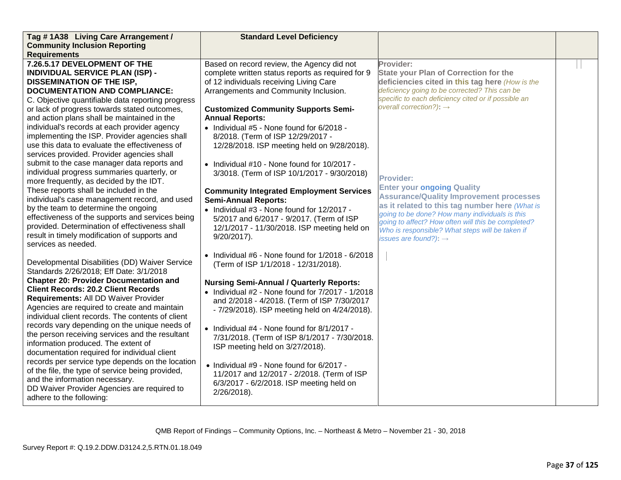| Tag #1A38 Living Care Arrangement /               | <b>Standard Level Deficiency</b>                       |                                                                                                      |  |
|---------------------------------------------------|--------------------------------------------------------|------------------------------------------------------------------------------------------------------|--|
| <b>Community Inclusion Reporting</b>              |                                                        |                                                                                                      |  |
| <b>Requirements</b>                               |                                                        |                                                                                                      |  |
| 7.26.5.17 DEVELOPMENT OF THE                      | Based on record review, the Agency did not             | Provider:                                                                                            |  |
| <b>INDIVIDUAL SERVICE PLAN (ISP) -</b>            | complete written status reports as required for 9      | <b>State your Plan of Correction for the</b>                                                         |  |
| <b>DISSEMINATION OF THE ISP,</b>                  | of 12 individuals receiving Living Care                | deficiencies cited in this tag here (How is the                                                      |  |
| <b>DOCUMENTATION AND COMPLIANCE:</b>              | Arrangements and Community Inclusion.                  | deficiency going to be corrected? This can be                                                        |  |
| C. Objective quantifiable data reporting progress |                                                        | specific to each deficiency cited or if possible an                                                  |  |
| or lack of progress towards stated outcomes,      | <b>Customized Community Supports Semi-</b>             | overall correction?): $\rightarrow$                                                                  |  |
| and action plans shall be maintained in the       | <b>Annual Reports:</b>                                 |                                                                                                      |  |
| individual's records at each provider agency      | • Individual #5 - None found for 6/2018 -              |                                                                                                      |  |
| implementing the ISP. Provider agencies shall     | 8/2018. (Term of ISP 12/29/2017 -                      |                                                                                                      |  |
| use this data to evaluate the effectiveness of    | 12/28/2018. ISP meeting held on 9/28/2018).            |                                                                                                      |  |
| services provided. Provider agencies shall        |                                                        |                                                                                                      |  |
| submit to the case manager data reports and       | • Individual #10 - None found for 10/2017 -            |                                                                                                      |  |
| individual progress summaries quarterly, or       | 3/3018. (Term of ISP 10/1/2017 - 9/30/2018)            |                                                                                                      |  |
| more frequently, as decided by the IDT.           |                                                        | <b>Provider:</b>                                                                                     |  |
| These reports shall be included in the            | <b>Community Integrated Employment Services</b>        | <b>Enter your ongoing Quality</b>                                                                    |  |
| individual's case management record, and used     | <b>Semi-Annual Reports:</b>                            | <b>Assurance/Quality Improvement processes</b>                                                       |  |
| by the team to determine the ongoing              | • Individual #3 - None found for 12/2017 -             | as it related to this tag number here (What is                                                       |  |
| effectiveness of the supports and services being  | 5/2017 and 6/2017 - 9/2017. (Term of ISP               | going to be done? How many individuals is this<br>going to affect? How often will this be completed? |  |
| provided. Determination of effectiveness shall    | 12/1/2017 - 11/30/2018. ISP meeting held on            | Who is responsible? What steps will be taken if                                                      |  |
| result in timely modification of supports and     | $9/20/2017$ ).                                         | issues are found?): $\rightarrow$                                                                    |  |
| services as needed.                               |                                                        |                                                                                                      |  |
|                                                   | • Individual $#6$ - None found for $1/2018 - 6/2018$   |                                                                                                      |  |
| Developmental Disabilities (DD) Waiver Service    | (Term of ISP 1/1/2018 - 12/31/2018).                   |                                                                                                      |  |
| Standards 2/26/2018; Eff Date: 3/1/2018           |                                                        |                                                                                                      |  |
| <b>Chapter 20: Provider Documentation and</b>     | <b>Nursing Semi-Annual / Quarterly Reports:</b>        |                                                                                                      |  |
| <b>Client Records: 20.2 Client Records</b>        | • Individual $#2$ - None found for $7/2017$ - $1/2018$ |                                                                                                      |  |
| Requirements: All DD Waiver Provider              | and 2/2018 - 4/2018. (Term of ISP 7/30/2017            |                                                                                                      |  |
| Agencies are required to create and maintain      | - 7/29/2018). ISP meeting held on 4/24/2018).          |                                                                                                      |  |
| individual client records. The contents of client |                                                        |                                                                                                      |  |
| records vary depending on the unique needs of     | • Individual #4 - None found for 8/1/2017 -            |                                                                                                      |  |
| the person receiving services and the resultant   | 7/31/2018. (Term of ISP 8/1/2017 - 7/30/2018.          |                                                                                                      |  |
| information produced. The extent of               | ISP meeting held on 3/27/2018).                        |                                                                                                      |  |
| documentation required for individual client      |                                                        |                                                                                                      |  |
| records per service type depends on the location  | • Individual #9 - None found for 6/2017 -              |                                                                                                      |  |
| of the file, the type of service being provided,  | 11/2017 and 12/2017 - 2/2018. (Term of ISP             |                                                                                                      |  |
| and the information necessary.                    | 6/3/2017 - 6/2/2018. ISP meeting held on               |                                                                                                      |  |
| DD Waiver Provider Agencies are required to       | 2/26/2018).                                            |                                                                                                      |  |
| adhere to the following:                          |                                                        |                                                                                                      |  |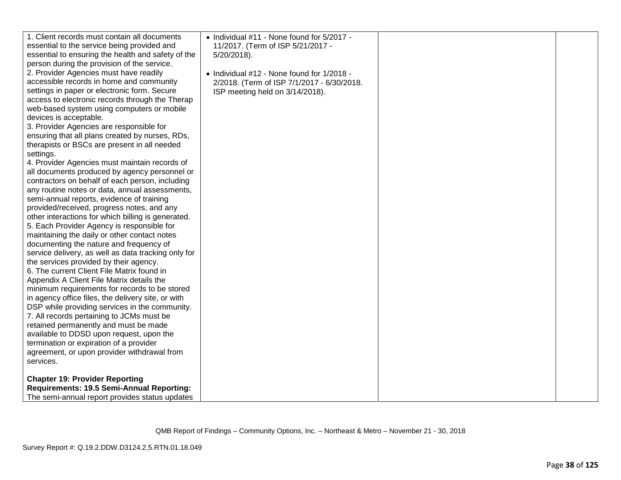| retained permanently and must be made<br>available to DDSD upon request, upon the<br>termination or expiration of a provider<br>agreement, or upon provider withdrawal from | 6. The current Client File Matrix found in<br>Appendix A Client File Matrix details the<br>minimum requirements for records to be stored<br>in agency office files, the delivery site, or with<br>DSP while providing services in the community.<br>7. All records pertaining to JCMs must be | access to electronic records through the Therap<br>web-based system using computers or mobile<br>devices is acceptable.<br>3. Provider Agencies are responsible for<br>ensuring that all plans created by nurses, RDs,<br>therapists or BSCs are present in all needed<br>settings. | 1. Client records must contain all documents<br>essential to the service being provided and<br>essential to ensuring the health and safety of the<br>person during the provision of the service.<br>2. Provider Agencies must have readily<br>accessible records in home and community<br>settings in paper or electronic form. Secure<br>4. Provider Agencies must maintain records of<br>all documents produced by agency personnel or<br>contractors on behalf of each person, including<br>any routine notes or data, annual assessments,<br>semi-annual reports, evidence of training<br>provided/received, progress notes, and any<br>other interactions for which billing is generated.<br>5. Each Provider Agency is responsible for<br>maintaining the daily or other contact notes<br>documenting the nature and frequency of<br>service delivery, as well as data tracking only for<br>the services provided by their agency.<br>services.<br><b>Chapter 19: Provider Reporting</b><br>Requirements: 19.5 Semi-Annual Reporting: | • Individual #11 - None found for 5/2017 -<br>11/2017. (Term of ISP 5/21/2017 -<br>$5/20/2018$ ).<br>• Individual #12 - None found for 1/2018 -<br>2/2018. (Term of ISP 7/1/2017 - 6/30/2018.<br>ISP meeting held on 3/14/2018). |  |
|-----------------------------------------------------------------------------------------------------------------------------------------------------------------------------|-----------------------------------------------------------------------------------------------------------------------------------------------------------------------------------------------------------------------------------------------------------------------------------------------|-------------------------------------------------------------------------------------------------------------------------------------------------------------------------------------------------------------------------------------------------------------------------------------|---------------------------------------------------------------------------------------------------------------------------------------------------------------------------------------------------------------------------------------------------------------------------------------------------------------------------------------------------------------------------------------------------------------------------------------------------------------------------------------------------------------------------------------------------------------------------------------------------------------------------------------------------------------------------------------------------------------------------------------------------------------------------------------------------------------------------------------------------------------------------------------------------------------------------------------------------------------------------------------------------------------------------------------------|----------------------------------------------------------------------------------------------------------------------------------------------------------------------------------------------------------------------------------|--|
|                                                                                                                                                                             |                                                                                                                                                                                                                                                                                               |                                                                                                                                                                                                                                                                                     |                                                                                                                                                                                                                                                                                                                                                                                                                                                                                                                                                                                                                                                                                                                                                                                                                                                                                                                                                                                                                                             |                                                                                                                                                                                                                                  |  |
|                                                                                                                                                                             |                                                                                                                                                                                                                                                                                               |                                                                                                                                                                                                                                                                                     |                                                                                                                                                                                                                                                                                                                                                                                                                                                                                                                                                                                                                                                                                                                                                                                                                                                                                                                                                                                                                                             |                                                                                                                                                                                                                                  |  |
|                                                                                                                                                                             |                                                                                                                                                                                                                                                                                               |                                                                                                                                                                                                                                                                                     |                                                                                                                                                                                                                                                                                                                                                                                                                                                                                                                                                                                                                                                                                                                                                                                                                                                                                                                                                                                                                                             |                                                                                                                                                                                                                                  |  |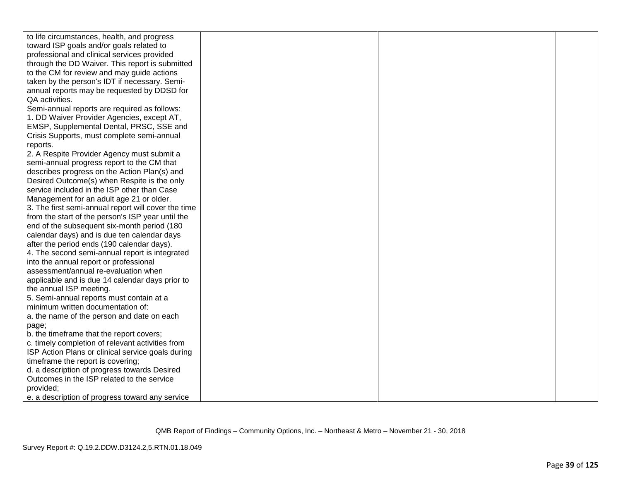| to life circumstances, health, and progress         |  |  |
|-----------------------------------------------------|--|--|
| toward ISP goals and/or goals related to            |  |  |
| professional and clinical services provided         |  |  |
| through the DD Waiver. This report is submitted     |  |  |
| to the CM for review and may guide actions          |  |  |
| taken by the person's IDT if necessary. Semi-       |  |  |
| annual reports may be requested by DDSD for         |  |  |
| QA activities.                                      |  |  |
| Semi-annual reports are required as follows:        |  |  |
| 1. DD Waiver Provider Agencies, except AT,          |  |  |
| EMSP, Supplemental Dental, PRSC, SSE and            |  |  |
| Crisis Supports, must complete semi-annual          |  |  |
| reports.                                            |  |  |
| 2. A Respite Provider Agency must submit a          |  |  |
| semi-annual progress report to the CM that          |  |  |
| describes progress on the Action Plan(s) and        |  |  |
| Desired Outcome(s) when Respite is the only         |  |  |
| service included in the ISP other than Case         |  |  |
| Management for an adult age 21 or older.            |  |  |
| 3. The first semi-annual report will cover the time |  |  |
| from the start of the person's ISP year until the   |  |  |
| end of the subsequent six-month period (180         |  |  |
| calendar days) and is due ten calendar days         |  |  |
| after the period ends (190 calendar days).          |  |  |
| 4. The second semi-annual report is integrated      |  |  |
| into the annual report or professional              |  |  |
| assessment/annual re-evaluation when                |  |  |
| applicable and is due 14 calendar days prior to     |  |  |
| the annual ISP meeting.                             |  |  |
| 5. Semi-annual reports must contain at a            |  |  |
| minimum written documentation of:                   |  |  |
| a. the name of the person and date on each          |  |  |
| page;                                               |  |  |
| b. the timeframe that the report covers;            |  |  |
| c. timely completion of relevant activities from    |  |  |
| ISP Action Plans or clinical service goals during   |  |  |
| timeframe the report is covering;                   |  |  |
| d. a description of progress towards Desired        |  |  |
| Outcomes in the ISP related to the service          |  |  |
| provided;                                           |  |  |
| e. a description of progress toward any service     |  |  |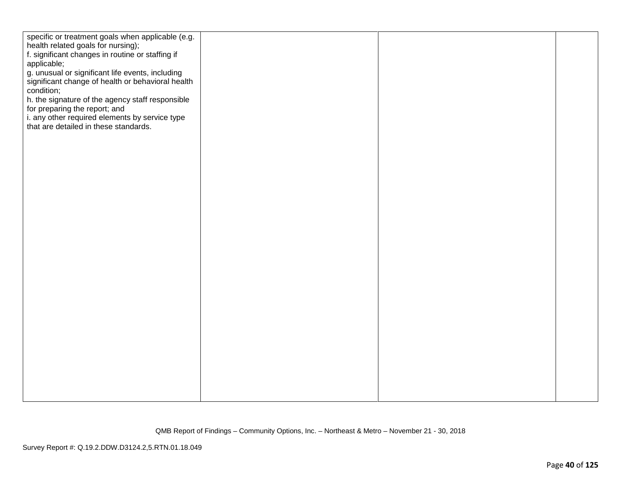| specific or treatment goals when applicable (e.g.<br>health related goals for nursing); |  |  |
|-----------------------------------------------------------------------------------------|--|--|
| f. significant changes in routine or staffing if                                        |  |  |
| applicable;                                                                             |  |  |
| g. unusual or significant life events, including                                        |  |  |
| significant change of health or behavioral health<br>condition;                         |  |  |
| h. the signature of the agency staff responsible                                        |  |  |
| for preparing the report; and                                                           |  |  |
| i. any other required elements by service type                                          |  |  |
| that are detailed in these standards.                                                   |  |  |
|                                                                                         |  |  |
|                                                                                         |  |  |
|                                                                                         |  |  |
|                                                                                         |  |  |
|                                                                                         |  |  |
|                                                                                         |  |  |
|                                                                                         |  |  |
|                                                                                         |  |  |
|                                                                                         |  |  |
|                                                                                         |  |  |
|                                                                                         |  |  |
|                                                                                         |  |  |
|                                                                                         |  |  |
|                                                                                         |  |  |
|                                                                                         |  |  |
|                                                                                         |  |  |
|                                                                                         |  |  |
|                                                                                         |  |  |
|                                                                                         |  |  |
|                                                                                         |  |  |
|                                                                                         |  |  |
|                                                                                         |  |  |
|                                                                                         |  |  |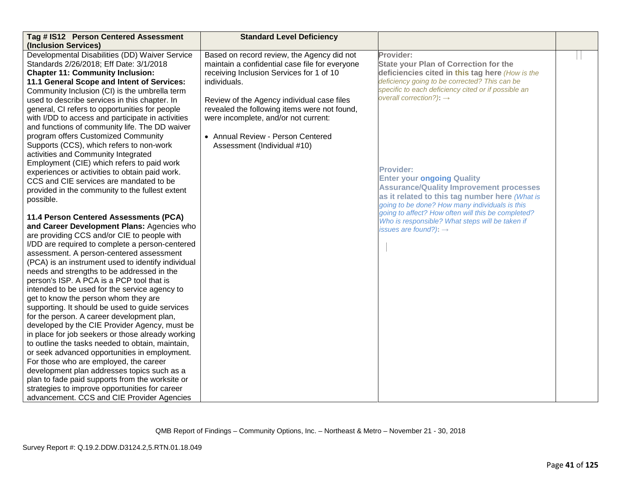| Tag # IS12 Person Centered Assessment<br>(Inclusion Services) | <b>Standard Level Deficiency</b>               |                                                                                                      |  |
|---------------------------------------------------------------|------------------------------------------------|------------------------------------------------------------------------------------------------------|--|
| Developmental Disabilities (DD) Waiver Service                | Based on record review, the Agency did not     | Provider:                                                                                            |  |
| Standards 2/26/2018; Eff Date: 3/1/2018                       | maintain a confidential case file for everyone | <b>State your Plan of Correction for the</b>                                                         |  |
| <b>Chapter 11: Community Inclusion:</b>                       | receiving Inclusion Services for 1 of 10       | deficiencies cited in this tag here (How is the                                                      |  |
| 11.1 General Scope and Intent of Services:                    | individuals.                                   | deficiency going to be corrected? This can be                                                        |  |
| Community Inclusion (CI) is the umbrella term                 |                                                | specific to each deficiency cited or if possible an                                                  |  |
| used to describe services in this chapter. In                 | Review of the Agency individual case files     | overall correction?): $\rightarrow$                                                                  |  |
| general, CI refers to opportunities for people                | revealed the following items were not found,   |                                                                                                      |  |
| with I/DD to access and participate in activities             | were incomplete, and/or not current:           |                                                                                                      |  |
| and functions of community life. The DD waiver                |                                                |                                                                                                      |  |
| program offers Customized Community                           | • Annual Review - Person Centered              |                                                                                                      |  |
| Supports (CCS), which refers to non-work                      | Assessment (Individual #10)                    |                                                                                                      |  |
| activities and Community Integrated                           |                                                |                                                                                                      |  |
| Employment (CIE) which refers to paid work                    |                                                |                                                                                                      |  |
| experiences or activities to obtain paid work.                |                                                | <b>Provider:</b>                                                                                     |  |
| CCS and CIE services are mandated to be                       |                                                | <b>Enter your ongoing Quality</b>                                                                    |  |
| provided in the community to the fullest extent               |                                                | <b>Assurance/Quality Improvement processes</b>                                                       |  |
| possible.                                                     |                                                | as it related to this tag number here (What is                                                       |  |
|                                                               |                                                | going to be done? How many individuals is this<br>going to affect? How often will this be completed? |  |
| 11.4 Person Centered Assessments (PCA)                        |                                                | Who is responsible? What steps will be taken if                                                      |  |
| and Career Development Plans: Agencies who                    |                                                | issues are found?): $\rightarrow$                                                                    |  |
| are providing CCS and/or CIE to people with                   |                                                |                                                                                                      |  |
| I/DD are required to complete a person-centered               |                                                |                                                                                                      |  |
| assessment. A person-centered assessment                      |                                                |                                                                                                      |  |
| (PCA) is an instrument used to identify individual            |                                                |                                                                                                      |  |
| needs and strengths to be addressed in the                    |                                                |                                                                                                      |  |
| person's ISP. A PCA is a PCP tool that is                     |                                                |                                                                                                      |  |
| intended to be used for the service agency to                 |                                                |                                                                                                      |  |
| get to know the person whom they are                          |                                                |                                                                                                      |  |
| supporting. It should be used to guide services               |                                                |                                                                                                      |  |
| for the person. A career development plan,                    |                                                |                                                                                                      |  |
| developed by the CIE Provider Agency, must be                 |                                                |                                                                                                      |  |
| in place for job seekers or those already working             |                                                |                                                                                                      |  |
| to outline the tasks needed to obtain, maintain,              |                                                |                                                                                                      |  |
| or seek advanced opportunities in employment.                 |                                                |                                                                                                      |  |
| For those who are employed, the career                        |                                                |                                                                                                      |  |
| development plan addresses topics such as a                   |                                                |                                                                                                      |  |
| plan to fade paid supports from the worksite or               |                                                |                                                                                                      |  |
| strategies to improve opportunities for career                |                                                |                                                                                                      |  |
| advancement. CCS and CIE Provider Agencies                    |                                                |                                                                                                      |  |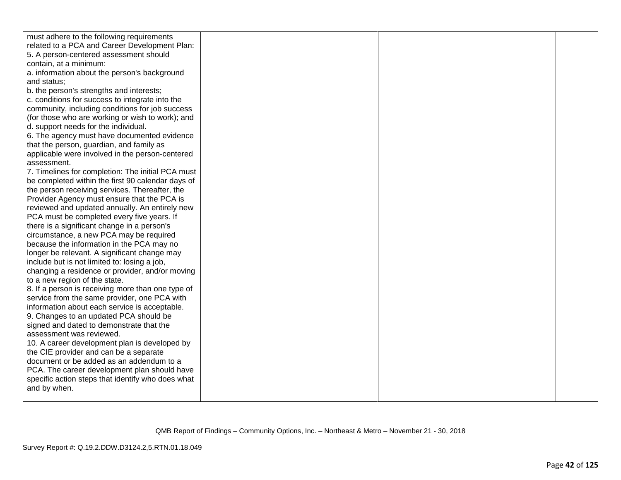| must adhere to the following requirements         |  |  |
|---------------------------------------------------|--|--|
| related to a PCA and Career Development Plan:     |  |  |
| 5. A person-centered assessment should            |  |  |
| contain, at a minimum:                            |  |  |
| a. information about the person's background      |  |  |
| and status;                                       |  |  |
| b. the person's strengths and interests;          |  |  |
| c. conditions for success to integrate into the   |  |  |
| community, including conditions for job success   |  |  |
| (for those who are working or wish to work); and  |  |  |
| d. support needs for the individual.              |  |  |
| 6. The agency must have documented evidence       |  |  |
| that the person, guardian, and family as          |  |  |
| applicable were involved in the person-centered   |  |  |
| assessment.                                       |  |  |
| 7. Timelines for completion: The initial PCA must |  |  |
| be completed within the first 90 calendar days of |  |  |
| the person receiving services. Thereafter, the    |  |  |
| Provider Agency must ensure that the PCA is       |  |  |
| reviewed and updated annually. An entirely new    |  |  |
| PCA must be completed every five years. If        |  |  |
| there is a significant change in a person's       |  |  |
| circumstance, a new PCA may be required           |  |  |
| because the information in the PCA may no         |  |  |
| longer be relevant. A significant change may      |  |  |
| include but is not limited to: losing a job,      |  |  |
| changing a residence or provider, and/or moving   |  |  |
| to a new region of the state.                     |  |  |
| 8. If a person is receiving more than one type of |  |  |
| service from the same provider, one PCA with      |  |  |
| information about each service is acceptable.     |  |  |
| 9. Changes to an updated PCA should be            |  |  |
| signed and dated to demonstrate that the          |  |  |
| assessment was reviewed.                          |  |  |
| 10. A career development plan is developed by     |  |  |
| the CIE provider and can be a separate            |  |  |
| document or be added as an addendum to a          |  |  |
| PCA. The career development plan should have      |  |  |
| specific action steps that identify who does what |  |  |
| and by when.                                      |  |  |
|                                                   |  |  |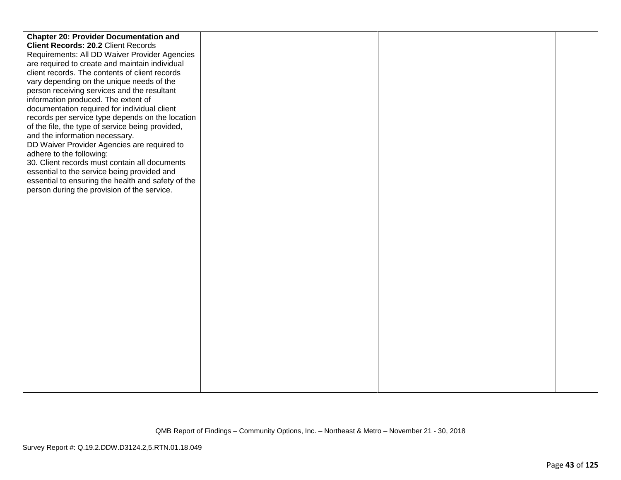| <b>Chapter 20: Provider Documentation and</b>      |  |  |
|----------------------------------------------------|--|--|
| <b>Client Records: 20.2 Client Records</b>         |  |  |
| Requirements: All DD Waiver Provider Agencies      |  |  |
| are required to create and maintain individual     |  |  |
| client records. The contents of client records     |  |  |
| vary depending on the unique needs of the          |  |  |
| person receiving services and the resultant        |  |  |
| information produced. The extent of                |  |  |
| documentation required for individual client       |  |  |
| records per service type depends on the location   |  |  |
| of the file, the type of service being provided,   |  |  |
| and the information necessary.                     |  |  |
| DD Waiver Provider Agencies are required to        |  |  |
| adhere to the following:                           |  |  |
| 30. Client records must contain all documents      |  |  |
| essential to the service being provided and        |  |  |
| essential to ensuring the health and safety of the |  |  |
| person during the provision of the service.        |  |  |
|                                                    |  |  |
|                                                    |  |  |
|                                                    |  |  |
|                                                    |  |  |
|                                                    |  |  |
|                                                    |  |  |
|                                                    |  |  |
|                                                    |  |  |
|                                                    |  |  |
|                                                    |  |  |
|                                                    |  |  |
|                                                    |  |  |
|                                                    |  |  |
|                                                    |  |  |
|                                                    |  |  |
|                                                    |  |  |
|                                                    |  |  |
|                                                    |  |  |
|                                                    |  |  |
|                                                    |  |  |
|                                                    |  |  |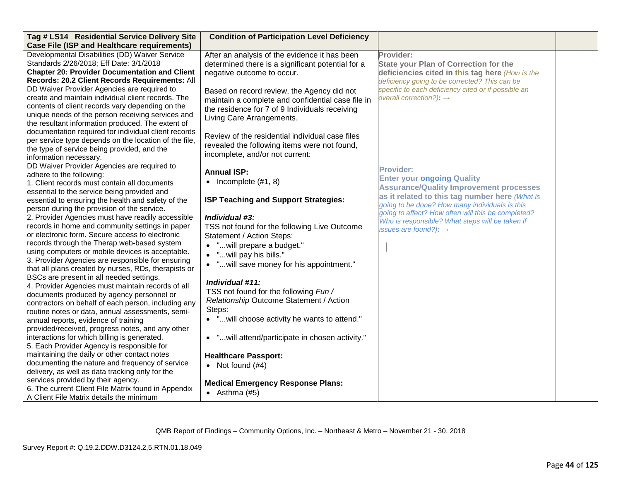| Tag # LS14 Residential Service Delivery Site                                                                                                                                                                                                                                                                                                                                                                                                                                                                                                                                                                                                                                                                                                                                                                                                                                                                                                                                                                                                                                                                                                                                                                                                                                                                                                                                                                                                                                                                                                                                                                                                                                                                                                                                                                                                                                                                                                                                                                                                                                                                                       | <b>Condition of Participation Level Deficiency</b>                                                                                                                                                                                                                                                                                                                                                                                                                                                                                                                                                                                                                                                                                                                                                                                                                                                                                                                                                                                                                                              |                                                                                                                                                                                                                                                                                                                                                                                                                                                                                                                                                                                                                          |  |
|------------------------------------------------------------------------------------------------------------------------------------------------------------------------------------------------------------------------------------------------------------------------------------------------------------------------------------------------------------------------------------------------------------------------------------------------------------------------------------------------------------------------------------------------------------------------------------------------------------------------------------------------------------------------------------------------------------------------------------------------------------------------------------------------------------------------------------------------------------------------------------------------------------------------------------------------------------------------------------------------------------------------------------------------------------------------------------------------------------------------------------------------------------------------------------------------------------------------------------------------------------------------------------------------------------------------------------------------------------------------------------------------------------------------------------------------------------------------------------------------------------------------------------------------------------------------------------------------------------------------------------------------------------------------------------------------------------------------------------------------------------------------------------------------------------------------------------------------------------------------------------------------------------------------------------------------------------------------------------------------------------------------------------------------------------------------------------------------------------------------------------|-------------------------------------------------------------------------------------------------------------------------------------------------------------------------------------------------------------------------------------------------------------------------------------------------------------------------------------------------------------------------------------------------------------------------------------------------------------------------------------------------------------------------------------------------------------------------------------------------------------------------------------------------------------------------------------------------------------------------------------------------------------------------------------------------------------------------------------------------------------------------------------------------------------------------------------------------------------------------------------------------------------------------------------------------------------------------------------------------|--------------------------------------------------------------------------------------------------------------------------------------------------------------------------------------------------------------------------------------------------------------------------------------------------------------------------------------------------------------------------------------------------------------------------------------------------------------------------------------------------------------------------------------------------------------------------------------------------------------------------|--|
| <b>Case File (ISP and Healthcare requirements)</b><br>Developmental Disabilities (DD) Waiver Service<br>Standards 2/26/2018; Eff Date: 3/1/2018<br><b>Chapter 20: Provider Documentation and Client</b><br>Records: 20.2 Client Records Requirements: All<br>DD Waiver Provider Agencies are required to<br>create and maintain individual client records. The<br>contents of client records vary depending on the<br>unique needs of the person receiving services and<br>the resultant information produced. The extent of<br>documentation required for individual client records<br>per service type depends on the location of the file,<br>the type of service being provided, and the<br>information necessary.<br>DD Waiver Provider Agencies are required to<br>adhere to the following:<br>1. Client records must contain all documents<br>essential to the service being provided and<br>essential to ensuring the health and safety of the<br>person during the provision of the service.<br>2. Provider Agencies must have readily accessible<br>records in home and community settings in paper<br>or electronic form. Secure access to electronic<br>records through the Therap web-based system<br>using computers or mobile devices is acceptable.<br>3. Provider Agencies are responsible for ensuring<br>that all plans created by nurses, RDs, therapists or<br>BSCs are present in all needed settings.<br>4. Provider Agencies must maintain records of all<br>documents produced by agency personnel or<br>contractors on behalf of each person, including any<br>routine notes or data, annual assessments, semi-<br>annual reports, evidence of training<br>provided/received, progress notes, and any other<br>interactions for which billing is generated.<br>5. Each Provider Agency is responsible for<br>maintaining the daily or other contact notes<br>documenting the nature and frequency of service<br>delivery, as well as data tracking only for the<br>services provided by their agency.<br>6. The current Client File Matrix found in Appendix<br>A Client File Matrix details the minimum | After an analysis of the evidence it has been<br>determined there is a significant potential for a<br>negative outcome to occur.<br>Based on record review, the Agency did not<br>maintain a complete and confidential case file in<br>the residence for 7 of 9 Individuals receiving<br>Living Care Arrangements.<br>Review of the residential individual case files<br>revealed the following items were not found,<br>incomplete, and/or not current:<br><b>Annual ISP:</b><br>• Incomplete $(\#1, 8)$<br>ISP Teaching and Support Strategies:<br>Individual #3:<br>TSS not found for the following Live Outcome<br>Statement / Action Steps:<br>• "will prepare a budget."<br>• "will pay his bills."<br>• " will save money for his appointment."<br>Individual #11:<br>TSS not found for the following Fun/<br>Relationship Outcome Statement / Action<br>Steps:<br>• " will choose activity he wants to attend."<br>• " will attend/participate in chosen activity."<br><b>Healthcare Passport:</b><br>• Not found $(#4)$<br><b>Medical Emergency Response Plans:</b><br>• Asthma $(#5)$ | Provider:<br><b>State your Plan of Correction for the</b><br>deficiencies cited in this tag here (How is the<br>deficiency going to be corrected? This can be<br>specific to each deficiency cited or if possible an<br>overall correction?): $\rightarrow$<br><b>Provider:</b><br><b>Enter your ongoing Quality</b><br><b>Assurance/Quality Improvement processes</b><br>as it related to this tag number here (What is<br>going to be done? How many individuals is this<br>going to affect? How often will this be completed?<br>Who is responsible? What steps will be taken if<br>issues are found?): $\rightarrow$ |  |

QMB Report of Findings – Community Options, Inc. – Northeast & Metro – November 21 - 30, 2018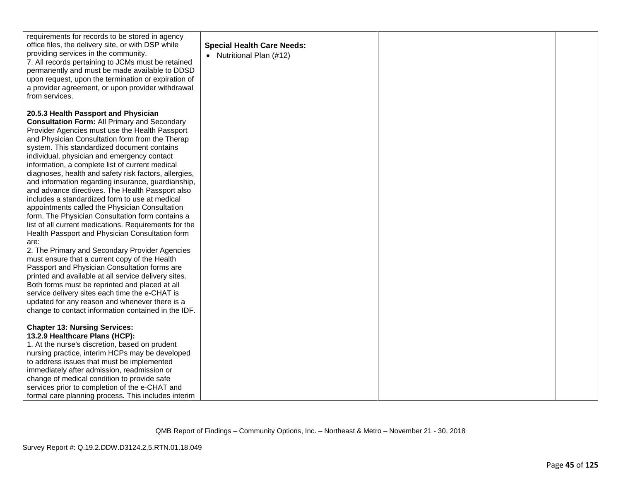| requirements for records to be stored in agency<br>office files, the delivery site, or with DSP while<br>providing services in the community.<br>7. All records pertaining to JCMs must be retained<br>permanently and must be made available to DDSD<br>upon request, upon the termination or expiration of<br>a provider agreement, or upon provider withdrawal<br>from services.                                                                                                                                                                                                                                                                                                                                                                                                                                                                                                                                                                                                                                                                                                                                                                                                                                       | <b>Special Health Care Needs:</b><br>• Nutritional Plan (#12) |  |
|---------------------------------------------------------------------------------------------------------------------------------------------------------------------------------------------------------------------------------------------------------------------------------------------------------------------------------------------------------------------------------------------------------------------------------------------------------------------------------------------------------------------------------------------------------------------------------------------------------------------------------------------------------------------------------------------------------------------------------------------------------------------------------------------------------------------------------------------------------------------------------------------------------------------------------------------------------------------------------------------------------------------------------------------------------------------------------------------------------------------------------------------------------------------------------------------------------------------------|---------------------------------------------------------------|--|
| 20.5.3 Health Passport and Physician<br><b>Consultation Form: All Primary and Secondary</b><br>Provider Agencies must use the Health Passport<br>and Physician Consultation form from the Therap<br>system. This standardized document contains<br>individual, physician and emergency contact<br>information, a complete list of current medical<br>diagnoses, health and safety risk factors, allergies,<br>and information regarding insurance, guardianship,<br>and advance directives. The Health Passport also<br>includes a standardized form to use at medical<br>appointments called the Physician Consultation<br>form. The Physician Consultation form contains a<br>list of all current medications. Requirements for the<br>Health Passport and Physician Consultation form<br>are:<br>2. The Primary and Secondary Provider Agencies<br>must ensure that a current copy of the Health<br>Passport and Physician Consultation forms are<br>printed and available at all service delivery sites.<br>Both forms must be reprinted and placed at all<br>service delivery sites each time the e-CHAT is<br>updated for any reason and whenever there is a<br>change to contact information contained in the IDF. |                                                               |  |
| <b>Chapter 13: Nursing Services:</b><br>13.2.9 Healthcare Plans (HCP):<br>1. At the nurse's discretion, based on prudent<br>nursing practice, interim HCPs may be developed                                                                                                                                                                                                                                                                                                                                                                                                                                                                                                                                                                                                                                                                                                                                                                                                                                                                                                                                                                                                                                               |                                                               |  |
| to address issues that must be implemented<br>immediately after admission, readmission or<br>change of medical condition to provide safe<br>services prior to completion of the e-CHAT and                                                                                                                                                                                                                                                                                                                                                                                                                                                                                                                                                                                                                                                                                                                                                                                                                                                                                                                                                                                                                                |                                                               |  |
| formal care planning process. This includes interim                                                                                                                                                                                                                                                                                                                                                                                                                                                                                                                                                                                                                                                                                                                                                                                                                                                                                                                                                                                                                                                                                                                                                                       |                                                               |  |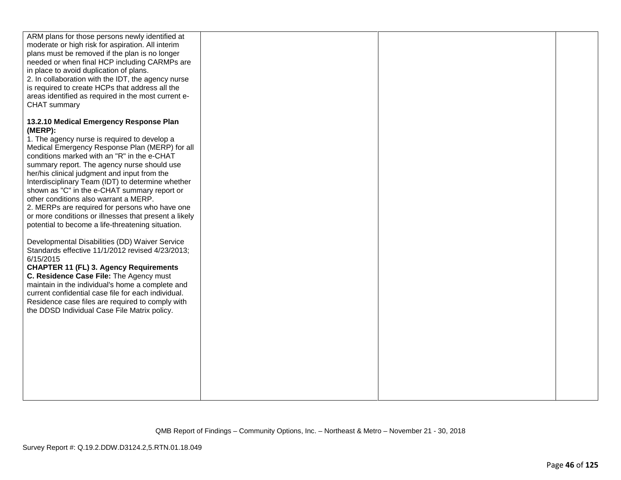| ARM plans for those persons newly identified at<br>moderate or high risk for aspiration. All interim<br>plans must be removed if the plan is no longer<br>needed or when final HCP including CARMPs are<br>in place to avoid duplication of plans.<br>2. In collaboration with the IDT, the agency nurse<br>is required to create HCPs that address all the<br>areas identified as required in the most current e-<br>CHAT summary                                                                                                       |  |  |
|------------------------------------------------------------------------------------------------------------------------------------------------------------------------------------------------------------------------------------------------------------------------------------------------------------------------------------------------------------------------------------------------------------------------------------------------------------------------------------------------------------------------------------------|--|--|
| 13.2.10 Medical Emergency Response Plan<br>(MERP):<br>1. The agency nurse is required to develop a<br>Medical Emergency Response Plan (MERP) for all<br>conditions marked with an "R" in the e-CHAT<br>summary report. The agency nurse should use<br>her/his clinical judgment and input from the<br>Interdisciplinary Team (IDT) to determine whether<br>shown as "C" in the e-CHAT summary report or<br>other conditions also warrant a MERP.<br>2. MERPs are required for persons who have one                                       |  |  |
| or more conditions or illnesses that present a likely<br>potential to become a life-threatening situation.<br>Developmental Disabilities (DD) Waiver Service<br>Standards effective 11/1/2012 revised 4/23/2013;<br>6/15/2015<br><b>CHAPTER 11 (FL) 3. Agency Requirements</b><br>C. Residence Case File: The Agency must<br>maintain in the individual's home a complete and<br>current confidential case file for each individual.<br>Residence case files are required to comply with<br>the DDSD Individual Case File Matrix policy. |  |  |
|                                                                                                                                                                                                                                                                                                                                                                                                                                                                                                                                          |  |  |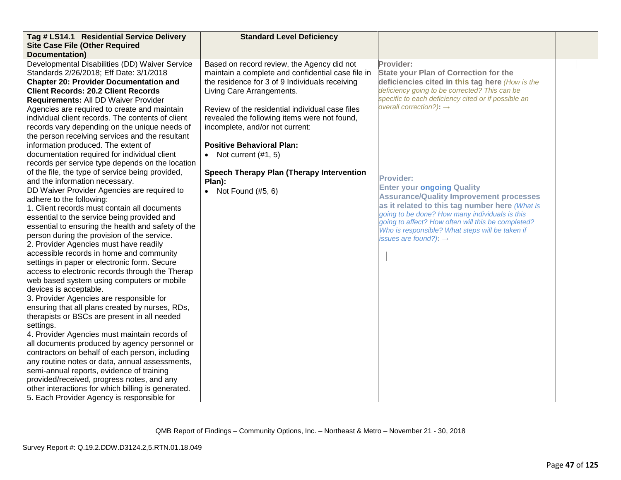| Tag # LS14.1 Residential Service Delivery          | <b>Standard Level Deficiency</b>                  |                                                                                                  |  |
|----------------------------------------------------|---------------------------------------------------|--------------------------------------------------------------------------------------------------|--|
| <b>Site Case File (Other Required</b>              |                                                   |                                                                                                  |  |
| <b>Documentation</b> )                             |                                                   |                                                                                                  |  |
| Developmental Disabilities (DD) Waiver Service     | Based on record review, the Agency did not        | Provider:                                                                                        |  |
| Standards 2/26/2018; Eff Date: 3/1/2018            | maintain a complete and confidential case file in | State your Plan of Correction for the                                                            |  |
| <b>Chapter 20: Provider Documentation and</b>      | the residence for 3 of 9 Individuals receiving    | deficiencies cited in this tag here (How is the                                                  |  |
| <b>Client Records: 20.2 Client Records</b>         | Living Care Arrangements.                         | deficiency going to be corrected? This can be                                                    |  |
| Requirements: All DD Waiver Provider               |                                                   | specific to each deficiency cited or if possible an                                              |  |
| Agencies are required to create and maintain       | Review of the residential individual case files   | overall correction?): $\rightarrow$                                                              |  |
| individual client records. The contents of client  | revealed the following items were not found,      |                                                                                                  |  |
| records vary depending on the unique needs of      | incomplete, and/or not current:                   |                                                                                                  |  |
| the person receiving services and the resultant    |                                                   |                                                                                                  |  |
| information produced. The extent of                | <b>Positive Behavioral Plan:</b>                  |                                                                                                  |  |
| documentation required for individual client       | • Not current $(\#1, 5)$                          |                                                                                                  |  |
| records per service type depends on the location   |                                                   |                                                                                                  |  |
| of the file, the type of service being provided,   | Speech Therapy Plan (Therapy Intervention         |                                                                                                  |  |
| and the information necessary.                     | Plan):                                            | <b>Provider:</b>                                                                                 |  |
| DD Waiver Provider Agencies are required to        | • Not Found $(\#5, 6)$                            | <b>Enter your ongoing Quality</b>                                                                |  |
| adhere to the following:                           |                                                   | <b>Assurance/Quality Improvement processes</b>                                                   |  |
| 1. Client records must contain all documents       |                                                   | as it related to this tag number here (What is<br>going to be done? How many individuals is this |  |
| essential to the service being provided and        |                                                   | going to affect? How often will this be completed?                                               |  |
| essential to ensuring the health and safety of the |                                                   | Who is responsible? What steps will be taken if                                                  |  |
| person during the provision of the service.        |                                                   | issues are found?): $\rightarrow$                                                                |  |
| 2. Provider Agencies must have readily             |                                                   |                                                                                                  |  |
| accessible records in home and community           |                                                   |                                                                                                  |  |
| settings in paper or electronic form. Secure       |                                                   |                                                                                                  |  |
| access to electronic records through the Therap    |                                                   |                                                                                                  |  |
| web based system using computers or mobile         |                                                   |                                                                                                  |  |
| devices is acceptable.                             |                                                   |                                                                                                  |  |
| 3. Provider Agencies are responsible for           |                                                   |                                                                                                  |  |
| ensuring that all plans created by nurses, RDs,    |                                                   |                                                                                                  |  |
| therapists or BSCs are present in all needed       |                                                   |                                                                                                  |  |
| settings.                                          |                                                   |                                                                                                  |  |
| 4. Provider Agencies must maintain records of      |                                                   |                                                                                                  |  |
| all documents produced by agency personnel or      |                                                   |                                                                                                  |  |
| contractors on behalf of each person, including    |                                                   |                                                                                                  |  |
| any routine notes or data, annual assessments,     |                                                   |                                                                                                  |  |
| semi-annual reports, evidence of training          |                                                   |                                                                                                  |  |
| provided/received, progress notes, and any         |                                                   |                                                                                                  |  |
| other interactions for which billing is generated. |                                                   |                                                                                                  |  |
| 5. Each Provider Agency is responsible for         |                                                   |                                                                                                  |  |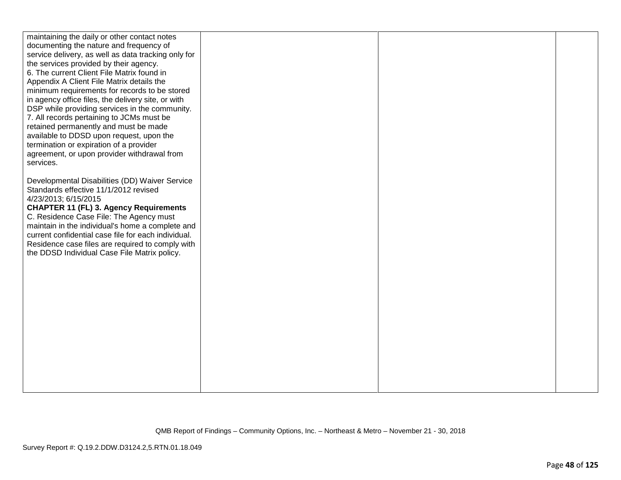| maintaining the daily or other contact notes                                            |  |  |
|-----------------------------------------------------------------------------------------|--|--|
| documenting the nature and frequency of                                                 |  |  |
| service delivery, as well as data tracking only for                                     |  |  |
| the services provided by their agency.                                                  |  |  |
| 6. The current Client File Matrix found in                                              |  |  |
| Appendix A Client File Matrix details the                                               |  |  |
| minimum requirements for records to be stored                                           |  |  |
| in agency office files, the delivery site, or with                                      |  |  |
| DSP while providing services in the community.                                          |  |  |
| 7. All records pertaining to JCMs must be                                               |  |  |
| retained permanently and must be made                                                   |  |  |
| available to DDSD upon request, upon the                                                |  |  |
| termination or expiration of a provider                                                 |  |  |
| agreement, or upon provider withdrawal from                                             |  |  |
| services.                                                                               |  |  |
|                                                                                         |  |  |
| Developmental Disabilities (DD) Waiver Service<br>Standards effective 11/1/2012 revised |  |  |
| 4/23/2013; 6/15/2015                                                                    |  |  |
| <b>CHAPTER 11 (FL) 3. Agency Requirements</b>                                           |  |  |
| C. Residence Case File: The Agency must                                                 |  |  |
| maintain in the individual's home a complete and                                        |  |  |
| current confidential case file for each individual.                                     |  |  |
| Residence case files are required to comply with                                        |  |  |
| the DDSD Individual Case File Matrix policy.                                            |  |  |
|                                                                                         |  |  |
|                                                                                         |  |  |
|                                                                                         |  |  |
|                                                                                         |  |  |
|                                                                                         |  |  |
|                                                                                         |  |  |
|                                                                                         |  |  |
|                                                                                         |  |  |
|                                                                                         |  |  |
|                                                                                         |  |  |
|                                                                                         |  |  |
|                                                                                         |  |  |
|                                                                                         |  |  |
|                                                                                         |  |  |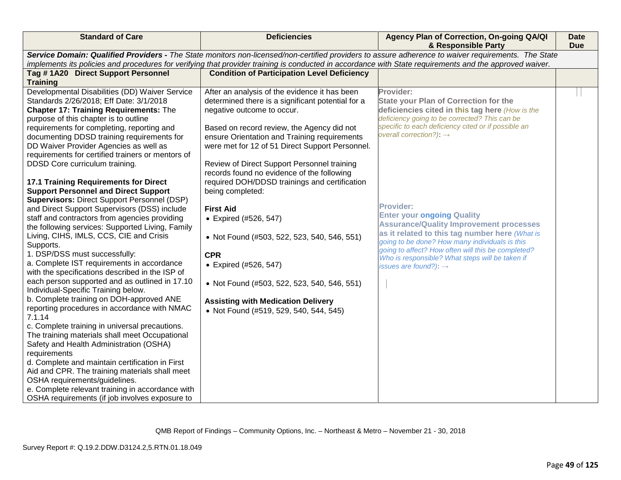| <b>Standard of Care</b>                                                                                                                                                                                                                                                                                                                                                                                   | <b>Deficiencies</b>                                                                                                                                                                                                                                                                                                                                                            | Agency Plan of Correction, On-going QA/QI<br>& Responsible Party                                                                                                                                                                                     | <b>Date</b><br><b>Due</b> |  |
|-----------------------------------------------------------------------------------------------------------------------------------------------------------------------------------------------------------------------------------------------------------------------------------------------------------------------------------------------------------------------------------------------------------|--------------------------------------------------------------------------------------------------------------------------------------------------------------------------------------------------------------------------------------------------------------------------------------------------------------------------------------------------------------------------------|------------------------------------------------------------------------------------------------------------------------------------------------------------------------------------------------------------------------------------------------------|---------------------------|--|
| Service Domain: Qualified Providers - The State monitors non-licensed/non-certified providers to assure adherence to waiver requirements. The State<br>implements its policies and procedures for verifying that provider training is conducted in accordance with State requirements and the approved waiver.                                                                                            |                                                                                                                                                                                                                                                                                                                                                                                |                                                                                                                                                                                                                                                      |                           |  |
| Tag #1A20 Direct Support Personnel                                                                                                                                                                                                                                                                                                                                                                        | <b>Condition of Participation Level Deficiency</b>                                                                                                                                                                                                                                                                                                                             |                                                                                                                                                                                                                                                      |                           |  |
| <b>Training</b>                                                                                                                                                                                                                                                                                                                                                                                           |                                                                                                                                                                                                                                                                                                                                                                                |                                                                                                                                                                                                                                                      |                           |  |
| Developmental Disabilities (DD) Waiver Service<br>Standards 2/26/2018; Eff Date: 3/1/2018<br>Chapter 17: Training Requirements: The<br>purpose of this chapter is to outline<br>requirements for completing, reporting and<br>documenting DDSD training requirements for<br>DD Waiver Provider Agencies as well as<br>requirements for certified trainers or mentors of<br>DDSD Core curriculum training. | After an analysis of the evidence it has been<br>determined there is a significant potential for a<br>negative outcome to occur.<br>Based on record review, the Agency did not<br>ensure Orientation and Training requirements<br>were met for 12 of 51 Direct Support Personnel.<br>Review of Direct Support Personnel training<br>records found no evidence of the following | Provider:<br>State your Plan of Correction for the<br>deficiencies cited in this tag here (How is the<br>deficiency going to be corrected? This can be<br>specific to each deficiency cited or if possible an<br>overall correction?): $\rightarrow$ |                           |  |
| 17.1 Training Requirements for Direct<br><b>Support Personnel and Direct Support</b><br><b>Supervisors: Direct Support Personnel (DSP)</b><br>and Direct Support Supervisors (DSS) include                                                                                                                                                                                                                | required DOH/DDSD trainings and certification<br>being completed:<br><b>First Aid</b>                                                                                                                                                                                                                                                                                          | <b>Provider:</b>                                                                                                                                                                                                                                     |                           |  |
| staff and contractors from agencies providing<br>the following services: Supported Living, Family<br>Living, CIHS, IMLS, CCS, CIE and Crisis<br>Supports.<br>1. DSP/DSS must successfully:                                                                                                                                                                                                                | • Expired (#526, 547)<br>• Not Found (#503, 522, 523, 540, 546, 551)<br><b>CPR</b>                                                                                                                                                                                                                                                                                             | <b>Enter your ongoing Quality</b><br><b>Assurance/Quality Improvement processes</b><br>as it related to this tag number here (What is<br>going to be done? How many individuals is this<br>going to affect? How often will this be completed?        |                           |  |
| a. Complete IST requirements in accordance<br>with the specifications described in the ISP of                                                                                                                                                                                                                                                                                                             | • Expired (#526, 547)                                                                                                                                                                                                                                                                                                                                                          | Who is responsible? What steps will be taken if<br>issues are found?): $\rightarrow$                                                                                                                                                                 |                           |  |
| each person supported and as outlined in 17.10<br>Individual-Specific Training below.                                                                                                                                                                                                                                                                                                                     | • Not Found (#503, 522, 523, 540, 546, 551)                                                                                                                                                                                                                                                                                                                                    |                                                                                                                                                                                                                                                      |                           |  |
| b. Complete training on DOH-approved ANE<br>reporting procedures in accordance with NMAC<br>7.1.14<br>c. Complete training in universal precautions.                                                                                                                                                                                                                                                      | <b>Assisting with Medication Delivery</b><br>• Not Found (#519, 529, 540, 544, 545)                                                                                                                                                                                                                                                                                            |                                                                                                                                                                                                                                                      |                           |  |
| The training materials shall meet Occupational<br>Safety and Health Administration (OSHA)<br>requirements                                                                                                                                                                                                                                                                                                 |                                                                                                                                                                                                                                                                                                                                                                                |                                                                                                                                                                                                                                                      |                           |  |
| d. Complete and maintain certification in First<br>Aid and CPR. The training materials shall meet<br>OSHA requirements/guidelines.                                                                                                                                                                                                                                                                        |                                                                                                                                                                                                                                                                                                                                                                                |                                                                                                                                                                                                                                                      |                           |  |
| e. Complete relevant training in accordance with<br>OSHA requirements (if job involves exposure to                                                                                                                                                                                                                                                                                                        |                                                                                                                                                                                                                                                                                                                                                                                |                                                                                                                                                                                                                                                      |                           |  |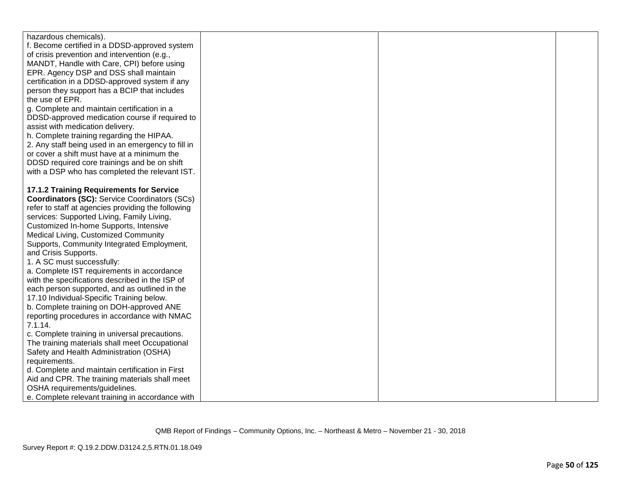| hazardous chemicals).                                |  |  |
|------------------------------------------------------|--|--|
| f. Become certified in a DDSD-approved system        |  |  |
| of crisis prevention and intervention (e.g.,         |  |  |
| MANDT, Handle with Care, CPI) before using           |  |  |
| EPR. Agency DSP and DSS shall maintain               |  |  |
| certification in a DDSD-approved system if any       |  |  |
| person they support has a BCIP that includes         |  |  |
| the use of EPR.                                      |  |  |
| g. Complete and maintain certification in a          |  |  |
| DDSD-approved medication course if required to       |  |  |
| assist with medication delivery.                     |  |  |
| h. Complete training regarding the HIPAA.            |  |  |
| 2. Any staff being used in an emergency to fill in   |  |  |
| or cover a shift must have at a minimum the          |  |  |
| DDSD required core trainings and be on shift         |  |  |
| with a DSP who has completed the relevant IST.       |  |  |
|                                                      |  |  |
| 17.1.2 Training Requirements for Service             |  |  |
| <b>Coordinators (SC): Service Coordinators (SCs)</b> |  |  |
| refer to staff at agencies providing the following   |  |  |
| services: Supported Living, Family Living,           |  |  |
| Customized In-home Supports, Intensive               |  |  |
| Medical Living, Customized Community                 |  |  |
| Supports, Community Integrated Employment,           |  |  |
| and Crisis Supports.                                 |  |  |
| 1. A SC must successfully:                           |  |  |
| a. Complete IST requirements in accordance           |  |  |
| with the specifications described in the ISP of      |  |  |
| each person supported, and as outlined in the        |  |  |
| 17.10 Individual-Specific Training below.            |  |  |
| b. Complete training on DOH-approved ANE             |  |  |
| reporting procedures in accordance with NMAC         |  |  |
| 7.1.14.                                              |  |  |
| c. Complete training in universal precautions.       |  |  |
| The training materials shall meet Occupational       |  |  |
| Safety and Health Administration (OSHA)              |  |  |
| requirements.                                        |  |  |
| d. Complete and maintain certification in First      |  |  |
| Aid and CPR. The training materials shall meet       |  |  |
| OSHA requirements/guidelines.                        |  |  |
| e. Complete relevant training in accordance with     |  |  |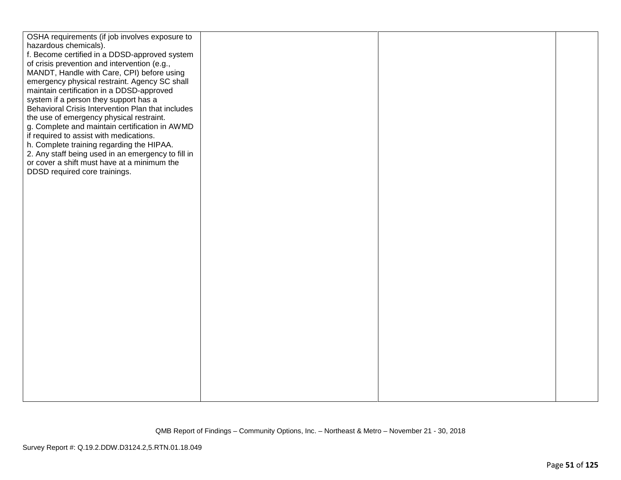| OSHA requirements (if job involves exposure to<br>hazardous chemicals).<br>f. Become certified in a DDSD-approved system<br>of crisis prevention and intervention (e.g.,<br>MANDT, Handle with Care, CPI) before using<br>emergency physical restraint. Agency SC shall<br>maintain certification in a DDSD-approved<br>system if a person they support has a<br>Behavioral Crisis Intervention Plan that includes<br>the use of emergency physical restraint.<br>g. Complete and maintain certification in AWMD<br>if required to assist with medications.<br>h. Complete training regarding the HIPAA.<br>2. Any staff being used in an emergency to fill in<br>or cover a shift must have at a minimum the<br>DDSD required core trainings. |  |  |
|------------------------------------------------------------------------------------------------------------------------------------------------------------------------------------------------------------------------------------------------------------------------------------------------------------------------------------------------------------------------------------------------------------------------------------------------------------------------------------------------------------------------------------------------------------------------------------------------------------------------------------------------------------------------------------------------------------------------------------------------|--|--|
|                                                                                                                                                                                                                                                                                                                                                                                                                                                                                                                                                                                                                                                                                                                                                |  |  |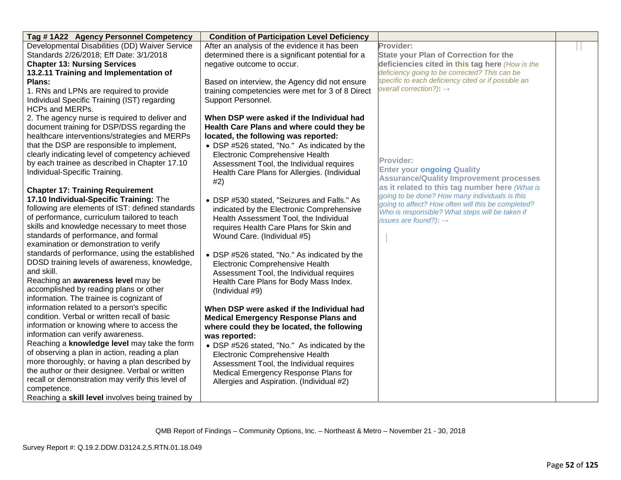| Tag #1A22 Agency Personnel Competency            | <b>Condition of Participation Level Deficiency</b> |                                                                                      |  |
|--------------------------------------------------|----------------------------------------------------|--------------------------------------------------------------------------------------|--|
| Developmental Disabilities (DD) Waiver Service   | After an analysis of the evidence it has been      | Provider:                                                                            |  |
| Standards 2/26/2018; Eff Date: 3/1/2018          | determined there is a significant potential for a  | <b>State your Plan of Correction for the</b>                                         |  |
| <b>Chapter 13: Nursing Services</b>              | negative outcome to occur.                         | deficiencies cited in this tag here (How is the                                      |  |
| 13.2.11 Training and Implementation of           |                                                    | deficiency going to be corrected? This can be                                        |  |
| Plans:                                           | Based on interview, the Agency did not ensure      | specific to each deficiency cited or if possible an                                  |  |
| 1. RNs and LPNs are required to provide          | training competencies were met for 3 of 8 Direct   | overall correction?): $\rightarrow$                                                  |  |
| Individual Specific Training (IST) regarding     | Support Personnel.                                 |                                                                                      |  |
| HCPs and MERPs.                                  |                                                    |                                                                                      |  |
| 2. The agency nurse is required to deliver and   | When DSP were asked if the Individual had          |                                                                                      |  |
| document training for DSP/DSS regarding the      | Health Care Plans and where could they be          |                                                                                      |  |
| healthcare interventions/strategies and MERPs    | located, the following was reported:               |                                                                                      |  |
| that the DSP are responsible to implement,       | • DSP #526 stated, "No." As indicated by the       |                                                                                      |  |
| clearly indicating level of competency achieved  | Electronic Comprehensive Health                    |                                                                                      |  |
| by each trainee as described in Chapter 17.10    | Assessment Tool, the Individual requires           | <b>Provider:</b>                                                                     |  |
| Individual-Specific Training.                    | Health Care Plans for Allergies. (Individual       | <b>Enter your ongoing Quality</b>                                                    |  |
|                                                  | #2)                                                | <b>Assurance/Quality Improvement processes</b>                                       |  |
| <b>Chapter 17: Training Requirement</b>          |                                                    | as it related to this tag number here (What is                                       |  |
| 17.10 Individual-Specific Training: The          | • DSP #530 stated, "Seizures and Falls." As        | going to be done? How many individuals is this                                       |  |
| following are elements of IST: defined standards | indicated by the Electronic Comprehensive          | going to affect? How often will this be completed?                                   |  |
| of performance, curriculum tailored to teach     | Health Assessment Tool, the Individual             | Who is responsible? What steps will be taken if<br>issues are found?): $\rightarrow$ |  |
| skills and knowledge necessary to meet those     | requires Health Care Plans for Skin and            |                                                                                      |  |
| standards of performance, and formal             | Wound Care. (Individual #5)                        |                                                                                      |  |
| examination or demonstration to verify           |                                                    |                                                                                      |  |
| standards of performance, using the established  | • DSP #526 stated, "No." As indicated by the       |                                                                                      |  |
| DDSD training levels of awareness, knowledge,    | Electronic Comprehensive Health                    |                                                                                      |  |
| and skill.                                       | Assessment Tool, the Individual requires           |                                                                                      |  |
| Reaching an awareness level may be               | Health Care Plans for Body Mass Index.             |                                                                                      |  |
| accomplished by reading plans or other           | (Individual #9)                                    |                                                                                      |  |
| information. The trainee is cognizant of         |                                                    |                                                                                      |  |
| information related to a person's specific       | When DSP were asked if the Individual had          |                                                                                      |  |
| condition. Verbal or written recall of basic     | <b>Medical Emergency Response Plans and</b>        |                                                                                      |  |
| information or knowing where to access the       | where could they be located, the following         |                                                                                      |  |
| information can verify awareness.                | was reported:                                      |                                                                                      |  |
| Reaching a knowledge level may take the form     | • DSP #526 stated, "No." As indicated by the       |                                                                                      |  |
| of observing a plan in action, reading a plan    | Electronic Comprehensive Health                    |                                                                                      |  |
| more thoroughly, or having a plan described by   | Assessment Tool, the Individual requires           |                                                                                      |  |
| the author or their designee. Verbal or written  | Medical Emergency Response Plans for               |                                                                                      |  |
| recall or demonstration may verify this level of | Allergies and Aspiration. (Individual #2)          |                                                                                      |  |
| competence.                                      |                                                    |                                                                                      |  |
| Reaching a skill level involves being trained by |                                                    |                                                                                      |  |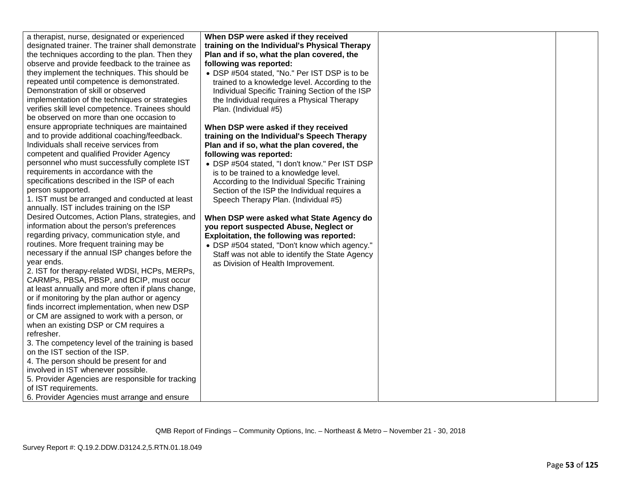| a therapist, nurse, designated or experienced     | When DSP were asked if they received            |  |
|---------------------------------------------------|-------------------------------------------------|--|
| designated trainer. The trainer shall demonstrate | training on the Individual's Physical Therapy   |  |
| the techniques according to the plan. Then they   | Plan and if so, what the plan covered, the      |  |
| observe and provide feedback to the trainee as    | following was reported:                         |  |
| they implement the techniques. This should be     |                                                 |  |
|                                                   | • DSP #504 stated, "No." Per IST DSP is to be   |  |
| repeated until competence is demonstrated.        | trained to a knowledge level. According to the  |  |
| Demonstration of skill or observed                | Individual Specific Training Section of the ISP |  |
| implementation of the techniques or strategies    | the Individual requires a Physical Therapy      |  |
| verifies skill level competence. Trainees should  | Plan. (Individual #5)                           |  |
| be observed on more than one occasion to          |                                                 |  |
| ensure appropriate techniques are maintained      | When DSP were asked if they received            |  |
| and to provide additional coaching/feedback.      | training on the Individual's Speech Therapy     |  |
| Individuals shall receive services from           | Plan and if so, what the plan covered, the      |  |
| competent and qualified Provider Agency           | following was reported:                         |  |
| personnel who must successfully complete IST      | • DSP #504 stated, "I don't know." Per IST DSP  |  |
| requirements in accordance with the               | is to be trained to a knowledge level.          |  |
| specifications described in the ISP of each       | According to the Individual Specific Training   |  |
| person supported.                                 | Section of the ISP the Individual requires a    |  |
| 1. IST must be arranged and conducted at least    | Speech Therapy Plan. (Individual #5)            |  |
| annually. IST includes training on the ISP        |                                                 |  |
| Desired Outcomes, Action Plans, strategies, and   | When DSP were asked what State Agency do        |  |
| information about the person's preferences        | you report suspected Abuse, Neglect or          |  |
| regarding privacy, communication style, and       |                                                 |  |
|                                                   | Exploitation, the following was reported:       |  |
| routines. More frequent training may be           | • DSP #504 stated, "Don't know which agency."   |  |
| necessary if the annual ISP changes before the    | Staff was not able to identify the State Agency |  |
| year ends.                                        | as Division of Health Improvement.              |  |
| 2. IST for therapy-related WDSI, HCPs, MERPs,     |                                                 |  |
| CARMPs, PBSA, PBSP, and BCIP, must occur          |                                                 |  |
| at least annually and more often if plans change, |                                                 |  |
| or if monitoring by the plan author or agency     |                                                 |  |
| finds incorrect implementation, when new DSP      |                                                 |  |
| or CM are assigned to work with a person, or      |                                                 |  |
| when an existing DSP or CM requires a             |                                                 |  |
| refresher.                                        |                                                 |  |
| 3. The competency level of the training is based  |                                                 |  |
| on the IST section of the ISP.                    |                                                 |  |
| 4. The person should be present for and           |                                                 |  |
| involved in IST whenever possible.                |                                                 |  |
| 5. Provider Agencies are responsible for tracking |                                                 |  |
| of IST requirements.                              |                                                 |  |
|                                                   |                                                 |  |
| 6. Provider Agencies must arrange and ensure      |                                                 |  |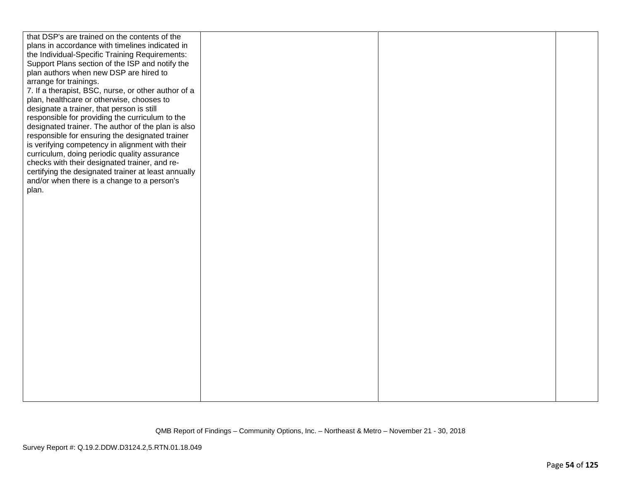| that DSP's are trained on the contents of the<br>plans in accordance with timelines indicated in<br>the Individual-Specific Training Requirements:<br>Support Plans section of the ISP and notify the<br>plan authors when new DSP are hired to<br>arrange for trainings.<br>7. If a therapist, BSC, nurse, or other author of a<br>plan, healthcare or otherwise, chooses to<br>designate a trainer, that person is still<br>responsible for providing the curriculum to the |  |  |
|-------------------------------------------------------------------------------------------------------------------------------------------------------------------------------------------------------------------------------------------------------------------------------------------------------------------------------------------------------------------------------------------------------------------------------------------------------------------------------|--|--|
| designated trainer. The author of the plan is also<br>responsible for ensuring the designated trainer<br>is verifying competency in alignment with their<br>curriculum, doing periodic quality assurance<br>checks with their designated trainer, and re-<br>certifying the designated trainer at least annually<br>and/or when there is a change to a person's<br>plan.                                                                                                      |  |  |
|                                                                                                                                                                                                                                                                                                                                                                                                                                                                               |  |  |
|                                                                                                                                                                                                                                                                                                                                                                                                                                                                               |  |  |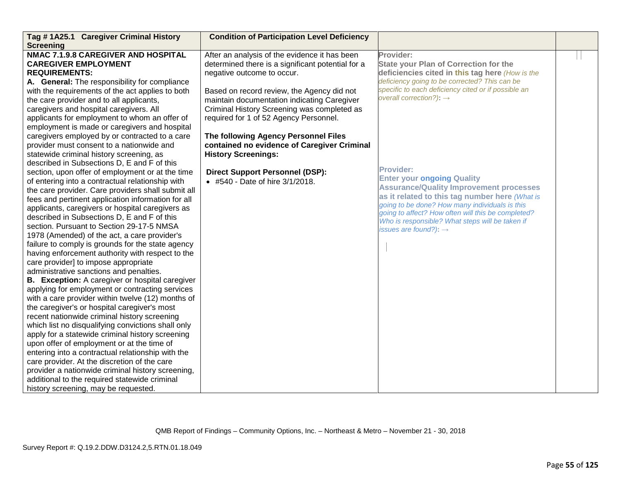| Tag #1A25.1 Caregiver Criminal History                                                                                                                                                                                                                                                                                                                                                                                                                                                                                                                                                                                                                                                                                                                                                                                                                                                                                                                                                                                                                                                                                                                                                                                                                                                           | <b>Condition of Participation Level Deficiency</b>                                                                                                                                                                            |                                                                                                                                                                                                                                                                                                                                                           |  |
|--------------------------------------------------------------------------------------------------------------------------------------------------------------------------------------------------------------------------------------------------------------------------------------------------------------------------------------------------------------------------------------------------------------------------------------------------------------------------------------------------------------------------------------------------------------------------------------------------------------------------------------------------------------------------------------------------------------------------------------------------------------------------------------------------------------------------------------------------------------------------------------------------------------------------------------------------------------------------------------------------------------------------------------------------------------------------------------------------------------------------------------------------------------------------------------------------------------------------------------------------------------------------------------------------|-------------------------------------------------------------------------------------------------------------------------------------------------------------------------------------------------------------------------------|-----------------------------------------------------------------------------------------------------------------------------------------------------------------------------------------------------------------------------------------------------------------------------------------------------------------------------------------------------------|--|
| <b>Screening</b><br>NMAC 7.1.9.8 CAREGIVER AND HOSPITAL<br><b>CAREGIVER EMPLOYMENT</b><br><b>REQUIREMENTS:</b><br>A. General: The responsibility for compliance<br>with the requirements of the act applies to both<br>the care provider and to all applicants,                                                                                                                                                                                                                                                                                                                                                                                                                                                                                                                                                                                                                                                                                                                                                                                                                                                                                                                                                                                                                                  | After an analysis of the evidence it has been<br>determined there is a significant potential for a<br>negative outcome to occur.<br>Based on record review, the Agency did not<br>maintain documentation indicating Caregiver | Provider:<br>State your Plan of Correction for the<br>deficiencies cited in this tag here (How is the<br>deficiency going to be corrected? This can be<br>specific to each deficiency cited or if possible an<br>overall correction?): $\rightarrow$                                                                                                      |  |
| caregivers and hospital caregivers. All<br>applicants for employment to whom an offer of<br>employment is made or caregivers and hospital<br>caregivers employed by or contracted to a care<br>provider must consent to a nationwide and<br>statewide criminal history screening, as                                                                                                                                                                                                                                                                                                                                                                                                                                                                                                                                                                                                                                                                                                                                                                                                                                                                                                                                                                                                             | Criminal History Screening was completed as<br>required for 1 of 52 Agency Personnel.<br>The following Agency Personnel Files<br>contained no evidence of Caregiver Criminal<br><b>History Screenings:</b>                    |                                                                                                                                                                                                                                                                                                                                                           |  |
| described in Subsections D, E and F of this<br>section, upon offer of employment or at the time<br>of entering into a contractual relationship with<br>the care provider. Care providers shall submit all<br>fees and pertinent application information for all<br>applicants, caregivers or hospital caregivers as<br>described in Subsections D, E and F of this<br>section. Pursuant to Section 29-17-5 NMSA<br>1978 (Amended) of the act, a care provider's<br>failure to comply is grounds for the state agency<br>having enforcement authority with respect to the<br>care provider] to impose appropriate<br>administrative sanctions and penalties.<br><b>B.</b> Exception: A caregiver or hospital caregiver<br>applying for employment or contracting services<br>with a care provider within twelve (12) months of<br>the caregiver's or hospital caregiver's most<br>recent nationwide criminal history screening<br>which list no disqualifying convictions shall only<br>apply for a statewide criminal history screening<br>upon offer of employment or at the time of<br>entering into a contractual relationship with the<br>care provider. At the discretion of the care<br>provider a nationwide criminal history screening,<br>additional to the required statewide criminal | <b>Direct Support Personnel (DSP):</b><br>• #540 - Date of hire 3/1/2018.                                                                                                                                                     | <b>Provider:</b><br><b>Enter your ongoing Quality</b><br><b>Assurance/Quality Improvement processes</b><br>as it related to this tag number here (What is<br>going to be done? How many individuals is this<br>going to affect? How often will this be completed?<br>Who is responsible? What steps will be taken if<br>issues are found?): $\rightarrow$ |  |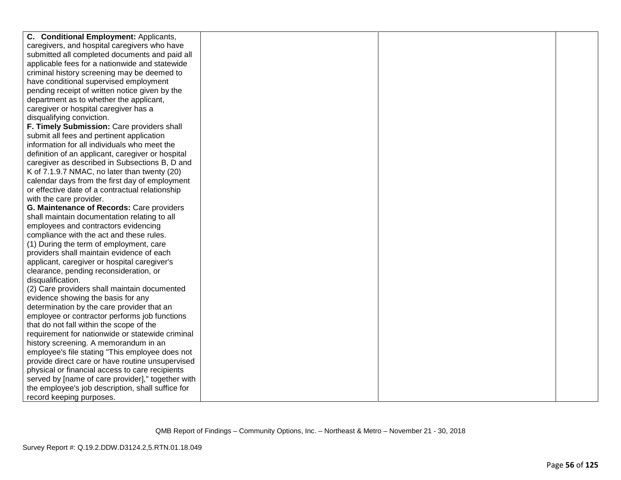| C. Conditional Employment: Applicants,            |  |  |
|---------------------------------------------------|--|--|
| caregivers, and hospital caregivers who have      |  |  |
| submitted all completed documents and paid all    |  |  |
| applicable fees for a nationwide and statewide    |  |  |
| criminal history screening may be deemed to       |  |  |
| have conditional supervised employment            |  |  |
| pending receipt of written notice given by the    |  |  |
| department as to whether the applicant,           |  |  |
| caregiver or hospital caregiver has a             |  |  |
| disqualifying conviction.                         |  |  |
| F. Timely Submission: Care providers shall        |  |  |
| submit all fees and pertinent application         |  |  |
| information for all individuals who meet the      |  |  |
| definition of an applicant, caregiver or hospital |  |  |
| caregiver as described in Subsections B, D and    |  |  |
| K of 7.1.9.7 NMAC, no later than twenty (20)      |  |  |
| calendar days from the first day of employment    |  |  |
| or effective date of a contractual relationship   |  |  |
| with the care provider.                           |  |  |
| G. Maintenance of Records: Care providers         |  |  |
| shall maintain documentation relating to all      |  |  |
| employees and contractors evidencing              |  |  |
| compliance with the act and these rules.          |  |  |
| (1) During the term of employment, care           |  |  |
| providers shall maintain evidence of each         |  |  |
| applicant, caregiver or hospital caregiver's      |  |  |
| clearance, pending reconsideration, or            |  |  |
| disqualification.                                 |  |  |
| (2) Care providers shall maintain documented      |  |  |
| evidence showing the basis for any                |  |  |
| determination by the care provider that an        |  |  |
| employee or contractor performs job functions     |  |  |
| that do not fall within the scope of the          |  |  |
| requirement for nationwide or statewide criminal  |  |  |
| history screening. A memorandum in an             |  |  |
| employee's file stating "This employee does not   |  |  |
| provide direct care or have routine unsupervised  |  |  |
| physical or financial access to care recipients   |  |  |
| served by [name of care provider]," together with |  |  |
| the employee's job description, shall suffice for |  |  |
| record keeping purposes.                          |  |  |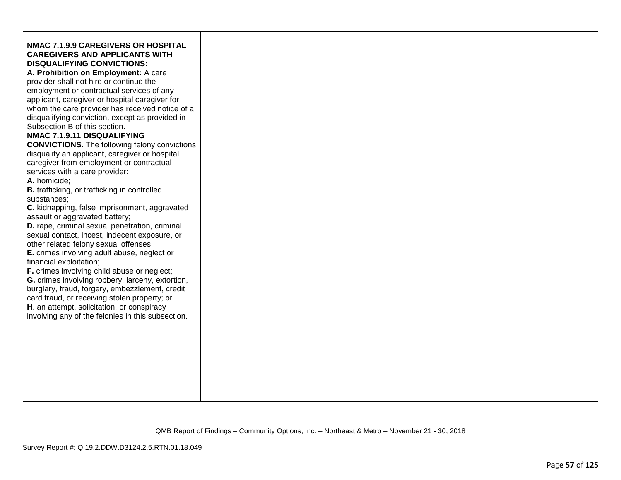| other related felony sexual offenses;<br>E. crimes involving adult abuse, neglect or<br>financial exploitation;<br>F. crimes involving child abuse or neglect;<br>G. crimes involving robbery, larceny, extortion,<br>burglary, fraud, forgery, embezzlement, credit<br>card fraud, or receiving stolen property; or<br>H. an attempt, solicitation, or conspiracy<br>involving any of the felonies in this subsection. | NMAC 7.1.9.9 CAREGIVERS OR HOSPITAL<br><b>CAREGIVERS AND APPLICANTS WITH</b><br><b>DISQUALIFYING CONVICTIONS:</b><br>A. Prohibition on Employment: A care<br>provider shall not hire or continue the<br>employment or contractual services of any<br>applicant, caregiver or hospital caregiver for<br>whom the care provider has received notice of a<br>disqualifying conviction, except as provided in<br>Subsection B of this section.<br>NMAC 7.1.9.11 DISQUALIFYING<br><b>CONVICTIONS.</b> The following felony convictions<br>disqualify an applicant, caregiver or hospital<br>caregiver from employment or contractual<br>services with a care provider:<br>A. homicide;<br><b>B.</b> trafficking, or trafficking in controlled<br>substances:<br>C. kidnapping, false imprisonment, aggravated<br>assault or aggravated battery;<br>D. rape, criminal sexual penetration, criminal<br>sexual contact, incest, indecent exposure, or |  |  |  |
|-------------------------------------------------------------------------------------------------------------------------------------------------------------------------------------------------------------------------------------------------------------------------------------------------------------------------------------------------------------------------------------------------------------------------|-----------------------------------------------------------------------------------------------------------------------------------------------------------------------------------------------------------------------------------------------------------------------------------------------------------------------------------------------------------------------------------------------------------------------------------------------------------------------------------------------------------------------------------------------------------------------------------------------------------------------------------------------------------------------------------------------------------------------------------------------------------------------------------------------------------------------------------------------------------------------------------------------------------------------------------------------|--|--|--|
|-------------------------------------------------------------------------------------------------------------------------------------------------------------------------------------------------------------------------------------------------------------------------------------------------------------------------------------------------------------------------------------------------------------------------|-----------------------------------------------------------------------------------------------------------------------------------------------------------------------------------------------------------------------------------------------------------------------------------------------------------------------------------------------------------------------------------------------------------------------------------------------------------------------------------------------------------------------------------------------------------------------------------------------------------------------------------------------------------------------------------------------------------------------------------------------------------------------------------------------------------------------------------------------------------------------------------------------------------------------------------------------|--|--|--|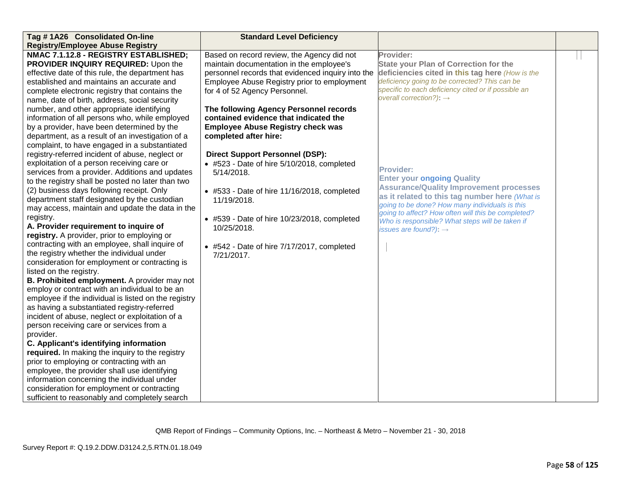| Tag #1A26 Consolidated On-line                       | <b>Standard Level Deficiency</b>                    |                                                                                                       |  |
|------------------------------------------------------|-----------------------------------------------------|-------------------------------------------------------------------------------------------------------|--|
| <b>Registry/Employee Abuse Registry</b>              |                                                     |                                                                                                       |  |
| NMAC 7.1.12.8 - REGISTRY ESTABLISHED;                | Based on record review, the Agency did not          | Provider:                                                                                             |  |
| PROVIDER INQUIRY REQUIRED: Upon the                  | maintain documentation in the employee's            | <b>State your Plan of Correction for the</b>                                                          |  |
| effective date of this rule, the department has      | personnel records that evidenced inquiry into the   | deficiencies cited in this tag here (How is the                                                       |  |
| established and maintains an accurate and            | Employee Abuse Registry prior to employment         | deficiency going to be corrected? This can be                                                         |  |
| complete electronic registry that contains the       | for 4 of 52 Agency Personnel.                       | specific to each deficiency cited or if possible an                                                   |  |
| name, date of birth, address, social security        |                                                     | overall correction?): $\rightarrow$                                                                   |  |
| number, and other appropriate identifying            | The following Agency Personnel records              |                                                                                                       |  |
| information of all persons who, while employed       | contained evidence that indicated the               |                                                                                                       |  |
| by a provider, have been determined by the           | <b>Employee Abuse Registry check was</b>            |                                                                                                       |  |
| department, as a result of an investigation of a     | completed after hire:                               |                                                                                                       |  |
| complaint, to have engaged in a substantiated        |                                                     |                                                                                                       |  |
| registry-referred incident of abuse, neglect or      | <b>Direct Support Personnel (DSP):</b>              |                                                                                                       |  |
| exploitation of a person receiving care or           | • #523 - Date of hire 5/10/2018, completed          |                                                                                                       |  |
| services from a provider. Additions and updates      | 5/14/2018.                                          | <b>Provider:</b>                                                                                      |  |
| to the registry shall be posted no later than two    |                                                     | <b>Enter your ongoing Quality</b>                                                                     |  |
| (2) business days following receipt. Only            | • #533 - Date of hire 11/16/2018, completed         | <b>Assurance/Quality Improvement processes</b>                                                        |  |
| department staff designated by the custodian         | 11/19/2018.                                         | as it related to this tag number here (What is                                                        |  |
| may access, maintain and update the data in the      |                                                     | going to be done? How many individuals is this                                                        |  |
| registry.                                            | $\bullet$ #539 - Date of hire 10/23/2018, completed | going to affect? How often will this be completed?<br>Who is responsible? What steps will be taken if |  |
| A. Provider requirement to inquire of                | 10/25/2018.                                         | issues are found?): $\rightarrow$                                                                     |  |
| registry. A provider, prior to employing or          |                                                     |                                                                                                       |  |
| contracting with an employee, shall inquire of       | $\bullet$ #542 - Date of hire 7/17/2017, completed  |                                                                                                       |  |
| the registry whether the individual under            | 7/21/2017.                                          |                                                                                                       |  |
| consideration for employment or contracting is       |                                                     |                                                                                                       |  |
| listed on the registry.                              |                                                     |                                                                                                       |  |
| B. Prohibited employment. A provider may not         |                                                     |                                                                                                       |  |
| employ or contract with an individual to be an       |                                                     |                                                                                                       |  |
| employee if the individual is listed on the registry |                                                     |                                                                                                       |  |
| as having a substantiated registry-referred          |                                                     |                                                                                                       |  |
| incident of abuse, neglect or exploitation of a      |                                                     |                                                                                                       |  |
| person receiving care or services from a             |                                                     |                                                                                                       |  |
| provider.                                            |                                                     |                                                                                                       |  |
| C. Applicant's identifying information               |                                                     |                                                                                                       |  |
| required. In making the inquiry to the registry      |                                                     |                                                                                                       |  |
| prior to employing or contracting with an            |                                                     |                                                                                                       |  |
| employee, the provider shall use identifying         |                                                     |                                                                                                       |  |
| information concerning the individual under          |                                                     |                                                                                                       |  |
| consideration for employment or contracting          |                                                     |                                                                                                       |  |
| sufficient to reasonably and completely search       |                                                     |                                                                                                       |  |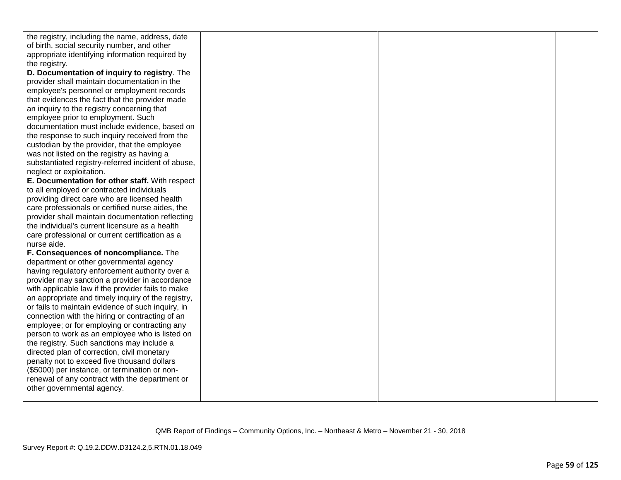| the registry, including the name, address, date    |  |  |
|----------------------------------------------------|--|--|
| of birth, social security number, and other        |  |  |
| appropriate identifying information required by    |  |  |
| the registry.                                      |  |  |
| D. Documentation of inquiry to registry. The       |  |  |
| provider shall maintain documentation in the       |  |  |
| employee's personnel or employment records         |  |  |
| that evidences the fact that the provider made     |  |  |
| an inquiry to the registry concerning that         |  |  |
| employee prior to employment. Such                 |  |  |
| documentation must include evidence, based on      |  |  |
| the response to such inquiry received from the     |  |  |
| custodian by the provider, that the employee       |  |  |
| was not listed on the registry as having a         |  |  |
| substantiated registry-referred incident of abuse, |  |  |
| neglect or exploitation.                           |  |  |
| E. Documentation for other staff. With respect     |  |  |
| to all employed or contracted individuals          |  |  |
| providing direct care who are licensed health      |  |  |
| care professionals or certified nurse aides, the   |  |  |
| provider shall maintain documentation reflecting   |  |  |
| the individual's current licensure as a health     |  |  |
| care professional or current certification as a    |  |  |
| nurse aide.                                        |  |  |
| F. Consequences of noncompliance. The              |  |  |
| department or other governmental agency            |  |  |
| having regulatory enforcement authority over a     |  |  |
| provider may sanction a provider in accordance     |  |  |
| with applicable law if the provider fails to make  |  |  |
| an appropriate and timely inquiry of the registry, |  |  |
| or fails to maintain evidence of such inquiry, in  |  |  |
| connection with the hiring or contracting of an    |  |  |
| employee; or for employing or contracting any      |  |  |
| person to work as an employee who is listed on     |  |  |
| the registry. Such sanctions may include a         |  |  |
| directed plan of correction, civil monetary        |  |  |
| penalty not to exceed five thousand dollars        |  |  |
| (\$5000) per instance, or termination or non-      |  |  |
| renewal of any contract with the department or     |  |  |
| other governmental agency.                         |  |  |
|                                                    |  |  |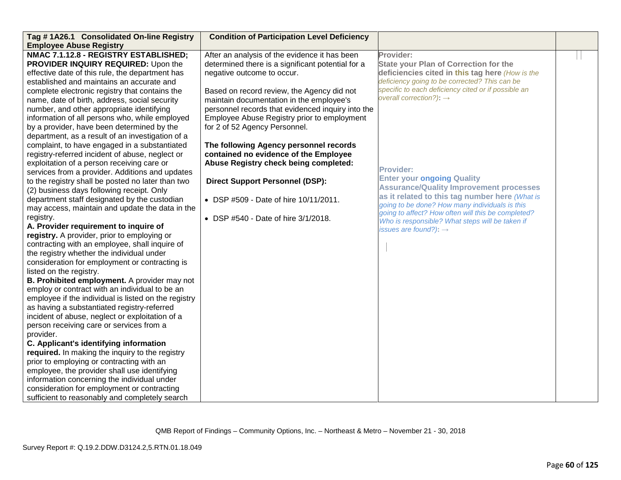| Tag #1A26.1 Consolidated On-line Registry<br><b>Employee Abuse Registry</b>                                                                                                                                                                                                                                                                                                                                                                                                                                                                                                                                                                                                                                                                                                                                                                                                                                                                                                                                                                                                                                                                                                                                                                                                                                                                                                                                                                                                                                                                                                                                                                | <b>Condition of Participation Level Deficiency</b>                                                                                                                                                                                                                                                                                                                                                                                                                                                                                                                                                                    |                                                                                                                                                                                                                                                                                                                                                                                                                                                                                                                                                                                                                          |  |
|--------------------------------------------------------------------------------------------------------------------------------------------------------------------------------------------------------------------------------------------------------------------------------------------------------------------------------------------------------------------------------------------------------------------------------------------------------------------------------------------------------------------------------------------------------------------------------------------------------------------------------------------------------------------------------------------------------------------------------------------------------------------------------------------------------------------------------------------------------------------------------------------------------------------------------------------------------------------------------------------------------------------------------------------------------------------------------------------------------------------------------------------------------------------------------------------------------------------------------------------------------------------------------------------------------------------------------------------------------------------------------------------------------------------------------------------------------------------------------------------------------------------------------------------------------------------------------------------------------------------------------------------|-----------------------------------------------------------------------------------------------------------------------------------------------------------------------------------------------------------------------------------------------------------------------------------------------------------------------------------------------------------------------------------------------------------------------------------------------------------------------------------------------------------------------------------------------------------------------------------------------------------------------|--------------------------------------------------------------------------------------------------------------------------------------------------------------------------------------------------------------------------------------------------------------------------------------------------------------------------------------------------------------------------------------------------------------------------------------------------------------------------------------------------------------------------------------------------------------------------------------------------------------------------|--|
| NMAC 7.1.12.8 - REGISTRY ESTABLISHED;<br>PROVIDER INQUIRY REQUIRED: Upon the<br>effective date of this rule, the department has<br>established and maintains an accurate and<br>complete electronic registry that contains the<br>name, date of birth, address, social security<br>number, and other appropriate identifying<br>information of all persons who, while employed<br>by a provider, have been determined by the<br>department, as a result of an investigation of a<br>complaint, to have engaged in a substantiated<br>registry-referred incident of abuse, neglect or<br>exploitation of a person receiving care or<br>services from a provider. Additions and updates<br>to the registry shall be posted no later than two<br>(2) business days following receipt. Only<br>department staff designated by the custodian<br>may access, maintain and update the data in the<br>registry.<br>A. Provider requirement to inquire of<br>registry. A provider, prior to employing or<br>contracting with an employee, shall inquire of<br>the registry whether the individual under<br>consideration for employment or contracting is<br>listed on the registry.<br>B. Prohibited employment. A provider may not<br>employ or contract with an individual to be an<br>employee if the individual is listed on the registry<br>as having a substantiated registry-referred<br>incident of abuse, neglect or exploitation of a<br>person receiving care or services from a<br>provider.<br>C. Applicant's identifying information<br>required. In making the inquiry to the registry<br>prior to employing or contracting with an | After an analysis of the evidence it has been<br>determined there is a significant potential for a<br>negative outcome to occur.<br>Based on record review, the Agency did not<br>maintain documentation in the employee's<br>personnel records that evidenced inquiry into the<br>Employee Abuse Registry prior to employment<br>for 2 of 52 Agency Personnel.<br>The following Agency personnel records<br>contained no evidence of the Employee<br>Abuse Registry check being completed:<br><b>Direct Support Personnel (DSP):</b><br>• DSP #509 - Date of hire 10/11/2011.<br>• DSP #540 - Date of hire 3/1/2018. | Provider:<br><b>State your Plan of Correction for the</b><br>deficiencies cited in this tag here (How is the<br>deficiency going to be corrected? This can be<br>specific to each deficiency cited or if possible an<br>overall correction?): $\rightarrow$<br><b>Provider:</b><br><b>Enter your ongoing Quality</b><br><b>Assurance/Quality Improvement processes</b><br>as it related to this tag number here (What is<br>going to be done? How many individuals is this<br>going to affect? How often will this be completed?<br>Who is responsible? What steps will be taken if<br>issues are found?): $\rightarrow$ |  |
| employee, the provider shall use identifying<br>information concerning the individual under<br>consideration for employment or contracting<br>sufficient to reasonably and completely search                                                                                                                                                                                                                                                                                                                                                                                                                                                                                                                                                                                                                                                                                                                                                                                                                                                                                                                                                                                                                                                                                                                                                                                                                                                                                                                                                                                                                                               |                                                                                                                                                                                                                                                                                                                                                                                                                                                                                                                                                                                                                       |                                                                                                                                                                                                                                                                                                                                                                                                                                                                                                                                                                                                                          |  |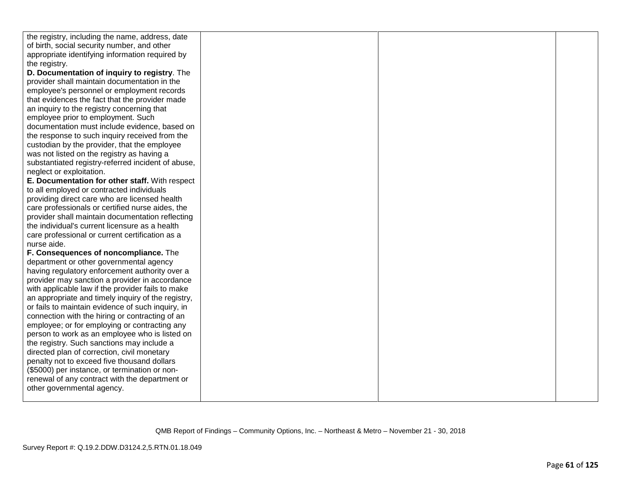| the registry, including the name, address, date    |  |  |
|----------------------------------------------------|--|--|
| of birth, social security number, and other        |  |  |
| appropriate identifying information required by    |  |  |
| the registry.                                      |  |  |
| D. Documentation of inquiry to registry. The       |  |  |
| provider shall maintain documentation in the       |  |  |
| employee's personnel or employment records         |  |  |
| that evidences the fact that the provider made     |  |  |
| an inquiry to the registry concerning that         |  |  |
| employee prior to employment. Such                 |  |  |
| documentation must include evidence, based on      |  |  |
| the response to such inquiry received from the     |  |  |
| custodian by the provider, that the employee       |  |  |
| was not listed on the registry as having a         |  |  |
| substantiated registry-referred incident of abuse, |  |  |
| neglect or exploitation.                           |  |  |
| E. Documentation for other staff. With respect     |  |  |
| to all employed or contracted individuals          |  |  |
| providing direct care who are licensed health      |  |  |
| care professionals or certified nurse aides, the   |  |  |
| provider shall maintain documentation reflecting   |  |  |
| the individual's current licensure as a health     |  |  |
| care professional or current certification as a    |  |  |
| nurse aide.                                        |  |  |
| F. Consequences of noncompliance. The              |  |  |
| department or other governmental agency            |  |  |
| having regulatory enforcement authority over a     |  |  |
| provider may sanction a provider in accordance     |  |  |
| with applicable law if the provider fails to make  |  |  |
| an appropriate and timely inquiry of the registry, |  |  |
| or fails to maintain evidence of such inquiry, in  |  |  |
| connection with the hiring or contracting of an    |  |  |
| employee; or for employing or contracting any      |  |  |
| person to work as an employee who is listed on     |  |  |
| the registry. Such sanctions may include a         |  |  |
| directed plan of correction, civil monetary        |  |  |
| penalty not to exceed five thousand dollars        |  |  |
| (\$5000) per instance, or termination or non-      |  |  |
| renewal of any contract with the department or     |  |  |
| other governmental agency.                         |  |  |
|                                                    |  |  |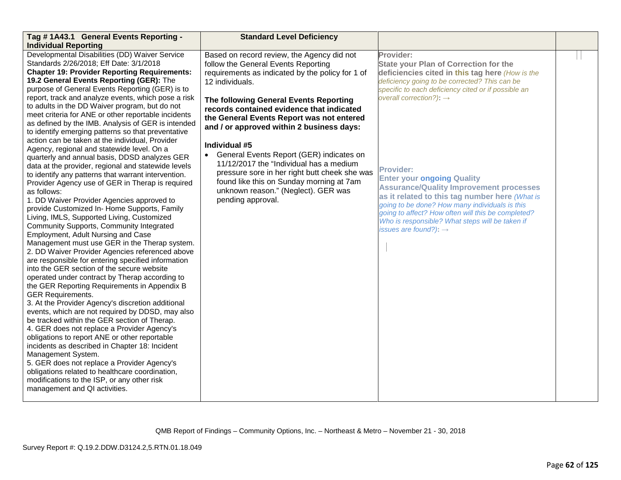| Tag #1A43.1 General Events Reporting -<br><b>Individual Reporting</b>                                                                                                                                                                                                                                                                                                                                                                                                                                                                                                                                                                                                                                                                                                                                                                                                                                                                                                                                                                                                                                                                                                                                                                                                                                                                                                                                                                                                                                                                                                                                                                                                                                                                                                                                                                                                                                                                                 | <b>Standard Level Deficiency</b>                                                                                                                                                                                                                                                                                                                                                                                                                                                                                                                                                                           |                                                                                                                                                                                                                                                                                                                                                                                                                                                                                                                                                                                                                          |  |
|-------------------------------------------------------------------------------------------------------------------------------------------------------------------------------------------------------------------------------------------------------------------------------------------------------------------------------------------------------------------------------------------------------------------------------------------------------------------------------------------------------------------------------------------------------------------------------------------------------------------------------------------------------------------------------------------------------------------------------------------------------------------------------------------------------------------------------------------------------------------------------------------------------------------------------------------------------------------------------------------------------------------------------------------------------------------------------------------------------------------------------------------------------------------------------------------------------------------------------------------------------------------------------------------------------------------------------------------------------------------------------------------------------------------------------------------------------------------------------------------------------------------------------------------------------------------------------------------------------------------------------------------------------------------------------------------------------------------------------------------------------------------------------------------------------------------------------------------------------------------------------------------------------------------------------------------------------|------------------------------------------------------------------------------------------------------------------------------------------------------------------------------------------------------------------------------------------------------------------------------------------------------------------------------------------------------------------------------------------------------------------------------------------------------------------------------------------------------------------------------------------------------------------------------------------------------------|--------------------------------------------------------------------------------------------------------------------------------------------------------------------------------------------------------------------------------------------------------------------------------------------------------------------------------------------------------------------------------------------------------------------------------------------------------------------------------------------------------------------------------------------------------------------------------------------------------------------------|--|
| Developmental Disabilities (DD) Waiver Service<br>Standards 2/26/2018; Eff Date: 3/1/2018<br><b>Chapter 19: Provider Reporting Requirements:</b><br>19.2 General Events Reporting (GER): The<br>purpose of General Events Reporting (GER) is to<br>report, track and analyze events, which pose a risk<br>to adults in the DD Waiver program, but do not<br>meet criteria for ANE or other reportable incidents<br>as defined by the IMB. Analysis of GER is intended<br>to identify emerging patterns so that preventative<br>action can be taken at the individual, Provider<br>Agency, regional and statewide level. On a<br>quarterly and annual basis, DDSD analyzes GER<br>data at the provider, regional and statewide levels<br>to identify any patterns that warrant intervention.<br>Provider Agency use of GER in Therap is required<br>as follows:<br>1. DD Waiver Provider Agencies approved to<br>provide Customized In- Home Supports, Family<br>Living, IMLS, Supported Living, Customized<br>Community Supports, Community Integrated<br>Employment, Adult Nursing and Case<br>Management must use GER in the Therap system.<br>2. DD Waiver Provider Agencies referenced above<br>are responsible for entering specified information<br>into the GER section of the secure website<br>operated under contract by Therap according to<br>the GER Reporting Requirements in Appendix B<br><b>GER Requirements.</b><br>3. At the Provider Agency's discretion additional<br>events, which are not required by DDSD, may also<br>be tracked within the GER section of Therap.<br>4. GER does not replace a Provider Agency's<br>obligations to report ANE or other reportable<br>incidents as described in Chapter 18: Incident<br>Management System.<br>5. GER does not replace a Provider Agency's<br>obligations related to healthcare coordination,<br>modifications to the ISP, or any other risk<br>management and QI activities. | Based on record review, the Agency did not<br>follow the General Events Reporting<br>requirements as indicated by the policy for 1 of<br>12 individuals.<br>The following General Events Reporting<br>records contained evidence that indicated<br>the General Events Report was not entered<br>and / or approved within 2 business days:<br>Individual #5<br>General Events Report (GER) indicates on<br>11/12/2017 the "Individual has a medium<br>pressure sore in her right butt cheek she was<br>found like this on Sunday morning at 7am<br>unknown reason." (Neglect). GER was<br>pending approval. | Provider:<br><b>State your Plan of Correction for the</b><br>deficiencies cited in this tag here (How is the<br>deficiency going to be corrected? This can be<br>specific to each deficiency cited or if possible an<br>overall correction?): $\rightarrow$<br><b>Provider:</b><br><b>Enter your ongoing Quality</b><br><b>Assurance/Quality Improvement processes</b><br>as it related to this tag number here (What is<br>going to be done? How many individuals is this<br>going to affect? How often will this be completed?<br>Who is responsible? What steps will be taken if<br>issues are found?): $\rightarrow$ |  |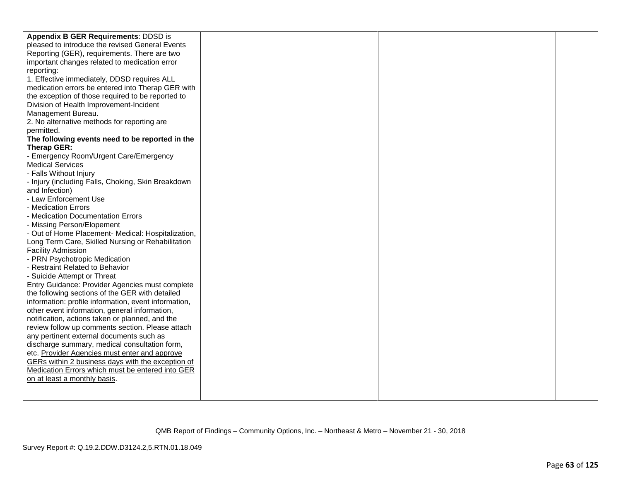| Appendix B GER Requirements: DDSD is                 |  |  |
|------------------------------------------------------|--|--|
| pleased to introduce the revised General Events      |  |  |
| Reporting (GER), requirements. There are two         |  |  |
| important changes related to medication error        |  |  |
| reporting:                                           |  |  |
| 1. Effective immediately, DDSD requires ALL          |  |  |
| medication errors be entered into Therap GER with    |  |  |
| the exception of those required to be reported to    |  |  |
| Division of Health Improvement-Incident              |  |  |
| Management Bureau.                                   |  |  |
| 2. No alternative methods for reporting are          |  |  |
| permitted.                                           |  |  |
| The following events need to be reported in the      |  |  |
| Therap GER:                                          |  |  |
| - Emergency Room/Urgent Care/Emergency               |  |  |
| <b>Medical Services</b>                              |  |  |
| - Falls Without Injury                               |  |  |
| - Injury (including Falls, Choking, Skin Breakdown   |  |  |
| and Infection)                                       |  |  |
| - Law Enforcement Use                                |  |  |
| - Medication Errors                                  |  |  |
| - Medication Documentation Errors                    |  |  |
| - Missing Person/Elopement                           |  |  |
| - Out of Home Placement- Medical: Hospitalization,   |  |  |
| Long Term Care, Skilled Nursing or Rehabilitation    |  |  |
| <b>Facility Admission</b>                            |  |  |
| - PRN Psychotropic Medication                        |  |  |
| - Restraint Related to Behavior                      |  |  |
| - Suicide Attempt or Threat                          |  |  |
| Entry Guidance: Provider Agencies must complete      |  |  |
| the following sections of the GER with detailed      |  |  |
| information: profile information, event information, |  |  |
| other event information, general information,        |  |  |
| notification, actions taken or planned, and the      |  |  |
| review follow up comments section. Please attach     |  |  |
| any pertinent external documents such as             |  |  |
| discharge summary, medical consultation form,        |  |  |
| etc. Provider Agencies must enter and approve        |  |  |
| GERs within 2 business days with the exception of    |  |  |
| Medication Errors which must be entered into GER     |  |  |
| on at least a monthly basis.                         |  |  |
|                                                      |  |  |
|                                                      |  |  |
|                                                      |  |  |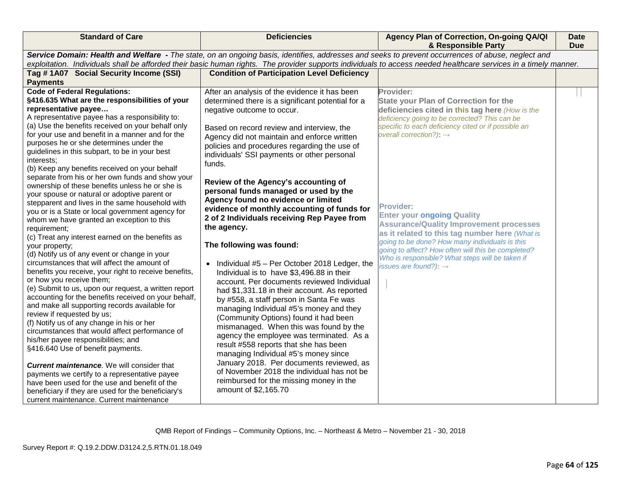| <b>Standard of Care</b>                                                                                                                                                                                                                                                                                                                                                                                                                                                                                                                                                                                                                                                                                                                                                                                                                                                                                                                                                                                                                                                                                                                                                                                                                                                                                                                                                                                                                                                                                                                                                                                                                                         | <b>Deficiencies</b>                                                                                                                                                                                                                                                                                                                                                                                                                                                                                                                                                                                                                                                                                                                                                                                                                                                                                                                                                                                                                                                                                                                                                                                                                                                      | Agency Plan of Correction, On-going QA/QI<br>& Responsible Party                                                                                                                                                                                                                                                                                                                                                                                                                                                                                                                                                         | Date<br><b>Due</b> |  |  |
|-----------------------------------------------------------------------------------------------------------------------------------------------------------------------------------------------------------------------------------------------------------------------------------------------------------------------------------------------------------------------------------------------------------------------------------------------------------------------------------------------------------------------------------------------------------------------------------------------------------------------------------------------------------------------------------------------------------------------------------------------------------------------------------------------------------------------------------------------------------------------------------------------------------------------------------------------------------------------------------------------------------------------------------------------------------------------------------------------------------------------------------------------------------------------------------------------------------------------------------------------------------------------------------------------------------------------------------------------------------------------------------------------------------------------------------------------------------------------------------------------------------------------------------------------------------------------------------------------------------------------------------------------------------------|--------------------------------------------------------------------------------------------------------------------------------------------------------------------------------------------------------------------------------------------------------------------------------------------------------------------------------------------------------------------------------------------------------------------------------------------------------------------------------------------------------------------------------------------------------------------------------------------------------------------------------------------------------------------------------------------------------------------------------------------------------------------------------------------------------------------------------------------------------------------------------------------------------------------------------------------------------------------------------------------------------------------------------------------------------------------------------------------------------------------------------------------------------------------------------------------------------------------------------------------------------------------------|--------------------------------------------------------------------------------------------------------------------------------------------------------------------------------------------------------------------------------------------------------------------------------------------------------------------------------------------------------------------------------------------------------------------------------------------------------------------------------------------------------------------------------------------------------------------------------------------------------------------------|--------------------|--|--|
|                                                                                                                                                                                                                                                                                                                                                                                                                                                                                                                                                                                                                                                                                                                                                                                                                                                                                                                                                                                                                                                                                                                                                                                                                                                                                                                                                                                                                                                                                                                                                                                                                                                                 | Service Domain: Health and Welfare - The state, on an ongoing basis, identifies, addresses and seeks to prevent occurrences of abuse, neglect and<br>exploitation. Individuals shall be afforded their basic human rights. The provider supports individuals to access needed healthcare services in a timely manner.                                                                                                                                                                                                                                                                                                                                                                                                                                                                                                                                                                                                                                                                                                                                                                                                                                                                                                                                                    |                                                                                                                                                                                                                                                                                                                                                                                                                                                                                                                                                                                                                          |                    |  |  |
| Tag #1A07 Social Security Income (SSI)<br><b>Payments</b>                                                                                                                                                                                                                                                                                                                                                                                                                                                                                                                                                                                                                                                                                                                                                                                                                                                                                                                                                                                                                                                                                                                                                                                                                                                                                                                                                                                                                                                                                                                                                                                                       | <b>Condition of Participation Level Deficiency</b>                                                                                                                                                                                                                                                                                                                                                                                                                                                                                                                                                                                                                                                                                                                                                                                                                                                                                                                                                                                                                                                                                                                                                                                                                       |                                                                                                                                                                                                                                                                                                                                                                                                                                                                                                                                                                                                                          |                    |  |  |
| <b>Code of Federal Regulations:</b><br>§416.635 What are the responsibilities of your<br>representative payee<br>A representative payee has a responsibility to:<br>(a) Use the benefits received on your behalf only<br>for your use and benefit in a manner and for the<br>purposes he or she determines under the<br>guidelines in this subpart, to be in your best<br>interests;<br>(b) Keep any benefits received on your behalf<br>separate from his or her own funds and show your<br>ownership of these benefits unless he or she is<br>your spouse or natural or adoptive parent or<br>stepparent and lives in the same household with<br>you or is a State or local government agency for<br>whom we have granted an exception to this<br>requirement;<br>(c) Treat any interest earned on the benefits as<br>your property;<br>(d) Notify us of any event or change in your<br>circumstances that will affect the amount of<br>benefits you receive, your right to receive benefits,<br>or how you receive them;<br>(e) Submit to us, upon our request, a written report<br>accounting for the benefits received on your behalf,<br>and make all supporting records available for<br>review if requested by us;<br>(f) Notify us of any change in his or her<br>circumstances that would affect performance of<br>his/her payee responsibilities; and<br>§416.640 Use of benefit payments.<br><b>Current maintenance</b> . We will consider that<br>payments we certify to a representative payee<br>have been used for the use and benefit of the<br>beneficiary if they are used for the beneficiary's<br>current maintenance. Current maintenance | After an analysis of the evidence it has been<br>determined there is a significant potential for a<br>negative outcome to occur.<br>Based on record review and interview, the<br>Agency did not maintain and enforce written<br>policies and procedures regarding the use of<br>individuals' SSI payments or other personal<br>funds.<br>Review of the Agency's accounting of<br>personal funds managed or used by the<br>Agency found no evidence or limited<br>evidence of monthly accounting of funds for<br>2 of 2 Individuals receiving Rep Payee from<br>the agency.<br>The following was found:<br>• Individual $#5$ – Per October 2018 Ledger, the<br>Individual is to have \$3,496.88 in their<br>account. Per documents reviewed Individual<br>had \$1,331.18 in their account. As reported<br>by #558, a staff person in Santa Fe was<br>managing Individual #5's money and they<br>(Community Options) found it had been<br>mismanaged. When this was found by the<br>agency the employee was terminated. As a<br>result #558 reports that she has been<br>managing Individual #5's money since<br>January 2018. Per documents reviewed, as<br>of November 2018 the individual has not be<br>reimbursed for the missing money in the<br>amount of \$2,165.70 | Provider:<br><b>State your Plan of Correction for the</b><br>deficiencies cited in this tag here (How is the<br>deficiency going to be corrected? This can be<br>specific to each deficiency cited or if possible an<br>overall correction?): $\rightarrow$<br><b>Provider:</b><br><b>Enter your ongoing Quality</b><br><b>Assurance/Quality Improvement processes</b><br>as it related to this tag number here (What is<br>going to be done? How many individuals is this<br>going to affect? How often will this be completed?<br>Who is responsible? What steps will be taken if<br>issues are found?): $\rightarrow$ |                    |  |  |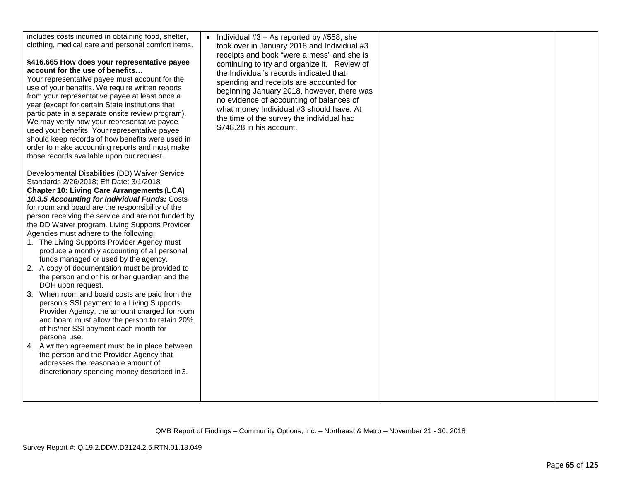| includes costs incurred in obtaining food, shelter,<br>clothing, medical care and personal comfort items.<br>§416.665 How does your representative payee<br>account for the use of benefits<br>Your representative payee must account for the<br>use of your benefits. We require written reports<br>from your representative payee at least once a<br>year (except for certain State institutions that<br>participate in a separate onsite review program).<br>We may verify how your representative payee<br>used your benefits. Your representative payee<br>should keep records of how benefits were used in<br>order to make accounting reports and must make<br>those records available upon our request.<br>Developmental Disabilities (DD) Waiver Service<br>Standards 2/26/2018; Eff Date: 3/1/2018<br><b>Chapter 10: Living Care Arrangements (LCA)</b><br>10.3.5 Accounting for Individual Funds: Costs<br>for room and board are the responsibility of the<br>person receiving the service and are not funded by<br>the DD Waiver program. Living Supports Provider<br>Agencies must adhere to the following:<br>1. The Living Supports Provider Agency must<br>produce a monthly accounting of all personal<br>funds managed or used by the agency.<br>2. A copy of documentation must be provided to<br>the person and or his or her guardian and the<br>DOH upon request.<br>3. When room and board costs are paid from the<br>person's SSI payment to a Living Supports<br>Provider Agency, the amount charged for room<br>and board must allow the person to retain 20%<br>of his/her SSI payment each month for<br>personal use.<br>4. A written agreement must be in place between<br>the person and the Provider Agency that<br>addresses the reasonable amount of<br>discretionary spending money described in 3. | • Individual $#3 - As$ reported by $#558$ , she<br>took over in January 2018 and Individual #3<br>receipts and book "were a mess" and she is<br>continuing to try and organize it. Review of<br>the Individual's records indicated that<br>spending and receipts are accounted for<br>beginning January 2018, however, there was<br>no evidence of accounting of balances of<br>what money Individual #3 should have. At<br>the time of the survey the individual had<br>\$748.28 in his account. |  |  |
|----------------------------------------------------------------------------------------------------------------------------------------------------------------------------------------------------------------------------------------------------------------------------------------------------------------------------------------------------------------------------------------------------------------------------------------------------------------------------------------------------------------------------------------------------------------------------------------------------------------------------------------------------------------------------------------------------------------------------------------------------------------------------------------------------------------------------------------------------------------------------------------------------------------------------------------------------------------------------------------------------------------------------------------------------------------------------------------------------------------------------------------------------------------------------------------------------------------------------------------------------------------------------------------------------------------------------------------------------------------------------------------------------------------------------------------------------------------------------------------------------------------------------------------------------------------------------------------------------------------------------------------------------------------------------------------------------------------------------------------------------------------------------------------------------------------------------------------|---------------------------------------------------------------------------------------------------------------------------------------------------------------------------------------------------------------------------------------------------------------------------------------------------------------------------------------------------------------------------------------------------------------------------------------------------------------------------------------------------|--|--|
|----------------------------------------------------------------------------------------------------------------------------------------------------------------------------------------------------------------------------------------------------------------------------------------------------------------------------------------------------------------------------------------------------------------------------------------------------------------------------------------------------------------------------------------------------------------------------------------------------------------------------------------------------------------------------------------------------------------------------------------------------------------------------------------------------------------------------------------------------------------------------------------------------------------------------------------------------------------------------------------------------------------------------------------------------------------------------------------------------------------------------------------------------------------------------------------------------------------------------------------------------------------------------------------------------------------------------------------------------------------------------------------------------------------------------------------------------------------------------------------------------------------------------------------------------------------------------------------------------------------------------------------------------------------------------------------------------------------------------------------------------------------------------------------------------------------------------------------|---------------------------------------------------------------------------------------------------------------------------------------------------------------------------------------------------------------------------------------------------------------------------------------------------------------------------------------------------------------------------------------------------------------------------------------------------------------------------------------------------|--|--|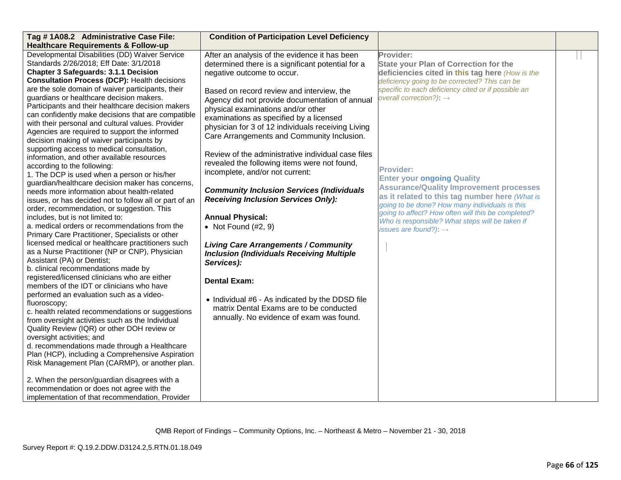| Tag #1A08.2 Administrative Case File:                                                                   | <b>Condition of Participation Level Deficiency</b> |                                                                                                  |  |
|---------------------------------------------------------------------------------------------------------|----------------------------------------------------|--------------------------------------------------------------------------------------------------|--|
| <b>Healthcare Requirements &amp; Follow-up</b>                                                          |                                                    |                                                                                                  |  |
| Developmental Disabilities (DD) Waiver Service                                                          | After an analysis of the evidence it has been      | Provider:                                                                                        |  |
| Standards 2/26/2018; Eff Date: 3/1/2018                                                                 | determined there is a significant potential for a  | <b>State your Plan of Correction for the</b>                                                     |  |
| <b>Chapter 3 Safeguards: 3.1.1 Decision</b>                                                             | negative outcome to occur.                         | deficiencies cited in this tag here (How is the                                                  |  |
| <b>Consultation Process (DCP): Health decisions</b>                                                     |                                                    | deficiency going to be corrected? This can be                                                    |  |
| are the sole domain of waiver participants, their                                                       | Based on record review and interview, the          | specific to each deficiency cited or if possible an                                              |  |
| guardians or healthcare decision makers.                                                                | Agency did not provide documentation of annual     | overall correction?): $\rightarrow$                                                              |  |
| Participants and their healthcare decision makers                                                       | physical examinations and/or other                 |                                                                                                  |  |
| can confidently make decisions that are compatible<br>with their personal and cultural values. Provider | examinations as specified by a licensed            |                                                                                                  |  |
| Agencies are required to support the informed                                                           | physician for 3 of 12 individuals receiving Living |                                                                                                  |  |
| decision making of waiver participants by                                                               | Care Arrangements and Community Inclusion.         |                                                                                                  |  |
| supporting access to medical consultation,                                                              |                                                    |                                                                                                  |  |
| information, and other available resources                                                              | Review of the administrative individual case files |                                                                                                  |  |
| according to the following:                                                                             | revealed the following items were not found,       |                                                                                                  |  |
| 1. The DCP is used when a person or his/her                                                             | incomplete, and/or not current:                    | <b>Provider:</b>                                                                                 |  |
| guardian/healthcare decision maker has concerns,                                                        |                                                    | <b>Enter your ongoing Quality</b>                                                                |  |
| needs more information about health-related                                                             | <b>Community Inclusion Services (Individuals</b>   | <b>Assurance/Quality Improvement processes</b>                                                   |  |
| issues, or has decided not to follow all or part of an                                                  | <b>Receiving Inclusion Services Only):</b>         | as it related to this tag number here (What is<br>going to be done? How many individuals is this |  |
| order, recommendation, or suggestion. This                                                              |                                                    | going to affect? How often will this be completed?                                               |  |
| includes, but is not limited to:                                                                        | <b>Annual Physical:</b>                            | Who is responsible? What steps will be taken if                                                  |  |
| a. medical orders or recommendations from the                                                           | • Not Found $(\#2, 9)$                             | issues are found?): $\rightarrow$                                                                |  |
| Primary Care Practitioner, Specialists or other                                                         |                                                    |                                                                                                  |  |
| licensed medical or healthcare practitioners such                                                       | <b>Living Care Arrangements / Community</b>        |                                                                                                  |  |
| as a Nurse Practitioner (NP or CNP), Physician                                                          | <b>Inclusion (Individuals Receiving Multiple</b>   |                                                                                                  |  |
| Assistant (PA) or Dentist;                                                                              | Services):                                         |                                                                                                  |  |
| b. clinical recommendations made by<br>registered/licensed clinicians who are either                    |                                                    |                                                                                                  |  |
| members of the IDT or clinicians who have                                                               | <b>Dental Exam:</b>                                |                                                                                                  |  |
| performed an evaluation such as a video-                                                                |                                                    |                                                                                                  |  |
| fluoroscopy;                                                                                            | • Individual #6 - As indicated by the DDSD file    |                                                                                                  |  |
| c. health related recommendations or suggestions                                                        | matrix Dental Exams are to be conducted            |                                                                                                  |  |
| from oversight activities such as the Individual                                                        | annually. No evidence of exam was found.           |                                                                                                  |  |
| Quality Review (IQR) or other DOH review or                                                             |                                                    |                                                                                                  |  |
| oversight activities; and                                                                               |                                                    |                                                                                                  |  |
| d. recommendations made through a Healthcare                                                            |                                                    |                                                                                                  |  |
| Plan (HCP), including a Comprehensive Aspiration                                                        |                                                    |                                                                                                  |  |
| Risk Management Plan (CARMP), or another plan.                                                          |                                                    |                                                                                                  |  |
| 2. When the person/guardian disagrees with a                                                            |                                                    |                                                                                                  |  |
| recommendation or does not agree with the                                                               |                                                    |                                                                                                  |  |
| implementation of that recommendation, Provider                                                         |                                                    |                                                                                                  |  |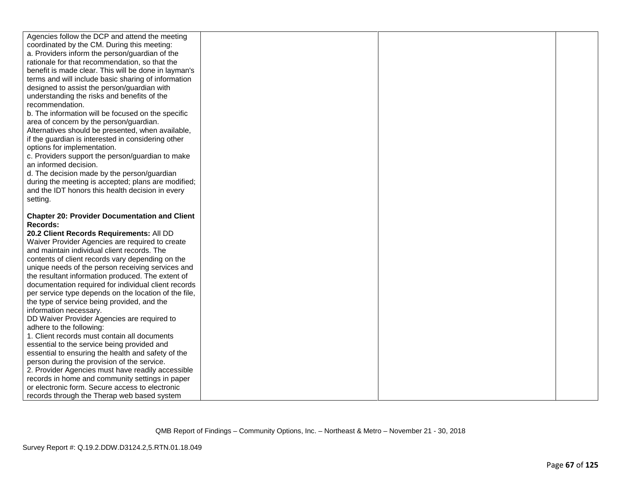| Agencies follow the DCP and attend the meeting        |  |  |
|-------------------------------------------------------|--|--|
| coordinated by the CM. During this meeting:           |  |  |
| a. Providers inform the person/guardian of the        |  |  |
| rationale for that recommendation, so that the        |  |  |
| benefit is made clear. This will be done in layman's  |  |  |
| terms and will include basic sharing of information   |  |  |
| designed to assist the person/guardian with           |  |  |
| understanding the risks and benefits of the           |  |  |
| recommendation.                                       |  |  |
| b. The information will be focused on the specific    |  |  |
| area of concern by the person/guardian.               |  |  |
| Alternatives should be presented, when available,     |  |  |
| if the guardian is interested in considering other    |  |  |
| options for implementation.                           |  |  |
| c. Providers support the person/guardian to make      |  |  |
| an informed decision.                                 |  |  |
| d. The decision made by the person/guardian           |  |  |
| during the meeting is accepted; plans are modified;   |  |  |
| and the IDT honors this health decision in every      |  |  |
| setting.                                              |  |  |
|                                                       |  |  |
| <b>Chapter 20: Provider Documentation and Client</b>  |  |  |
| Records:                                              |  |  |
| 20.2 Client Records Requirements: All DD              |  |  |
| Waiver Provider Agencies are required to create       |  |  |
| and maintain individual client records. The           |  |  |
| contents of client records vary depending on the      |  |  |
| unique needs of the person receiving services and     |  |  |
| the resultant information produced. The extent of     |  |  |
| documentation required for individual client records  |  |  |
| per service type depends on the location of the file, |  |  |
| the type of service being provided, and the           |  |  |
| information necessary.                                |  |  |
| DD Waiver Provider Agencies are required to           |  |  |
| adhere to the following:                              |  |  |
| 1. Client records must contain all documents          |  |  |
| essential to the service being provided and           |  |  |
| essential to ensuring the health and safety of the    |  |  |
| person during the provision of the service.           |  |  |
| 2. Provider Agencies must have readily accessible     |  |  |
| records in home and community settings in paper       |  |  |
| or electronic form. Secure access to electronic       |  |  |
| records through the Therap web based system           |  |  |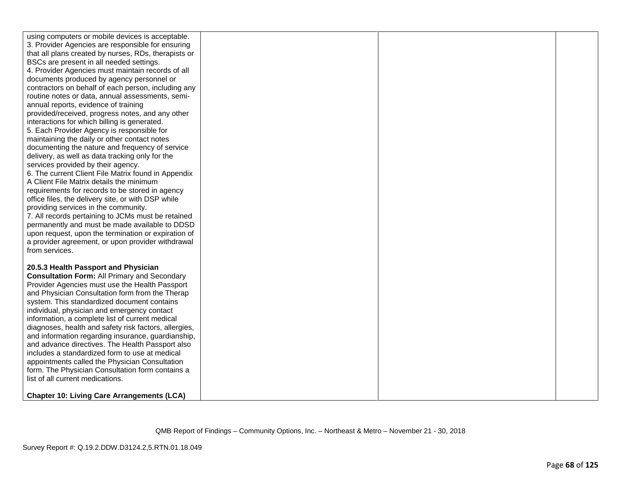| using computers or mobile devices is acceptable.      |  |  |
|-------------------------------------------------------|--|--|
| 3. Provider Agencies are responsible for ensuring     |  |  |
| that all plans created by nurses, RDs, therapists or  |  |  |
| BSCs are present in all needed settings.              |  |  |
| 4. Provider Agencies must maintain records of all     |  |  |
| documents produced by agency personnel or             |  |  |
| contractors on behalf of each person, including any   |  |  |
| routine notes or data, annual assessments, semi-      |  |  |
| annual reports, evidence of training                  |  |  |
| provided/received, progress notes, and any other      |  |  |
| interactions for which billing is generated.          |  |  |
| 5. Each Provider Agency is responsible for            |  |  |
| maintaining the daily or other contact notes          |  |  |
| documenting the nature and frequency of service       |  |  |
| delivery, as well as data tracking only for the       |  |  |
| services provided by their agency.                    |  |  |
| 6. The current Client File Matrix found in Appendix   |  |  |
| A Client File Matrix details the minimum              |  |  |
| requirements for records to be stored in agency       |  |  |
| office files, the delivery site, or with DSP while    |  |  |
| providing services in the community.                  |  |  |
| 7. All records pertaining to JCMs must be retained    |  |  |
| permanently and must be made available to DDSD        |  |  |
| upon request, upon the termination or expiration of   |  |  |
| a provider agreement, or upon provider withdrawal     |  |  |
| from services.                                        |  |  |
|                                                       |  |  |
| 20.5.3 Health Passport and Physician                  |  |  |
| <b>Consultation Form: All Primary and Secondary</b>   |  |  |
| Provider Agencies must use the Health Passport        |  |  |
| and Physician Consultation form from the Therap       |  |  |
| system. This standardized document contains           |  |  |
| individual, physician and emergency contact           |  |  |
| information, a complete list of current medical       |  |  |
| diagnoses, health and safety risk factors, allergies, |  |  |
| and information regarding insurance, guardianship,    |  |  |
| and advance directives. The Health Passport also      |  |  |
| includes a standardized form to use at medical        |  |  |
| appointments called the Physician Consultation        |  |  |
| form. The Physician Consultation form contains a      |  |  |
| list of all current medications.                      |  |  |
|                                                       |  |  |
| <b>Chapter 10: Living Care Arrangements (LCA)</b>     |  |  |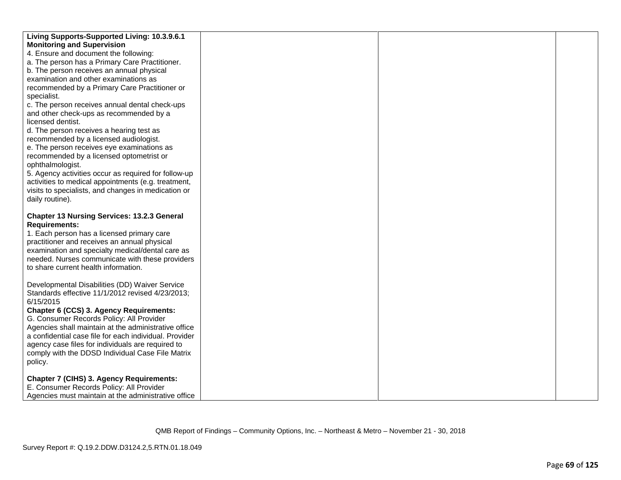| Living Supports-Supported Living: 10.3.9.6.1           |  |  |
|--------------------------------------------------------|--|--|
| <b>Monitoring and Supervision</b>                      |  |  |
| 4. Ensure and document the following:                  |  |  |
| a. The person has a Primary Care Practitioner.         |  |  |
| b. The person receives an annual physical              |  |  |
| examination and other examinations as                  |  |  |
| recommended by a Primary Care Practitioner or          |  |  |
| specialist.                                            |  |  |
| c. The person receives annual dental check-ups         |  |  |
| and other check-ups as recommended by a                |  |  |
| licensed dentist.                                      |  |  |
| d. The person receives a hearing test as               |  |  |
| recommended by a licensed audiologist.                 |  |  |
| e. The person receives eye examinations as             |  |  |
| recommended by a licensed optometrist or               |  |  |
| ophthalmologist.                                       |  |  |
| 5. Agency activities occur as required for follow-up   |  |  |
| activities to medical appointments (e.g. treatment,    |  |  |
| visits to specialists, and changes in medication or    |  |  |
| daily routine).                                        |  |  |
|                                                        |  |  |
| <b>Chapter 13 Nursing Services: 13.2.3 General</b>     |  |  |
| <b>Requirements:</b>                                   |  |  |
| 1. Each person has a licensed primary care             |  |  |
| practitioner and receives an annual physical           |  |  |
| examination and specialty medical/dental care as       |  |  |
| needed. Nurses communicate with these providers        |  |  |
| to share current health information.                   |  |  |
|                                                        |  |  |
| Developmental Disabilities (DD) Waiver Service         |  |  |
| Standards effective 11/1/2012 revised 4/23/2013;       |  |  |
| 6/15/2015                                              |  |  |
| Chapter 6 (CCS) 3. Agency Requirements:                |  |  |
| G. Consumer Records Policy: All Provider               |  |  |
| Agencies shall maintain at the administrative office   |  |  |
| a confidential case file for each individual. Provider |  |  |
| agency case files for individuals are required to      |  |  |
| comply with the DDSD Individual Case File Matrix       |  |  |
| policy.                                                |  |  |
|                                                        |  |  |
| <b>Chapter 7 (CIHS) 3. Agency Requirements:</b>        |  |  |
| E. Consumer Records Policy: All Provider               |  |  |
| Agencies must maintain at the administrative office    |  |  |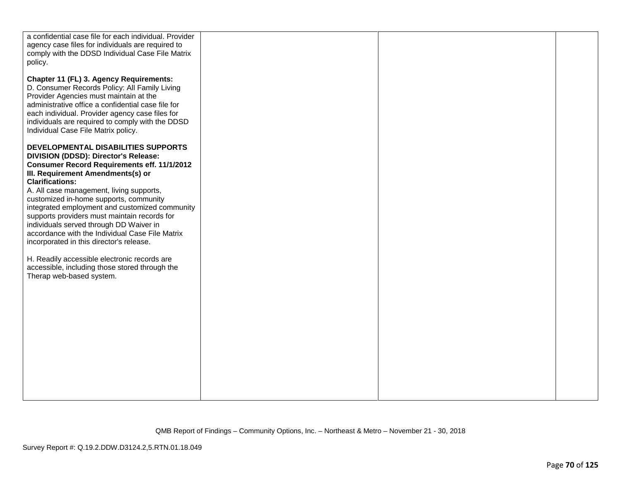| a confidential case file for each individual. Provider                                     |  |  |
|--------------------------------------------------------------------------------------------|--|--|
| agency case files for individuals are required to                                          |  |  |
| comply with the DDSD Individual Case File Matrix                                           |  |  |
| policy.                                                                                    |  |  |
|                                                                                            |  |  |
| Chapter 11 (FL) 3. Agency Requirements:                                                    |  |  |
| D. Consumer Records Policy: All Family Living                                              |  |  |
| Provider Agencies must maintain at the                                                     |  |  |
| administrative office a confidential case file for                                         |  |  |
| each individual. Provider agency case files for                                            |  |  |
| individuals are required to comply with the DDSD                                           |  |  |
| Individual Case File Matrix policy.                                                        |  |  |
|                                                                                            |  |  |
| DEVELOPMENTAL DISABILITIES SUPPORTS                                                        |  |  |
| DIVISION (DDSD): Director's Release:                                                       |  |  |
| <b>Consumer Record Requirements eff. 11/1/2012</b>                                         |  |  |
| III. Requirement Amendments(s) or                                                          |  |  |
| <b>Clarifications:</b>                                                                     |  |  |
| A. All case management, living supports,                                                   |  |  |
| customized in-home supports, community                                                     |  |  |
| integrated employment and customized community                                             |  |  |
| supports providers must maintain records for                                               |  |  |
| individuals served through DD Waiver in<br>accordance with the Individual Case File Matrix |  |  |
| incorporated in this director's release.                                                   |  |  |
|                                                                                            |  |  |
| H. Readily accessible electronic records are                                               |  |  |
| accessible, including those stored through the                                             |  |  |
| Therap web-based system.                                                                   |  |  |
|                                                                                            |  |  |
|                                                                                            |  |  |
|                                                                                            |  |  |
|                                                                                            |  |  |
|                                                                                            |  |  |
|                                                                                            |  |  |
|                                                                                            |  |  |
|                                                                                            |  |  |
|                                                                                            |  |  |
|                                                                                            |  |  |
|                                                                                            |  |  |
|                                                                                            |  |  |
|                                                                                            |  |  |
|                                                                                            |  |  |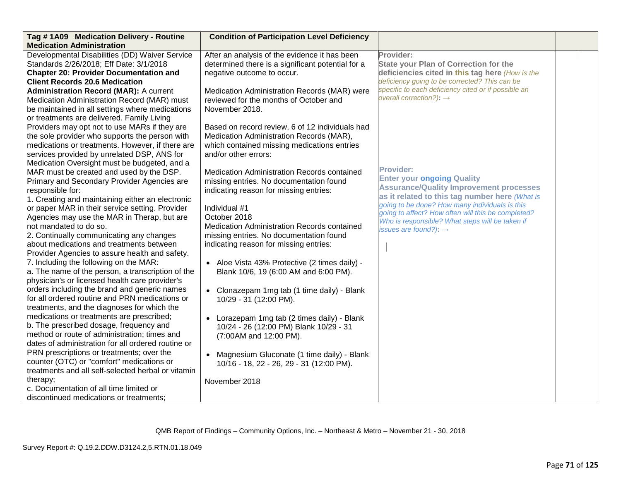| Tag #1A09 Medication Delivery - Routine<br><b>Medication Administration</b> | <b>Condition of Participation Level Deficiency</b> |                                                                                                       |  |
|-----------------------------------------------------------------------------|----------------------------------------------------|-------------------------------------------------------------------------------------------------------|--|
| Developmental Disabilities (DD) Waiver Service                              | After an analysis of the evidence it has been      | Provider:                                                                                             |  |
| Standards 2/26/2018; Eff Date: 3/1/2018                                     | determined there is a significant potential for a  | <b>State your Plan of Correction for the</b>                                                          |  |
| <b>Chapter 20: Provider Documentation and</b>                               | negative outcome to occur.                         | deficiencies cited in this tag here (How is the                                                       |  |
| <b>Client Records 20.6 Medication</b>                                       |                                                    | deficiency going to be corrected? This can be                                                         |  |
| <b>Administration Record (MAR): A current</b>                               | Medication Administration Records (MAR) were       | specific to each deficiency cited or if possible an                                                   |  |
| Medication Administration Record (MAR) must                                 | reviewed for the months of October and             | overall correction?): $\rightarrow$                                                                   |  |
| be maintained in all settings where medications                             | November 2018.                                     |                                                                                                       |  |
| or treatments are delivered. Family Living                                  |                                                    |                                                                                                       |  |
| Providers may opt not to use MARs if they are                               | Based on record review, 6 of 12 individuals had    |                                                                                                       |  |
| the sole provider who supports the person with                              | Medication Administration Records (MAR),           |                                                                                                       |  |
| medications or treatments. However, if there are                            | which contained missing medications entries        |                                                                                                       |  |
| services provided by unrelated DSP, ANS for                                 | and/or other errors:                               |                                                                                                       |  |
| Medication Oversight must be budgeted, and a                                |                                                    |                                                                                                       |  |
| MAR must be created and used by the DSP.                                    | Medication Administration Records contained        | <b>Provider:</b>                                                                                      |  |
| Primary and Secondary Provider Agencies are                                 | missing entries. No documentation found            | <b>Enter your ongoing Quality</b>                                                                     |  |
| responsible for:                                                            | indicating reason for missing entries:             | <b>Assurance/Quality Improvement processes</b>                                                        |  |
| 1. Creating and maintaining either an electronic                            |                                                    | as it related to this tag number here (What is                                                        |  |
| or paper MAR in their service setting. Provider                             | Individual #1                                      | going to be done? How many individuals is this                                                        |  |
| Agencies may use the MAR in Therap, but are                                 | October 2018                                       | going to affect? How often will this be completed?<br>Who is responsible? What steps will be taken if |  |
| not mandated to do so.                                                      | Medication Administration Records contained        | issues are found?): $\rightarrow$                                                                     |  |
| 2. Continually communicating any changes                                    | missing entries. No documentation found            |                                                                                                       |  |
| about medications and treatments between                                    | indicating reason for missing entries:             |                                                                                                       |  |
| Provider Agencies to assure health and safety.                              |                                                    |                                                                                                       |  |
| 7. Including the following on the MAR:                                      | • Aloe Vista 43% Protective (2 times daily) -      |                                                                                                       |  |
| a. The name of the person, a transcription of the                           | Blank 10/6, 19 (6:00 AM and 6:00 PM).              |                                                                                                       |  |
| physician's or licensed health care provider's                              |                                                    |                                                                                                       |  |
| orders including the brand and generic names                                | • Clonazepam 1mg tab (1 time daily) - Blank        |                                                                                                       |  |
| for all ordered routine and PRN medications or                              | 10/29 - 31 (12:00 PM).                             |                                                                                                       |  |
| treatments, and the diagnoses for which the                                 |                                                    |                                                                                                       |  |
| medications or treatments are prescribed;                                   | • Lorazepam 1mg tab (2 times daily) - Blank        |                                                                                                       |  |
| b. The prescribed dosage, frequency and                                     | 10/24 - 26 (12:00 PM) Blank 10/29 - 31             |                                                                                                       |  |
| method or route of administration; times and                                | (7:00AM and 12:00 PM).                             |                                                                                                       |  |
| dates of administration for all ordered routine or                          |                                                    |                                                                                                       |  |
| PRN prescriptions or treatments; over the                                   | • Magnesium Gluconate (1 time daily) - Blank       |                                                                                                       |  |
| counter (OTC) or "comfort" medications or                                   | 10/16 - 18, 22 - 26, 29 - 31 (12:00 PM).           |                                                                                                       |  |
| treatments and all self-selected herbal or vitamin                          |                                                    |                                                                                                       |  |
| therapy;                                                                    | November 2018                                      |                                                                                                       |  |
| c. Documentation of all time limited or                                     |                                                    |                                                                                                       |  |
| discontinued medications or treatments;                                     |                                                    |                                                                                                       |  |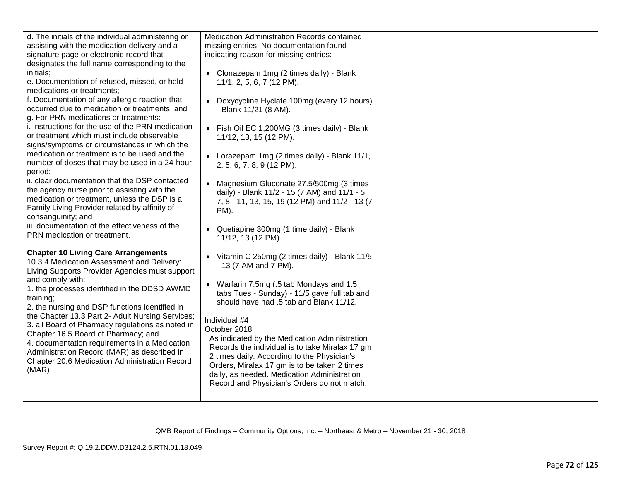| d. The initials of the individual administering or         | Medication Administration Records contained     |  |
|------------------------------------------------------------|-------------------------------------------------|--|
| assisting with the medication delivery and a               | missing entries. No documentation found         |  |
| signature page or electronic record that                   | indicating reason for missing entries:          |  |
| designates the full name corresponding to the              |                                                 |  |
| initials;                                                  | • Clonazepam 1mg (2 times daily) - Blank        |  |
| e. Documentation of refused, missed, or held               | 11/1, 2, 5, 6, 7 (12 PM).                       |  |
| medications or treatments;                                 |                                                 |  |
| f. Documentation of any allergic reaction that             | • Doxycycline Hyclate 100mg (every 12 hours)    |  |
| occurred due to medication or treatments; and              | - Blank 11/21 (8 AM).                           |  |
| g. For PRN medications or treatments:                      |                                                 |  |
| i. instructions for the use of the PRN medication          | • Fish Oil EC 1,200MG (3 times daily) - Blank   |  |
| or treatment which must include observable                 | 11/12, 13, 15 (12 PM).                          |  |
| signs/symptoms or circumstances in which the               |                                                 |  |
| medication or treatment is to be used and the              | • Lorazepam 1mg (2 times daily) - Blank 11/1,   |  |
| number of doses that may be used in a 24-hour              | 2, 5, 6, 7, 8, 9 (12 PM).                       |  |
| period;                                                    |                                                 |  |
| ii. clear documentation that the DSP contacted             | • Magnesium Gluconate 27.5/500mg (3 times       |  |
| the agency nurse prior to assisting with the               | daily) - Blank 11/2 - 15 (7 AM) and 11/1 - 5,   |  |
| medication or treatment, unless the DSP is a               | 7, 8 - 11, 13, 15, 19 (12 PM) and 11/2 - 13 (7  |  |
| Family Living Provider related by affinity of              | PM).                                            |  |
| consanguinity; and                                         |                                                 |  |
| iii. documentation of the effectiveness of the             | • Quetiapine 300mg (1 time daily) - Blank       |  |
| PRN medication or treatment.                               | 11/12, 13 (12 PM).                              |  |
|                                                            |                                                 |  |
| <b>Chapter 10 Living Care Arrangements</b>                 | • Vitamin C 250mg (2 times daily) - Blank 11/5  |  |
| 10.3.4 Medication Assessment and Delivery:                 | - 13 (7 AM and 7 PM).                           |  |
| Living Supports Provider Agencies must support             |                                                 |  |
| and comply with:                                           | • Warfarin 7.5mg (.5 tab Mondays and 1.5        |  |
| 1. the processes identified in the DDSD AWMD               | tabs Tues - Sunday) - 11/5 gave full tab and    |  |
| training;                                                  | should have had .5 tab and Blank 11/12.         |  |
| 2. the nursing and DSP functions identified in             |                                                 |  |
| the Chapter 13.3 Part 2- Adult Nursing Services;           | Individual #4                                   |  |
| 3. all Board of Pharmacy regulations as noted in           | October 2018                                    |  |
| Chapter 16.5 Board of Pharmacy; and                        | As indicated by the Medication Administration   |  |
| 4. documentation requirements in a Medication              | Records the individual is to take Miralax 17 gm |  |
| Administration Record (MAR) as described in                | 2 times daily. According to the Physician's     |  |
| Chapter 20.6 Medication Administration Record<br>$(MAR)$ . | Orders, Miralax 17 gm is to be taken 2 times    |  |
|                                                            | daily, as needed. Medication Administration     |  |
|                                                            | Record and Physician's Orders do not match.     |  |
|                                                            |                                                 |  |
|                                                            |                                                 |  |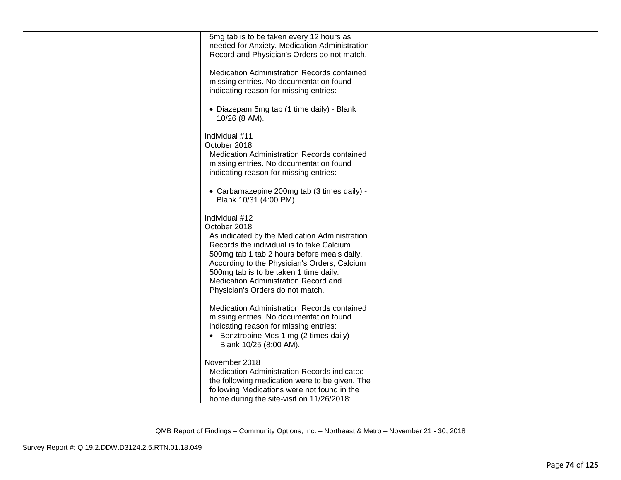| 5mg tab is to be taken every 12 hours as                      |  |
|---------------------------------------------------------------|--|
| needed for Anxiety. Medication Administration                 |  |
| Record and Physician's Orders do not match.                   |  |
| Medication Administration Records contained                   |  |
| missing entries. No documentation found                       |  |
| indicating reason for missing entries:                        |  |
| • Diazepam 5mg tab (1 time daily) - Blank                     |  |
| 10/26 (8 AM).                                                 |  |
| Individual #11                                                |  |
| October 2018                                                  |  |
| Medication Administration Records contained                   |  |
| missing entries. No documentation found                       |  |
| indicating reason for missing entries:                        |  |
| • Carbamazepine 200mg tab (3 times daily) -                   |  |
| Blank 10/31 (4:00 PM).                                        |  |
|                                                               |  |
| Individual #12                                                |  |
| October 2018<br>As indicated by the Medication Administration |  |
| Records the individual is to take Calcium                     |  |
| 500mg tab 1 tab 2 hours before meals daily.                   |  |
| According to the Physician's Orders, Calcium                  |  |
| 500mg tab is to be taken 1 time daily.                        |  |
| Medication Administration Record and                          |  |
| Physician's Orders do not match.                              |  |
| Medication Administration Records contained                   |  |
| missing entries. No documentation found                       |  |
| indicating reason for missing entries:                        |  |
| • Benztropine Mes 1 mg (2 times daily) -                      |  |
| Blank 10/25 (8:00 AM).                                        |  |
| November 2018                                                 |  |
| <b>Medication Administration Records indicated</b>            |  |
| the following medication were to be given. The                |  |
| following Medications were not found in the                   |  |
| home during the site-visit on 11/26/2018:                     |  |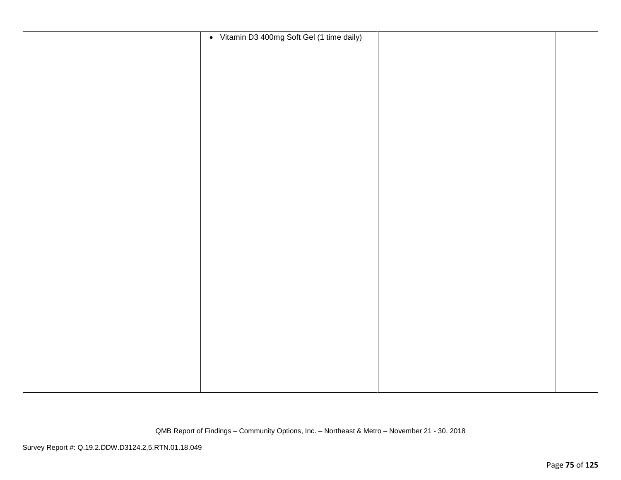| • Vitamin D3 400mg Soft Gel (1 time daily) |  |
|--------------------------------------------|--|
|                                            |  |
|                                            |  |
|                                            |  |
|                                            |  |
|                                            |  |
|                                            |  |
|                                            |  |
|                                            |  |
|                                            |  |
|                                            |  |
|                                            |  |
|                                            |  |
|                                            |  |
|                                            |  |
|                                            |  |
|                                            |  |
|                                            |  |
|                                            |  |
|                                            |  |
|                                            |  |
|                                            |  |
|                                            |  |
|                                            |  |
|                                            |  |
|                                            |  |
|                                            |  |
|                                            |  |
|                                            |  |
|                                            |  |
|                                            |  |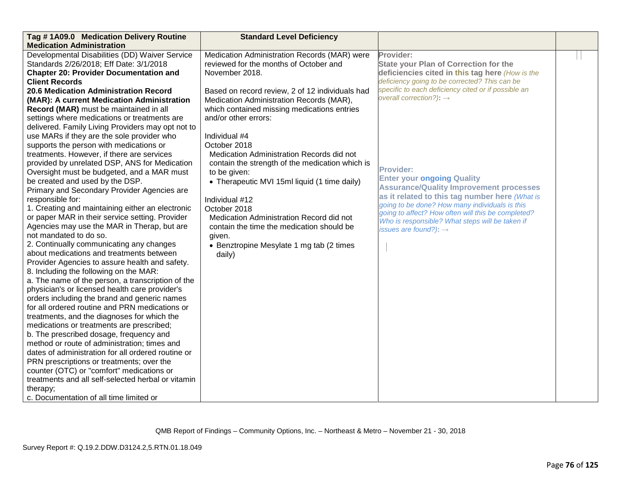| Tag #1A09.0 Medication Delivery Routine                                                  | <b>Standard Level Deficiency</b>                |                                                     |  |
|------------------------------------------------------------------------------------------|-------------------------------------------------|-----------------------------------------------------|--|
| <b>Medication Administration</b>                                                         |                                                 |                                                     |  |
| Developmental Disabilities (DD) Waiver Service                                           | Medication Administration Records (MAR) were    | Provider:                                           |  |
| Standards 2/26/2018; Eff Date: 3/1/2018                                                  | reviewed for the months of October and          | <b>State your Plan of Correction for the</b>        |  |
| <b>Chapter 20: Provider Documentation and</b>                                            | November 2018.                                  | deficiencies cited in this tag here (How is the     |  |
| <b>Client Records</b>                                                                    |                                                 | deficiency going to be corrected? This can be       |  |
| 20.6 Medication Administration Record                                                    | Based on record review, 2 of 12 individuals had | specific to each deficiency cited or if possible an |  |
| (MAR): A current Medication Administration                                               | Medication Administration Records (MAR),        | overall correction?): $\rightarrow$                 |  |
| Record (MAR) must be maintained in all                                                   | which contained missing medications entries     |                                                     |  |
| settings where medications or treatments are                                             | and/or other errors:                            |                                                     |  |
| delivered. Family Living Providers may opt not to                                        |                                                 |                                                     |  |
| use MARs if they are the sole provider who                                               | Individual #4                                   |                                                     |  |
| supports the person with medications or                                                  | October 2018                                    |                                                     |  |
| treatments. However, if there are services                                               | Medication Administration Records did not       |                                                     |  |
| provided by unrelated DSP, ANS for Medication                                            | contain the strength of the medication which is | <b>Provider:</b>                                    |  |
| Oversight must be budgeted, and a MAR must                                               | to be given:                                    | <b>Enter your ongoing Quality</b>                   |  |
| be created and used by the DSP.                                                          | • Therapeutic MVI 15ml liquid (1 time daily)    | <b>Assurance/Quality Improvement processes</b>      |  |
| Primary and Secondary Provider Agencies are                                              |                                                 | as it related to this tag number here (What is      |  |
| responsible for:                                                                         | Individual #12                                  | going to be done? How many individuals is this      |  |
| 1. Creating and maintaining either an electronic                                         | October 2018                                    | going to affect? How often will this be completed?  |  |
| or paper MAR in their service setting. Provider                                          | Medication Administration Record did not        | Who is responsible? What steps will be taken if     |  |
| Agencies may use the MAR in Therap, but are                                              | contain the time the medication should be       | issues are found?): $\rightarrow$                   |  |
| not mandated to do so.                                                                   | given.                                          |                                                     |  |
| 2. Continually communicating any changes                                                 | • Benztropine Mesylate 1 mg tab (2 times        |                                                     |  |
| about medications and treatments between                                                 | daily)                                          |                                                     |  |
| Provider Agencies to assure health and safety.<br>8. Including the following on the MAR: |                                                 |                                                     |  |
| a. The name of the person, a transcription of the                                        |                                                 |                                                     |  |
| physician's or licensed health care provider's                                           |                                                 |                                                     |  |
| orders including the brand and generic names                                             |                                                 |                                                     |  |
| for all ordered routine and PRN medications or                                           |                                                 |                                                     |  |
| treatments, and the diagnoses for which the                                              |                                                 |                                                     |  |
| medications or treatments are prescribed;                                                |                                                 |                                                     |  |
| b. The prescribed dosage, frequency and                                                  |                                                 |                                                     |  |
| method or route of administration; times and                                             |                                                 |                                                     |  |
| dates of administration for all ordered routine or                                       |                                                 |                                                     |  |
| PRN prescriptions or treatments; over the                                                |                                                 |                                                     |  |
| counter (OTC) or "comfort" medications or                                                |                                                 |                                                     |  |
| treatments and all self-selected herbal or vitamin                                       |                                                 |                                                     |  |
| therapy;                                                                                 |                                                 |                                                     |  |
| c. Documentation of all time limited or                                                  |                                                 |                                                     |  |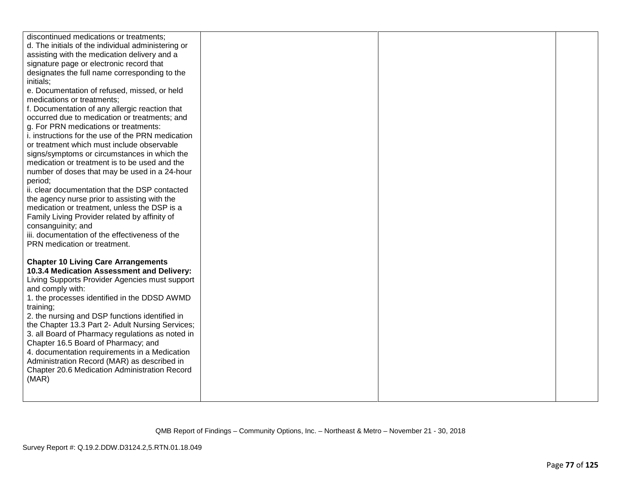| discontinued medications or treatments;<br>d. The initials of the individual administering or<br>assisting with the medication delivery and a<br>signature page or electronic record that<br>designates the full name corresponding to the<br>initials;<br>e. Documentation of refused, missed, or held<br>medications or treatments;<br>f. Documentation of any allergic reaction that<br>occurred due to medication or treatments; and<br>g. For PRN medications or treatments:<br>i. instructions for the use of the PRN medication<br>or treatment which must include observable<br>signs/symptoms or circumstances in which the<br>medication or treatment is to be used and the<br>number of doses that may be used in a 24-hour |  |  |
|----------------------------------------------------------------------------------------------------------------------------------------------------------------------------------------------------------------------------------------------------------------------------------------------------------------------------------------------------------------------------------------------------------------------------------------------------------------------------------------------------------------------------------------------------------------------------------------------------------------------------------------------------------------------------------------------------------------------------------------|--|--|
| period;                                                                                                                                                                                                                                                                                                                                                                                                                                                                                                                                                                                                                                                                                                                                |  |  |
| ii. clear documentation that the DSP contacted                                                                                                                                                                                                                                                                                                                                                                                                                                                                                                                                                                                                                                                                                         |  |  |
| the agency nurse prior to assisting with the                                                                                                                                                                                                                                                                                                                                                                                                                                                                                                                                                                                                                                                                                           |  |  |
| medication or treatment, unless the DSP is a                                                                                                                                                                                                                                                                                                                                                                                                                                                                                                                                                                                                                                                                                           |  |  |
| Family Living Provider related by affinity of                                                                                                                                                                                                                                                                                                                                                                                                                                                                                                                                                                                                                                                                                          |  |  |
| consanguinity; and                                                                                                                                                                                                                                                                                                                                                                                                                                                                                                                                                                                                                                                                                                                     |  |  |
| iii. documentation of the effectiveness of the                                                                                                                                                                                                                                                                                                                                                                                                                                                                                                                                                                                                                                                                                         |  |  |
| PRN medication or treatment.                                                                                                                                                                                                                                                                                                                                                                                                                                                                                                                                                                                                                                                                                                           |  |  |
| <b>Chapter 10 Living Care Arrangements</b>                                                                                                                                                                                                                                                                                                                                                                                                                                                                                                                                                                                                                                                                                             |  |  |
| 10.3.4 Medication Assessment and Delivery:                                                                                                                                                                                                                                                                                                                                                                                                                                                                                                                                                                                                                                                                                             |  |  |
| Living Supports Provider Agencies must support                                                                                                                                                                                                                                                                                                                                                                                                                                                                                                                                                                                                                                                                                         |  |  |
| and comply with:                                                                                                                                                                                                                                                                                                                                                                                                                                                                                                                                                                                                                                                                                                                       |  |  |
| 1. the processes identified in the DDSD AWMD                                                                                                                                                                                                                                                                                                                                                                                                                                                                                                                                                                                                                                                                                           |  |  |
| training;                                                                                                                                                                                                                                                                                                                                                                                                                                                                                                                                                                                                                                                                                                                              |  |  |
| 2. the nursing and DSP functions identified in                                                                                                                                                                                                                                                                                                                                                                                                                                                                                                                                                                                                                                                                                         |  |  |
| the Chapter 13.3 Part 2- Adult Nursing Services;                                                                                                                                                                                                                                                                                                                                                                                                                                                                                                                                                                                                                                                                                       |  |  |
| 3. all Board of Pharmacy regulations as noted in                                                                                                                                                                                                                                                                                                                                                                                                                                                                                                                                                                                                                                                                                       |  |  |
| Chapter 16.5 Board of Pharmacy; and                                                                                                                                                                                                                                                                                                                                                                                                                                                                                                                                                                                                                                                                                                    |  |  |
| 4. documentation requirements in a Medication                                                                                                                                                                                                                                                                                                                                                                                                                                                                                                                                                                                                                                                                                          |  |  |
| Administration Record (MAR) as described in                                                                                                                                                                                                                                                                                                                                                                                                                                                                                                                                                                                                                                                                                            |  |  |
| Chapter 20.6 Medication Administration Record<br>(MAR)                                                                                                                                                                                                                                                                                                                                                                                                                                                                                                                                                                                                                                                                                 |  |  |
|                                                                                                                                                                                                                                                                                                                                                                                                                                                                                                                                                                                                                                                                                                                                        |  |  |
|                                                                                                                                                                                                                                                                                                                                                                                                                                                                                                                                                                                                                                                                                                                                        |  |  |
|                                                                                                                                                                                                                                                                                                                                                                                                                                                                                                                                                                                                                                                                                                                                        |  |  |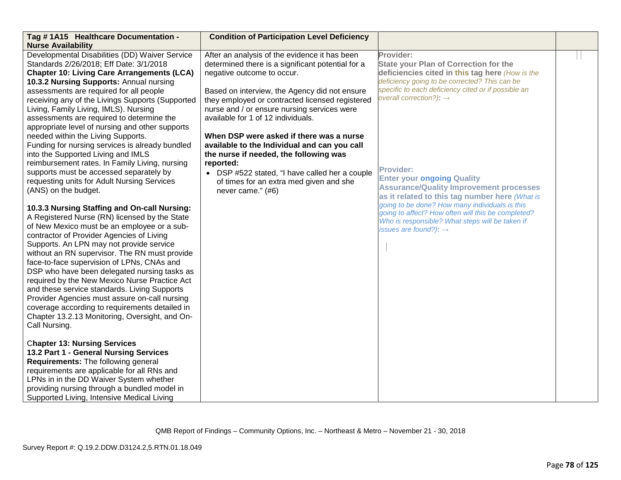| Tag #1A15 Healthcare Documentation -<br><b>Nurse Availability</b>                                                                                                                                                                                                                                                                                                                                                                                                                                                                                                                                                                                                                                                                    | <b>Condition of Participation Level Deficiency</b>                                                                                                                                                                                                                                                                                                                                                                                                                                                                                                                                             |                                                                                                                                                                                                                                                                                                                                                                                                                          |  |
|--------------------------------------------------------------------------------------------------------------------------------------------------------------------------------------------------------------------------------------------------------------------------------------------------------------------------------------------------------------------------------------------------------------------------------------------------------------------------------------------------------------------------------------------------------------------------------------------------------------------------------------------------------------------------------------------------------------------------------------|------------------------------------------------------------------------------------------------------------------------------------------------------------------------------------------------------------------------------------------------------------------------------------------------------------------------------------------------------------------------------------------------------------------------------------------------------------------------------------------------------------------------------------------------------------------------------------------------|--------------------------------------------------------------------------------------------------------------------------------------------------------------------------------------------------------------------------------------------------------------------------------------------------------------------------------------------------------------------------------------------------------------------------|--|
| Developmental Disabilities (DD) Waiver Service<br>Standards 2/26/2018; Eff Date: 3/1/2018<br><b>Chapter 10: Living Care Arrangements (LCA)</b><br>10.3.2 Nursing Supports: Annual nursing<br>assessments are required for all people<br>receiving any of the Livings Supports (Supported<br>Living, Family Living, IMLS). Nursing<br>assessments are required to determine the<br>appropriate level of nursing and other supports<br>needed within the Living Supports.<br>Funding for nursing services is already bundled<br>into the Supported Living and IMLS<br>reimbursement rates. In Family Living, nursing<br>supports must be accessed separately by<br>requesting units for Adult Nursing Services<br>(ANS) on the budget. | After an analysis of the evidence it has been<br>determined there is a significant potential for a<br>negative outcome to occur.<br>Based on interview, the Agency did not ensure<br>they employed or contracted licensed registered<br>nurse and / or ensure nursing services were<br>available for 1 of 12 individuals.<br>When DSP were asked if there was a nurse<br>available to the Individual and can you call<br>the nurse if needed, the following was<br>reported:<br>• DSP #522 stated, "I have called her a couple<br>of times for an extra med given and she<br>never came." (#6) | Provider:<br><b>State your Plan of Correction for the</b><br>deficiencies cited in this tag here (How is the<br>deficiency going to be corrected? This can be<br>specific to each deficiency cited or if possible an<br>overall correction?): $\rightarrow$<br><b>Provider:</b><br><b>Enter your ongoing Quality</b><br><b>Assurance/Quality Improvement processes</b><br>as it related to this tag number here (What is |  |
| 10.3.3 Nursing Staffing and On-call Nursing:<br>A Registered Nurse (RN) licensed by the State<br>of New Mexico must be an employee or a sub-<br>contractor of Provider Agencies of Living<br>Supports. An LPN may not provide service<br>without an RN supervisor. The RN must provide<br>face-to-face supervision of LPNs, CNAs and<br>DSP who have been delegated nursing tasks as<br>required by the New Mexico Nurse Practice Act<br>and these service standards. Living Supports<br>Provider Agencies must assure on-call nursing<br>coverage according to requirements detailed in<br>Chapter 13.2.13 Monitoring, Oversight, and On-<br>Call Nursing.                                                                          |                                                                                                                                                                                                                                                                                                                                                                                                                                                                                                                                                                                                | going to be done? How many individuals is this<br>going to affect? How often will this be completed?<br>Who is responsible? What steps will be taken if<br>issues are found?): $\rightarrow$                                                                                                                                                                                                                             |  |
| <b>Chapter 13: Nursing Services</b><br>13.2 Part 1 - General Nursing Services<br>Requirements: The following general<br>requirements are applicable for all RNs and<br>LPNs in in the DD Waiver System whether<br>providing nursing through a bundled model in<br>Supported Living, Intensive Medical Living                                                                                                                                                                                                                                                                                                                                                                                                                         |                                                                                                                                                                                                                                                                                                                                                                                                                                                                                                                                                                                                |                                                                                                                                                                                                                                                                                                                                                                                                                          |  |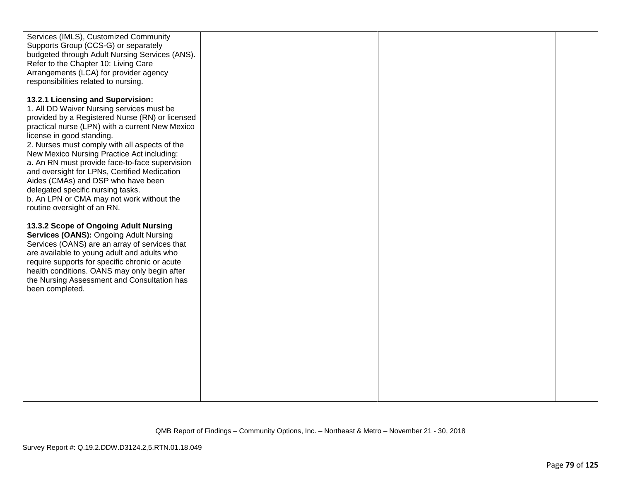| Services (IMLS), Customized Community<br>Supports Group (CCS-G) or separately<br>budgeted through Adult Nursing Services (ANS).<br>Refer to the Chapter 10: Living Care                                                                                                                                                                                                                                                                                                                                                                    |  |  |
|--------------------------------------------------------------------------------------------------------------------------------------------------------------------------------------------------------------------------------------------------------------------------------------------------------------------------------------------------------------------------------------------------------------------------------------------------------------------------------------------------------------------------------------------|--|--|
| Arrangements (LCA) for provider agency<br>responsibilities related to nursing.                                                                                                                                                                                                                                                                                                                                                                                                                                                             |  |  |
| 13.2.1 Licensing and Supervision:<br>1. All DD Waiver Nursing services must be<br>provided by a Registered Nurse (RN) or licensed<br>practical nurse (LPN) with a current New Mexico<br>license in good standing.<br>2. Nurses must comply with all aspects of the<br>New Mexico Nursing Practice Act including:<br>a. An RN must provide face-to-face supervision<br>and oversight for LPNs, Certified Medication<br>Aides (CMAs) and DSP who have been<br>delegated specific nursing tasks.<br>b. An LPN or CMA may not work without the |  |  |
| routine oversight of an RN.<br>13.3.2 Scope of Ongoing Adult Nursing<br>Services (OANS): Ongoing Adult Nursing<br>Services (OANS) are an array of services that<br>are available to young adult and adults who<br>require supports for specific chronic or acute<br>health conditions. OANS may only begin after<br>the Nursing Assessment and Consultation has<br>been completed.                                                                                                                                                         |  |  |
|                                                                                                                                                                                                                                                                                                                                                                                                                                                                                                                                            |  |  |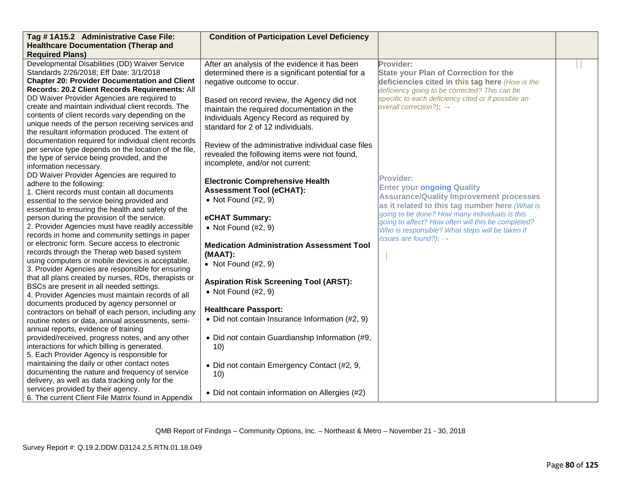| Tag #1A15.2 Administrative Case File:                                   | <b>Condition of Participation Level Deficiency</b> |                                                     |  |
|-------------------------------------------------------------------------|----------------------------------------------------|-----------------------------------------------------|--|
| <b>Healthcare Documentation (Therap and</b>                             |                                                    |                                                     |  |
| <b>Required Plans)</b>                                                  |                                                    |                                                     |  |
| Developmental Disabilities (DD) Waiver Service                          | After an analysis of the evidence it has been      | Provider:                                           |  |
| Standards 2/26/2018; Eff Date: 3/1/2018                                 | determined there is a significant potential for a  | <b>State your Plan of Correction for the</b>        |  |
| <b>Chapter 20: Provider Documentation and Client</b>                    | negative outcome to occur.                         | deficiencies cited in this tag here (How is the     |  |
| Records: 20.2 Client Records Requirements: All                          |                                                    | deficiency going to be corrected? This can be       |  |
| DD Waiver Provider Agencies are required to                             | Based on record review, the Agency did not         | specific to each deficiency cited or if possible an |  |
| create and maintain individual client records. The                      | maintain the required documentation in the         | overall correction?): $\rightarrow$                 |  |
| contents of client records vary depending on the                        | Individuals Agency Record as required by           |                                                     |  |
| unique needs of the person receiving services and                       | standard for 2 of 12 individuals.                  |                                                     |  |
| the resultant information produced. The extent of                       |                                                    |                                                     |  |
| documentation required for individual client records                    | Review of the administrative individual case files |                                                     |  |
| per service type depends on the location of the file,                   | revealed the following items were not found,       |                                                     |  |
| the type of service being provided, and the                             | incomplete, and/or not current:                    |                                                     |  |
| information necessary.                                                  |                                                    |                                                     |  |
| DD Waiver Provider Agencies are required to<br>adhere to the following: | <b>Electronic Comprehensive Health</b>             | <b>Provider:</b>                                    |  |
| 1. Client records must contain all documents                            | <b>Assessment Tool (eCHAT):</b>                    | <b>Enter your ongoing Quality</b>                   |  |
| essential to the service being provided and                             | • Not Found $(H2, 9)$                              | <b>Assurance/Quality Improvement processes</b>      |  |
| essential to ensuring the health and safety of the                      |                                                    | as it related to this tag number here (What is      |  |
| person during the provision of the service.                             | eCHAT Summary:                                     | going to be done? How many individuals is this      |  |
| 2. Provider Agencies must have readily accessible                       | • Not Found $(H2, 9)$                              | going to affect? How often will this be completed?  |  |
| records in home and community settings in paper                         |                                                    | Who is responsible? What steps will be taken if     |  |
| or electronic form. Secure access to electronic                         | <b>Medication Administration Assessment Tool</b>   | issues are found?): $\rightarrow$                   |  |
| records through the Therap web based system                             | (MAAT):                                            |                                                     |  |
| using computers or mobile devices is acceptable.                        |                                                    |                                                     |  |
| 3. Provider Agencies are responsible for ensuring                       | • Not Found $(H2, 9)$                              |                                                     |  |
| that all plans created by nurses, RDs, therapists or                    |                                                    |                                                     |  |
| BSCs are present in all needed settings.                                | <b>Aspiration Risk Screening Tool (ARST):</b>      |                                                     |  |
| 4. Provider Agencies must maintain records of all                       | $\bullet$ Not Found (#2, 9)                        |                                                     |  |
| documents produced by agency personnel or                               |                                                    |                                                     |  |
| contractors on behalf of each person, including any                     | <b>Healthcare Passport:</b>                        |                                                     |  |
| routine notes or data, annual assessments, semi-                        | • Did not contain Insurance Information (#2, 9)    |                                                     |  |
| annual reports, evidence of training                                    |                                                    |                                                     |  |
| provided/received, progress notes, and any other                        | • Did not contain Guardianship Information (#9,    |                                                     |  |
| interactions for which billing is generated.                            | 10)                                                |                                                     |  |
| 5. Each Provider Agency is responsible for                              |                                                    |                                                     |  |
| maintaining the daily or other contact notes                            | • Did not contain Emergency Contact (#2, 9,        |                                                     |  |
| documenting the nature and frequency of service                         | 10)                                                |                                                     |  |
| delivery, as well as data tracking only for the                         |                                                    |                                                     |  |
| services provided by their agency.                                      | • Did not contain information on Allergies (#2)    |                                                     |  |
| 6. The current Client File Matrix found in Appendix                     |                                                    |                                                     |  |

QMB Report of Findings – Community Options, Inc. – Northeast & Metro – November 21 - 30, 2018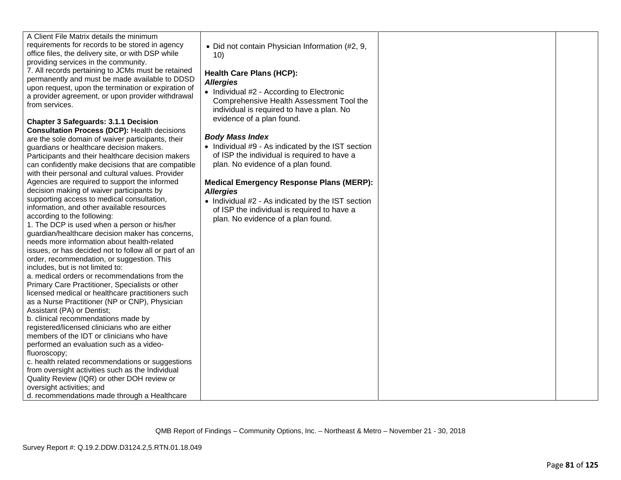| requirements for records to be stored in agency<br>office files, the delivery site, or with DSP while<br>providing services in the community.<br>7. All records pertaining to JCMs must be retained<br>permanently and must be made available to DDSD<br>upon request, upon the termination or expiration of<br>a provider agreement, or upon provider withdrawal<br>from services.<br><b>Chapter 3 Safeguards: 3.1.1 Decision</b><br><b>Consultation Process (DCP): Health decisions</b><br>are the sole domain of waiver participants, their<br>guardians or healthcare decision makers.<br>Participants and their healthcare decision makers<br>can confidently make decisions that are compatible<br>with their personal and cultural values. Provider<br>Agencies are required to support the informed<br>decision making of waiver participants by<br>supporting access to medical consultation,<br>information, and other available resources<br>according to the following:<br>1. The DCP is used when a person or his/her<br>guardian/healthcare decision maker has concerns,<br>needs more information about health-related<br>issues, or has decided not to follow all or part of an<br>order, recommendation, or suggestion. This<br>includes, but is not limited to:<br>a. medical orders or recommendations from the<br>Primary Care Practitioner, Specialists or other<br>licensed medical or healthcare practitioners such<br>as a Nurse Practitioner (NP or CNP), Physician<br>Assistant (PA) or Dentist;<br>b. clinical recommendations made by<br>registered/licensed clinicians who are either<br>members of the IDT or clinicians who have<br>performed an evaluation such as a video-<br>fluoroscopy;<br>c. health related recommendations or suggestions<br>from oversight activities such as the Individual<br>Quality Review (IQR) or other DOH review or<br>oversight activities; and<br>d. recommendations made through a Healthcare | • Did not contain Physician Information (#2, 9,<br>10)<br><b>Health Care Plans (HCP):</b><br><b>Allergies</b><br>• Individual #2 - According to Electronic<br>Comprehensive Health Assessment Tool the<br>individual is required to have a plan. No<br>evidence of a plan found.<br><b>Body Mass Index</b><br>• Individual #9 - As indicated by the IST section<br>of ISP the individual is required to have a<br>plan. No evidence of a plan found.<br><b>Medical Emergency Response Plans (MERP):</b><br><b>Allergies</b><br>• Individual #2 - As indicated by the IST section<br>of ISP the individual is required to have a<br>plan. No evidence of a plan found. |  |  |
|-----------------------------------------------------------------------------------------------------------------------------------------------------------------------------------------------------------------------------------------------------------------------------------------------------------------------------------------------------------------------------------------------------------------------------------------------------------------------------------------------------------------------------------------------------------------------------------------------------------------------------------------------------------------------------------------------------------------------------------------------------------------------------------------------------------------------------------------------------------------------------------------------------------------------------------------------------------------------------------------------------------------------------------------------------------------------------------------------------------------------------------------------------------------------------------------------------------------------------------------------------------------------------------------------------------------------------------------------------------------------------------------------------------------------------------------------------------------------------------------------------------------------------------------------------------------------------------------------------------------------------------------------------------------------------------------------------------------------------------------------------------------------------------------------------------------------------------------------------------------------------------------------------------------------------------------------------------------|-----------------------------------------------------------------------------------------------------------------------------------------------------------------------------------------------------------------------------------------------------------------------------------------------------------------------------------------------------------------------------------------------------------------------------------------------------------------------------------------------------------------------------------------------------------------------------------------------------------------------------------------------------------------------|--|--|
|-----------------------------------------------------------------------------------------------------------------------------------------------------------------------------------------------------------------------------------------------------------------------------------------------------------------------------------------------------------------------------------------------------------------------------------------------------------------------------------------------------------------------------------------------------------------------------------------------------------------------------------------------------------------------------------------------------------------------------------------------------------------------------------------------------------------------------------------------------------------------------------------------------------------------------------------------------------------------------------------------------------------------------------------------------------------------------------------------------------------------------------------------------------------------------------------------------------------------------------------------------------------------------------------------------------------------------------------------------------------------------------------------------------------------------------------------------------------------------------------------------------------------------------------------------------------------------------------------------------------------------------------------------------------------------------------------------------------------------------------------------------------------------------------------------------------------------------------------------------------------------------------------------------------------------------------------------------------|-----------------------------------------------------------------------------------------------------------------------------------------------------------------------------------------------------------------------------------------------------------------------------------------------------------------------------------------------------------------------------------------------------------------------------------------------------------------------------------------------------------------------------------------------------------------------------------------------------------------------------------------------------------------------|--|--|

A Client File Matrix details the minimum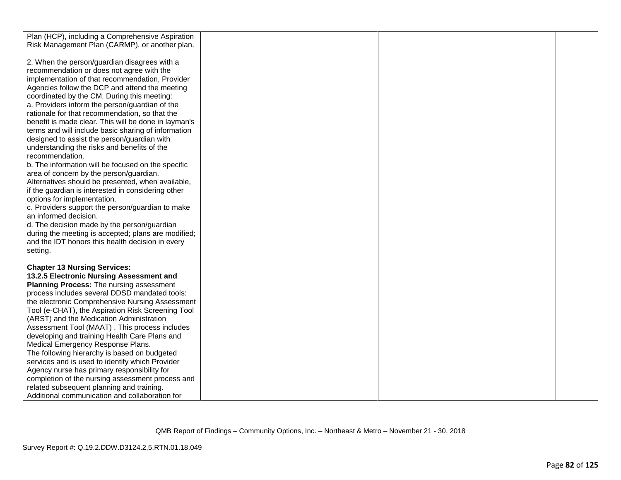| Plan (HCP), including a Comprehensive Aspiration     |  |  |
|------------------------------------------------------|--|--|
| Risk Management Plan (CARMP), or another plan.       |  |  |
|                                                      |  |  |
| 2. When the person/guardian disagrees with a         |  |  |
| recommendation or does not agree with the            |  |  |
|                                                      |  |  |
| implementation of that recommendation, Provider      |  |  |
| Agencies follow the DCP and attend the meeting       |  |  |
| coordinated by the CM. During this meeting:          |  |  |
| a. Providers inform the person/guardian of the       |  |  |
| rationale for that recommendation, so that the       |  |  |
| benefit is made clear. This will be done in layman's |  |  |
|                                                      |  |  |
| terms and will include basic sharing of information  |  |  |
| designed to assist the person/guardian with          |  |  |
| understanding the risks and benefits of the          |  |  |
| recommendation.                                      |  |  |
| b. The information will be focused on the specific   |  |  |
| area of concern by the person/guardian.              |  |  |
| Alternatives should be presented, when available,    |  |  |
| if the guardian is interested in considering other   |  |  |
|                                                      |  |  |
| options for implementation.                          |  |  |
| c. Providers support the person/guardian to make     |  |  |
| an informed decision.                                |  |  |
| d. The decision made by the person/guardian          |  |  |
| during the meeting is accepted; plans are modified;  |  |  |
| and the IDT honors this health decision in every     |  |  |
| setting.                                             |  |  |
|                                                      |  |  |
|                                                      |  |  |
| <b>Chapter 13 Nursing Services:</b>                  |  |  |
| 13.2.5 Electronic Nursing Assessment and             |  |  |
| <b>Planning Process: The nursing assessment</b>      |  |  |
| process includes several DDSD mandated tools:        |  |  |
| the electronic Comprehensive Nursing Assessment      |  |  |
| Tool (e-CHAT), the Aspiration Risk Screening Tool    |  |  |
| (ARST) and the Medication Administration             |  |  |
| Assessment Tool (MAAT). This process includes        |  |  |
|                                                      |  |  |
| developing and training Health Care Plans and        |  |  |
| Medical Emergency Response Plans.                    |  |  |
| The following hierarchy is based on budgeted         |  |  |
| services and is used to identify which Provider      |  |  |
| Agency nurse has primary responsibility for          |  |  |
| completion of the nursing assessment process and     |  |  |
| related subsequent planning and training.            |  |  |
|                                                      |  |  |
| Additional communication and collaboration for       |  |  |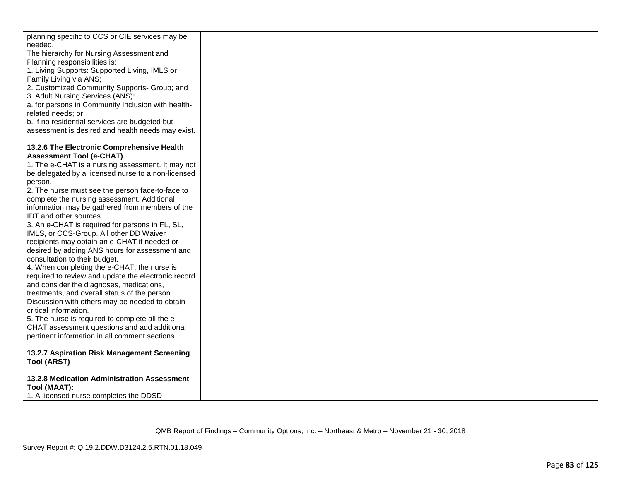| planning specific to CCS or CIE services may be                               |  |  |
|-------------------------------------------------------------------------------|--|--|
| needed.                                                                       |  |  |
| The hierarchy for Nursing Assessment and                                      |  |  |
| Planning responsibilities is:                                                 |  |  |
| 1. Living Supports: Supported Living, IMLS or                                 |  |  |
| Family Living via ANS;                                                        |  |  |
| 2. Customized Community Supports- Group; and                                  |  |  |
| 3. Adult Nursing Services (ANS):                                              |  |  |
| a. for persons in Community Inclusion with health-                            |  |  |
| related needs; or                                                             |  |  |
| b. if no residential services are budgeted but                                |  |  |
| assessment is desired and health needs may exist.                             |  |  |
|                                                                               |  |  |
| 13.2.6 The Electronic Comprehensive Health<br><b>Assessment Tool (e-CHAT)</b> |  |  |
| 1. The e-CHAT is a nursing assessment. It may not                             |  |  |
| be delegated by a licensed nurse to a non-licensed                            |  |  |
| person.                                                                       |  |  |
| 2. The nurse must see the person face-to-face to                              |  |  |
| complete the nursing assessment. Additional                                   |  |  |
| information may be gathered from members of the                               |  |  |
| IDT and other sources.                                                        |  |  |
| 3. An e-CHAT is required for persons in FL, SL,                               |  |  |
| IMLS, or CCS-Group. All other DD Waiver                                       |  |  |
| recipients may obtain an e-CHAT if needed or                                  |  |  |
| desired by adding ANS hours for assessment and                                |  |  |
| consultation to their budget.                                                 |  |  |
| 4. When completing the e-CHAT, the nurse is                                   |  |  |
| required to review and update the electronic record                           |  |  |
| and consider the diagnoses, medications,                                      |  |  |
| treatments, and overall status of the person.                                 |  |  |
| Discussion with others may be needed to obtain                                |  |  |
| critical information.                                                         |  |  |
| 5. The nurse is required to complete all the e-                               |  |  |
| CHAT assessment questions and add additional                                  |  |  |
| pertinent information in all comment sections.                                |  |  |
| 13.2.7 Aspiration Risk Management Screening                                   |  |  |
| <b>Tool (ARST)</b>                                                            |  |  |
|                                                                               |  |  |
| 13.2.8 Medication Administration Assessment                                   |  |  |
| Tool (MAAT):                                                                  |  |  |
| 1. A licensed nurse completes the DDSD                                        |  |  |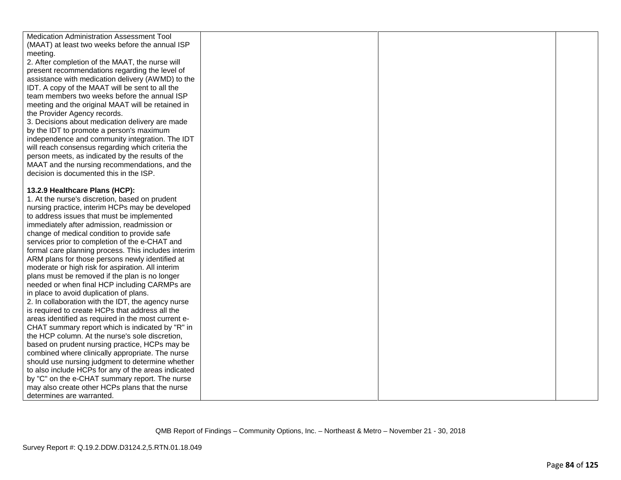Medication Administration Assessment Tool (MAAT) at least two weeks before the annual ISP meeting. 2. After completion of the MAAT, the nurse will present recommendations regarding the level of assistance with medication delivery (AWMD) to the IDT. A copy of the MAAT will be sent to all the team members two weeks before the annual ISP meeting and the original MAAT will be retained in the Provider Agency records. 3. Decisions about medication delivery are made by the IDT to promote a person's maximum independence and community integration. The IDT will reach consensus regarding which criteria the person meets, as indicated by the results of the MAAT and the nursing recommendations, and the decision is documented this in the ISP. **13.2.9 Healthcare Plans (HCP):**  1. At the nurse's discretion, based on prudent nursing practice, interim HCPs may be developed to address issues that must be implemented immediately after admission, readmission or change of medical condition to provide safe services prior to completion of the e-CHAT and formal care planning process. This includes interim ARM plans for those persons newly identified at moderate or high risk for aspiration. All interim plans must be removed if the plan is no longer needed or when final HCP including CARMPs are in place to avoid duplication of plans. 2. In collaboration with the IDT, the agency nurse is required to create HCPs that address all the areas identified as required in the most current e-CHAT summary report which is indicated by "R" in the HCP column. At the nurse's sole discretion, based on prudent nursing practice, HCPs may be combined where clinically appropriate. The nurse should use nursing judgment to determine whether to also include HCPs for any of the areas indicated by "C" on the e-CHAT summary report. The nurse may also create other HCPs plans that the nurse determines are warranted.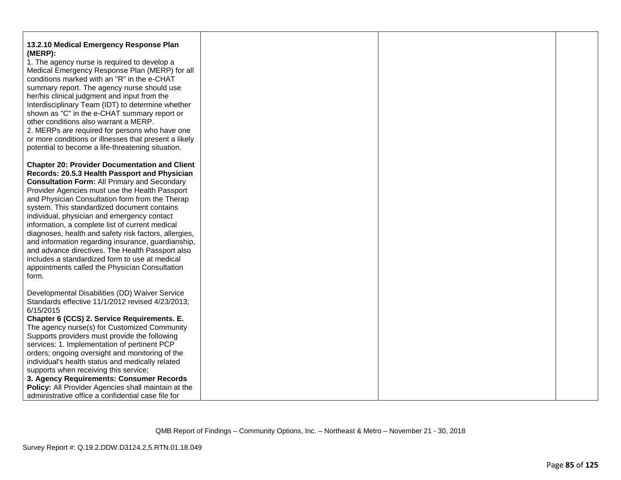| 13.2.10 Medical Emergency Response Plan               |  |  |
|-------------------------------------------------------|--|--|
| (MERP):                                               |  |  |
| 1. The agency nurse is required to develop a          |  |  |
| Medical Emergency Response Plan (MERP) for all        |  |  |
| conditions marked with an "R" in the e-CHAT           |  |  |
| summary report. The agency nurse should use           |  |  |
| her/his clinical judgment and input from the          |  |  |
| Interdisciplinary Team (IDT) to determine whether     |  |  |
| shown as "C" in the e-CHAT summary report or          |  |  |
| other conditions also warrant a MERP.                 |  |  |
| 2. MERPs are required for persons who have one        |  |  |
| or more conditions or illnesses that present a likely |  |  |
| potential to become a life-threatening situation.     |  |  |
|                                                       |  |  |
| <b>Chapter 20: Provider Documentation and Client</b>  |  |  |
| Records: 20.5.3 Health Passport and Physician         |  |  |
| <b>Consultation Form: All Primary and Secondary</b>   |  |  |
| Provider Agencies must use the Health Passport        |  |  |
| and Physician Consultation form from the Therap       |  |  |
| system. This standardized document contains           |  |  |
| individual, physician and emergency contact           |  |  |
| information, a complete list of current medical       |  |  |
| diagnoses, health and safety risk factors, allergies, |  |  |
| and information regarding insurance, guardianship,    |  |  |
| and advance directives. The Health Passport also      |  |  |
| includes a standardized form to use at medical        |  |  |
| appointments called the Physician Consultation        |  |  |
| form.                                                 |  |  |
| Developmental Disabilities (DD) Waiver Service        |  |  |
| Standards effective 11/1/2012 revised 4/23/2013;      |  |  |
| 6/15/2015                                             |  |  |
| Chapter 6 (CCS) 2. Service Requirements. E.           |  |  |
| The agency nurse(s) for Customized Community          |  |  |
| Supports providers must provide the following         |  |  |
| services: 1. Implementation of pertinent PCP          |  |  |
| orders; ongoing oversight and monitoring of the       |  |  |
| individual's health status and medically related      |  |  |
| supports when receiving this service;                 |  |  |
| 3. Agency Requirements: Consumer Records              |  |  |
| Policy: All Provider Agencies shall maintain at the   |  |  |
| administrative office a confidential case file for    |  |  |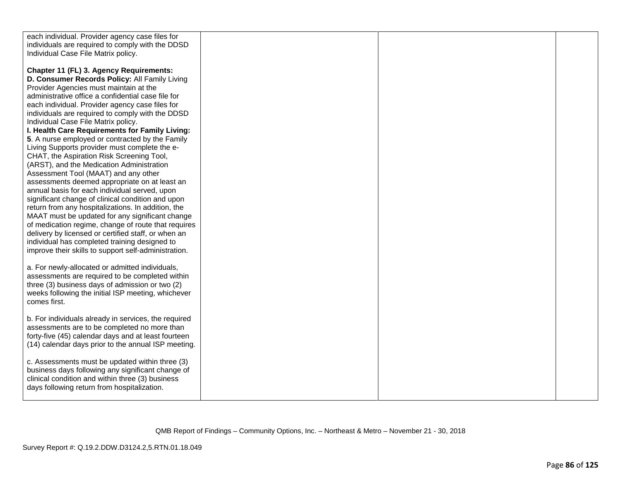| individuals are required to comply with the DDSD<br>Individual Case File Matrix policy.<br>Chapter 11 (FL) 3. Agency Requirements:<br>D. Consumer Records Policy: All Family Living<br>Provider Agencies must maintain at the<br>administrative office a confidential case file for<br>each individual. Provider agency case files for<br>individuals are required to comply with the DDSD<br>Individual Case File Matrix policy.<br>I. Health Care Requirements for Family Living:<br>5. A nurse employed or contracted by the Family<br>Living Supports provider must complete the e-<br>CHAT, the Aspiration Risk Screening Tool,<br>(ARST), and the Medication Administration<br>Assessment Tool (MAAT) and any other<br>assessments deemed appropriate on at least an<br>annual basis for each individual served, upon<br>significant change of clinical condition and upon<br>return from any hospitalizations. In addition, the<br>MAAT must be updated for any significant change<br>of medication regime, change of route that requires<br>delivery by licensed or certified staff, or when an<br>individual has completed training designed to<br>improve their skills to support self-administration.<br>a. For newly-allocated or admitted individuals,<br>assessments are required to be completed within<br>three (3) business days of admission or two (2)<br>weeks following the initial ISP meeting, whichever<br>comes first.<br>b. For individuals already in services, the required<br>assessments are to be completed no more than<br>forty-five (45) calendar days and at least fourteen<br>(14) calendar days prior to the annual ISP meeting.<br>c. Assessments must be updated within three (3)<br>business days following any significant change of<br>clinical condition and within three (3) business<br>days following return from hospitalization. |                                                 |  |  |
|----------------------------------------------------------------------------------------------------------------------------------------------------------------------------------------------------------------------------------------------------------------------------------------------------------------------------------------------------------------------------------------------------------------------------------------------------------------------------------------------------------------------------------------------------------------------------------------------------------------------------------------------------------------------------------------------------------------------------------------------------------------------------------------------------------------------------------------------------------------------------------------------------------------------------------------------------------------------------------------------------------------------------------------------------------------------------------------------------------------------------------------------------------------------------------------------------------------------------------------------------------------------------------------------------------------------------------------------------------------------------------------------------------------------------------------------------------------------------------------------------------------------------------------------------------------------------------------------------------------------------------------------------------------------------------------------------------------------------------------------------------------------------------------------------------------------------------------------------------------------------------|-------------------------------------------------|--|--|
|                                                                                                                                                                                                                                                                                                                                                                                                                                                                                                                                                                                                                                                                                                                                                                                                                                                                                                                                                                                                                                                                                                                                                                                                                                                                                                                                                                                                                                                                                                                                                                                                                                                                                                                                                                                                                                                                                  | each individual. Provider agency case files for |  |  |
|                                                                                                                                                                                                                                                                                                                                                                                                                                                                                                                                                                                                                                                                                                                                                                                                                                                                                                                                                                                                                                                                                                                                                                                                                                                                                                                                                                                                                                                                                                                                                                                                                                                                                                                                                                                                                                                                                  |                                                 |  |  |
|                                                                                                                                                                                                                                                                                                                                                                                                                                                                                                                                                                                                                                                                                                                                                                                                                                                                                                                                                                                                                                                                                                                                                                                                                                                                                                                                                                                                                                                                                                                                                                                                                                                                                                                                                                                                                                                                                  |                                                 |  |  |
|                                                                                                                                                                                                                                                                                                                                                                                                                                                                                                                                                                                                                                                                                                                                                                                                                                                                                                                                                                                                                                                                                                                                                                                                                                                                                                                                                                                                                                                                                                                                                                                                                                                                                                                                                                                                                                                                                  |                                                 |  |  |
|                                                                                                                                                                                                                                                                                                                                                                                                                                                                                                                                                                                                                                                                                                                                                                                                                                                                                                                                                                                                                                                                                                                                                                                                                                                                                                                                                                                                                                                                                                                                                                                                                                                                                                                                                                                                                                                                                  |                                                 |  |  |
|                                                                                                                                                                                                                                                                                                                                                                                                                                                                                                                                                                                                                                                                                                                                                                                                                                                                                                                                                                                                                                                                                                                                                                                                                                                                                                                                                                                                                                                                                                                                                                                                                                                                                                                                                                                                                                                                                  |                                                 |  |  |
|                                                                                                                                                                                                                                                                                                                                                                                                                                                                                                                                                                                                                                                                                                                                                                                                                                                                                                                                                                                                                                                                                                                                                                                                                                                                                                                                                                                                                                                                                                                                                                                                                                                                                                                                                                                                                                                                                  |                                                 |  |  |
|                                                                                                                                                                                                                                                                                                                                                                                                                                                                                                                                                                                                                                                                                                                                                                                                                                                                                                                                                                                                                                                                                                                                                                                                                                                                                                                                                                                                                                                                                                                                                                                                                                                                                                                                                                                                                                                                                  |                                                 |  |  |
|                                                                                                                                                                                                                                                                                                                                                                                                                                                                                                                                                                                                                                                                                                                                                                                                                                                                                                                                                                                                                                                                                                                                                                                                                                                                                                                                                                                                                                                                                                                                                                                                                                                                                                                                                                                                                                                                                  |                                                 |  |  |
|                                                                                                                                                                                                                                                                                                                                                                                                                                                                                                                                                                                                                                                                                                                                                                                                                                                                                                                                                                                                                                                                                                                                                                                                                                                                                                                                                                                                                                                                                                                                                                                                                                                                                                                                                                                                                                                                                  |                                                 |  |  |
|                                                                                                                                                                                                                                                                                                                                                                                                                                                                                                                                                                                                                                                                                                                                                                                                                                                                                                                                                                                                                                                                                                                                                                                                                                                                                                                                                                                                                                                                                                                                                                                                                                                                                                                                                                                                                                                                                  |                                                 |  |  |
|                                                                                                                                                                                                                                                                                                                                                                                                                                                                                                                                                                                                                                                                                                                                                                                                                                                                                                                                                                                                                                                                                                                                                                                                                                                                                                                                                                                                                                                                                                                                                                                                                                                                                                                                                                                                                                                                                  |                                                 |  |  |
|                                                                                                                                                                                                                                                                                                                                                                                                                                                                                                                                                                                                                                                                                                                                                                                                                                                                                                                                                                                                                                                                                                                                                                                                                                                                                                                                                                                                                                                                                                                                                                                                                                                                                                                                                                                                                                                                                  |                                                 |  |  |
|                                                                                                                                                                                                                                                                                                                                                                                                                                                                                                                                                                                                                                                                                                                                                                                                                                                                                                                                                                                                                                                                                                                                                                                                                                                                                                                                                                                                                                                                                                                                                                                                                                                                                                                                                                                                                                                                                  |                                                 |  |  |
|                                                                                                                                                                                                                                                                                                                                                                                                                                                                                                                                                                                                                                                                                                                                                                                                                                                                                                                                                                                                                                                                                                                                                                                                                                                                                                                                                                                                                                                                                                                                                                                                                                                                                                                                                                                                                                                                                  |                                                 |  |  |
|                                                                                                                                                                                                                                                                                                                                                                                                                                                                                                                                                                                                                                                                                                                                                                                                                                                                                                                                                                                                                                                                                                                                                                                                                                                                                                                                                                                                                                                                                                                                                                                                                                                                                                                                                                                                                                                                                  |                                                 |  |  |
|                                                                                                                                                                                                                                                                                                                                                                                                                                                                                                                                                                                                                                                                                                                                                                                                                                                                                                                                                                                                                                                                                                                                                                                                                                                                                                                                                                                                                                                                                                                                                                                                                                                                                                                                                                                                                                                                                  |                                                 |  |  |
|                                                                                                                                                                                                                                                                                                                                                                                                                                                                                                                                                                                                                                                                                                                                                                                                                                                                                                                                                                                                                                                                                                                                                                                                                                                                                                                                                                                                                                                                                                                                                                                                                                                                                                                                                                                                                                                                                  |                                                 |  |  |
|                                                                                                                                                                                                                                                                                                                                                                                                                                                                                                                                                                                                                                                                                                                                                                                                                                                                                                                                                                                                                                                                                                                                                                                                                                                                                                                                                                                                                                                                                                                                                                                                                                                                                                                                                                                                                                                                                  |                                                 |  |  |
|                                                                                                                                                                                                                                                                                                                                                                                                                                                                                                                                                                                                                                                                                                                                                                                                                                                                                                                                                                                                                                                                                                                                                                                                                                                                                                                                                                                                                                                                                                                                                                                                                                                                                                                                                                                                                                                                                  |                                                 |  |  |
|                                                                                                                                                                                                                                                                                                                                                                                                                                                                                                                                                                                                                                                                                                                                                                                                                                                                                                                                                                                                                                                                                                                                                                                                                                                                                                                                                                                                                                                                                                                                                                                                                                                                                                                                                                                                                                                                                  |                                                 |  |  |
|                                                                                                                                                                                                                                                                                                                                                                                                                                                                                                                                                                                                                                                                                                                                                                                                                                                                                                                                                                                                                                                                                                                                                                                                                                                                                                                                                                                                                                                                                                                                                                                                                                                                                                                                                                                                                                                                                  |                                                 |  |  |
|                                                                                                                                                                                                                                                                                                                                                                                                                                                                                                                                                                                                                                                                                                                                                                                                                                                                                                                                                                                                                                                                                                                                                                                                                                                                                                                                                                                                                                                                                                                                                                                                                                                                                                                                                                                                                                                                                  |                                                 |  |  |
|                                                                                                                                                                                                                                                                                                                                                                                                                                                                                                                                                                                                                                                                                                                                                                                                                                                                                                                                                                                                                                                                                                                                                                                                                                                                                                                                                                                                                                                                                                                                                                                                                                                                                                                                                                                                                                                                                  |                                                 |  |  |
|                                                                                                                                                                                                                                                                                                                                                                                                                                                                                                                                                                                                                                                                                                                                                                                                                                                                                                                                                                                                                                                                                                                                                                                                                                                                                                                                                                                                                                                                                                                                                                                                                                                                                                                                                                                                                                                                                  |                                                 |  |  |
|                                                                                                                                                                                                                                                                                                                                                                                                                                                                                                                                                                                                                                                                                                                                                                                                                                                                                                                                                                                                                                                                                                                                                                                                                                                                                                                                                                                                                                                                                                                                                                                                                                                                                                                                                                                                                                                                                  |                                                 |  |  |
|                                                                                                                                                                                                                                                                                                                                                                                                                                                                                                                                                                                                                                                                                                                                                                                                                                                                                                                                                                                                                                                                                                                                                                                                                                                                                                                                                                                                                                                                                                                                                                                                                                                                                                                                                                                                                                                                                  |                                                 |  |  |
|                                                                                                                                                                                                                                                                                                                                                                                                                                                                                                                                                                                                                                                                                                                                                                                                                                                                                                                                                                                                                                                                                                                                                                                                                                                                                                                                                                                                                                                                                                                                                                                                                                                                                                                                                                                                                                                                                  |                                                 |  |  |
|                                                                                                                                                                                                                                                                                                                                                                                                                                                                                                                                                                                                                                                                                                                                                                                                                                                                                                                                                                                                                                                                                                                                                                                                                                                                                                                                                                                                                                                                                                                                                                                                                                                                                                                                                                                                                                                                                  |                                                 |  |  |
|                                                                                                                                                                                                                                                                                                                                                                                                                                                                                                                                                                                                                                                                                                                                                                                                                                                                                                                                                                                                                                                                                                                                                                                                                                                                                                                                                                                                                                                                                                                                                                                                                                                                                                                                                                                                                                                                                  |                                                 |  |  |
|                                                                                                                                                                                                                                                                                                                                                                                                                                                                                                                                                                                                                                                                                                                                                                                                                                                                                                                                                                                                                                                                                                                                                                                                                                                                                                                                                                                                                                                                                                                                                                                                                                                                                                                                                                                                                                                                                  |                                                 |  |  |
|                                                                                                                                                                                                                                                                                                                                                                                                                                                                                                                                                                                                                                                                                                                                                                                                                                                                                                                                                                                                                                                                                                                                                                                                                                                                                                                                                                                                                                                                                                                                                                                                                                                                                                                                                                                                                                                                                  |                                                 |  |  |
|                                                                                                                                                                                                                                                                                                                                                                                                                                                                                                                                                                                                                                                                                                                                                                                                                                                                                                                                                                                                                                                                                                                                                                                                                                                                                                                                                                                                                                                                                                                                                                                                                                                                                                                                                                                                                                                                                  |                                                 |  |  |
|                                                                                                                                                                                                                                                                                                                                                                                                                                                                                                                                                                                                                                                                                                                                                                                                                                                                                                                                                                                                                                                                                                                                                                                                                                                                                                                                                                                                                                                                                                                                                                                                                                                                                                                                                                                                                                                                                  |                                                 |  |  |
|                                                                                                                                                                                                                                                                                                                                                                                                                                                                                                                                                                                                                                                                                                                                                                                                                                                                                                                                                                                                                                                                                                                                                                                                                                                                                                                                                                                                                                                                                                                                                                                                                                                                                                                                                                                                                                                                                  |                                                 |  |  |
|                                                                                                                                                                                                                                                                                                                                                                                                                                                                                                                                                                                                                                                                                                                                                                                                                                                                                                                                                                                                                                                                                                                                                                                                                                                                                                                                                                                                                                                                                                                                                                                                                                                                                                                                                                                                                                                                                  |                                                 |  |  |
|                                                                                                                                                                                                                                                                                                                                                                                                                                                                                                                                                                                                                                                                                                                                                                                                                                                                                                                                                                                                                                                                                                                                                                                                                                                                                                                                                                                                                                                                                                                                                                                                                                                                                                                                                                                                                                                                                  |                                                 |  |  |
|                                                                                                                                                                                                                                                                                                                                                                                                                                                                                                                                                                                                                                                                                                                                                                                                                                                                                                                                                                                                                                                                                                                                                                                                                                                                                                                                                                                                                                                                                                                                                                                                                                                                                                                                                                                                                                                                                  |                                                 |  |  |
|                                                                                                                                                                                                                                                                                                                                                                                                                                                                                                                                                                                                                                                                                                                                                                                                                                                                                                                                                                                                                                                                                                                                                                                                                                                                                                                                                                                                                                                                                                                                                                                                                                                                                                                                                                                                                                                                                  |                                                 |  |  |
|                                                                                                                                                                                                                                                                                                                                                                                                                                                                                                                                                                                                                                                                                                                                                                                                                                                                                                                                                                                                                                                                                                                                                                                                                                                                                                                                                                                                                                                                                                                                                                                                                                                                                                                                                                                                                                                                                  |                                                 |  |  |
|                                                                                                                                                                                                                                                                                                                                                                                                                                                                                                                                                                                                                                                                                                                                                                                                                                                                                                                                                                                                                                                                                                                                                                                                                                                                                                                                                                                                                                                                                                                                                                                                                                                                                                                                                                                                                                                                                  |                                                 |  |  |
|                                                                                                                                                                                                                                                                                                                                                                                                                                                                                                                                                                                                                                                                                                                                                                                                                                                                                                                                                                                                                                                                                                                                                                                                                                                                                                                                                                                                                                                                                                                                                                                                                                                                                                                                                                                                                                                                                  |                                                 |  |  |
|                                                                                                                                                                                                                                                                                                                                                                                                                                                                                                                                                                                                                                                                                                                                                                                                                                                                                                                                                                                                                                                                                                                                                                                                                                                                                                                                                                                                                                                                                                                                                                                                                                                                                                                                                                                                                                                                                  |                                                 |  |  |
|                                                                                                                                                                                                                                                                                                                                                                                                                                                                                                                                                                                                                                                                                                                                                                                                                                                                                                                                                                                                                                                                                                                                                                                                                                                                                                                                                                                                                                                                                                                                                                                                                                                                                                                                                                                                                                                                                  |                                                 |  |  |
|                                                                                                                                                                                                                                                                                                                                                                                                                                                                                                                                                                                                                                                                                                                                                                                                                                                                                                                                                                                                                                                                                                                                                                                                                                                                                                                                                                                                                                                                                                                                                                                                                                                                                                                                                                                                                                                                                  |                                                 |  |  |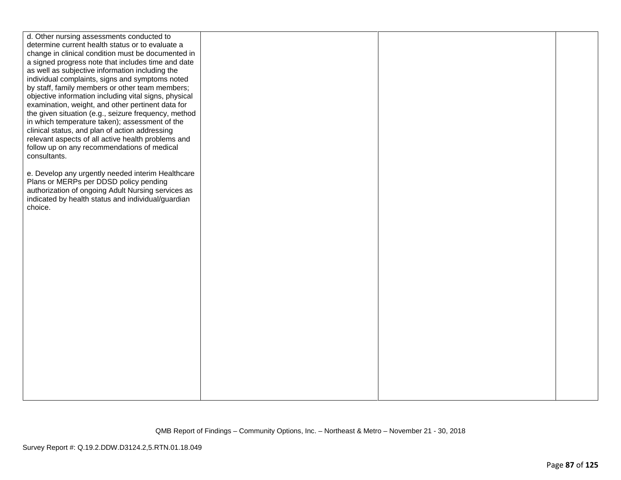| d. Other nursing assessments conducted to             |  |  |
|-------------------------------------------------------|--|--|
| determine current health status or to evaluate a      |  |  |
| change in clinical condition must be documented in    |  |  |
| a signed progress note that includes time and date    |  |  |
| as well as subjective information including the       |  |  |
| individual complaints, signs and symptoms noted       |  |  |
| by staff, family members or other team members;       |  |  |
| objective information including vital signs, physical |  |  |
| examination, weight, and other pertinent data for     |  |  |
| the given situation (e.g., seizure frequency, method  |  |  |
| in which temperature taken); assessment of the        |  |  |
| clinical status, and plan of action addressing        |  |  |
| relevant aspects of all active health problems and    |  |  |
| follow up on any recommendations of medical           |  |  |
| consultants.                                          |  |  |
|                                                       |  |  |
| e. Develop any urgently needed interim Healthcare     |  |  |
| Plans or MERPs per DDSD policy pending                |  |  |
| authorization of ongoing Adult Nursing services as    |  |  |
| indicated by health status and individual/guardian    |  |  |
| choice.                                               |  |  |
|                                                       |  |  |
|                                                       |  |  |
|                                                       |  |  |
|                                                       |  |  |
|                                                       |  |  |
|                                                       |  |  |
|                                                       |  |  |
|                                                       |  |  |
|                                                       |  |  |
|                                                       |  |  |
|                                                       |  |  |
|                                                       |  |  |
|                                                       |  |  |
|                                                       |  |  |
|                                                       |  |  |
|                                                       |  |  |
|                                                       |  |  |
|                                                       |  |  |
|                                                       |  |  |
|                                                       |  |  |
|                                                       |  |  |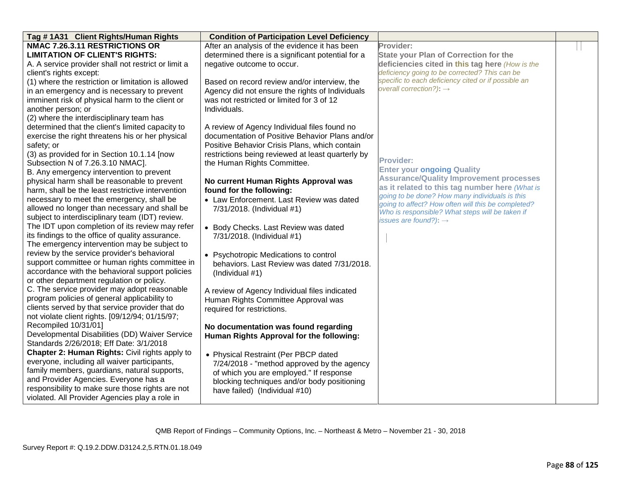| Tag #1A31 Client Rights/Human Rights                | <b>Condition of Participation Level Deficiency</b> |                                                                                                       |  |
|-----------------------------------------------------|----------------------------------------------------|-------------------------------------------------------------------------------------------------------|--|
| NMAC 7.26.3.11 RESTRICTIONS OR                      | After an analysis of the evidence it has been      | Provider:                                                                                             |  |
| <b>LIMITATION OF CLIENT'S RIGHTS:</b>               | determined there is a significant potential for a  | <b>State your Plan of Correction for the</b>                                                          |  |
| A. A service provider shall not restrict or limit a | negative outcome to occur.                         | deficiencies cited in this tag here (How is the                                                       |  |
| client's rights except:                             |                                                    | deficiency going to be corrected? This can be                                                         |  |
| (1) where the restriction or limitation is allowed  | Based on record review and/or interview, the       | specific to each deficiency cited or if possible an                                                   |  |
| in an emergency and is necessary to prevent         | Agency did not ensure the rights of Individuals    | overall correction?): $\rightarrow$                                                                   |  |
| imminent risk of physical harm to the client or     | was not restricted or limited for 3 of 12          |                                                                                                       |  |
| another person; or                                  | Individuals.                                       |                                                                                                       |  |
| (2) where the interdisciplinary team has            |                                                    |                                                                                                       |  |
| determined that the client's limited capacity to    | A review of Agency Individual files found no       |                                                                                                       |  |
| exercise the right threatens his or her physical    | documentation of Positive Behavior Plans and/or    |                                                                                                       |  |
| safety; or                                          | Positive Behavior Crisis Plans, which contain      |                                                                                                       |  |
| (3) as provided for in Section 10.1.14 [now         | restrictions being reviewed at least quarterly by  |                                                                                                       |  |
| Subsection N of 7.26.3.10 NMAC].                    | the Human Rights Committee.                        | <b>Provider:</b>                                                                                      |  |
| B. Any emergency intervention to prevent            |                                                    | <b>Enter your ongoing Quality</b>                                                                     |  |
| physical harm shall be reasonable to prevent        | No current Human Rights Approval was               | <b>Assurance/Quality Improvement processes</b>                                                        |  |
| harm, shall be the least restrictive intervention   | found for the following:                           | as it related to this tag number here (What is                                                        |  |
| necessary to meet the emergency, shall be           | • Law Enforcement. Last Review was dated           | going to be done? How many individuals is this                                                        |  |
| allowed no longer than necessary and shall be       | 7/31/2018. (Individual #1)                         | going to affect? How often will this be completed?<br>Who is responsible? What steps will be taken if |  |
| subject to interdisciplinary team (IDT) review.     |                                                    | issues are found?): $\rightarrow$                                                                     |  |
| The IDT upon completion of its review may refer     | • Body Checks. Last Review was dated               |                                                                                                       |  |
| its findings to the office of quality assurance.    | 7/31/2018. (Individual #1)                         |                                                                                                       |  |
| The emergency intervention may be subject to        |                                                    |                                                                                                       |  |
| review by the service provider's behavioral         | • Psychotropic Medications to control              |                                                                                                       |  |
| support committee or human rights committee in      | behaviors. Last Review was dated 7/31/2018.        |                                                                                                       |  |
| accordance with the behavioral support policies     | (Individual #1)                                    |                                                                                                       |  |
| or other department regulation or policy.           |                                                    |                                                                                                       |  |
| C. The service provider may adopt reasonable        | A review of Agency Individual files indicated      |                                                                                                       |  |
| program policies of general applicability to        | Human Rights Committee Approval was                |                                                                                                       |  |
| clients served by that service provider that do     | required for restrictions.                         |                                                                                                       |  |
| not violate client rights. [09/12/94; 01/15/97;     |                                                    |                                                                                                       |  |
| Recompiled 10/31/01]                                | No documentation was found regarding               |                                                                                                       |  |
| Developmental Disabilities (DD) Waiver Service      | Human Rights Approval for the following:           |                                                                                                       |  |
| Standards 2/26/2018; Eff Date: 3/1/2018             |                                                    |                                                                                                       |  |
| Chapter 2: Human Rights: Civil rights apply to      | • Physical Restraint (Per PBCP dated               |                                                                                                       |  |
| everyone, including all waiver participants,        | 7/24/2018 - "method approved by the agency         |                                                                                                       |  |
| family members, guardians, natural supports,        | of which you are employed." If response            |                                                                                                       |  |
| and Provider Agencies. Everyone has a               | blocking techniques and/or body positioning        |                                                                                                       |  |
| responsibility to make sure those rights are not    | have failed) (Individual #10)                      |                                                                                                       |  |
| violated. All Provider Agencies play a role in      |                                                    |                                                                                                       |  |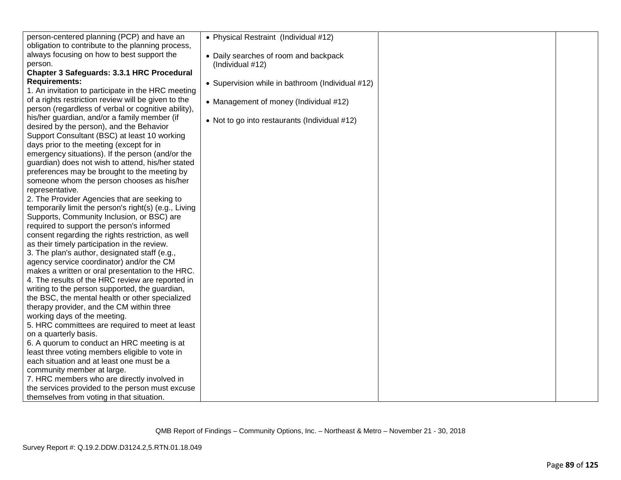| person-centered planning (PCP) and have an            | • Physical Restraint (Individual #12)            |  |
|-------------------------------------------------------|--------------------------------------------------|--|
| obligation to contribute to the planning process,     |                                                  |  |
| always focusing on how to best support the            | • Daily searches of room and backpack            |  |
| person.                                               | (Individual #12)                                 |  |
| Chapter 3 Safeguards: 3.3.1 HRC Procedural            |                                                  |  |
| <b>Requirements:</b>                                  | • Supervision while in bathroom (Individual #12) |  |
| 1. An invitation to participate in the HRC meeting    |                                                  |  |
| of a rights restriction review will be given to the   | • Management of money (Individual #12)           |  |
| person (regardless of verbal or cognitive ability),   |                                                  |  |
| his/her guardian, and/or a family member (if          | • Not to go into restaurants (Individual #12)    |  |
| desired by the person), and the Behavior              |                                                  |  |
| Support Consultant (BSC) at least 10 working          |                                                  |  |
| days prior to the meeting (except for in              |                                                  |  |
| emergency situations). If the person (and/or the      |                                                  |  |
| guardian) does not wish to attend, his/her stated     |                                                  |  |
| preferences may be brought to the meeting by          |                                                  |  |
| someone whom the person chooses as his/her            |                                                  |  |
| representative.                                       |                                                  |  |
| 2. The Provider Agencies that are seeking to          |                                                  |  |
| temporarily limit the person's right(s) (e.g., Living |                                                  |  |
| Supports, Community Inclusion, or BSC) are            |                                                  |  |
| required to support the person's informed             |                                                  |  |
| consent regarding the rights restriction, as well     |                                                  |  |
| as their timely participation in the review.          |                                                  |  |
| 3. The plan's author, designated staff (e.g.,         |                                                  |  |
| agency service coordinator) and/or the CM             |                                                  |  |
| makes a written or oral presentation to the HRC.      |                                                  |  |
| 4. The results of the HRC review are reported in      |                                                  |  |
| writing to the person supported, the guardian,        |                                                  |  |
| the BSC, the mental health or other specialized       |                                                  |  |
| therapy provider, and the CM within three             |                                                  |  |
| working days of the meeting.                          |                                                  |  |
| 5. HRC committees are required to meet at least       |                                                  |  |
| on a quarterly basis.                                 |                                                  |  |
| 6. A quorum to conduct an HRC meeting is at           |                                                  |  |
| least three voting members eligible to vote in        |                                                  |  |
| each situation and at least one must be a             |                                                  |  |
| community member at large.                            |                                                  |  |
| 7. HRC members who are directly involved in           |                                                  |  |
| the services provided to the person must excuse       |                                                  |  |
| themselves from voting in that situation.             |                                                  |  |
|                                                       |                                                  |  |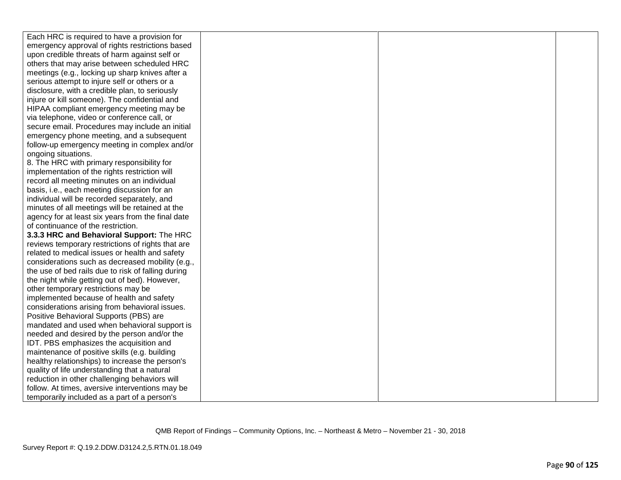Each HRC is required to have a provision for emergency approval of rights restrictions based upon credible threats of harm against self or others that may arise between scheduled HRC meetings (e.g., locking up sharp knives after a serious attempt to injure self or others or a disclosure, with a credible plan, to seriously injure or kill someone). The confidential and HIPAA compliant emergency meeting may be via telephone, video or conference call, or secure email. Procedures may include an initial emergency phone meeting, and a subsequent follow-up emergency meeting in complex and/or ongoing situations.

8. The HRC with primary responsibility for implementation of the rights restriction will record all meeting minutes on an individual basis, i.e., each meeting discussion for an individual will be recorded separately, and minutes of all meetings will be retained at the agency for at least six years from the final date of continuance of the restriction.

**3.3.3 HRC and Behavioral Support:** The HRC reviews temporary restrictions of rights that are related to medical issues or health and safety considerations such as decreased mobility (e.g., the use of bed rails due to risk of falling during the night while getting out of bed). However, other temporary restrictions may be implemented because of health and safety considerations arising from behavioral issues. Positive Behavioral Supports (PBS) are mandated and used when behavioral support is needed and desired by the person and/or the IDT. PBS emphasizes the acquisition and maintenance of positive skills (e.g. building healthy relationships) to increase the person's quality of life understanding that a natural reduction in other challenging behaviors will follow. At times, aversive interventions may be temporarily included as a part of a person's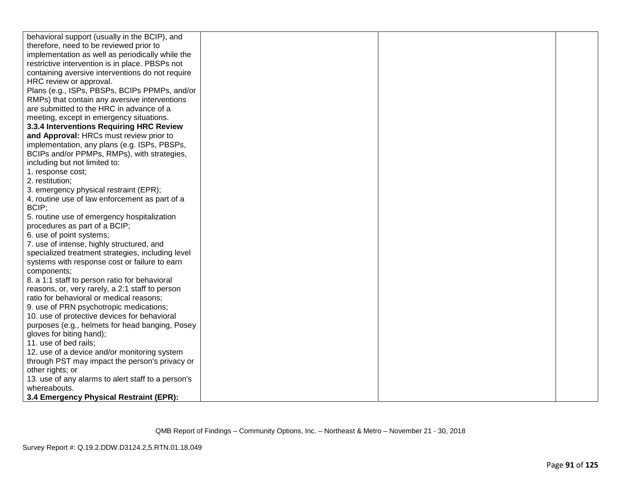| behavioral support (usually in the BCIP), and      |  |  |
|----------------------------------------------------|--|--|
| therefore, need to be reviewed prior to            |  |  |
| implementation as well as periodically while the   |  |  |
| restrictive intervention is in place. PBSPs not    |  |  |
| containing aversive interventions do not require   |  |  |
| HRC review or approval.                            |  |  |
| Plans (e.g., ISPs, PBSPs, BCIPs PPMPs, and/or      |  |  |
| RMPs) that contain any aversive interventions      |  |  |
| are submitted to the HRC in advance of a           |  |  |
| meeting, except in emergency situations.           |  |  |
| 3.3.4 Interventions Requiring HRC Review           |  |  |
| and Approval: HRCs must review prior to            |  |  |
| implementation, any plans (e.g. ISPs, PBSPs,       |  |  |
| BCIPs and/or PPMPs, RMPs), with strategies,        |  |  |
| including but not limited to:                      |  |  |
| 1. response cost;                                  |  |  |
| 2. restitution;                                    |  |  |
| 3. emergency physical restraint (EPR);             |  |  |
| 4. routine use of law enforcement as part of a     |  |  |
| BCIP;                                              |  |  |
| 5. routine use of emergency hospitalization        |  |  |
| procedures as part of a BCIP;                      |  |  |
| 6. use of point systems;                           |  |  |
| 7. use of intense, highly structured, and          |  |  |
| specialized treatment strategies, including level  |  |  |
| systems with response cost or failure to earn      |  |  |
| components;                                        |  |  |
| 8. a 1:1 staff to person ratio for behavioral      |  |  |
| reasons, or, very rarely, a 2:1 staff to person    |  |  |
| ratio for behavioral or medical reasons;           |  |  |
| 9. use of PRN psychotropic medications;            |  |  |
| 10. use of protective devices for behavioral       |  |  |
| purposes (e.g., helmets for head banging, Posey    |  |  |
| gloves for biting hand);                           |  |  |
| 11. use of bed rails;                              |  |  |
| 12. use of a device and/or monitoring system       |  |  |
| through PST may impact the person's privacy or     |  |  |
| other rights; or                                   |  |  |
| 13. use of any alarms to alert staff to a person's |  |  |
| whereabouts.                                       |  |  |
| 3.4 Emergency Physical Restraint (EPR):            |  |  |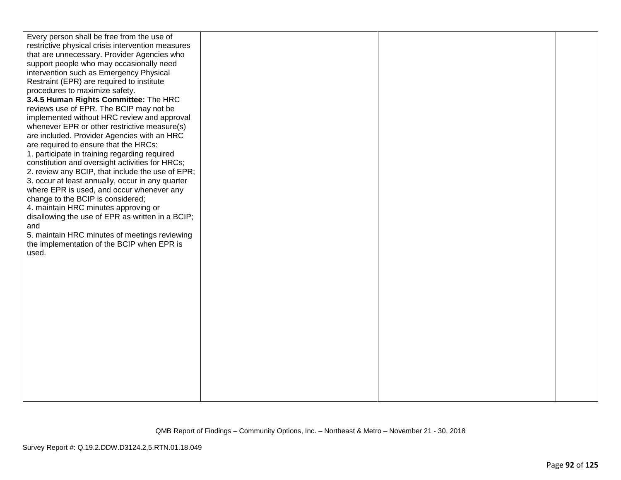| Every person shall be free from the use of<br>restrictive physical crisis intervention measures<br>that are unnecessary. Provider Agencies who<br>support people who may occasionally need<br>intervention such as Emergency Physical<br>Restraint (EPR) are required to institute<br>procedures to maximize safety.<br>3.4.5 Human Rights Committee: The HRC<br>reviews use of EPR. The BCIP may not be<br>implemented without HRC review and approval<br>whenever EPR or other restrictive measure(s)<br>are included. Provider Agencies with an HRC<br>are required to ensure that the HRCs:<br>1. participate in training regarding required<br>constitution and oversight activities for HRCs;<br>2. review any BCIP, that include the use of EPR;<br>3. occur at least annually, occur in any quarter<br>where EPR is used, and occur whenever any<br>change to the BCIP is considered;<br>4. maintain HRC minutes approving or |  |  |
|---------------------------------------------------------------------------------------------------------------------------------------------------------------------------------------------------------------------------------------------------------------------------------------------------------------------------------------------------------------------------------------------------------------------------------------------------------------------------------------------------------------------------------------------------------------------------------------------------------------------------------------------------------------------------------------------------------------------------------------------------------------------------------------------------------------------------------------------------------------------------------------------------------------------------------------|--|--|
| disallowing the use of EPR as written in a BCIP;<br>and<br>5. maintain HRC minutes of meetings reviewing<br>the implementation of the BCIP when EPR is<br>used.                                                                                                                                                                                                                                                                                                                                                                                                                                                                                                                                                                                                                                                                                                                                                                       |  |  |
|                                                                                                                                                                                                                                                                                                                                                                                                                                                                                                                                                                                                                                                                                                                                                                                                                                                                                                                                       |  |  |
|                                                                                                                                                                                                                                                                                                                                                                                                                                                                                                                                                                                                                                                                                                                                                                                                                                                                                                                                       |  |  |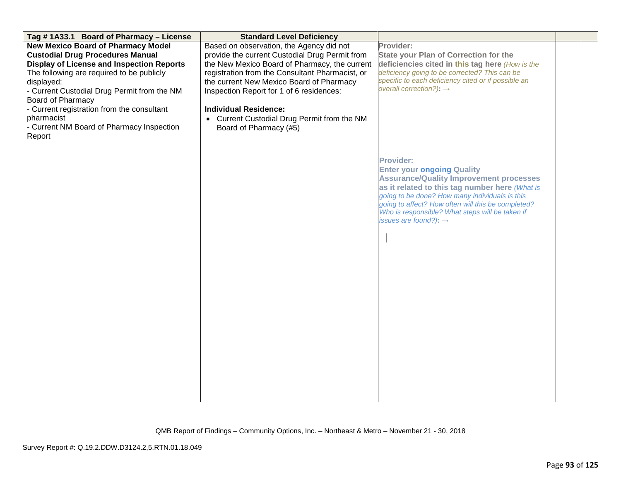| Tag #1A33.1 Board of Pharmacy - License          | <b>Standard Level Deficiency</b>                |                                                     |  |
|--------------------------------------------------|-------------------------------------------------|-----------------------------------------------------|--|
| <b>New Mexico Board of Pharmacy Model</b>        | Based on observation, the Agency did not        | Provider:                                           |  |
| <b>Custodial Drug Procedures Manual</b>          | provide the current Custodial Drug Permit from  | <b>State your Plan of Correction for the</b>        |  |
| <b>Display of License and Inspection Reports</b> | the New Mexico Board of Pharmacy, the current   | deficiencies cited in this tag here (How is the     |  |
| The following are required to be publicly        | registration from the Consultant Pharmacist, or | deficiency going to be corrected? This can be       |  |
| displayed:                                       | the current New Mexico Board of Pharmacy        | specific to each deficiency cited or if possible an |  |
| - Current Custodial Drug Permit from the NM      | Inspection Report for 1 of 6 residences:        | overall correction?): $\rightarrow$                 |  |
| Board of Pharmacy                                |                                                 |                                                     |  |
| - Current registration from the consultant       | <b>Individual Residence:</b>                    |                                                     |  |
| pharmacist                                       | • Current Custodial Drug Permit from the NM     |                                                     |  |
| - Current NM Board of Pharmacy Inspection        | Board of Pharmacy (#5)                          |                                                     |  |
| Report                                           |                                                 |                                                     |  |
|                                                  |                                                 |                                                     |  |
|                                                  |                                                 |                                                     |  |
|                                                  |                                                 | <b>Provider:</b>                                    |  |
|                                                  |                                                 | <b>Enter your ongoing Quality</b>                   |  |
|                                                  |                                                 | <b>Assurance/Quality Improvement processes</b>      |  |
|                                                  |                                                 | as it related to this tag number here (What is      |  |
|                                                  |                                                 | going to be done? How many individuals is this      |  |
|                                                  |                                                 | going to affect? How often will this be completed?  |  |
|                                                  |                                                 | Who is responsible? What steps will be taken if     |  |
|                                                  |                                                 | issues are found?): $\rightarrow$                   |  |
|                                                  |                                                 |                                                     |  |
|                                                  |                                                 |                                                     |  |
|                                                  |                                                 |                                                     |  |
|                                                  |                                                 |                                                     |  |
|                                                  |                                                 |                                                     |  |
|                                                  |                                                 |                                                     |  |
|                                                  |                                                 |                                                     |  |
|                                                  |                                                 |                                                     |  |
|                                                  |                                                 |                                                     |  |
|                                                  |                                                 |                                                     |  |
|                                                  |                                                 |                                                     |  |
|                                                  |                                                 |                                                     |  |
|                                                  |                                                 |                                                     |  |
|                                                  |                                                 |                                                     |  |
|                                                  |                                                 |                                                     |  |
|                                                  |                                                 |                                                     |  |
|                                                  |                                                 |                                                     |  |
|                                                  |                                                 |                                                     |  |
|                                                  |                                                 |                                                     |  |
|                                                  |                                                 |                                                     |  |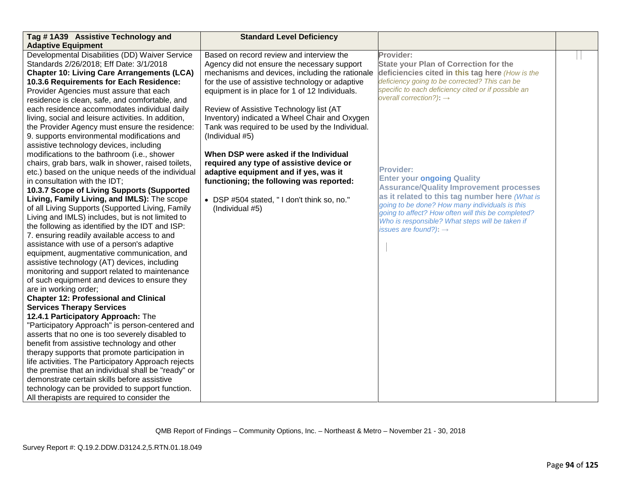| Tag #1A39 Assistive Technology and                                                                                     | <b>Standard Level Deficiency</b>                                                        |                                                                                      |  |
|------------------------------------------------------------------------------------------------------------------------|-----------------------------------------------------------------------------------------|--------------------------------------------------------------------------------------|--|
| <b>Adaptive Equipment</b><br>Developmental Disabilities (DD) Waiver Service<br>Standards 2/26/2018; Eff Date: 3/1/2018 | Based on record review and interview the<br>Agency did not ensure the necessary support | Provider:<br><b>State your Plan of Correction for the</b>                            |  |
| <b>Chapter 10: Living Care Arrangements (LCA)</b>                                                                      | mechanisms and devices, including the rationale                                         | deficiencies cited in this tag here (How is the                                      |  |
| 10.3.6 Requirements for Each Residence:                                                                                | for the use of assistive technology or adaptive                                         | deficiency going to be corrected? This can be                                        |  |
| Provider Agencies must assure that each                                                                                | equipment is in place for 1 of 12 Individuals.                                          | specific to each deficiency cited or if possible an                                  |  |
| residence is clean, safe, and comfortable, and                                                                         |                                                                                         | overall correction?): $\rightarrow$                                                  |  |
| each residence accommodates individual daily                                                                           | Review of Assistive Technology list (AT                                                 |                                                                                      |  |
| living, social and leisure activities. In addition,                                                                    | Inventory) indicated a Wheel Chair and Oxygen                                           |                                                                                      |  |
| the Provider Agency must ensure the residence:                                                                         | Tank was required to be used by the Individual.                                         |                                                                                      |  |
| 9. supports environmental modifications and                                                                            | (Individual #5)                                                                         |                                                                                      |  |
| assistive technology devices, including                                                                                |                                                                                         |                                                                                      |  |
| modifications to the bathroom (i.e., shower                                                                            | When DSP were asked if the Individual                                                   |                                                                                      |  |
| chairs, grab bars, walk in shower, raised toilets,                                                                     | required any type of assistive device or                                                | <b>Provider:</b>                                                                     |  |
| etc.) based on the unique needs of the individual                                                                      | adaptive equipment and if yes, was it                                                   | <b>Enter your ongoing Quality</b>                                                    |  |
| in consultation with the IDT;<br>10.3.7 Scope of Living Supports (Supported                                            | functioning; the following was reported:                                                | <b>Assurance/Quality Improvement processes</b>                                       |  |
| Living, Family Living, and IMLS): The scope                                                                            | • DSP #504 stated, "I don't think so, no."                                              | as it related to this tag number here (What is                                       |  |
| of all Living Supports (Supported Living, Family                                                                       | (Individual #5)                                                                         | going to be done? How many individuals is this                                       |  |
| Living and IMLS) includes, but is not limited to                                                                       |                                                                                         | going to affect? How often will this be completed?                                   |  |
| the following as identified by the IDT and ISP:                                                                        |                                                                                         | Who is responsible? What steps will be taken if<br>issues are found?): $\rightarrow$ |  |
| 7. ensuring readily available access to and                                                                            |                                                                                         |                                                                                      |  |
| assistance with use of a person's adaptive                                                                             |                                                                                         |                                                                                      |  |
| equipment, augmentative communication, and                                                                             |                                                                                         |                                                                                      |  |
| assistive technology (AT) devices, including                                                                           |                                                                                         |                                                                                      |  |
| monitoring and support related to maintenance                                                                          |                                                                                         |                                                                                      |  |
| of such equipment and devices to ensure they                                                                           |                                                                                         |                                                                                      |  |
| are in working order;                                                                                                  |                                                                                         |                                                                                      |  |
| <b>Chapter 12: Professional and Clinical</b>                                                                           |                                                                                         |                                                                                      |  |
| <b>Services Therapy Services</b>                                                                                       |                                                                                         |                                                                                      |  |
| 12.4.1 Participatory Approach: The<br>"Participatory Approach" is person-centered and                                  |                                                                                         |                                                                                      |  |
| asserts that no one is too severely disabled to                                                                        |                                                                                         |                                                                                      |  |
| benefit from assistive technology and other                                                                            |                                                                                         |                                                                                      |  |
| therapy supports that promote participation in                                                                         |                                                                                         |                                                                                      |  |
| life activities. The Participatory Approach rejects                                                                    |                                                                                         |                                                                                      |  |
| the premise that an individual shall be "ready" or                                                                     |                                                                                         |                                                                                      |  |
| demonstrate certain skills before assistive                                                                            |                                                                                         |                                                                                      |  |
| technology can be provided to support function.                                                                        |                                                                                         |                                                                                      |  |
| All therapists are required to consider the                                                                            |                                                                                         |                                                                                      |  |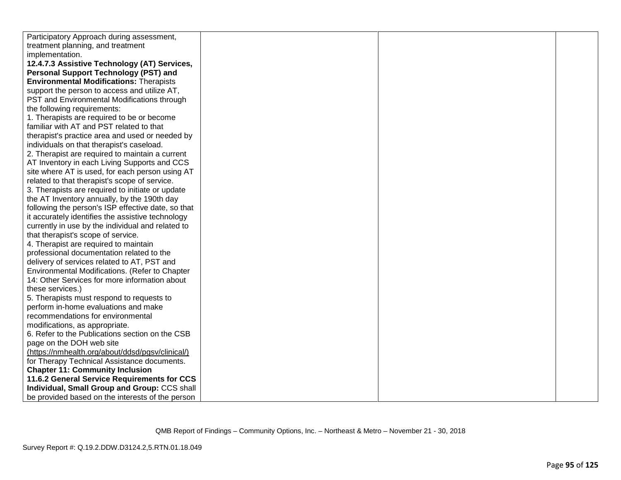| Participatory Approach during assessment,          |  |  |
|----------------------------------------------------|--|--|
| treatment planning, and treatment                  |  |  |
| implementation.                                    |  |  |
| 12.4.7.3 Assistive Technology (AT) Services,       |  |  |
| <b>Personal Support Technology (PST) and</b>       |  |  |
| <b>Environmental Modifications: Therapists</b>     |  |  |
| support the person to access and utilize AT,       |  |  |
| PST and Environmental Modifications through        |  |  |
| the following requirements:                        |  |  |
| 1. Therapists are required to be or become         |  |  |
| familiar with AT and PST related to that           |  |  |
| therapist's practice area and used or needed by    |  |  |
| individuals on that therapist's caseload.          |  |  |
| 2. Therapist are required to maintain a current    |  |  |
| AT Inventory in each Living Supports and CCS       |  |  |
| site where AT is used, for each person using AT    |  |  |
| related to that therapist's scope of service.      |  |  |
| 3. Therapists are required to initiate or update   |  |  |
| the AT Inventory annually, by the 190th day        |  |  |
| following the person's ISP effective date, so that |  |  |
| it accurately identifies the assistive technology  |  |  |
| currently in use by the individual and related to  |  |  |
| that therapist's scope of service.                 |  |  |
| 4. Therapist are required to maintain              |  |  |
| professional documentation related to the          |  |  |
| delivery of services related to AT, PST and        |  |  |
| Environmental Modifications. (Refer to Chapter     |  |  |
| 14: Other Services for more information about      |  |  |
| these services.)                                   |  |  |
| 5. Therapists must respond to requests to          |  |  |
| perform in-home evaluations and make               |  |  |
| recommendations for environmental                  |  |  |
| modifications, as appropriate.                     |  |  |
| 6. Refer to the Publications section on the CSB    |  |  |
| page on the DOH web site                           |  |  |
| (https://nmhealth.org/about/ddsd/pgsv/clinical/)   |  |  |
| for Therapy Technical Assistance documents.        |  |  |
| <b>Chapter 11: Community Inclusion</b>             |  |  |
| 11.6.2 General Service Requirements for CCS        |  |  |
| Individual, Small Group and Group: CCS shall       |  |  |
| be provided based on the interests of the person   |  |  |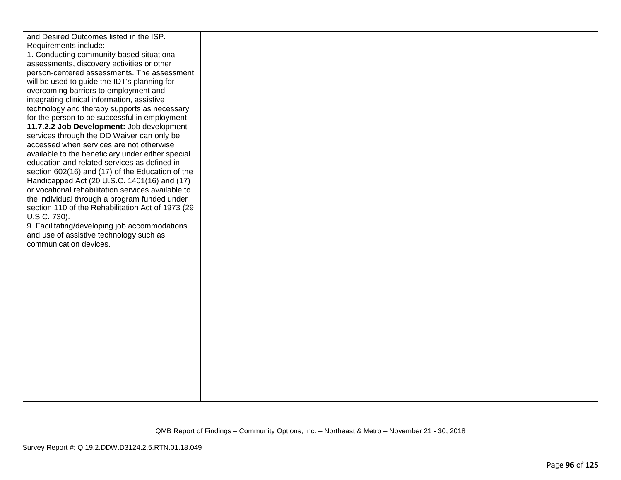| and Desired Outcomes listed in the ISP.                                                        |  |  |
|------------------------------------------------------------------------------------------------|--|--|
| Requirements include:                                                                          |  |  |
| 1. Conducting community-based situational                                                      |  |  |
| assessments, discovery activities or other                                                     |  |  |
| person-centered assessments. The assessment                                                    |  |  |
| will be used to guide the IDT's planning for                                                   |  |  |
| overcoming barriers to employment and                                                          |  |  |
| integrating clinical information, assistive                                                    |  |  |
|                                                                                                |  |  |
| technology and therapy supports as necessary<br>for the person to be successful in employment. |  |  |
| 11.7.2.2 Job Development: Job development                                                      |  |  |
| services through the DD Waiver can only be                                                     |  |  |
| accessed when services are not otherwise                                                       |  |  |
| available to the beneficiary under either special                                              |  |  |
| education and related services as defined in                                                   |  |  |
| section 602(16) and (17) of the Education of the                                               |  |  |
| Handicapped Act (20 U.S.C. 1401(16) and (17)                                                   |  |  |
| or vocational rehabilitation services available to                                             |  |  |
| the individual through a program funded under                                                  |  |  |
| section 110 of the Rehabilitation Act of 1973 (29                                              |  |  |
| U.S.C. 730).                                                                                   |  |  |
| 9. Facilitating/developing job accommodations                                                  |  |  |
| and use of assistive technology such as                                                        |  |  |
| communication devices.                                                                         |  |  |
|                                                                                                |  |  |
|                                                                                                |  |  |
|                                                                                                |  |  |
|                                                                                                |  |  |
|                                                                                                |  |  |
|                                                                                                |  |  |
|                                                                                                |  |  |
|                                                                                                |  |  |
|                                                                                                |  |  |
|                                                                                                |  |  |
|                                                                                                |  |  |
|                                                                                                |  |  |
|                                                                                                |  |  |
|                                                                                                |  |  |
|                                                                                                |  |  |
|                                                                                                |  |  |
|                                                                                                |  |  |
|                                                                                                |  |  |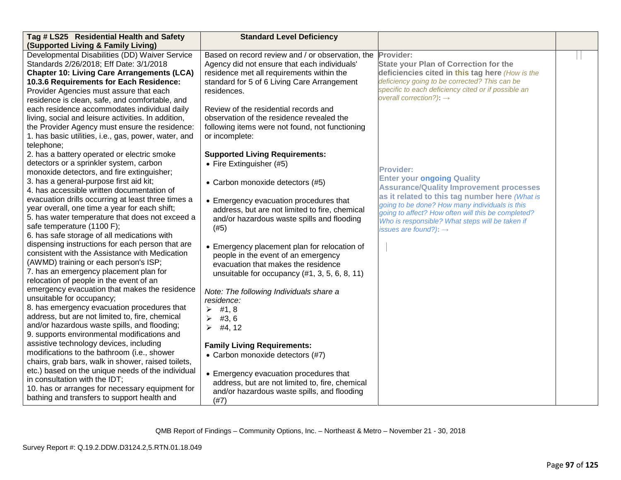| Tag # LS25 Residential Health and Safety                                             | <b>Standard Level Deficiency</b>                 |                                                                                                      |  |
|--------------------------------------------------------------------------------------|--------------------------------------------------|------------------------------------------------------------------------------------------------------|--|
| (Supported Living & Family Living)<br>Developmental Disabilities (DD) Waiver Service |                                                  | Provider:                                                                                            |  |
|                                                                                      | Based on record review and / or observation, the |                                                                                                      |  |
| Standards 2/26/2018; Eff Date: 3/1/2018                                              | Agency did not ensure that each individuals'     | <b>State your Plan of Correction for the</b>                                                         |  |
| <b>Chapter 10: Living Care Arrangements (LCA)</b>                                    | residence met all requirements within the        | deficiencies cited in this tag here (How is the                                                      |  |
| 10.3.6 Requirements for Each Residence:                                              | standard for 5 of 6 Living Care Arrangement      | deficiency going to be corrected? This can be<br>specific to each deficiency cited or if possible an |  |
| Provider Agencies must assure that each                                              | residences.                                      | overall correction?): $\rightarrow$                                                                  |  |
| residence is clean, safe, and comfortable, and                                       |                                                  |                                                                                                      |  |
| each residence accommodates individual daily                                         | Review of the residential records and            |                                                                                                      |  |
| living, social and leisure activities. In addition,                                  | observation of the residence revealed the        |                                                                                                      |  |
| the Provider Agency must ensure the residence:                                       | following items were not found, not functioning  |                                                                                                      |  |
| 1. has basic utilities, i.e., gas, power, water, and                                 | or incomplete:                                   |                                                                                                      |  |
| telephone;                                                                           |                                                  |                                                                                                      |  |
| 2. has a battery operated or electric smoke                                          | <b>Supported Living Requirements:</b>            |                                                                                                      |  |
| detectors or a sprinkler system, carbon                                              | • Fire Extinguisher (#5)                         |                                                                                                      |  |
| monoxide detectors, and fire extinguisher;                                           |                                                  | <b>Provider:</b>                                                                                     |  |
| 3. has a general-purpose first aid kit;                                              | • Carbon monoxide detectors (#5)                 | <b>Enter your ongoing Quality</b>                                                                    |  |
| 4. has accessible written documentation of                                           |                                                  | <b>Assurance/Quality Improvement processes</b><br>as it related to this tag number here (What is     |  |
| evacuation drills occurring at least three times a                                   | • Emergency evacuation procedures that           | going to be done? How many individuals is this                                                       |  |
| year overall, one time a year for each shift;                                        | address, but are not limited to fire, chemical   | going to affect? How often will this be completed?                                                   |  |
| 5. has water temperature that does not exceed a                                      | and/or hazardous waste spills and flooding       | Who is responsible? What steps will be taken if                                                      |  |
| safe temperature (1100 F);                                                           | (#5)                                             | issues are found?): $\rightarrow$                                                                    |  |
| 6. has safe storage of all medications with                                          |                                                  |                                                                                                      |  |
| dispensing instructions for each person that are                                     | • Emergency placement plan for relocation of     |                                                                                                      |  |
| consistent with the Assistance with Medication                                       | people in the event of an emergency              |                                                                                                      |  |
| (AWMD) training or each person's ISP;                                                | evacuation that makes the residence              |                                                                                                      |  |
| 7. has an emergency placement plan for                                               | unsuitable for occupancy $(\#1, 3, 5, 6, 8, 11)$ |                                                                                                      |  |
| relocation of people in the event of an                                              |                                                  |                                                                                                      |  |
| emergency evacuation that makes the residence                                        | Note: The following Individuals share a          |                                                                                                      |  |
| unsuitable for occupancy;                                                            | residence:                                       |                                                                                                      |  |
| 8. has emergency evacuation procedures that                                          | #1, 8<br>$\blacktriangleright$                   |                                                                                                      |  |
| address, but are not limited to, fire, chemical                                      | #3, 6<br>$\blacktriangleright$                   |                                                                                                      |  |
| and/or hazardous waste spills, and flooding;                                         | #4, 12<br>➤                                      |                                                                                                      |  |
| 9. supports environmental modifications and                                          |                                                  |                                                                                                      |  |
| assistive technology devices, including                                              | <b>Family Living Requirements:</b>               |                                                                                                      |  |
| modifications to the bathroom (i.e., shower                                          | • Carbon monoxide detectors (#7)                 |                                                                                                      |  |
| chairs, grab bars, walk in shower, raised toilets,                                   |                                                  |                                                                                                      |  |
| etc.) based on the unique needs of the individual                                    | • Emergency evacuation procedures that           |                                                                                                      |  |
| in consultation with the IDT;                                                        | address, but are not limited to, fire, chemical  |                                                                                                      |  |
| 10. has or arranges for necessary equipment for                                      | and/or hazardous waste spills, and flooding      |                                                                                                      |  |
| bathing and transfers to support health and                                          | (#7)                                             |                                                                                                      |  |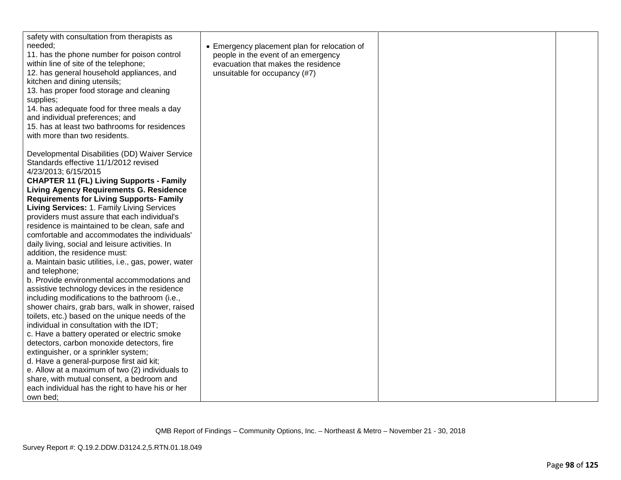| safety with consultation from therapists as<br>needed:<br>11. has the phone number for poison control<br>within line of site of the telephone;<br>12. has general household appliances, and<br>kitchen and dining utensils;<br>13. has proper food storage and cleaning<br>supplies;<br>14. has adequate food for three meals a day<br>and individual preferences; and<br>15. has at least two bathrooms for residences<br>with more than two residents.                                                                                                                                                                                                                                                                                                                                                                                                                                                                                                                                                                                                                                                                                                                                                                                                                                     | • Emergency placement plan for relocation of<br>people in the event of an emergency<br>evacuation that makes the residence<br>unsuitable for occupancy (#7) |  |
|----------------------------------------------------------------------------------------------------------------------------------------------------------------------------------------------------------------------------------------------------------------------------------------------------------------------------------------------------------------------------------------------------------------------------------------------------------------------------------------------------------------------------------------------------------------------------------------------------------------------------------------------------------------------------------------------------------------------------------------------------------------------------------------------------------------------------------------------------------------------------------------------------------------------------------------------------------------------------------------------------------------------------------------------------------------------------------------------------------------------------------------------------------------------------------------------------------------------------------------------------------------------------------------------|-------------------------------------------------------------------------------------------------------------------------------------------------------------|--|
| Developmental Disabilities (DD) Waiver Service<br>Standards effective 11/1/2012 revised<br>4/23/2013; 6/15/2015<br><b>CHAPTER 11 (FL) Living Supports - Family</b><br><b>Living Agency Requirements G. Residence</b><br><b>Requirements for Living Supports- Family</b><br>Living Services: 1. Family Living Services<br>providers must assure that each individual's<br>residence is maintained to be clean, safe and<br>comfortable and accommodates the individuals'<br>daily living, social and leisure activities. In<br>addition, the residence must:<br>a. Maintain basic utilities, i.e., gas, power, water<br>and telephone;<br>b. Provide environmental accommodations and<br>assistive technology devices in the residence<br>including modifications to the bathroom (i.e.,<br>shower chairs, grab bars, walk in shower, raised<br>toilets, etc.) based on the unique needs of the<br>individual in consultation with the IDT;<br>c. Have a battery operated or electric smoke<br>detectors, carbon monoxide detectors, fire<br>extinguisher, or a sprinkler system;<br>d. Have a general-purpose first aid kit;<br>e. Allow at a maximum of two (2) individuals to<br>share, with mutual consent, a bedroom and<br>each individual has the right to have his or her<br>own bed; |                                                                                                                                                             |  |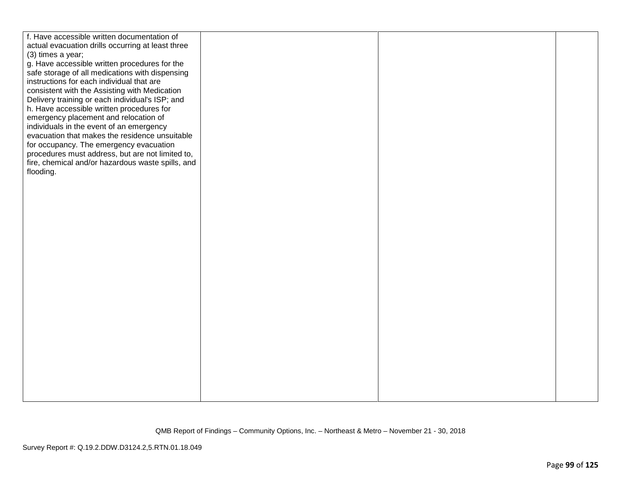| f. Have accessible written documentation of       |  |  |
|---------------------------------------------------|--|--|
| actual evacuation drills occurring at least three |  |  |
| (3) times a year;                                 |  |  |
| g. Have accessible written procedures for the     |  |  |
| safe storage of all medications with dispensing   |  |  |
| instructions for each individual that are         |  |  |
| consistent with the Assisting with Medication     |  |  |
| Delivery training or each individual's ISP; and   |  |  |
| h. Have accessible written procedures for         |  |  |
| emergency placement and relocation of             |  |  |
|                                                   |  |  |
| individuals in the event of an emergency          |  |  |
| evacuation that makes the residence unsuitable    |  |  |
| for occupancy. The emergency evacuation           |  |  |
| procedures must address, but are not limited to,  |  |  |
| fire, chemical and/or hazardous waste spills, and |  |  |
| flooding.                                         |  |  |
|                                                   |  |  |
|                                                   |  |  |
|                                                   |  |  |
|                                                   |  |  |
|                                                   |  |  |
|                                                   |  |  |
|                                                   |  |  |
|                                                   |  |  |
|                                                   |  |  |
|                                                   |  |  |
|                                                   |  |  |
|                                                   |  |  |
|                                                   |  |  |
|                                                   |  |  |
|                                                   |  |  |
|                                                   |  |  |
|                                                   |  |  |
|                                                   |  |  |
|                                                   |  |  |
|                                                   |  |  |
|                                                   |  |  |
|                                                   |  |  |
|                                                   |  |  |
|                                                   |  |  |
|                                                   |  |  |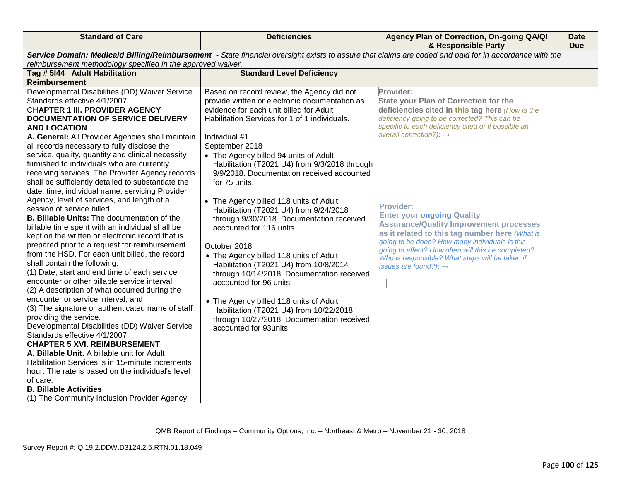| <b>Standard of Care</b>                                                                                                                                                                                                                                                                                                                                                                                                                                                                                                                                                                                                                                                                                                                                                                                                                                                                                                                                                                                                                                                                                                                                                                                                                                                                                                                                                                                                                                                                                                                                       | <b>Deficiencies</b>                                                                                                                                                                                                                                                                                                                                                                                                                                                                                                                                                                                                                                                                                                                                                                                                                                                                         | Agency Plan of Correction, On-going QA/QI<br>& Responsible Party                                                                                                                                                                                                                                                                                                                                                                                                                                                                                                                                                         | Date<br><b>Due</b> |  |
|---------------------------------------------------------------------------------------------------------------------------------------------------------------------------------------------------------------------------------------------------------------------------------------------------------------------------------------------------------------------------------------------------------------------------------------------------------------------------------------------------------------------------------------------------------------------------------------------------------------------------------------------------------------------------------------------------------------------------------------------------------------------------------------------------------------------------------------------------------------------------------------------------------------------------------------------------------------------------------------------------------------------------------------------------------------------------------------------------------------------------------------------------------------------------------------------------------------------------------------------------------------------------------------------------------------------------------------------------------------------------------------------------------------------------------------------------------------------------------------------------------------------------------------------------------------|---------------------------------------------------------------------------------------------------------------------------------------------------------------------------------------------------------------------------------------------------------------------------------------------------------------------------------------------------------------------------------------------------------------------------------------------------------------------------------------------------------------------------------------------------------------------------------------------------------------------------------------------------------------------------------------------------------------------------------------------------------------------------------------------------------------------------------------------------------------------------------------------|--------------------------------------------------------------------------------------------------------------------------------------------------------------------------------------------------------------------------------------------------------------------------------------------------------------------------------------------------------------------------------------------------------------------------------------------------------------------------------------------------------------------------------------------------------------------------------------------------------------------------|--------------------|--|
| Service Domain: Medicaid Billing/Reimbursement - State financial oversight exists to assure that claims are coded and paid for in accordance with the<br>reimbursement methodology specified in the approved waiver.                                                                                                                                                                                                                                                                                                                                                                                                                                                                                                                                                                                                                                                                                                                                                                                                                                                                                                                                                                                                                                                                                                                                                                                                                                                                                                                                          |                                                                                                                                                                                                                                                                                                                                                                                                                                                                                                                                                                                                                                                                                                                                                                                                                                                                                             |                                                                                                                                                                                                                                                                                                                                                                                                                                                                                                                                                                                                                          |                    |  |
| Tag # 5144 Adult Habilitation                                                                                                                                                                                                                                                                                                                                                                                                                                                                                                                                                                                                                                                                                                                                                                                                                                                                                                                                                                                                                                                                                                                                                                                                                                                                                                                                                                                                                                                                                                                                 | <b>Standard Level Deficiency</b>                                                                                                                                                                                                                                                                                                                                                                                                                                                                                                                                                                                                                                                                                                                                                                                                                                                            |                                                                                                                                                                                                                                                                                                                                                                                                                                                                                                                                                                                                                          |                    |  |
|                                                                                                                                                                                                                                                                                                                                                                                                                                                                                                                                                                                                                                                                                                                                                                                                                                                                                                                                                                                                                                                                                                                                                                                                                                                                                                                                                                                                                                                                                                                                                               |                                                                                                                                                                                                                                                                                                                                                                                                                                                                                                                                                                                                                                                                                                                                                                                                                                                                                             |                                                                                                                                                                                                                                                                                                                                                                                                                                                                                                                                                                                                                          |                    |  |
| <b>Reimbursement</b><br>Developmental Disabilities (DD) Waiver Service<br>Standards effective 4/1/2007<br>CHAPTER 1 III. PROVIDER AGENCY<br><b>DOCUMENTATION OF SERVICE DELIVERY</b><br><b>AND LOCATION</b><br>A. General: All Provider Agencies shall maintain<br>all records necessary to fully disclose the<br>service, quality, quantity and clinical necessity<br>furnished to individuals who are currently<br>receiving services. The Provider Agency records<br>shall be sufficiently detailed to substantiate the<br>date, time, individual name, servicing Provider<br>Agency, level of services, and length of a<br>session of service billed.<br><b>B. Billable Units: The documentation of the</b><br>billable time spent with an individual shall be<br>kept on the written or electronic record that is<br>prepared prior to a request for reimbursement<br>from the HSD. For each unit billed, the record<br>shall contain the following:<br>(1) Date, start and end time of each service<br>encounter or other billable service interval;<br>(2) A description of what occurred during the<br>encounter or service interval; and<br>(3) The signature or authenticated name of staff<br>providing the service.<br>Developmental Disabilities (DD) Waiver Service<br>Standards effective 4/1/2007<br><b>CHAPTER 5 XVI. REIMBURSEMENT</b><br>A. Billable Unit. A billable unit for Adult<br>Habilitation Services is in 15-minute increments<br>hour. The rate is based on the individual's level<br>of care.<br><b>B. Billable Activities</b> | Based on record review, the Agency did not<br>provide written or electronic documentation as<br>evidence for each unit billed for Adult<br>Habilitation Services for 1 of 1 individuals.<br>Individual #1<br>September 2018<br>• The Agency billed 94 units of Adult<br>Habilitation (T2021 U4) from 9/3/2018 through<br>9/9/2018. Documentation received accounted<br>for 75 units.<br>• The Agency billed 118 units of Adult<br>Habilitation (T2021 U4) from 9/24/2018<br>through 9/30/2018. Documentation received<br>accounted for 116 units.<br>October 2018<br>• The Agency billed 118 units of Adult<br>Habilitation (T2021 U4) from 10/8/2014<br>through 10/14/2018. Documentation received<br>accounted for 96 units.<br>• The Agency billed 118 units of Adult<br>Habilitation (T2021 U4) from 10/22/2018<br>through 10/27/2018. Documentation received<br>accounted for 93units. | Provider:<br><b>State your Plan of Correction for the</b><br>deficiencies cited in this tag here (How is the<br>deficiency going to be corrected? This can be<br>specific to each deficiency cited or if possible an<br>overall correction?): $\rightarrow$<br><b>Provider:</b><br><b>Enter your ongoing Quality</b><br><b>Assurance/Quality Improvement processes</b><br>as it related to this tag number here (What is<br>going to be done? How many individuals is this<br>going to affect? How often will this be completed?<br>Who is responsible? What steps will be taken if<br>issues are found?): $\rightarrow$ |                    |  |
| (1) The Community Inclusion Provider Agency                                                                                                                                                                                                                                                                                                                                                                                                                                                                                                                                                                                                                                                                                                                                                                                                                                                                                                                                                                                                                                                                                                                                                                                                                                                                                                                                                                                                                                                                                                                   |                                                                                                                                                                                                                                                                                                                                                                                                                                                                                                                                                                                                                                                                                                                                                                                                                                                                                             |                                                                                                                                                                                                                                                                                                                                                                                                                                                                                                                                                                                                                          |                    |  |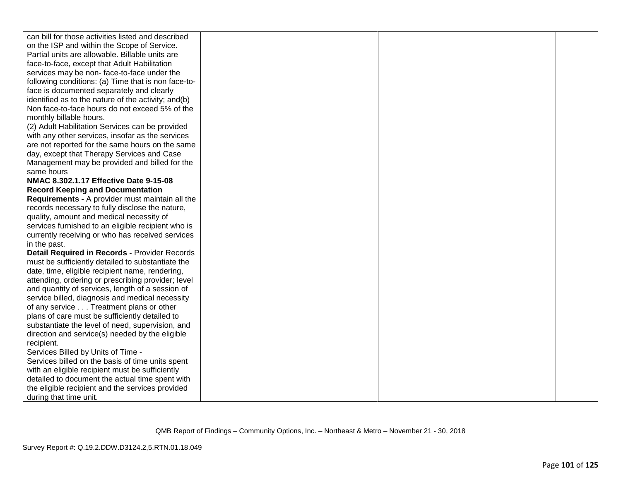| can bill for those activities listed and described  |  |  |
|-----------------------------------------------------|--|--|
| on the ISP and within the Scope of Service.         |  |  |
| Partial units are allowable. Billable units are     |  |  |
| face-to-face, except that Adult Habilitation        |  |  |
| services may be non-face-to-face under the          |  |  |
| following conditions: (a) Time that is non face-to- |  |  |
| face is documented separately and clearly           |  |  |
| identified as to the nature of the activity; and(b) |  |  |
| Non face-to-face hours do not exceed 5% of the      |  |  |
| monthly billable hours.                             |  |  |
| (2) Adult Habilitation Services can be provided     |  |  |
| with any other services, insofar as the services    |  |  |
| are not reported for the same hours on the same     |  |  |
| day, except that Therapy Services and Case          |  |  |
| Management may be provided and billed for the       |  |  |
| same hours                                          |  |  |
| NMAC 8.302.1.17 Effective Date 9-15-08              |  |  |
| <b>Record Keeping and Documentation</b>             |  |  |
| Requirements - A provider must maintain all the     |  |  |
| records necessary to fully disclose the nature,     |  |  |
| quality, amount and medical necessity of            |  |  |
| services furnished to an eligible recipient who is  |  |  |
| currently receiving or who has received services    |  |  |
| in the past.                                        |  |  |
| Detail Required in Records - Provider Records       |  |  |
| must be sufficiently detailed to substantiate the   |  |  |
| date, time, eligible recipient name, rendering,     |  |  |
| attending, ordering or prescribing provider; level  |  |  |
| and quantity of services, length of a session of    |  |  |
| service billed, diagnosis and medical necessity     |  |  |
| of any service Treatment plans or other             |  |  |
| plans of care must be sufficiently detailed to      |  |  |
| substantiate the level of need, supervision, and    |  |  |
| direction and service(s) needed by the eligible     |  |  |
| recipient.                                          |  |  |
| Services Billed by Units of Time -                  |  |  |
| Services billed on the basis of time units spent    |  |  |
| with an eligible recipient must be sufficiently     |  |  |
| detailed to document the actual time spent with     |  |  |
| the eligible recipient and the services provided    |  |  |
| during that time unit.                              |  |  |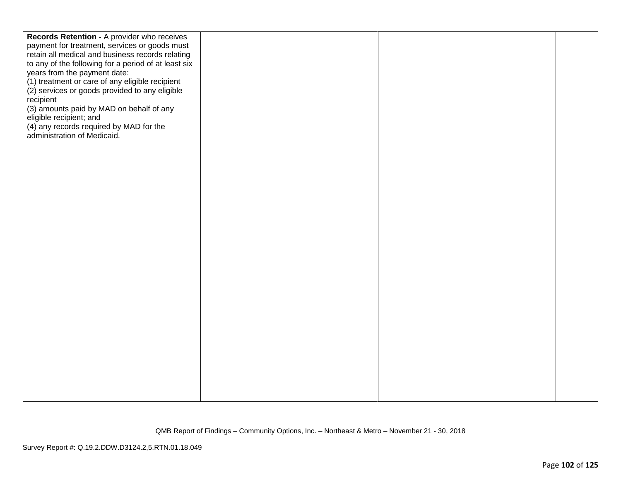| Records Retention - A provider who receives          |  |  |
|------------------------------------------------------|--|--|
| payment for treatment, services or goods must        |  |  |
| retain all medical and business records relating     |  |  |
| to any of the following for a period of at least six |  |  |
|                                                      |  |  |
| years from the payment date:                         |  |  |
| (1) treatment or care of any eligible recipient      |  |  |
| (2) services or goods provided to any eligible       |  |  |
| recipient                                            |  |  |
| (3) amounts paid by MAD on behalf of any             |  |  |
| eligible recipient; and                              |  |  |
| (4) any records required by MAD for the              |  |  |
| administration of Medicaid.                          |  |  |
|                                                      |  |  |
|                                                      |  |  |
|                                                      |  |  |
|                                                      |  |  |
|                                                      |  |  |
|                                                      |  |  |
|                                                      |  |  |
|                                                      |  |  |
|                                                      |  |  |
|                                                      |  |  |
|                                                      |  |  |
|                                                      |  |  |
|                                                      |  |  |
|                                                      |  |  |
|                                                      |  |  |
|                                                      |  |  |
|                                                      |  |  |
|                                                      |  |  |
|                                                      |  |  |
|                                                      |  |  |
|                                                      |  |  |
|                                                      |  |  |
|                                                      |  |  |
|                                                      |  |  |
|                                                      |  |  |
|                                                      |  |  |
|                                                      |  |  |
|                                                      |  |  |
|                                                      |  |  |
|                                                      |  |  |
|                                                      |  |  |
|                                                      |  |  |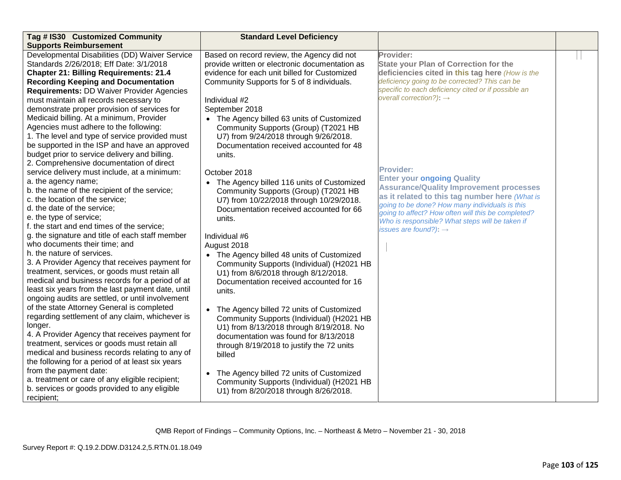| Tag # IS30 Customized Community                   | <b>Standard Level Deficiency</b>                      |                                                                                                       |  |
|---------------------------------------------------|-------------------------------------------------------|-------------------------------------------------------------------------------------------------------|--|
| <b>Supports Reimbursement</b>                     |                                                       |                                                                                                       |  |
| Developmental Disabilities (DD) Waiver Service    | Based on record review, the Agency did not            | Provider:                                                                                             |  |
| Standards 2/26/2018; Eff Date: 3/1/2018           | provide written or electronic documentation as        | <b>State your Plan of Correction for the</b>                                                          |  |
| <b>Chapter 21: Billing Requirements: 21.4</b>     | evidence for each unit billed for Customized          | deficiencies cited in this tag here (How is the                                                       |  |
| <b>Recording Keeping and Documentation</b>        | Community Supports for 5 of 8 individuals.            | deficiency going to be corrected? This can be                                                         |  |
| Requirements: DD Waiver Provider Agencies         |                                                       | specific to each deficiency cited or if possible an                                                   |  |
| must maintain all records necessary to            | Individual #2                                         | overall correction?): $\rightarrow$                                                                   |  |
| demonstrate proper provision of services for      | September 2018                                        |                                                                                                       |  |
| Medicaid billing. At a minimum, Provider          | • The Agency billed 63 units of Customized            |                                                                                                       |  |
| Agencies must adhere to the following:            | Community Supports (Group) (T2021 HB                  |                                                                                                       |  |
| 1. The level and type of service provided must    | U7) from 9/24/2018 through 9/26/2018.                 |                                                                                                       |  |
| be supported in the ISP and have an approved      | Documentation received accounted for 48               |                                                                                                       |  |
| budget prior to service delivery and billing.     | units.                                                |                                                                                                       |  |
| 2. Comprehensive documentation of direct          |                                                       |                                                                                                       |  |
| service delivery must include, at a minimum:      | October 2018                                          | <b>Provider:</b>                                                                                      |  |
| a. the agency name;                               | • The Agency billed 116 units of Customized           | <b>Enter your ongoing Quality</b>                                                                     |  |
| b. the name of the recipient of the service;      | Community Supports (Group) (T2021 HB                  | <b>Assurance/Quality Improvement processes</b>                                                        |  |
| c. the location of the service;                   | U7) from 10/22/2018 through 10/29/2018.               | as it related to this tag number here (What is                                                        |  |
| d. the date of the service;                       | Documentation received accounted for 66               | going to be done? How many individuals is this                                                        |  |
| e. the type of service;                           | units.                                                | going to affect? How often will this be completed?<br>Who is responsible? What steps will be taken if |  |
| f. the start and end times of the service;        |                                                       | issues are found?): $\rightarrow$                                                                     |  |
| g. the signature and title of each staff member   | Individual #6                                         |                                                                                                       |  |
| who documents their time; and                     | August 2018                                           |                                                                                                       |  |
| h. the nature of services.                        | • The Agency billed 48 units of Customized            |                                                                                                       |  |
| 3. A Provider Agency that receives payment for    | Community Supports (Individual) (H2021 HB             |                                                                                                       |  |
| treatment, services, or goods must retain all     | U1) from 8/6/2018 through 8/12/2018.                  |                                                                                                       |  |
| medical and business records for a period of at   | Documentation received accounted for 16               |                                                                                                       |  |
| least six years from the last payment date, until | units.                                                |                                                                                                       |  |
| ongoing audits are settled, or until involvement  |                                                       |                                                                                                       |  |
| of the state Attorney General is completed        | The Agency billed 72 units of Customized<br>$\bullet$ |                                                                                                       |  |
| regarding settlement of any claim, whichever is   | Community Supports (Individual) (H2021 HB             |                                                                                                       |  |
| longer.                                           | U1) from 8/13/2018 through 8/19/2018. No              |                                                                                                       |  |
| 4. A Provider Agency that receives payment for    | documentation was found for 8/13/2018                 |                                                                                                       |  |
| treatment, services or goods must retain all      | through 8/19/2018 to justify the 72 units             |                                                                                                       |  |
| medical and business records relating to any of   | billed                                                |                                                                                                       |  |
| the following for a period of at least six years  |                                                       |                                                                                                       |  |
| from the payment date:                            | The Agency billed 72 units of Customized<br>$\bullet$ |                                                                                                       |  |
| a. treatment or care of any eligible recipient;   | Community Supports (Individual) (H2021 HB             |                                                                                                       |  |
| b. services or goods provided to any eligible     | U1) from 8/20/2018 through 8/26/2018.                 |                                                                                                       |  |
| recipient;                                        |                                                       |                                                                                                       |  |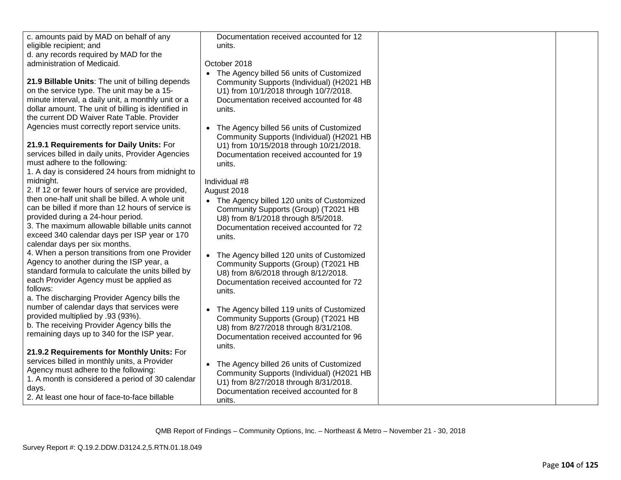| c. amounts paid by MAD on behalf of any             | Documentation received accounted for 12                |  |
|-----------------------------------------------------|--------------------------------------------------------|--|
| eligible recipient; and                             | units.                                                 |  |
| d. any records required by MAD for the              |                                                        |  |
| administration of Medicaid.                         | October 2018                                           |  |
|                                                     | • The Agency billed 56 units of Customized             |  |
| 21.9 Billable Units: The unit of billing depends    | Community Supports (Individual) (H2021 HB              |  |
| on the service type. The unit may be a 15-          | U1) from 10/1/2018 through 10/7/2018.                  |  |
| minute interval, a daily unit, a monthly unit or a  | Documentation received accounted for 48                |  |
| dollar amount. The unit of billing is identified in | units.                                                 |  |
| the current DD Waiver Rate Table. Provider          |                                                        |  |
| Agencies must correctly report service units.       | The Agency billed 56 units of Customized<br>$\bullet$  |  |
|                                                     | Community Supports (Individual) (H2021 HB              |  |
| 21.9.1 Requirements for Daily Units: For            | U1) from 10/15/2018 through 10/21/2018.                |  |
| services billed in daily units, Provider Agencies   | Documentation received accounted for 19                |  |
| must adhere to the following:                       | units.                                                 |  |
| 1. A day is considered 24 hours from midnight to    |                                                        |  |
| midnight.                                           | Individual #8                                          |  |
| 2. If 12 or fewer hours of service are provided,    | August 2018                                            |  |
| then one-half unit shall be billed. A whole unit    | • The Agency billed 120 units of Customized            |  |
| can be billed if more than 12 hours of service is   | Community Supports (Group) (T2021 HB                   |  |
| provided during a 24-hour period.                   | U8) from 8/1/2018 through 8/5/2018.                    |  |
| 3. The maximum allowable billable units cannot      | Documentation received accounted for 72                |  |
| exceed 340 calendar days per ISP year or 170        | units.                                                 |  |
| calendar days per six months.                       |                                                        |  |
| 4. When a person transitions from one Provider      | The Agency billed 120 units of Customized<br>$\bullet$ |  |
| Agency to another during the ISP year, a            | Community Supports (Group) (T2021 HB                   |  |
| standard formula to calculate the units billed by   | U8) from 8/6/2018 through 8/12/2018.                   |  |
| each Provider Agency must be applied as             | Documentation received accounted for 72                |  |
| follows:                                            | units.                                                 |  |
| a. The discharging Provider Agency bills the        |                                                        |  |
| number of calendar days that services were          | The Agency billed 119 units of Customized              |  |
| provided multiplied by .93 (93%).                   | Community Supports (Group) (T2021 HB                   |  |
| b. The receiving Provider Agency bills the          | U8) from 8/27/2018 through 8/31/2108.                  |  |
| remaining days up to 340 for the ISP year.          | Documentation received accounted for 96                |  |
|                                                     | units.                                                 |  |
| 21.9.2 Requirements for Monthly Units: For          |                                                        |  |
| services billed in monthly units, a Provider        | The Agency billed 26 units of Customized<br>$\bullet$  |  |
| Agency must adhere to the following:                | Community Supports (Individual) (H2021 HB              |  |
| 1. A month is considered a period of 30 calendar    | U1) from 8/27/2018 through 8/31/2018.                  |  |
| days.                                               | Documentation received accounted for 8                 |  |
| 2. At least one hour of face-to-face billable       | units.                                                 |  |
|                                                     |                                                        |  |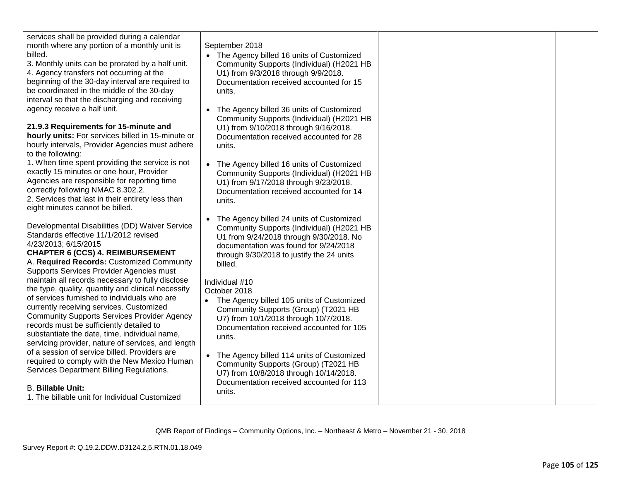| services shall be provided during a calendar<br>month where any portion of a monthly unit is<br>billed.<br>3. Monthly units can be prorated by a half unit.<br>4. Agency transfers not occurring at the<br>beginning of the 30-day interval are required to<br>be coordinated in the middle of the 30-day<br>interval so that the discharging and receiving<br>agency receive a half unit.<br>21.9.3 Requirements for 15-minute and<br>hourly units: For services billed in 15-minute or<br>hourly intervals, Provider Agencies must adhere<br>to the following:<br>1. When time spent providing the service is not<br>exactly 15 minutes or one hour, Provider<br>Agencies are responsible for reporting time<br>correctly following NMAC 8.302.2.<br>2. Services that last in their entirety less than<br>eight minutes cannot be billed. | September 2018<br>• The Agency billed 16 units of Customized<br>Community Supports (Individual) (H2021 HB<br>U1) from 9/3/2018 through 9/9/2018.<br>Documentation received accounted for 15<br>units.<br>The Agency billed 36 units of Customized<br>Community Supports (Individual) (H2021 HB<br>U1) from 9/10/2018 through 9/16/2018.<br>Documentation received accounted for 28<br>units.<br>• The Agency billed 16 units of Customized<br>Community Supports (Individual) (H2021 HB<br>U1) from 9/17/2018 through 9/23/2018.<br>Documentation received accounted for 14<br>units. |  |
|---------------------------------------------------------------------------------------------------------------------------------------------------------------------------------------------------------------------------------------------------------------------------------------------------------------------------------------------------------------------------------------------------------------------------------------------------------------------------------------------------------------------------------------------------------------------------------------------------------------------------------------------------------------------------------------------------------------------------------------------------------------------------------------------------------------------------------------------|---------------------------------------------------------------------------------------------------------------------------------------------------------------------------------------------------------------------------------------------------------------------------------------------------------------------------------------------------------------------------------------------------------------------------------------------------------------------------------------------------------------------------------------------------------------------------------------|--|
| Developmental Disabilities (DD) Waiver Service<br>Standards effective 11/1/2012 revised<br>4/23/2013; 6/15/2015<br><b>CHAPTER 6 (CCS) 4. REIMBURSEMENT</b><br>A. Required Records: Customized Community<br>Supports Services Provider Agencies must<br>maintain all records necessary to fully disclose<br>the type, quality, quantity and clinical necessity<br>of services furnished to individuals who are<br>currently receiving services. Customized<br><b>Community Supports Services Provider Agency</b><br>records must be sufficiently detailed to<br>substantiate the date, time, individual name,<br>servicing provider, nature of services, and length<br>of a session of service billed. Providers are<br>required to comply with the New Mexico Human                                                                         | The Agency billed 24 units of Customized<br>$\bullet$<br>Community Supports (Individual) (H2021 HB<br>U1 from 9/24/2018 through 9/30/2018. No<br>documentation was found for 9/24/2018<br>through 9/30/2018 to justify the 24 units<br>billed.<br>Individual #10<br>October 2018<br>• The Agency billed 105 units of Customized<br>Community Supports (Group) (T2021 HB<br>U7) from 10/1/2018 through 10/7/2018.<br>Documentation received accounted for 105<br>units.<br>• The Agency billed 114 units of Customized<br>Community Supports (Group) (T2021 HB                         |  |
| Services Department Billing Regulations.<br><b>B. Billable Unit:</b><br>1. The billable unit for Individual Customized                                                                                                                                                                                                                                                                                                                                                                                                                                                                                                                                                                                                                                                                                                                      | U7) from 10/8/2018 through 10/14/2018.<br>Documentation received accounted for 113<br>units.                                                                                                                                                                                                                                                                                                                                                                                                                                                                                          |  |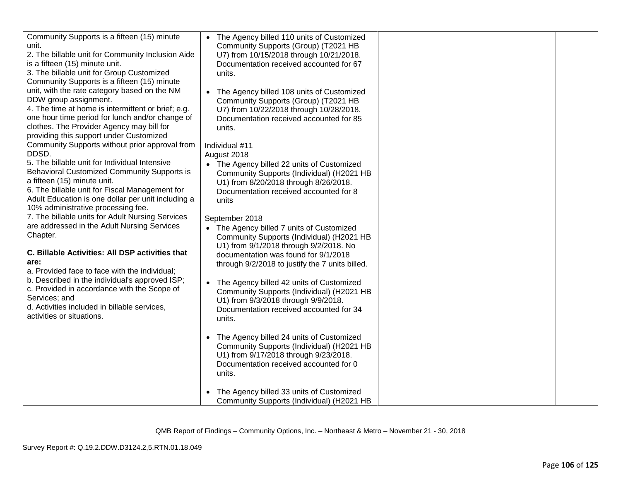| Community Supports is a fifteen (15) minute        | • The Agency billed 110 units of Customized     |  |
|----------------------------------------------------|-------------------------------------------------|--|
| unit.                                              | Community Supports (Group) (T2021 HB            |  |
| 2. The billable unit for Community Inclusion Aide  | U7) from 10/15/2018 through 10/21/2018.         |  |
| is a fifteen (15) minute unit.                     | Documentation received accounted for 67         |  |
| 3. The billable unit for Group Customized          | units.                                          |  |
| Community Supports is a fifteen (15) minute        |                                                 |  |
| unit, with the rate category based on the NM       | • The Agency billed 108 units of Customized     |  |
| DDW group assignment.                              | Community Supports (Group) (T2021 HB            |  |
| 4. The time at home is intermittent or brief; e.g. | U7) from 10/22/2018 through 10/28/2018.         |  |
| one hour time period for lunch and/or change of    | Documentation received accounted for 85         |  |
| clothes. The Provider Agency may bill for          | units.                                          |  |
| providing this support under Customized            |                                                 |  |
| Community Supports without prior approval from     | Individual #11                                  |  |
| DDSD.                                              | August 2018                                     |  |
| 5. The billable unit for Individual Intensive      | • The Agency billed 22 units of Customized      |  |
| Behavioral Customized Community Supports is        | Community Supports (Individual) (H2021 HB       |  |
| a fifteen (15) minute unit.                        | U1) from 8/20/2018 through 8/26/2018.           |  |
| 6. The billable unit for Fiscal Management for     | Documentation received accounted for 8          |  |
| Adult Education is one dollar per unit including a | units                                           |  |
| 10% administrative processing fee.                 |                                                 |  |
| 7. The billable units for Adult Nursing Services   | September 2018                                  |  |
| are addressed in the Adult Nursing Services        | • The Agency billed 7 units of Customized       |  |
| Chapter.                                           | Community Supports (Individual) (H2021 HB       |  |
|                                                    | U1) from 9/1/2018 through 9/2/2018. No          |  |
| C. Billable Activities: All DSP activities that    | documentation was found for 9/1/2018            |  |
| are:                                               | through 9/2/2018 to justify the 7 units billed. |  |
| a. Provided face to face with the individual;      |                                                 |  |
| b. Described in the individual's approved ISP;     | • The Agency billed 42 units of Customized      |  |
| c. Provided in accordance with the Scope of        | Community Supports (Individual) (H2021 HB       |  |
| Services; and                                      | U1) from 9/3/2018 through 9/9/2018.             |  |
| d. Activities included in billable services,       | Documentation received accounted for 34         |  |
| activities or situations.                          | units.                                          |  |
|                                                    |                                                 |  |
|                                                    | • The Agency billed 24 units of Customized      |  |
|                                                    | Community Supports (Individual) (H2021 HB       |  |
|                                                    | U1) from 9/17/2018 through 9/23/2018.           |  |
|                                                    | Documentation received accounted for 0          |  |
|                                                    | units.                                          |  |
|                                                    |                                                 |  |
|                                                    | • The Agency billed 33 units of Customized      |  |
|                                                    | Community Supports (Individual) (H2021 HB       |  |
|                                                    |                                                 |  |

QMB Report of Findings – Community Options, Inc. – Northeast & Metro – November 21 - 30, 2018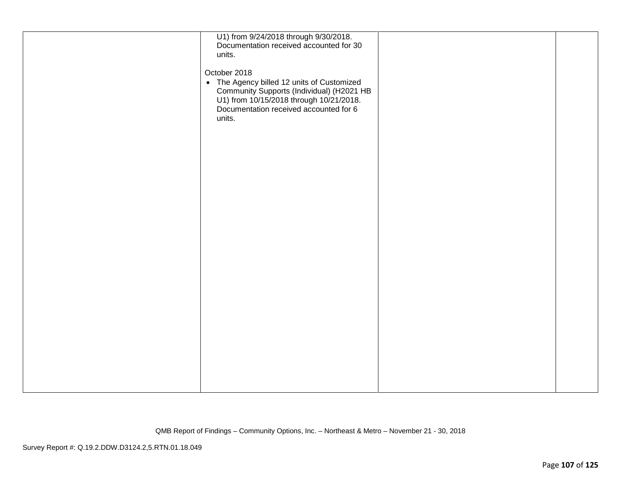| U1) from 9/24/2018 through 9/30/2018.<br>Documentation received accounted for 30<br>units.                                                                                             |  |
|----------------------------------------------------------------------------------------------------------------------------------------------------------------------------------------|--|
| October 2018                                                                                                                                                                           |  |
| • The Agency billed 12 units of Customized<br>Community Supports (Individual) (H2021 HB<br>U1) from 10/15/2018 through 10/21/2018.<br>Documentation received accounted for 6<br>units. |  |
|                                                                                                                                                                                        |  |
|                                                                                                                                                                                        |  |
|                                                                                                                                                                                        |  |
|                                                                                                                                                                                        |  |
|                                                                                                                                                                                        |  |
|                                                                                                                                                                                        |  |
|                                                                                                                                                                                        |  |
|                                                                                                                                                                                        |  |
|                                                                                                                                                                                        |  |
|                                                                                                                                                                                        |  |
|                                                                                                                                                                                        |  |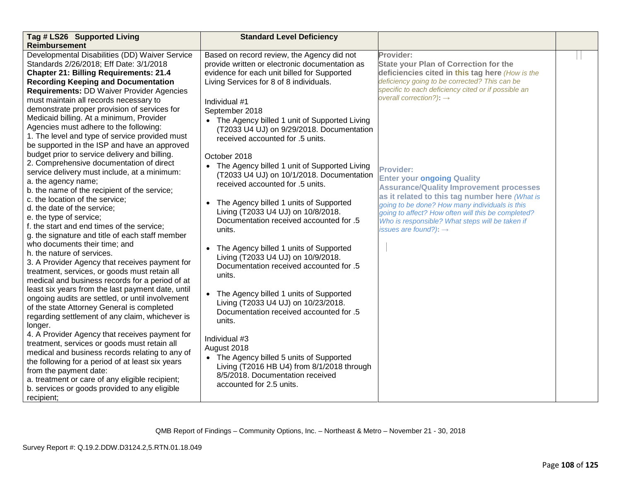| Tag # LS26 Supported Living                                                                     | <b>Standard Level Deficiency</b>               |                                                                                                  |  |
|-------------------------------------------------------------------------------------------------|------------------------------------------------|--------------------------------------------------------------------------------------------------|--|
| <b>Reimbursement</b>                                                                            |                                                |                                                                                                  |  |
| Developmental Disabilities (DD) Waiver Service                                                  | Based on record review, the Agency did not     | Provider:                                                                                        |  |
| Standards 2/26/2018; Eff Date: 3/1/2018                                                         | provide written or electronic documentation as | <b>State your Plan of Correction for the</b>                                                     |  |
| <b>Chapter 21: Billing Requirements: 21.4</b>                                                   | evidence for each unit billed for Supported    | deficiencies cited in this tag here (How is the                                                  |  |
| <b>Recording Keeping and Documentation</b>                                                      | Living Services for 8 of 8 individuals.        | deficiency going to be corrected? This can be                                                    |  |
| <b>Requirements: DD Waiver Provider Agencies</b>                                                |                                                | specific to each deficiency cited or if possible an                                              |  |
| must maintain all records necessary to                                                          | Individual #1                                  | overall correction?): $\rightarrow$                                                              |  |
| demonstrate proper provision of services for                                                    | September 2018                                 |                                                                                                  |  |
| Medicaid billing. At a minimum, Provider                                                        | • The Agency billed 1 unit of Supported Living |                                                                                                  |  |
| Agencies must adhere to the following:                                                          | (T2033 U4 UJ) on 9/29/2018. Documentation      |                                                                                                  |  |
| 1. The level and type of service provided must                                                  | received accounted for .5 units.               |                                                                                                  |  |
| be supported in the ISP and have an approved                                                    |                                                |                                                                                                  |  |
| budget prior to service delivery and billing.                                                   | October 2018                                   |                                                                                                  |  |
| 2. Comprehensive documentation of direct                                                        | • The Agency billed 1 unit of Supported Living |                                                                                                  |  |
| service delivery must include, at a minimum:                                                    | (T2033 U4 UJ) on 10/1/2018. Documentation      | <b>Provider:</b>                                                                                 |  |
| a. the agency name;                                                                             | received accounted for .5 units.               | <b>Enter your ongoing Quality</b>                                                                |  |
| b. the name of the recipient of the service;                                                    |                                                | <b>Assurance/Quality Improvement processes</b>                                                   |  |
| c. the location of the service;                                                                 | The Agency billed 1 units of Supported         | as it related to this tag number here (What is<br>going to be done? How many individuals is this |  |
| d. the date of the service;                                                                     | Living (T2033 U4 UJ) on 10/8/2018.             | going to affect? How often will this be completed?                                               |  |
| e. the type of service;                                                                         | Documentation received accounted for .5        | Who is responsible? What steps will be taken if                                                  |  |
| f. the start and end times of the service;                                                      | units.                                         | issues are found?): $\rightarrow$                                                                |  |
| g. the signature and title of each staff member                                                 |                                                |                                                                                                  |  |
| who documents their time; and                                                                   | The Agency billed 1 units of Supported         |                                                                                                  |  |
| h. the nature of services.                                                                      | Living (T2033 U4 UJ) on 10/9/2018.             |                                                                                                  |  |
| 3. A Provider Agency that receives payment for                                                  | Documentation received accounted for .5        |                                                                                                  |  |
| treatment, services, or goods must retain all                                                   | units.                                         |                                                                                                  |  |
| medical and business records for a period of at                                                 |                                                |                                                                                                  |  |
| least six years from the last payment date, until                                               | The Agency billed 1 units of Supported         |                                                                                                  |  |
| ongoing audits are settled, or until involvement                                                | Living (T2033 U4 UJ) on 10/23/2018.            |                                                                                                  |  |
| of the state Attorney General is completed                                                      | Documentation received accounted for .5        |                                                                                                  |  |
| regarding settlement of any claim, whichever is                                                 | units.                                         |                                                                                                  |  |
| longer.                                                                                         |                                                |                                                                                                  |  |
| 4. A Provider Agency that receives payment for                                                  | Individual #3                                  |                                                                                                  |  |
| treatment, services or goods must retain all<br>medical and business records relating to any of | August 2018                                    |                                                                                                  |  |
| the following for a period of at least six years                                                | • The Agency billed 5 units of Supported       |                                                                                                  |  |
| from the payment date:                                                                          | Living (T2016 HB U4) from 8/1/2018 through     |                                                                                                  |  |
| a. treatment or care of any eligible recipient;                                                 | 8/5/2018. Documentation received               |                                                                                                  |  |
| b. services or goods provided to any eligible                                                   | accounted for 2.5 units.                       |                                                                                                  |  |
| recipient;                                                                                      |                                                |                                                                                                  |  |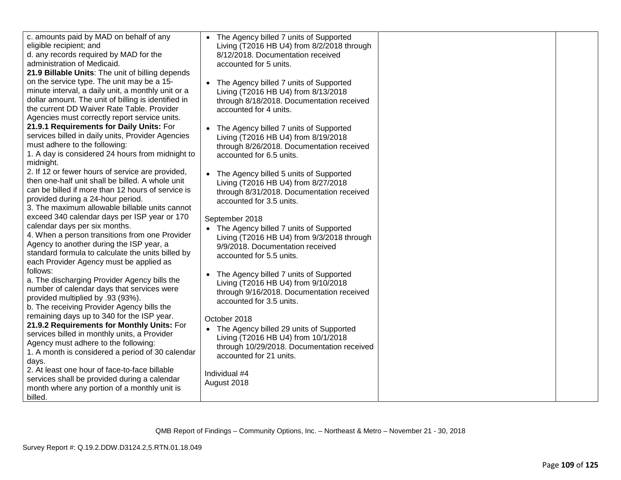| c. amounts paid by MAD on behalf of any<br>eligible recipient; and<br>d. any records required by MAD for the<br>administration of Medicaid.<br>21.9 Billable Units: The unit of billing depends                                                                             | • The Agency billed 7 units of Supported<br>Living (T2016 HB U4) from 8/2/2018 through<br>8/12/2018. Documentation received<br>accounted for 5 units.                     |  |
|-----------------------------------------------------------------------------------------------------------------------------------------------------------------------------------------------------------------------------------------------------------------------------|---------------------------------------------------------------------------------------------------------------------------------------------------------------------------|--|
| on the service type. The unit may be a 15-<br>minute interval, a daily unit, a monthly unit or a<br>dollar amount. The unit of billing is identified in<br>the current DD Waiver Rate Table. Provider<br>Agencies must correctly report service units.                      | • The Agency billed 7 units of Supported<br>Living (T2016 HB U4) from 8/13/2018<br>through 8/18/2018. Documentation received<br>accounted for 4 units.                    |  |
| 21.9.1 Requirements for Daily Units: For<br>services billed in daily units, Provider Agencies<br>must adhere to the following:<br>1. A day is considered 24 hours from midnight to<br>midnight.                                                                             | • The Agency billed 7 units of Supported<br>Living (T2016 HB U4) from 8/19/2018<br>through 8/26/2018. Documentation received<br>accounted for 6.5 units.                  |  |
| 2. If 12 or fewer hours of service are provided,<br>then one-half unit shall be billed. A whole unit<br>can be billed if more than 12 hours of service is<br>provided during a 24-hour period.<br>3. The maximum allowable billable units cannot                            | • The Agency billed 5 units of Supported<br>Living (T2016 HB U4) from 8/27/2018<br>through 8/31/2018. Documentation received<br>accounted for 3.5 units.                  |  |
| exceed 340 calendar days per ISP year or 170<br>calendar days per six months.<br>4. When a person transitions from one Provider<br>Agency to another during the ISP year, a<br>standard formula to calculate the units billed by<br>each Provider Agency must be applied as | September 2018<br>• The Agency billed 7 units of Supported<br>Living (T2016 HB U4) from 9/3/2018 through<br>9/9/2018. Documentation received<br>accounted for 5.5 units.  |  |
| follows:<br>a. The discharging Provider Agency bills the<br>number of calendar days that services were<br>provided multiplied by .93 (93%).<br>b. The receiving Provider Agency bills the                                                                                   | The Agency billed 7 units of Supported<br>Living (T2016 HB U4) from 9/10/2018<br>through 9/16/2018. Documentation received<br>accounted for 3.5 units.                    |  |
| remaining days up to 340 for the ISP year.<br>21.9.2 Requirements for Monthly Units: For<br>services billed in monthly units, a Provider<br>Agency must adhere to the following:<br>1. A month is considered a period of 30 calendar<br>days.                               | October 2018<br>• The Agency billed 29 units of Supported<br>Living (T2016 HB U4) from 10/1/2018<br>through 10/29/2018. Documentation received<br>accounted for 21 units. |  |
| 2. At least one hour of face-to-face billable<br>services shall be provided during a calendar<br>month where any portion of a monthly unit is<br>billed.                                                                                                                    | Individual #4<br>August 2018                                                                                                                                              |  |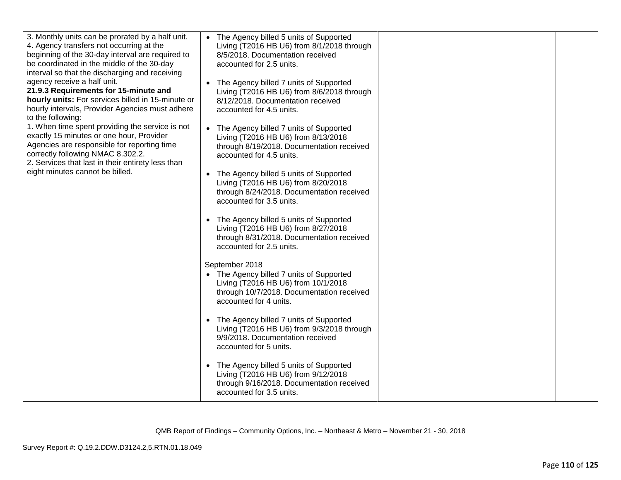| 3. Monthly units can be prorated by a half unit.<br>4. Agency transfers not occurring at the<br>beginning of the 30-day interval are required to<br>be coordinated in the middle of the 30-day<br>interval so that the discharging and receiving<br>agency receive a half unit.<br>21.9.3 Requirements for 15-minute and<br>hourly units: For services billed in 15-minute or<br>hourly intervals, Provider Agencies must adhere<br>to the following:<br>1. When time spent providing the service is not<br>exactly 15 minutes or one hour, Provider<br>Agencies are responsible for reporting time<br>correctly following NMAC 8.302.2.<br>2. Services that last in their entirety less than | • The Agency billed 5 units of Supported<br>Living (T2016 HB U6) from 8/1/2018 through<br>8/5/2018. Documentation received<br>accounted for 2.5 units.<br>• The Agency billed 7 units of Supported<br>Living (T2016 HB U6) from 8/6/2018 through<br>8/12/2018. Documentation received<br>accounted for 4.5 units.<br>• The Agency billed 7 units of Supported<br>Living (T2016 HB U6) from 8/13/2018<br>through 8/19/2018. Documentation received<br>accounted for 4.5 units. |  |
|-----------------------------------------------------------------------------------------------------------------------------------------------------------------------------------------------------------------------------------------------------------------------------------------------------------------------------------------------------------------------------------------------------------------------------------------------------------------------------------------------------------------------------------------------------------------------------------------------------------------------------------------------------------------------------------------------|-------------------------------------------------------------------------------------------------------------------------------------------------------------------------------------------------------------------------------------------------------------------------------------------------------------------------------------------------------------------------------------------------------------------------------------------------------------------------------|--|
| eight minutes cannot be billed.                                                                                                                                                                                                                                                                                                                                                                                                                                                                                                                                                                                                                                                               | • The Agency billed 5 units of Supported<br>Living (T2016 HB U6) from 8/20/2018<br>through 8/24/2018. Documentation received<br>accounted for 3.5 units.<br>• The Agency billed 5 units of Supported<br>Living (T2016 HB U6) from 8/27/2018<br>through 8/31/2018. Documentation received<br>accounted for 2.5 units.                                                                                                                                                          |  |
|                                                                                                                                                                                                                                                                                                                                                                                                                                                                                                                                                                                                                                                                                               | September 2018<br>• The Agency billed 7 units of Supported<br>Living (T2016 HB U6) from 10/1/2018<br>through 10/7/2018. Documentation received<br>accounted for 4 units.                                                                                                                                                                                                                                                                                                      |  |
|                                                                                                                                                                                                                                                                                                                                                                                                                                                                                                                                                                                                                                                                                               | • The Agency billed 7 units of Supported<br>Living (T2016 HB U6) from 9/3/2018 through<br>9/9/2018. Documentation received<br>accounted for 5 units.                                                                                                                                                                                                                                                                                                                          |  |
|                                                                                                                                                                                                                                                                                                                                                                                                                                                                                                                                                                                                                                                                                               | • The Agency billed 5 units of Supported<br>Living (T2016 HB U6) from 9/12/2018<br>through 9/16/2018. Documentation received<br>accounted for 3.5 units.                                                                                                                                                                                                                                                                                                                      |  |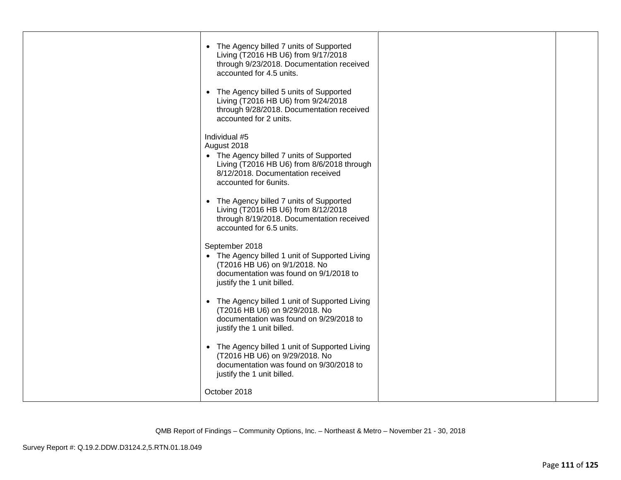| • The Agency billed 7 units of Supported<br>Living (T2016 HB U6) from 9/17/2018<br>through 9/23/2018. Documentation received<br>accounted for 4.5 units.                             |  |
|--------------------------------------------------------------------------------------------------------------------------------------------------------------------------------------|--|
| • The Agency billed 5 units of Supported<br>Living (T2016 HB U6) from 9/24/2018<br>through 9/28/2018. Documentation received<br>accounted for 2 units.                               |  |
| Individual #5<br>August 2018<br>• The Agency billed 7 units of Supported<br>Living (T2016 HB U6) from 8/6/2018 through<br>8/12/2018. Documentation received<br>accounted for 6units. |  |
| • The Agency billed 7 units of Supported<br>Living (T2016 HB U6) from 8/12/2018<br>through 8/19/2018. Documentation received<br>accounted for 6.5 units.                             |  |
| September 2018<br>• The Agency billed 1 unit of Supported Living<br>(T2016 HB U6) on 9/1/2018. No<br>documentation was found on 9/1/2018 to<br>justify the 1 unit billed.            |  |
| • The Agency billed 1 unit of Supported Living<br>(T2016 HB U6) on 9/29/2018. No<br>documentation was found on 9/29/2018 to<br>justify the 1 unit billed.                            |  |
| • The Agency billed 1 unit of Supported Living<br>(T2016 HB U6) on 9/29/2018. No<br>documentation was found on 9/30/2018 to<br>justify the 1 unit billed.                            |  |
| October 2018                                                                                                                                                                         |  |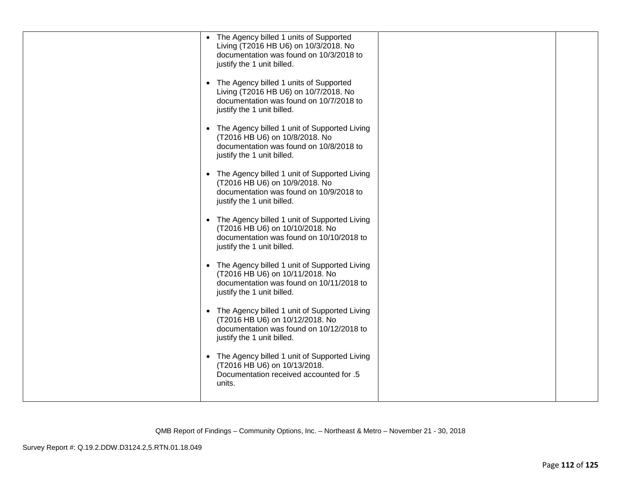| • The Agency billed 1 units of Supported<br>Living (T2016 HB U6) on 10/3/2018. No<br>documentation was found on 10/3/2018 to<br>justify the 1 unit billed.  |  |
|-------------------------------------------------------------------------------------------------------------------------------------------------------------|--|
| • The Agency billed 1 units of Supported<br>Living (T2016 HB U6) on 10/7/2018. No<br>documentation was found on 10/7/2018 to<br>justify the 1 unit billed.  |  |
| • The Agency billed 1 unit of Supported Living<br>(T2016 HB U6) on 10/8/2018. No<br>documentation was found on 10/8/2018 to<br>justify the 1 unit billed.   |  |
| • The Agency billed 1 unit of Supported Living<br>(T2016 HB U6) on 10/9/2018. No<br>documentation was found on 10/9/2018 to<br>justify the 1 unit billed.   |  |
| • The Agency billed 1 unit of Supported Living<br>(T2016 HB U6) on 10/10/2018. No<br>documentation was found on 10/10/2018 to<br>justify the 1 unit billed. |  |
| • The Agency billed 1 unit of Supported Living<br>(T2016 HB U6) on 10/11/2018. No<br>documentation was found on 10/11/2018 to<br>justify the 1 unit billed. |  |
| • The Agency billed 1 unit of Supported Living<br>(T2016 HB U6) on 10/12/2018. No<br>documentation was found on 10/12/2018 to<br>justify the 1 unit billed. |  |
| • The Agency billed 1 unit of Supported Living<br>(T2016 HB U6) on 10/13/2018.<br>Documentation received accounted for .5<br>units.                         |  |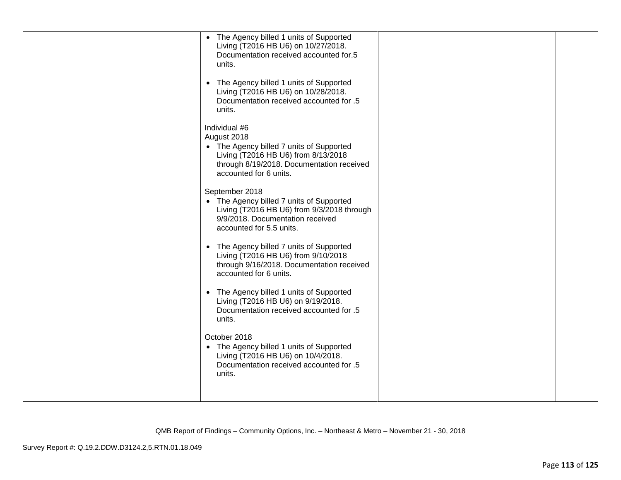| • The Agency billed 1 units of Supported<br>Living (T2016 HB U6) on 10/27/2018.<br>Documentation received accounted for.5<br>units.<br>• The Agency billed 1 units of Supported<br>Living (T2016 HB U6) on 10/28/2018.<br>Documentation received accounted for .5<br>units. |  |
|-----------------------------------------------------------------------------------------------------------------------------------------------------------------------------------------------------------------------------------------------------------------------------|--|
| Individual #6<br>August 2018<br>• The Agency billed 7 units of Supported<br>Living (T2016 HB U6) from 8/13/2018<br>through 8/19/2018. Documentation received<br>accounted for 6 units.                                                                                      |  |
| September 2018<br>• The Agency billed 7 units of Supported<br>Living (T2016 HB U6) from 9/3/2018 through<br>9/9/2018. Documentation received<br>accounted for 5.5 units.                                                                                                    |  |
| • The Agency billed 7 units of Supported<br>Living (T2016 HB U6) from 9/10/2018<br>through 9/16/2018. Documentation received<br>accounted for 6 units.                                                                                                                      |  |
| • The Agency billed 1 units of Supported<br>Living (T2016 HB U6) on 9/19/2018.<br>Documentation received accounted for .5<br>units.                                                                                                                                         |  |
| October 2018<br>• The Agency billed 1 units of Supported<br>Living (T2016 HB U6) on 10/4/2018.<br>Documentation received accounted for .5<br>units.                                                                                                                         |  |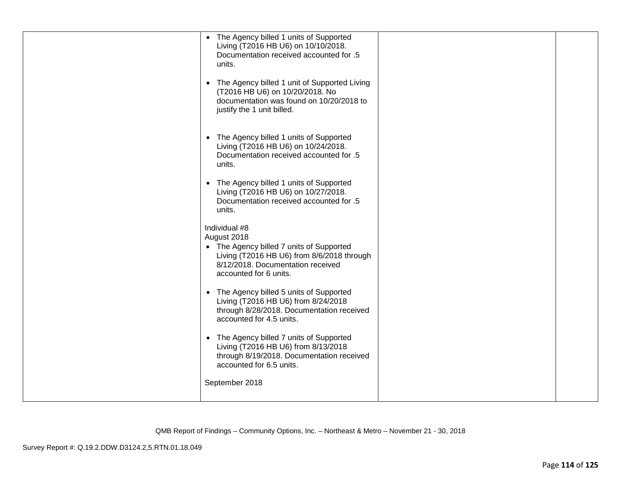| • The Agency billed 1 units of Supported<br>Living (T2016 HB U6) on 10/10/2018.<br>Documentation received accounted for .5<br>units.<br>• The Agency billed 1 unit of Supported Living<br>(T2016 HB U6) on 10/20/2018. No<br>documentation was found on 10/20/2018 to<br>justify the 1 unit billed. |  |
|-----------------------------------------------------------------------------------------------------------------------------------------------------------------------------------------------------------------------------------------------------------------------------------------------------|--|
| • The Agency billed 1 units of Supported<br>Living (T2016 HB U6) on 10/24/2018.<br>Documentation received accounted for .5<br>units.                                                                                                                                                                |  |
| • The Agency billed 1 units of Supported<br>Living (T2016 HB U6) on 10/27/2018.<br>Documentation received accounted for .5<br>units.                                                                                                                                                                |  |
| Individual #8<br>August 2018<br>• The Agency billed 7 units of Supported<br>Living (T2016 HB U6) from 8/6/2018 through<br>8/12/2018. Documentation received<br>accounted for 6 units.                                                                                                               |  |
| • The Agency billed 5 units of Supported<br>Living (T2016 HB U6) from 8/24/2018<br>through 8/28/2018. Documentation received<br>accounted for 4.5 units.                                                                                                                                            |  |
| • The Agency billed 7 units of Supported<br>Living (T2016 HB U6) from 8/13/2018<br>through 8/19/2018. Documentation received<br>accounted for 6.5 units.                                                                                                                                            |  |
| September 2018                                                                                                                                                                                                                                                                                      |  |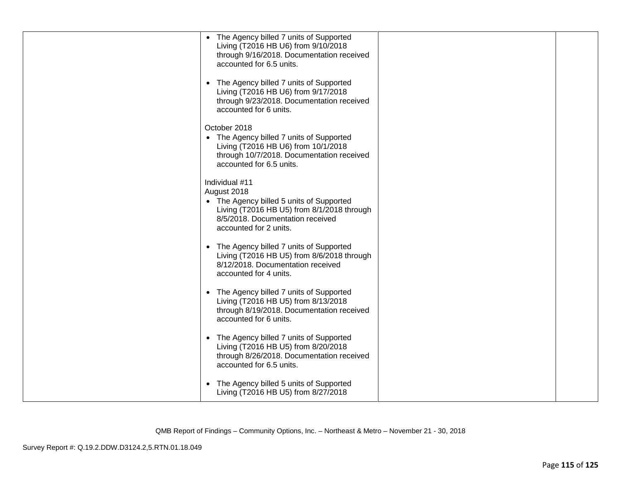| • The Agency billed 7 units of Supported<br>Living (T2016 HB U6) from 9/10/2018<br>through 9/16/2018. Documentation received<br>accounted for 6.5 units.                              |  |
|---------------------------------------------------------------------------------------------------------------------------------------------------------------------------------------|--|
| • The Agency billed 7 units of Supported<br>Living (T2016 HB U6) from 9/17/2018<br>through 9/23/2018. Documentation received<br>accounted for 6 units.                                |  |
| October 2018<br>• The Agency billed 7 units of Supported<br>Living (T2016 HB U6) from 10/1/2018<br>through 10/7/2018. Documentation received<br>accounted for 6.5 units.              |  |
| Individual #11<br>August 2018<br>• The Agency billed 5 units of Supported<br>Living (T2016 HB U5) from 8/1/2018 through<br>8/5/2018. Documentation received<br>accounted for 2 units. |  |
| • The Agency billed 7 units of Supported<br>Living (T2016 HB U5) from 8/6/2018 through<br>8/12/2018. Documentation received<br>accounted for 4 units.                                 |  |
| • The Agency billed 7 units of Supported<br>Living (T2016 HB U5) from 8/13/2018<br>through 8/19/2018. Documentation received<br>accounted for 6 units.                                |  |
| • The Agency billed 7 units of Supported<br>Living (T2016 HB U5) from 8/20/2018<br>through 8/26/2018. Documentation received<br>accounted for 6.5 units.                              |  |
| • The Agency billed 5 units of Supported<br>Living (T2016 HB U5) from 8/27/2018                                                                                                       |  |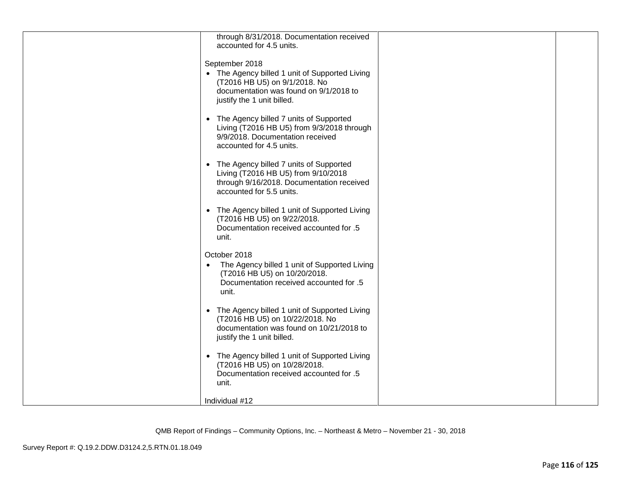| through 8/31/2018. Documentation received<br>accounted for 4.5 units.                                                                                                     |  |
|---------------------------------------------------------------------------------------------------------------------------------------------------------------------------|--|
| September 2018<br>• The Agency billed 1 unit of Supported Living<br>(T2016 HB U5) on 9/1/2018. No<br>documentation was found on 9/1/2018 to<br>justify the 1 unit billed. |  |
| The Agency billed 7 units of Supported<br>$\bullet$<br>Living (T2016 HB U5) from 9/3/2018 through<br>9/9/2018. Documentation received<br>accounted for 4.5 units.         |  |
| The Agency billed 7 units of Supported<br>$\bullet$<br>Living (T2016 HB U5) from 9/10/2018<br>through 9/16/2018. Documentation received<br>accounted for 5.5 units.       |  |
| The Agency billed 1 unit of Supported Living<br>$\bullet$<br>(T2016 HB U5) on 9/22/2018.<br>Documentation received accounted for .5<br>unit.                              |  |
| October 2018<br>The Agency billed 1 unit of Supported Living<br>$\bullet$<br>(T2016 HB U5) on 10/20/2018.<br>Documentation received accounted for .5<br>unit.             |  |
| • The Agency billed 1 unit of Supported Living<br>(T2016 HB U5) on 10/22/2018. No<br>documentation was found on 10/21/2018 to<br>justify the 1 unit billed.               |  |
| • The Agency billed 1 unit of Supported Living<br>(T2016 HB U5) on 10/28/2018.<br>Documentation received accounted for .5<br>unit.                                        |  |
| Individual #12                                                                                                                                                            |  |

QMB Report of Findings – Community Options, Inc. – Northeast & Metro – November 21 - 30, 2018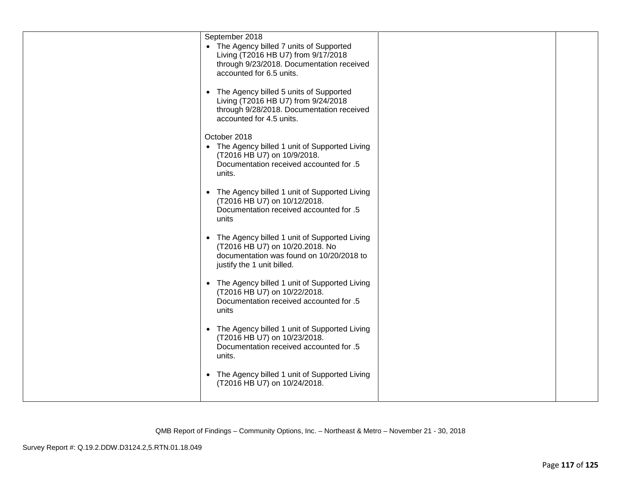| September 2018                                                                                                                                                         |  |
|------------------------------------------------------------------------------------------------------------------------------------------------------------------------|--|
| • The Agency billed 7 units of Supported<br>Living (T2016 HB U7) from 9/17/2018<br>through 9/23/2018. Documentation received<br>accounted for 6.5 units.               |  |
| The Agency billed 5 units of Supported<br>$\bullet$<br>Living (T2016 HB U7) from 9/24/2018<br>through 9/28/2018. Documentation received<br>accounted for 4.5 units.    |  |
| October 2018<br>• The Agency billed 1 unit of Supported Living<br>(T2016 HB U7) on 10/9/2018.<br>Documentation received accounted for .5<br>units.                     |  |
| The Agency billed 1 unit of Supported Living<br>$\bullet$<br>(T2016 HB U7) on 10/12/2018.<br>Documentation received accounted for .5<br>units                          |  |
| The Agency billed 1 unit of Supported Living<br>$\bullet$<br>(T2016 HB U7) on 10/20.2018. No<br>documentation was found on 10/20/2018 to<br>justify the 1 unit billed. |  |
| • The Agency billed 1 unit of Supported Living<br>(T2016 HB U7) on 10/22/2018.<br>Documentation received accounted for .5<br>units                                     |  |
| • The Agency billed 1 unit of Supported Living<br>(T2016 HB U7) on 10/23/2018.<br>Documentation received accounted for .5<br>units.                                    |  |
| The Agency billed 1 unit of Supported Living<br>$\bullet$<br>(T2016 HB U7) on 10/24/2018.                                                                              |  |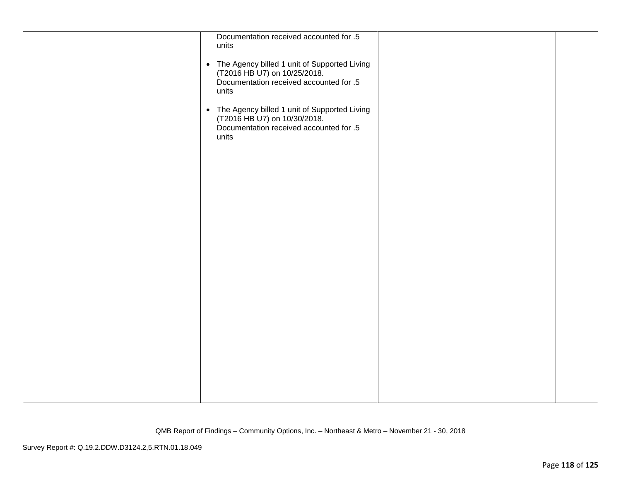| Documentation received accounted for .5<br>units<br>• The Agency billed 1 unit of Supported Living<br>(T2016 HB U7) on 10/25/2018.<br>Documentation received accounted for .5<br>units<br>• The Agency billed 1 unit of Supported Living<br>(T2016 HB U7) on 10/30/2018.<br>Documentation received accounted for .5<br>units |  |
|------------------------------------------------------------------------------------------------------------------------------------------------------------------------------------------------------------------------------------------------------------------------------------------------------------------------------|--|
|                                                                                                                                                                                                                                                                                                                              |  |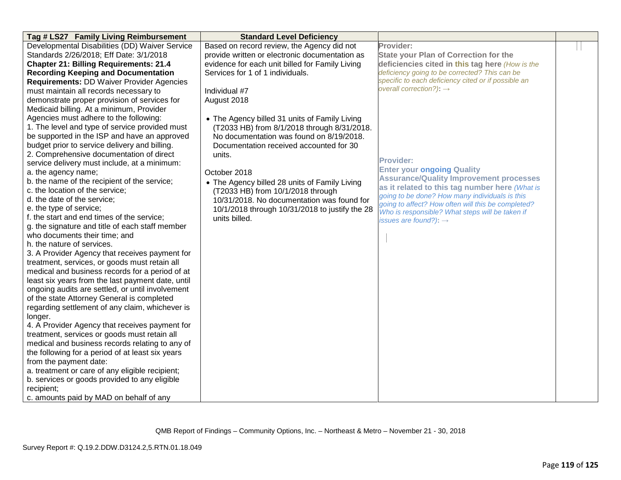| Tag # LS27 Family Living Reimbursement            | <b>Standard Level Deficiency</b>                |                                                                                                  |  |
|---------------------------------------------------|-------------------------------------------------|--------------------------------------------------------------------------------------------------|--|
| Developmental Disabilities (DD) Waiver Service    | Based on record review, the Agency did not      | Provider:                                                                                        |  |
| Standards 2/26/2018; Eff Date: 3/1/2018           | provide written or electronic documentation as  | State your Plan of Correction for the                                                            |  |
| <b>Chapter 21: Billing Requirements: 21.4</b>     | evidence for each unit billed for Family Living | deficiencies cited in this tag here (How is the                                                  |  |
| <b>Recording Keeping and Documentation</b>        | Services for 1 of 1 individuals.                | deficiency going to be corrected? This can be                                                    |  |
| <b>Requirements: DD Waiver Provider Agencies</b>  |                                                 | specific to each deficiency cited or if possible an                                              |  |
| must maintain all records necessary to            | Individual #7                                   | overall correction?): $\rightarrow$                                                              |  |
| demonstrate proper provision of services for      | August 2018                                     |                                                                                                  |  |
| Medicaid billing. At a minimum, Provider          |                                                 |                                                                                                  |  |
| Agencies must adhere to the following:            | • The Agency billed 31 units of Family Living   |                                                                                                  |  |
| 1. The level and type of service provided must    | (T2033 HB) from 8/1/2018 through 8/31/2018.     |                                                                                                  |  |
| be supported in the ISP and have an approved      | No documentation was found on 8/19/2018.        |                                                                                                  |  |
| budget prior to service delivery and billing.     | Documentation received accounted for 30         |                                                                                                  |  |
| 2. Comprehensive documentation of direct          | units.                                          |                                                                                                  |  |
| service delivery must include, at a minimum:      |                                                 | <b>Provider:</b>                                                                                 |  |
| a. the agency name;                               | October 2018                                    | <b>Enter your ongoing Quality</b>                                                                |  |
| b. the name of the recipient of the service;      | • The Agency billed 28 units of Family Living   | <b>Assurance/Quality Improvement processes</b>                                                   |  |
| c. the location of the service;                   | (T2033 HB) from 10/1/2018 through               | as it related to this tag number here (What is<br>going to be done? How many individuals is this |  |
| d. the date of the service;                       | 10/31/2018. No documentation was found for      | going to affect? How often will this be completed?                                               |  |
| e. the type of service;                           | 10/1/2018 through 10/31/2018 to justify the 28  | Who is responsible? What steps will be taken if                                                  |  |
| f. the start and end times of the service;        | units billed.                                   | issues are found?): $\rightarrow$                                                                |  |
| g. the signature and title of each staff member   |                                                 |                                                                                                  |  |
| who documents their time; and                     |                                                 |                                                                                                  |  |
| h. the nature of services.                        |                                                 |                                                                                                  |  |
| 3. A Provider Agency that receives payment for    |                                                 |                                                                                                  |  |
| treatment, services, or goods must retain all     |                                                 |                                                                                                  |  |
| medical and business records for a period of at   |                                                 |                                                                                                  |  |
| least six years from the last payment date, until |                                                 |                                                                                                  |  |
| ongoing audits are settled, or until involvement  |                                                 |                                                                                                  |  |
| of the state Attorney General is completed        |                                                 |                                                                                                  |  |
| regarding settlement of any claim, whichever is   |                                                 |                                                                                                  |  |
| longer.                                           |                                                 |                                                                                                  |  |
| 4. A Provider Agency that receives payment for    |                                                 |                                                                                                  |  |
| treatment, services or goods must retain all      |                                                 |                                                                                                  |  |
| medical and business records relating to any of   |                                                 |                                                                                                  |  |
| the following for a period of at least six years  |                                                 |                                                                                                  |  |
| from the payment date:                            |                                                 |                                                                                                  |  |
| a. treatment or care of any eligible recipient;   |                                                 |                                                                                                  |  |
| b. services or goods provided to any eligible     |                                                 |                                                                                                  |  |
| recipient;                                        |                                                 |                                                                                                  |  |
| c. amounts paid by MAD on behalf of any           |                                                 |                                                                                                  |  |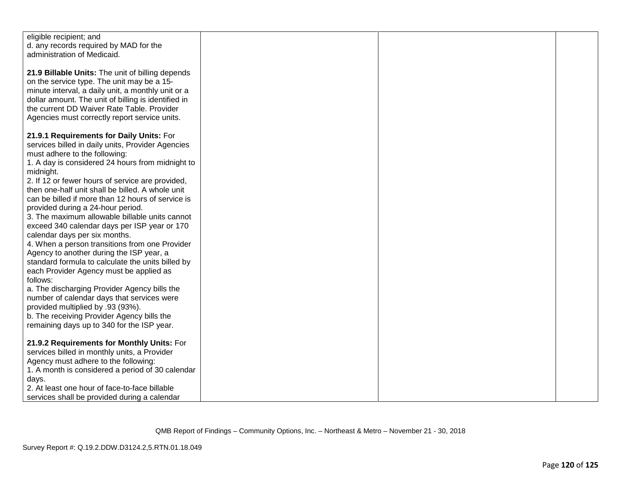| eligible recipient; and<br>d. any records required by MAD for the<br>administration of Medicaid. |  |  |
|--------------------------------------------------------------------------------------------------|--|--|
| 21.9 Billable Units: The unit of billing depends                                                 |  |  |
| on the service type. The unit may be a 15-                                                       |  |  |
| minute interval, a daily unit, a monthly unit or a                                               |  |  |
| dollar amount. The unit of billing is identified in                                              |  |  |
| the current DD Waiver Rate Table. Provider                                                       |  |  |
| Agencies must correctly report service units.                                                    |  |  |
| 21.9.1 Requirements for Daily Units: For                                                         |  |  |
| services billed in daily units, Provider Agencies                                                |  |  |
| must adhere to the following:                                                                    |  |  |
| 1. A day is considered 24 hours from midnight to                                                 |  |  |
| midnight.                                                                                        |  |  |
| 2. If 12 or fewer hours of service are provided,                                                 |  |  |
| then one-half unit shall be billed. A whole unit                                                 |  |  |
| can be billed if more than 12 hours of service is<br>provided during a 24-hour period.           |  |  |
| 3. The maximum allowable billable units cannot                                                   |  |  |
| exceed 340 calendar days per ISP year or 170                                                     |  |  |
| calendar days per six months.                                                                    |  |  |
| 4. When a person transitions from one Provider                                                   |  |  |
| Agency to another during the ISP year, a                                                         |  |  |
| standard formula to calculate the units billed by                                                |  |  |
| each Provider Agency must be applied as<br>follows:                                              |  |  |
| a. The discharging Provider Agency bills the                                                     |  |  |
| number of calendar days that services were                                                       |  |  |
| provided multiplied by .93 (93%).                                                                |  |  |
| b. The receiving Provider Agency bills the                                                       |  |  |
| remaining days up to 340 for the ISP year.                                                       |  |  |
| 21.9.2 Requirements for Monthly Units: For                                                       |  |  |
| services billed in monthly units, a Provider                                                     |  |  |
| Agency must adhere to the following:                                                             |  |  |
| 1. A month is considered a period of 30 calendar                                                 |  |  |
| days.                                                                                            |  |  |
| 2. At least one hour of face-to-face billable                                                    |  |  |
| services shall be provided during a calendar                                                     |  |  |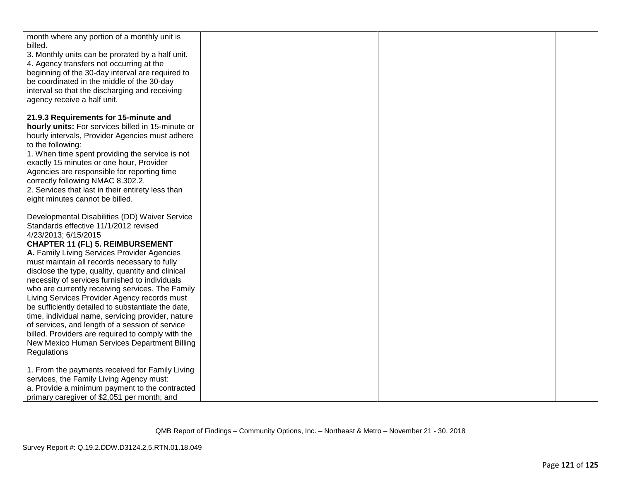| month where any portion of a monthly unit is<br>billed.                                              |  |  |
|------------------------------------------------------------------------------------------------------|--|--|
| 3. Monthly units can be prorated by a half unit.                                                     |  |  |
| 4. Agency transfers not occurring at the                                                             |  |  |
| beginning of the 30-day interval are required to                                                     |  |  |
| be coordinated in the middle of the 30-day                                                           |  |  |
| interval so that the discharging and receiving                                                       |  |  |
| agency receive a half unit.                                                                          |  |  |
| 21.9.3 Requirements for 15-minute and                                                                |  |  |
| hourly units: For services billed in 15-minute or                                                    |  |  |
| hourly intervals, Provider Agencies must adhere                                                      |  |  |
| to the following:                                                                                    |  |  |
| 1. When time spent providing the service is not                                                      |  |  |
| exactly 15 minutes or one hour, Provider                                                             |  |  |
| Agencies are responsible for reporting time                                                          |  |  |
| correctly following NMAC 8.302.2.                                                                    |  |  |
| 2. Services that last in their entirety less than<br>eight minutes cannot be billed.                 |  |  |
|                                                                                                      |  |  |
| Developmental Disabilities (DD) Waiver Service                                                       |  |  |
| Standards effective 11/1/2012 revised                                                                |  |  |
| 4/23/2013; 6/15/2015                                                                                 |  |  |
| <b>CHAPTER 11 (FL) 5. REIMBURSEMENT</b>                                                              |  |  |
| A. Family Living Services Provider Agencies                                                          |  |  |
| must maintain all records necessary to fully                                                         |  |  |
| disclose the type, quality, quantity and clinical                                                    |  |  |
| necessity of services furnished to individuals                                                       |  |  |
| who are currently receiving services. The Family                                                     |  |  |
| Living Services Provider Agency records must                                                         |  |  |
| be sufficiently detailed to substantiate the date,                                                   |  |  |
| time, individual name, servicing provider, nature<br>of services, and length of a session of service |  |  |
| billed. Providers are required to comply with the                                                    |  |  |
| New Mexico Human Services Department Billing                                                         |  |  |
| Regulations                                                                                          |  |  |
|                                                                                                      |  |  |
| 1. From the payments received for Family Living                                                      |  |  |
| services, the Family Living Agency must:                                                             |  |  |
| a. Provide a minimum payment to the contracted                                                       |  |  |
| primary caregiver of \$2,051 per month; and                                                          |  |  |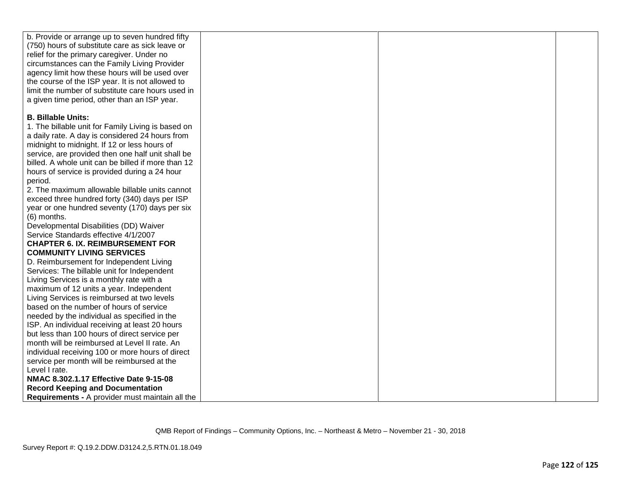| b. Provide or arrange up to seven hundred fifty        |  |  |
|--------------------------------------------------------|--|--|
| (750) hours of substitute care as sick leave or        |  |  |
| relief for the primary caregiver. Under no             |  |  |
| circumstances can the Family Living Provider           |  |  |
| agency limit how these hours will be used over         |  |  |
| the course of the ISP year. It is not allowed to       |  |  |
| limit the number of substitute care hours used in      |  |  |
| a given time period, other than an ISP year.           |  |  |
|                                                        |  |  |
| <b>B. Billable Units:</b>                              |  |  |
| 1. The billable unit for Family Living is based on     |  |  |
| a daily rate. A day is considered 24 hours from        |  |  |
| midnight to midnight. If 12 or less hours of           |  |  |
| service, are provided then one half unit shall be      |  |  |
| billed. A whole unit can be billed if more than 12     |  |  |
| hours of service is provided during a 24 hour          |  |  |
| period.                                                |  |  |
| 2. The maximum allowable billable units cannot         |  |  |
| exceed three hundred forty (340) days per ISP          |  |  |
| year or one hundred seventy (170) days per six         |  |  |
| (6) months.                                            |  |  |
| Developmental Disabilities (DD) Waiver                 |  |  |
| Service Standards effective 4/1/2007                   |  |  |
| <b>CHAPTER 6. IX. REIMBURSEMENT FOR</b>                |  |  |
| <b>COMMUNITY LIVING SERVICES</b>                       |  |  |
| D. Reimbursement for Independent Living                |  |  |
| Services: The billable unit for Independent            |  |  |
| Living Services is a monthly rate with a               |  |  |
| maximum of 12 units a year. Independent                |  |  |
| Living Services is reimbursed at two levels            |  |  |
| based on the number of hours of service                |  |  |
| needed by the individual as specified in the           |  |  |
| ISP. An individual receiving at least 20 hours         |  |  |
| but less than 100 hours of direct service per          |  |  |
| month will be reimbursed at Level II rate. An          |  |  |
| individual receiving 100 or more hours of direct       |  |  |
| service per month will be reimbursed at the            |  |  |
| Level I rate.                                          |  |  |
| NMAC 8.302.1.17 Effective Date 9-15-08                 |  |  |
| <b>Record Keeping and Documentation</b>                |  |  |
| <b>Requirements - A provider must maintain all the</b> |  |  |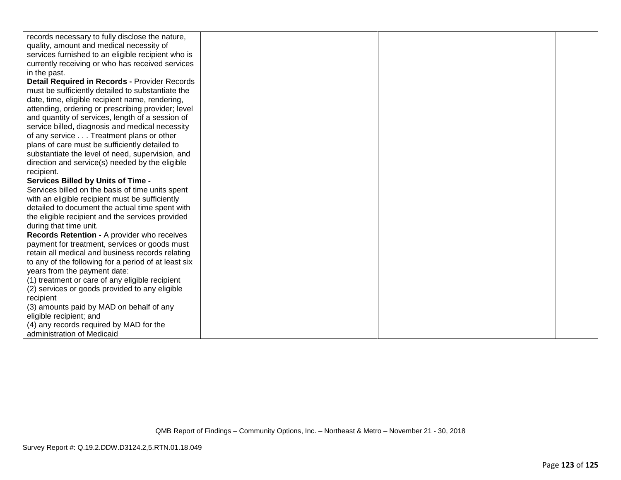| records necessary to fully disclose the nature,      |  |  |
|------------------------------------------------------|--|--|
| quality, amount and medical necessity of             |  |  |
| services furnished to an eligible recipient who is   |  |  |
| currently receiving or who has received services     |  |  |
| in the past.                                         |  |  |
| Detail Required in Records - Provider Records        |  |  |
| must be sufficiently detailed to substantiate the    |  |  |
| date, time, eligible recipient name, rendering,      |  |  |
| attending, ordering or prescribing provider; level   |  |  |
| and quantity of services, length of a session of     |  |  |
| service billed, diagnosis and medical necessity      |  |  |
| of any service Treatment plans or other              |  |  |
| plans of care must be sufficiently detailed to       |  |  |
| substantiate the level of need, supervision, and     |  |  |
| direction and service(s) needed by the eligible      |  |  |
| recipient.                                           |  |  |
| <b>Services Billed by Units of Time -</b>            |  |  |
| Services billed on the basis of time units spent     |  |  |
| with an eligible recipient must be sufficiently      |  |  |
| detailed to document the actual time spent with      |  |  |
| the eligible recipient and the services provided     |  |  |
| during that time unit.                               |  |  |
| Records Retention - A provider who receives          |  |  |
| payment for treatment, services or goods must        |  |  |
| retain all medical and business records relating     |  |  |
| to any of the following for a period of at least six |  |  |
| years from the payment date:                         |  |  |
| (1) treatment or care of any eligible recipient      |  |  |
| (2) services or goods provided to any eligible       |  |  |
| recipient                                            |  |  |
| (3) amounts paid by MAD on behalf of any             |  |  |
| eligible recipient; and                              |  |  |
| (4) any records required by MAD for the              |  |  |
| administration of Medicaid                           |  |  |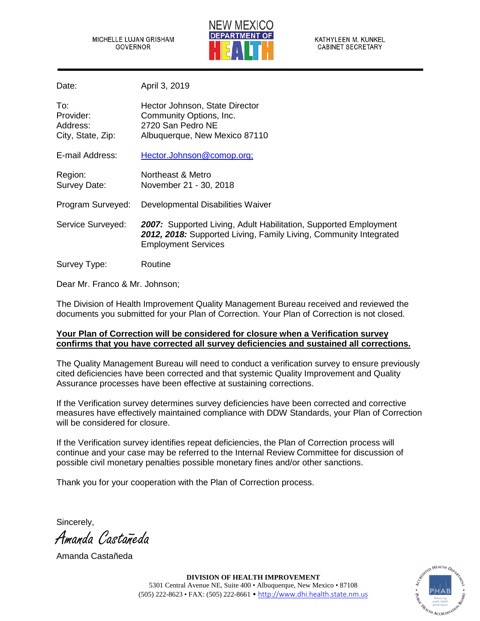MICHELLE LUJAN GRISHAM **GOVERNOR** 



KATHYLEEN M. KUNKEL **CABINET SECRETARY** 

Date: April 3, 2019

| To:<br>Provider:<br>Address:<br>City, State, Zip: | Hector Johnson, State Director<br>Community Options, Inc.<br>2720 San Pedro NE<br>Albuquerque, New Mexico 87110                                                     |
|---------------------------------------------------|---------------------------------------------------------------------------------------------------------------------------------------------------------------------|
| E-mail Address:                                   | Hector.Johnson@comop.org;                                                                                                                                           |
| Region:<br>Survey Date:                           | Northeast & Metro<br>November 21 - 30, 2018                                                                                                                         |
| Program Surveyed:                                 | Developmental Disabilities Waiver                                                                                                                                   |
| Service Surveyed:                                 | 2007: Supported Living, Adult Habilitation, Supported Employment<br>2012, 2018: Supported Living, Family Living, Community Integrated<br><b>Employment Services</b> |
| Survey Type:                                      | Routine                                                                                                                                                             |

Dear Mr. Franco & Mr. Johnson;

The Division of Health Improvement Quality Management Bureau received and reviewed the documents you submitted for your Plan of Correction. Your Plan of Correction is not closed.

## **Your Plan of Correction will be considered for closure when a Verification survey confirms that you have corrected all survey deficiencies and sustained all corrections.**

The Quality Management Bureau will need to conduct a verification survey to ensure previously cited deficiencies have been corrected and that systemic Quality Improvement and Quality Assurance processes have been effective at sustaining corrections.

If the Verification survey determines survey deficiencies have been corrected and corrective measures have effectively maintained compliance with DDW Standards, your Plan of Correction will be considered for closure.

If the Verification survey identifies repeat deficiencies, the Plan of Correction process will continue and your case may be referred to the Internal Review Committee for discussion of possible civil monetary penalties possible monetary fines and/or other sanctions.

Thank you for your cooperation with the Plan of Correction process.

Sincerely,

Amanda Castañeda

Amanda Castañeda